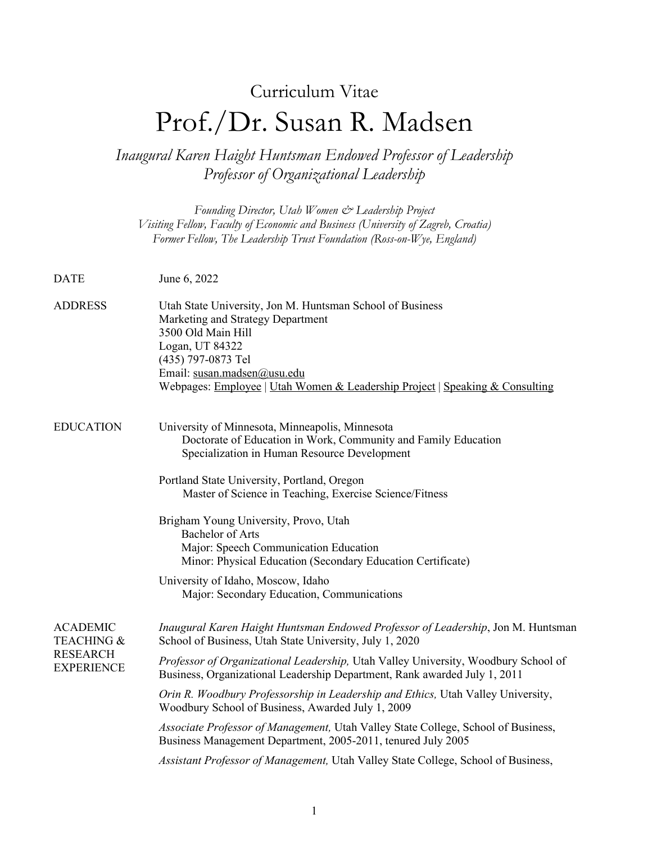# Curriculum Vitae Prof./Dr. Susan R. Madsen

*Inaugural Karen Haight Huntsman Endowed Professor of Leadership Professor of Organizational Leadership*

*Founding Director, Utah Women & Leadership Project Visiting Fellow, Faculty of Economic and Business (University of Zagreb, Croatia) Former Fellow, The Leadership Trust Foundation (Ross-on-Wye, England)* DATE June 6, 2022 ADDRESS Utah State University, Jon M. Huntsman School of Business Marketing and Strategy Department 3500 Old Main Hill Logan, UT 84322 (435) 797-0873 Tel Email: [susan.madsen@usu.edu](mailto:susan.madsen@usu.edu) Webpages: [Employee](https://huntsman.usu.edu/directory/madsen-susan) | [Utah Women & Leadership Project](http://www.utwomen.org/) [| Speaking & Consulting](http://susanrmadsen.com/) EDUCATION University of Minnesota, Minneapolis, Minnesota Doctorate of Education in Work, Community and Family Education Specialization in Human Resource Development Portland State University, Portland, Oregon Master of Science in Teaching, Exercise Science/Fitness Brigham Young University, Provo, Utah Bachelor of Arts Major: Speech Communication Education Minor: Physical Education (Secondary Education Certificate) University of Idaho, Moscow, Idaho Major: Secondary Education, Communications ACADEMIC TEACHING & RESEARCH **EXPERIENCE** *Inaugural Karen Haight Huntsman Endowed Professor of Leadership*, Jon M. Huntsman School of Business, Utah State University, July 1, 2020 *Professor of Organizational Leadership,* Utah Valley University, Woodbury School of Business, Organizational Leadership Department, Rank awarded July 1, 2011 *Orin R. Woodbury Professorship in Leadership and Ethics,* Utah Valley University, Woodbury School of Business, Awarded July 1, 2009 *Associate Professor of Management,* Utah Valley State College, School of Business, Business Management Department, 2005-2011, tenured July 2005 *Assistant Professor of Management,* Utah Valley State College, School of Business,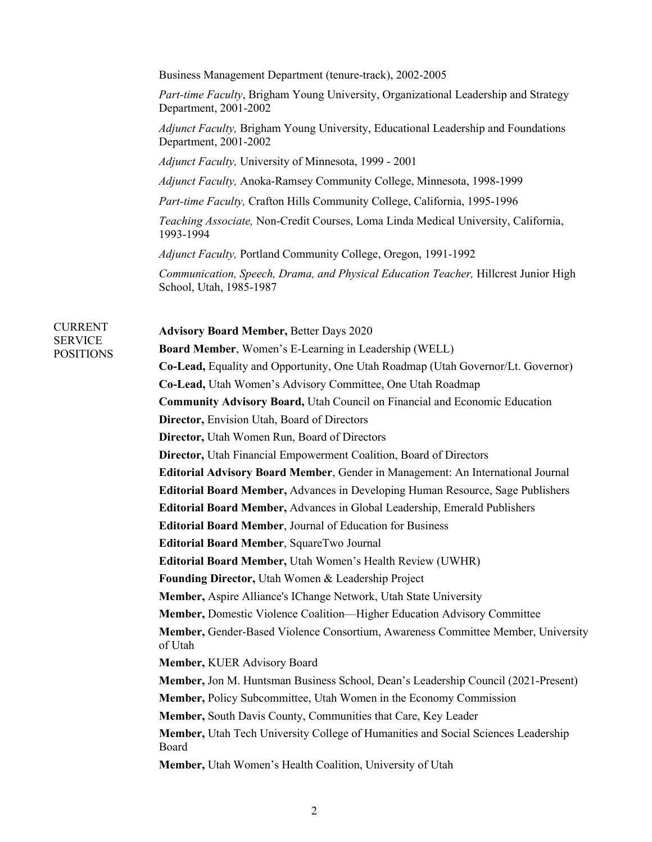Business Management Department (tenure-track), 2002-2005

*Part-time Faculty*, Brigham Young University, Organizational Leadership and Strategy Department, 2001-2002

*Adjunct Faculty,* Brigham Young University, Educational Leadership and Foundations Department, 2001-2002

*Adjunct Faculty,* University of Minnesota, 1999 - 2001

*Adjunct Faculty,* Anoka-Ramsey Community College, Minnesota, 1998-1999

*Part-time Faculty,* Crafton Hills Community College, California, 1995-1996

*Teaching Associate,* Non-Credit Courses, Loma Linda Medical University, California, 1993-1994

*Adjunct Faculty,* Portland Community College, Oregon, 1991-1992

*Communication, Speech, Drama, and Physical Education Teacher,* Hillcrest Junior High School, Utah, 1985-1987

CURRENT SERVICE POSITIONS

**Advisory Board Member,** Better Days 2020 **Board Member**, Women's E-Learning in Leadership (WELL) **Co-Lead,** Equality and Opportunity, One Utah Roadmap (Utah Governor/Lt. Governor) **Co-Lead,** Utah Women's Advisory Committee, One Utah Roadmap **Community Advisory Board,** Utah Council on Financial and Economic Education **Director,** Envision Utah, Board of Directors **Director,** Utah Women Run, Board of Directors **Director,** Utah Financial Empowerment Coalition, Board of Directors **Editorial Advisory Board Member**, Gender in Management: An International Journal **Editorial Board Member,** Advances in Developing Human Resource, Sage Publishers **Editorial Board Member,** Advances in Global Leadership, Emerald Publishers **Editorial Board Member**, Journal of Education for Business **Editorial Board Member**, SquareTwo Journal **Editorial Board Member,** Utah Women's Health Review (UWHR) **Founding Director,** Utah Women & Leadership Project **Member,** Aspire Alliance's IChange Network, Utah State University **Member,** Domestic Violence Coalition—Higher Education Advisory Committee **Member,** Gender-Based Violence Consortium, Awareness Committee Member, University of Utah **Member,** KUER Advisory Board **Member,** Jon M. Huntsman Business School, Dean's Leadership Council (2021-Present) **Member,** Policy Subcommittee, Utah Women in the Economy Commission **Member,** South Davis County, Communities that Care, Key Leader **Member,** Utah Tech University College of Humanities and Social Sciences Leadership Board **Member,** Utah Women's Health Coalition, University of Utah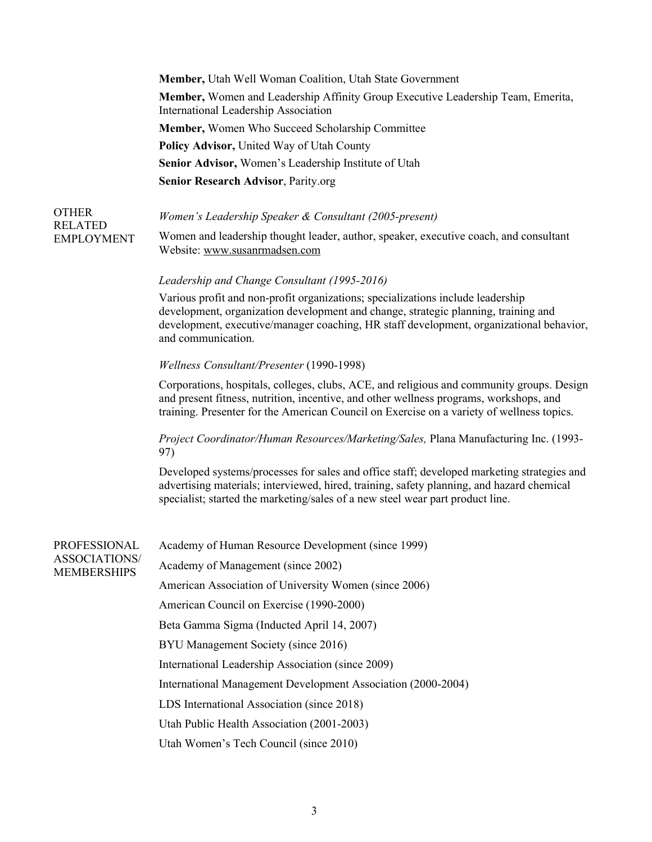**Member,** Utah Well Woman Coalition, Utah State Government **Member,** Women and Leadership Affinity Group Executive Leadership Team, Emerita, International Leadership Association **Member,** Women Who Succeed Scholarship Committee **Policy Advisor,** United Way of Utah County **Senior Advisor,** Women's Leadership Institute of Utah **Senior Research Advisor**, Parity.org

#### OTHER RELATED EMPLOYMENT *Women's Leadership Speaker & Consultant (2005-present)* Women and leadership thought leader, author, speaker, executive coach, and consultant Website: [www.susanrmadsen.com](http://www.susanrmadsen.com/)

## *Leadership and Change Consultant (1995-2016)*

Various profit and non-profit organizations; specializations include leadership development, organization development and change, strategic planning, training and development, executive/manager coaching, HR staff development, organizational behavior, and communication.

### *Wellness Consultant/Presenter* (1990-1998)

Corporations, hospitals, colleges, clubs, ACE, and religious and community groups. Design and present fitness, nutrition, incentive, and other wellness programs, workshops, and training. Presenter for the American Council on Exercise on a variety of wellness topics.

# *Project Coordinator/Human Resources/Marketing/Sales,* Plana Manufacturing Inc. (1993- 97)

Developed systems/processes for sales and office staff; developed marketing strategies and advertising materials; interviewed, hired, training, safety planning, and hazard chemical specialist; started the marketing/sales of a new steel wear part product line.

| PROFESSIONAL<br>ASSOCIATIONS/<br><b>MEMBERSHIPS</b> | Academy of Human Resource Development (since 1999)           |
|-----------------------------------------------------|--------------------------------------------------------------|
|                                                     | Academy of Management (since 2002)                           |
|                                                     | American Association of University Women (since 2006)        |
|                                                     | American Council on Exercise (1990-2000)                     |
|                                                     | Beta Gamma Sigma (Inducted April 14, 2007)                   |
|                                                     | BYU Management Society (since 2016)                          |
|                                                     | International Leadership Association (since 2009)            |
|                                                     | International Management Development Association (2000-2004) |
|                                                     | LDS International Association (since 2018)                   |
|                                                     | Utah Public Health Association (2001-2003)                   |
|                                                     | Utah Women's Tech Council (since 2010)                       |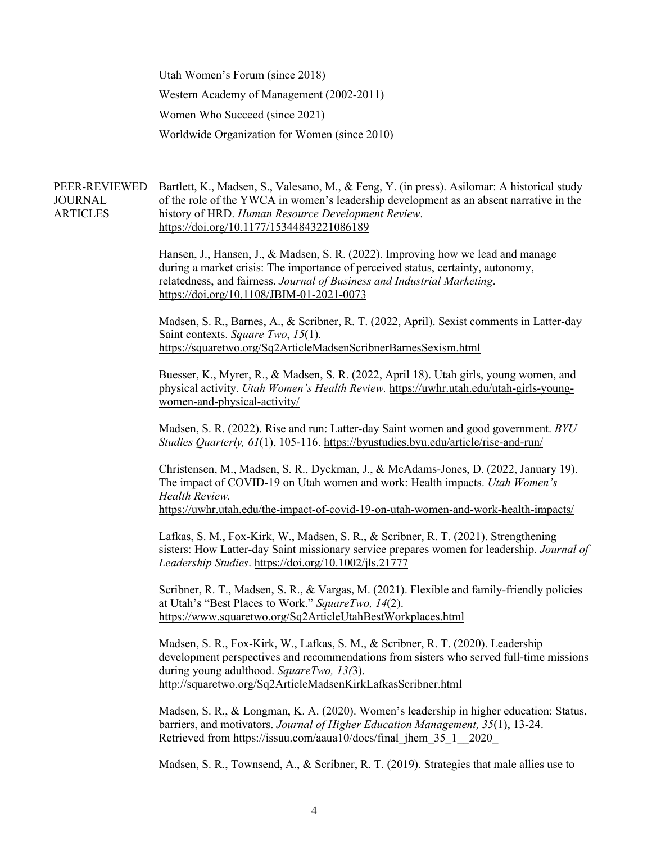Utah Women's Forum (since 2018) Western Academy of Management (2002-2011) Women Who Succeed (since 2021) Worldwide Organization for Women (since 2010)

PEER-REVIEWED Bartlett, K., Madsen, S., Valesano, M., & Feng, Y. (in press). Asilomar: A historical study JOURNAL **ARTICLES** of the role of the YWCA in women's leadership development as an absent narrative in the history of HRD. *Human Resource Development Review*. <https://doi.org/10.1177/15344843221086189>

> Hansen, J., Hansen, J., & Madsen, S. R. (2022). Improving how we lead and manage during a market crisis: The importance of perceived status, certainty, autonomy, relatedness, and fairness. *Journal of Business and Industrial Marketing*. <https://doi.org/10.1108/JBIM-01-2021-0073>

Madsen, S. R., Barnes, A., & Scribner, R. T. (2022, April). Sexist comments in Latter-day Saint contexts. *Square Two*, *15*(1). <https://squaretwo.org/Sq2ArticleMadsenScribnerBarnesSexism.html>

Buesser, K., Myrer, R., & Madsen, S. R. (2022, April 18). Utah girls, young women, and physical activity. *Utah Women's Health Review.* [https://uwhr.utah.edu/utah-girls-young](https://uwhr.utah.edu/utah-girls-young-women-and-physical-activity/)[women-and-physical-activity/](https://uwhr.utah.edu/utah-girls-young-women-and-physical-activity/)

Madsen, S. R. (2022). Rise and run: Latter-day Saint women and good government. *BYU Studies Quarterly, 61*(1), 105-116.<https://byustudies.byu.edu/article/rise-and-run/>

Christensen, M., Madsen, S. R., Dyckman, J., & McAdams-Jones, D. (2022, January 19). The impact of COVID-19 on Utah women and work: Health impacts. *Utah Women's Health Review.*  <https://uwhr.utah.edu/the-impact-of-covid-19-on-utah-women-and-work-health-impacts/>

Lafkas, S. M., Fox-Kirk, W., Madsen, S. R., & Scribner, R. T. (2021). Strengthening sisters: How Latter-day Saint missionary service prepares women for leadership. *Journal of Leadership Studies*.<https://doi.org/10.1002/jls.21777>

Scribner, R. T., Madsen, S. R., & Vargas, M. (2021). Flexible and family-friendly policies at Utah's "Best Places to Work." *SquareTwo, 14*(2). <https://www.squaretwo.org/Sq2ArticleUtahBestWorkplaces.html>

Madsen, S. R., Fox-Kirk, W., Lafkas, S. M., & Scribner, R. T. (2020). Leadership development perspectives and recommendations from sisters who served full-time missions during young adulthood. *SquareTwo, 13(*3). <http://squaretwo.org/Sq2ArticleMadsenKirkLafkasScribner.html>

Madsen, S. R., & Longman, K. A. (2020). Women's leadership in higher education: Status, barriers, and motivators. *Journal of Higher Education Management, 35*(1), 13-24. Retrieved from https://issuu.com/aaua10/docs/final\_jhem\_35\_1\_\_2020

Madsen, S. R., Townsend, A., & Scribner, R. T. (2019). Strategies that male allies use to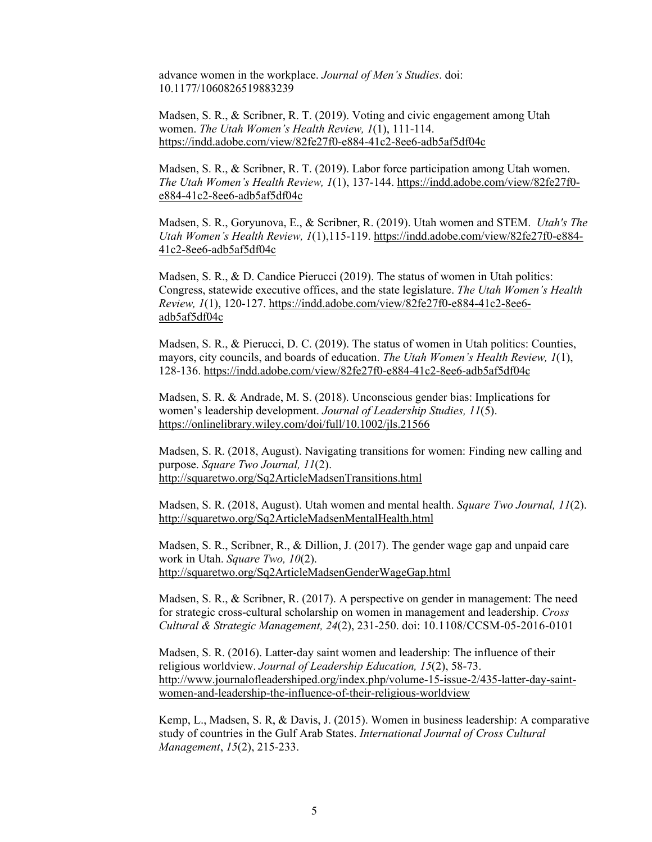advance women in the workplace. *Journal of Men's Studies*. doi: 10.1177/1060826519883239

Madsen, S. R., & Scribner, R. T. (2019). Voting and civic engagement among Utah women. *The Utah Women's Health Review, 1*(1), 111-114. <https://indd.adobe.com/view/82fe27f0-e884-41c2-8ee6-adb5af5df04c>

Madsen, S. R., & Scribner, R. T. (2019). Labor force participation among Utah women. *The Utah Women's Health Review, 1*(1), 137-144. [https://indd.adobe.com/view/82fe27f0](https://indd.adobe.com/view/82fe27f0-e884-41c2-8ee6-adb5af5df04c) [e884-41c2-8ee6-adb5af5df04c](https://indd.adobe.com/view/82fe27f0-e884-41c2-8ee6-adb5af5df04c)

Madsen, S. R., Goryunova, E., & Scribner, R. (2019). Utah women and STEM. *Utah's The Utah Women's Health Review, 1*(1),115-119. [https://indd.adobe.com/view/82fe27f0-e884-](https://indd.adobe.com/view/82fe27f0-e884-41c2-8ee6-adb5af5df04c) [41c2-8ee6-adb5af5df04c](https://indd.adobe.com/view/82fe27f0-e884-41c2-8ee6-adb5af5df04c)

Madsen, S. R., & D. Candice Pierucci (2019). The status of women in Utah politics: Congress, statewide executive offices, and the state legislature. *The Utah Women's Health Review, 1*(1), 120-127. [https://indd.adobe.com/view/82fe27f0-e884-41c2-8ee6](https://indd.adobe.com/view/82fe27f0-e884-41c2-8ee6-adb5af5df04c) [adb5af5df04c](https://indd.adobe.com/view/82fe27f0-e884-41c2-8ee6-adb5af5df04c)

Madsen, S. R., & Pierucci, D. C. (2019). The status of women in Utah politics: Counties, mayors, city councils, and boards of education. *The Utah Women's Health Review, 1*(1), 128-136. <https://indd.adobe.com/view/82fe27f0-e884-41c2-8ee6-adb5af5df04c>

Madsen, S. R. & Andrade, M. S. (2018). Unconscious gender bias: Implications for women's leadership development. *Journal of Leadership Studies, 11*(5). <https://onlinelibrary.wiley.com/doi/full/10.1002/jls.21566>

Madsen, S. R. (2018, August). Navigating transitions for women: Finding new calling and purpose. *Square Two Journal, 11*(2). <http://squaretwo.org/Sq2ArticleMadsenTransitions.html>

Madsen, S. R. (2018, August). Utah women and mental health. *Square Two Journal, 11*(2). <http://squaretwo.org/Sq2ArticleMadsenMentalHealth.html>

Madsen, S. R., Scribner, R., & Dillion, J. (2017). The gender wage gap and unpaid care work in Utah. *Square Two, 10*(2). <http://squaretwo.org/Sq2ArticleMadsenGenderWageGap.html>

Madsen, S. R., & Scribner, R. (2017). A perspective on gender in management: The need for strategic cross-cultural scholarship on women in management and leadership. *Cross Cultural & Strategic Management, 24*(2), 231-250. doi: [10.1108/CCSM-05-2016-0101](https://doi.org/10.1108/CCSM-05-2016-0101) 

Madsen, S. R. (2016). Latter-day saint women and leadership: The influence of their religious worldview. *Journal of Leadership Education, 15*(2), 58-73. [http://www.journalofleadershiped.org/index.php/volume-15-issue-2/435-latter-day-saint](http://www.journalofleadershiped.org/index.php/volume-15-issue-2/435-latter-day-saint-women-and-leadership-the-influence-of-their-religious-worldview)[women-and-leadership-the-influence-of-their-religious-worldview](http://www.journalofleadershiped.org/index.php/volume-15-issue-2/435-latter-day-saint-women-and-leadership-the-influence-of-their-religious-worldview) 

Kemp, L., Madsen, S. R, & Davis, J. (2015). Women in business leadership: A comparative study of countries in the Gulf Arab States. *International Journal of Cross Cultural Management*, *15*(2), 215-233.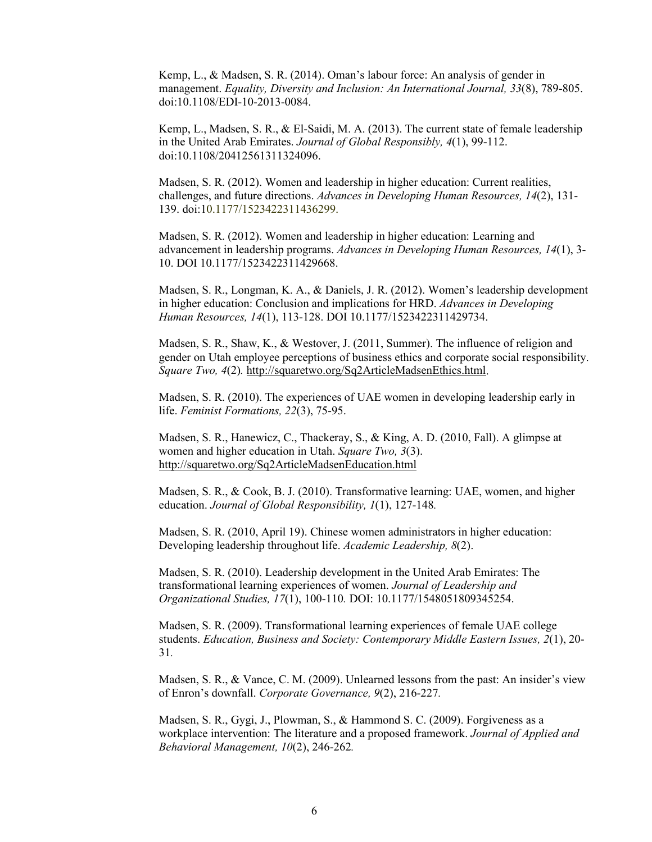Kemp, L., & Madsen, S. R. (2014). Oman's labour force: An analysis of gender in management. *Equality, Diversity and Inclusion: An International Journal, 33*(8), 789-805. doi:10.1108/EDI-10-2013-0084.

Kemp, L., Madsen, S. R., & El-Saidi, M. A. (2013). The current state of female leadership in the United Arab Emirates. *Journal of Global Responsibly, 4*(1), 99-112. doi:10.1108/20412561311324096.

Madsen, S. R. (2012). Women and leadership in higher education: Current realities, challenges, and future directions. *Advances in Developing Human Resources, 14*(2), 131- 139. doi:10.1177/1523422311436299.

Madsen, S. R. (2012). Women and leadership in higher education: Learning and advancement in leadership programs. *Advances in Developing Human Resources, 14*(1), 3- 10. [DOI 10.1177/1523422311429668.](http://dx.doi.org/10.1177/1523422311429668)

Madsen, S. R., Longman, K. A., & Daniels, J. R. (2012). Women's leadership development in higher education: Conclusion and implications for HRD. *Advances in Developing Human Resources, 14*(1), 113-128. [DOI 10.1177/1523422311429734.](http://dx.doi.org/10.1177/1523422311429734)

Madsen, S. R., Shaw, K., & Westover, J. (2011, Summer). The influence of religion and gender on Utah employee perceptions of business ethics and corporate social responsibility. *Square Two, 4*(2)*.* [http://squaretwo.org/Sq2ArticleMadsenEthics.html.](http://squaretwo.org/Sq2ArticleMadsenEthics.html)

Madsen, S. R. (2010). The experiences of UAE women in developing leadership early in life. *Feminist Formations, 22*(3), 75-95.

Madsen, S. R., Hanewicz, C., Thackeray, S., & King, A. D. (2010, Fall). A glimpse at women and higher education in Utah. *Square Two, 3*(3). <http://squaretwo.org/Sq2ArticleMadsenEducation.html>

Madsen, S. R., & Cook, B. J. (2010). Transformative learning: UAE, women, and higher education. *Journal of Global Responsibility, 1*(1), 127-148*.* 

Madsen, S. R. (2010, April 19). Chinese women administrators in higher education: Developing leadership throughout life. *Academic Leadership, 8*(2).

Madsen, S. R. (2010). Leadership development in the United Arab Emirates: The transformational learning experiences of women. *Journal of Leadership and Organizational Studies, 17*(1), 100-110*.* DOI: 10.1177/1548051809345254.

Madsen, S. R. (2009). Transformational learning experiences of female UAE college students. *Education, Business and Society: Contemporary Middle Eastern Issues, 2*(1), 20- 31*.* 

Madsen, S. R., & Vance, C. M. (2009). Unlearned lessons from the past: An insider's view of Enron's downfall. *Corporate Governance, 9*(2), 216-227*.* 

Madsen, S. R., Gygi, J., Plowman, S., & Hammond S. C. (2009). Forgiveness as a workplace intervention: The literature and a proposed framework. *Journal of Applied and Behavioral Management, 10*(2), 246-262*.*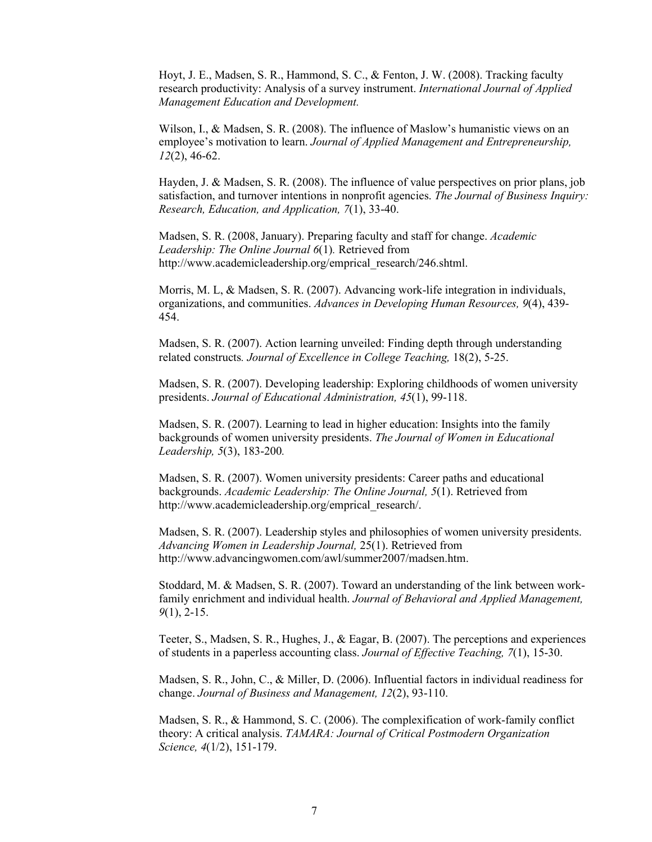Hoyt, J. E., Madsen, S. R., Hammond, S. C., & Fenton, J. W. (2008). Tracking faculty research productivity: Analysis of a survey instrument. *International Journal of Applied Management Education and Development.*

Wilson, I., & Madsen, S. R. (2008). The influence of Maslow's humanistic views on an employee's motivation to learn. *Journal of Applied Management and Entrepreneurship, 12*(2), 46-62.

Hayden, J. & Madsen, S. R. (2008). The influence of value perspectives on prior plans, job satisfaction, and turnover intentions in nonprofit agencies. *The Journal of Business Inquiry: Research, Education, and Application, 7*(1), 33-40.

Madsen, S. R. (2008, January). Preparing faculty and staff for change. *Academic Leadership: The Online Journal 6*(1)*.* Retrieved from http://www.academicleadership.org/emprical\_research/246.shtml.

Morris, M. L, & Madsen, S. R. (2007). Advancing work-life integration in individuals, organizations, and communities. *Advances in Developing Human Resources, 9*(4), 439- 454.

Madsen, S. R. (2007). Action learning unveiled: Finding depth through understanding related constructs*. Journal of Excellence in College Teaching,* 18(2), 5-25.

Madsen, S. R. (2007). Developing leadership: Exploring childhoods of women university presidents. *Journal of Educational Administration, 45*(1), 99-118.

Madsen, S. R. (2007). Learning to lead in higher education: Insights into the family backgrounds of women university presidents. *The Journal of Women in Educational Leadership, 5*(3), 183-200*.*

Madsen, S. R. (2007). Women university presidents: Career paths and educational backgrounds. *Academic Leadership: The Online Journal, 5*(1). Retrieved from http://www.academicleadership.org/emprical\_research/.

Madsen, S. R. (2007). Leadership styles and philosophies of women university presidents. *Advancing Women in Leadership Journal,* 25(1). Retrieved from http://www.advancingwomen.com/awl/summer2007/madsen.htm.

Stoddard, M. & Madsen, S. R. (2007). Toward an understanding of the link between workfamily enrichment and individual health. *Journal of Behavioral and Applied Management, 9*(1), 2-15.

Teeter, S., Madsen, S. R., Hughes, J., & Eagar, B. (2007). The perceptions and experiences of students in a paperless accounting class. *Journal of Effective Teaching, 7*(1), 15-30.

Madsen, S. R., John, C., & Miller, D. (2006). Influential factors in individual readiness for change. *Journal of Business and Management, 12*(2), 93-110.

Madsen, S. R., & Hammond, S. C. (2006). The complexification of work-family conflict theory: A critical analysis. *TAMARA: Journal of Critical Postmodern Organization Science, 4*(1/2), 151-179.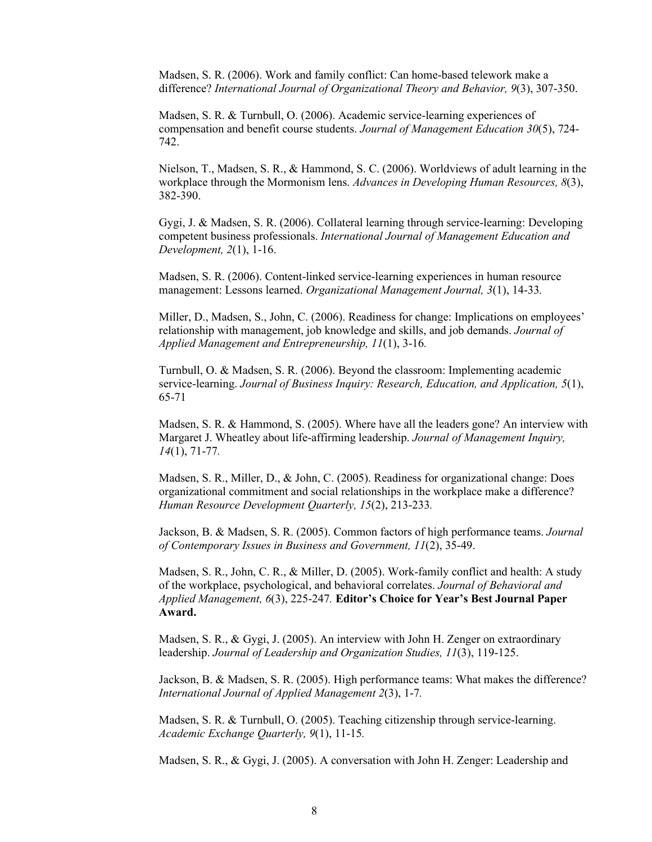Madsen, S. R. (2006). Work and family conflict: Can home-based telework make a difference? *International Journal of Organizational Theory and Behavior, 9*(3), 307-350.

Madsen, S. R. & Turnbull, O. (2006). Academic service-learning experiences of compensation and benefit course students. *Journal of Management Education 30*(5), 724- 742.

Nielson, T., Madsen, S. R., & Hammond, S. C. (2006). Worldviews of adult learning in the workplace through the Mormonism lens. *Advances in Developing Human Resources, 8*(3), 382-390.

Gygi, J. & Madsen, S. R. (2006). Collateral learning through service-learning: Developing competent business professionals. *International Journal of Management Education and Development, 2*(1), 1-16.

Madsen, S. R. (2006). Content-linked service-learning experiences in human resource management: Lessons learned. *Organizational Management Journal, 3*(1), 14-33*.*

Miller, D., Madsen, S., John, C. (2006). Readiness for change: Implications on employees' relationship with management, job knowledge and skills, and job demands. *Journal of Applied Management and Entrepreneurship, 11*(1), 3-16*.*

Turnbull, O. & Madsen, S. R. (2006). Beyond the classroom: Implementing academic service-learning. *Journal of Business Inquiry: Research, Education, and Application, 5*(1), 65-71

Madsen, S. R. & Hammond, S. (2005). Where have all the leaders gone? An interview with Margaret J. Wheatley about life-affirming leadership. *Journal of Management Inquiry, 14*(1), 71-77*.*

Madsen, S. R., Miller, D., & John, C. (2005). Readiness for organizational change: Does organizational commitment and social relationships in the workplace make a difference? *Human Resource Development Quarterly, 15*(2), 213-233*.* 

Jackson, B. & Madsen, S. R. (2005). Common factors of high performance teams. *Journal of Contemporary Issues in Business and Government, 11*(2), 35-49.

Madsen, S. R., John, C. R., & Miller, D. (2005). Work-family conflict and health: A study of the workplace, psychological, and behavioral correlates. *Journal of Behavioral and Applied Management, 6*(3), 225-247*.* **Editor's Choice for Year's Best Journal Paper Award.**

Madsen, S. R., & Gygi, J. (2005). An interview with John H. Zenger on extraordinary leadership. *Journal of Leadership and Organization Studies, 11*(3), 119-125.

Jackson, B. & Madsen, S. R. (2005). High performance teams: What makes the difference? *International Journal of Applied Management 2*(3), 1-7*.*

Madsen, S. R. & Turnbull, O. (2005). Teaching citizenship through service-learning. *Academic Exchange Quarterly, 9*(1), 11-15*.* 

Madsen, S. R., & Gygi, J. (2005). A conversation with John H. Zenger: Leadership and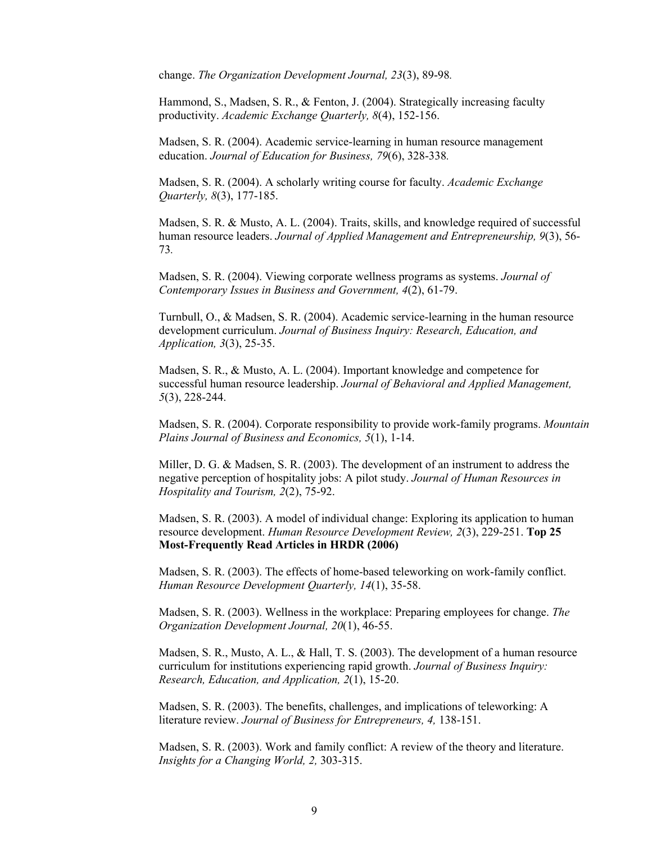change. *The Organization Development Journal, 23*(3), 89-98*.*

Hammond, S., Madsen, S. R., & Fenton, J. (2004). Strategically increasing faculty productivity. *Academic Exchange Quarterly, 8*(4), 152-156.

Madsen, S. R. (2004). Academic service-learning in human resource management education. *Journal of Education for Business, 79*(6), 328-338*.*

Madsen, S. R. (2004). A scholarly writing course for faculty. *Academic Exchange Quarterly, 8*(3), 177-185.

Madsen, S. R. & Musto, A. L. (2004). Traits, skills, and knowledge required of successful human resource leaders. *Journal of Applied Management and Entrepreneurship, 9*(3), 56- 73*.* 

Madsen, S. R. (2004). Viewing corporate wellness programs as systems. *Journal of Contemporary Issues in Business and Government, 4*(2), 61-79.

Turnbull, O., & Madsen, S. R. (2004). Academic service-learning in the human resource development curriculum. *Journal of Business Inquiry: Research, Education, and Application, 3*(3), 25-35.

Madsen, S. R., & Musto, A. L. (2004). Important knowledge and competence for successful human resource leadership. *Journal of Behavioral and Applied Management, 5*(3), 228-244.

Madsen, S. R. (2004). Corporate responsibility to provide work-family programs. *Mountain Plains Journal of Business and Economics, 5*(1), 1-14.

Miller, D. G. & Madsen, S. R. (2003). The development of an instrument to address the negative perception of hospitality jobs: A pilot study. *Journal of Human Resources in Hospitality and Tourism, 2*(2), 75-92.

Madsen, S. R. (2003). A model of individual change: Exploring its application to human resource development. *Human Resource Development Review, 2*(3), 229-251. **Top 25 Most-Frequently Read Articles in HRDR (2006)**

Madsen, S. R. (2003). The effects of home-based teleworking on work-family conflict. *Human Resource Development Quarterly, 14*(1), 35-58.

Madsen, S. R. (2003). Wellness in the workplace: Preparing employees for change. *The Organization Development Journal, 20*(1), 46-55.

Madsen, S. R., Musto, A. L., & Hall, T. S. (2003). The development of a human resource curriculum for institutions experiencing rapid growth. *Journal of Business Inquiry: Research, Education, and Application, 2*(1), 15-20.

Madsen, S. R. (2003). The benefits, challenges, and implications of teleworking: A literature review. *Journal of Business for Entrepreneurs, 4,* 138-151.

Madsen, S. R. (2003). Work and family conflict: A review of the theory and literature. *Insights for a Changing World, 2,* 303-315.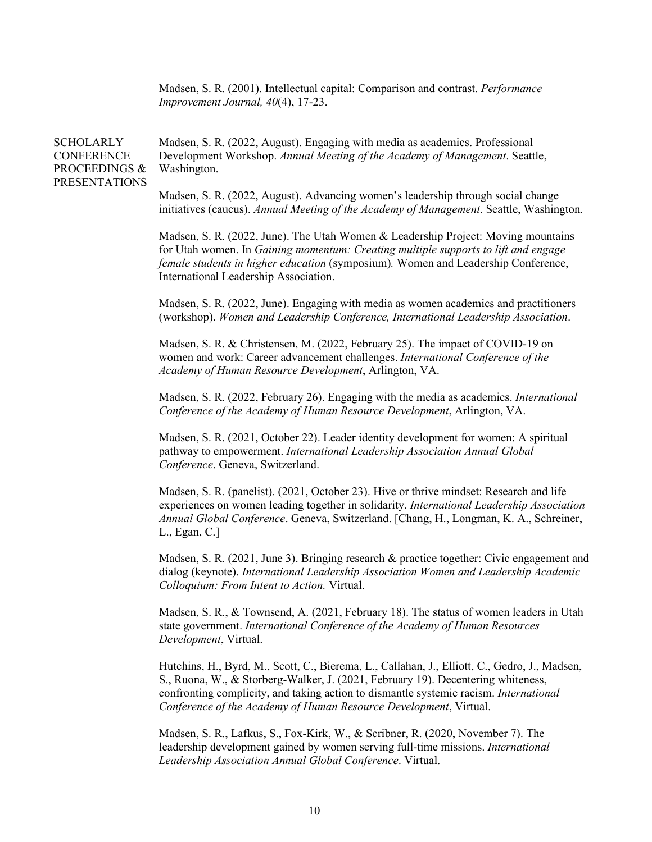Madsen, S. R. (2001). Intellectual capital: Comparison and contrast. *Performance Improvement Journal, 40*(4), 17-23.

# **SCHOLARLY** CONFERENCE PROCEEDINGS & PRESENTATIONS

Madsen, S. R. (2022, August). Engaging with media as academics. Professional Development Workshop. *Annual Meeting of the Academy of Management*. Seattle, Washington.

Madsen, S. R. (2022, August). Advancing women's leadership through social change initiatives (caucus). *Annual Meeting of the Academy of Management*. Seattle, Washington.

Madsen, S. R. (2022, June). The Utah Women & Leadership Project: Moving mountains for Utah women. In *Gaining momentum: Creating multiple supports to lift and engage female students in higher education* (symposium)*.* Women and Leadership Conference, International Leadership Association.

Madsen, S. R. (2022, June). Engaging with media as women academics and practitioners (workshop). *Women and Leadership Conference, International Leadership Association*.

Madsen, S. R. & Christensen, M. (2022, February 25). The impact of COVID-19 on women and work: Career advancement challenges. *International Conference of the Academy of Human Resource Development*, Arlington, VA.

Madsen, S. R. (2022, February 26). Engaging with the media as academics. *International Conference of the Academy of Human Resource Development*, Arlington, VA.

Madsen, S. R. (2021, October 22). Leader identity development for women: A spiritual pathway to empowerment. *International Leadership Association Annual Global Conference*. Geneva, Switzerland.

Madsen, S. R. (panelist). (2021, October 23). Hive or thrive mindset: Research and life experiences on women leading together in solidarity. *International Leadership Association Annual Global Conference*. Geneva, Switzerland. [Chang, H., Longman, K. A., Schreiner, L., Egan, C.]

Madsen, S. R. (2021, June 3). Bringing research & practice together: Civic engagement and dialog (keynote). *International Leadership Association Women and Leadership Academic Colloquium: From Intent to Action.* Virtual.

Madsen, S. R., & Townsend, A. (2021, February 18). The status of women leaders in Utah state government. *International Conference of the Academy of Human Resources Development*, Virtual.

Hutchins, H., Byrd, M., Scott, C., Bierema, L., Callahan, J., Elliott, C., Gedro, J., Madsen, S., Ruona, W., & Storberg-Walker, J. (2021, February 19). Decentering whiteness, confronting complicity, and taking action to dismantle systemic racism. *International Conference of the Academy of Human Resource Development*, Virtual.

Madsen, S. R., Lafkus, S., Fox-Kirk, W., & Scribner, R. (2020, November 7). The leadership development gained by women serving full-time missions. *International Leadership Association Annual Global Conference*. Virtual.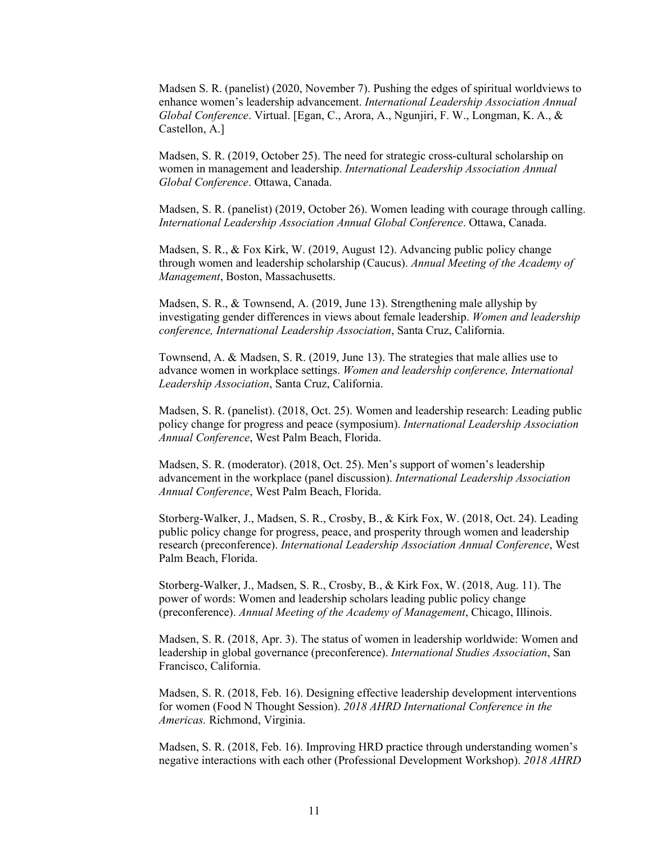Madsen S. R. (panelist) (2020, November 7). Pushing the edges of spiritual worldviews to enhance women's leadership advancement. *International Leadership Association Annual Global Conference*. Virtual. [Egan, C., Arora, A., Ngunjiri, F. W., Longman, K. A., & Castellon, A.]

Madsen, S. R. (2019, October 25). The need for strategic cross-cultural scholarship on women in management and leadership. *International Leadership Association Annual Global Conference*. Ottawa, Canada.

Madsen, S. R. (panelist) (2019, October 26). Women leading with courage through calling. *International Leadership Association Annual Global Conference*. Ottawa, Canada.

Madsen, S. R., & Fox Kirk, W. (2019, August 12). Advancing public policy change through women and leadership scholarship (Caucus). *Annual Meeting of the Academy of Management*, Boston, Massachusetts.

Madsen, S. R., & Townsend, A. (2019, June 13). Strengthening male allyship by investigating gender differences in views about female leadership. *Women and leadership conference, International Leadership Association*, Santa Cruz, California.

Townsend, A. & Madsen, S. R. (2019, June 13). The strategies that male allies use to advance women in workplace settings. *Women and leadership conference, International Leadership Association*, Santa Cruz, California.

Madsen, S. R. (panelist). (2018, Oct. 25). Women and leadership research: Leading public policy change for progress and peace (symposium). *International Leadership Association Annual Conference*, West Palm Beach, Florida.

Madsen, S. R. (moderator). (2018, Oct. 25). Men's support of women's leadership advancement in the workplace (panel discussion). *International Leadership Association Annual Conference*, West Palm Beach, Florida.

Storberg-Walker, J., Madsen, S. R., Crosby, B., & Kirk Fox, W. (2018, Oct. 24). Leading public policy change for progress, peace, and prosperity through women and leadership research (preconference). *International Leadership Association Annual Conference*, West Palm Beach, Florida.

Storberg-Walker, J., Madsen, S. R., Crosby, B., & Kirk Fox, W. (2018, Aug. 11). The power of words: Women and leadership scholars leading public policy change (preconference). *Annual Meeting of the Academy of Management*, Chicago, Illinois.

Madsen, S. R. (2018, Apr. 3). The status of women in leadership worldwide: Women and leadership in global governance (preconference). *International Studies Association*, San Francisco, California.

Madsen, S. R. (2018, Feb. 16). Designing effective leadership development interventions for women (Food N Thought Session). *2018 AHRD International Conference in the Americas.* Richmond, Virginia.

Madsen, S. R. (2018, Feb. 16). Improving HRD practice through understanding women's negative interactions with each other (Professional Development Workshop). *2018 AHRD*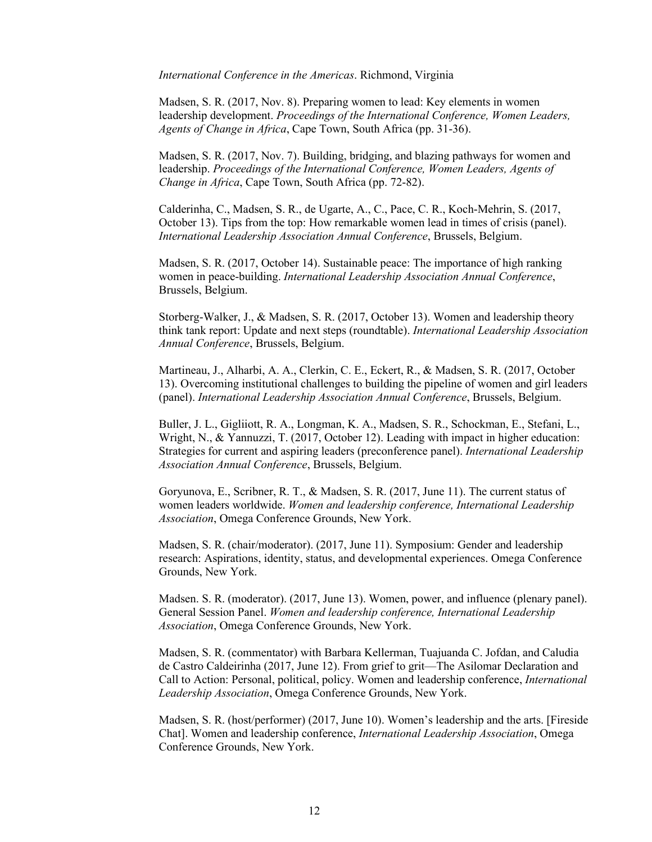*International Conference in the Americas*. Richmond, Virginia

Madsen, S. R. (2017, Nov. 8). Preparing women to lead: Key elements in women leadership development. *Proceedings of the International Conference, Women Leaders, Agents of Change in Africa*, Cape Town, South Africa (pp. 31-36).

Madsen, S. R. (2017, Nov. 7). Building, bridging, and blazing pathways for women and leadership. *Proceedings of the International Conference, Women Leaders, Agents of Change in Africa*, Cape Town, South Africa (pp. 72-82).

Calderinha, C., Madsen, S. R., de Ugarte, A., C., Pace, C. R., Koch-Mehrin, S. (2017, October 13). Tips from the top: How remarkable women lead in times of crisis (panel). *International Leadership Association Annual Conference*, Brussels, Belgium.

Madsen, S. R. (2017, October 14). Sustainable peace: The importance of high ranking women in peace-building. *International Leadership Association Annual Conference*, Brussels, Belgium.

Storberg-Walker, J., & Madsen, S. R. (2017, October 13). Women and leadership theory think tank report: Update and next steps (roundtable). *International Leadership Association Annual Conference*, Brussels, Belgium.

Martineau, J., Alharbi, A. A., Clerkin, C. E., Eckert, R., & Madsen, S. R. (2017, October 13). Overcoming institutional challenges to building the pipeline of women and girl leaders (panel). *International Leadership Association Annual Conference*, Brussels, Belgium.

Buller, J. L., Gigliiott, R. A., Longman, K. A., Madsen, S. R., Schockman, E., Stefani, L., Wright, N., & Yannuzzi, T. (2017, October 12). Leading with impact in higher education: Strategies for current and aspiring leaders (preconference panel). *International Leadership Association Annual Conference*, Brussels, Belgium.

Goryunova, E., Scribner, R. T., & Madsen, S. R. (2017, June 11). The current status of women leaders worldwide. *Women and leadership conference, International Leadership Association*, Omega Conference Grounds, New York.

Madsen, S. R. (chair/moderator). (2017, June 11). Symposium: Gender and leadership research: Aspirations, identity, status, and developmental experiences. Omega Conference Grounds, New York.

Madsen. S. R. (moderator). (2017, June 13). Women, power, and influence (plenary panel). General Session Panel. *Women and leadership conference, International Leadership Association*, Omega Conference Grounds, New York.

Madsen, S. R. (commentator) with Barbara Kellerman, Tuajuanda C. Jofdan, and Caludia de Castro Caldeirinha (2017, June 12). From grief to grit—The Asilomar Declaration and Call to Action: Personal, political, policy. Women and leadership conference, *International Leadership Association*, Omega Conference Grounds, New York.

Madsen, S. R. (host/performer) (2017, June 10). Women's leadership and the arts. [Fireside Chat]. Women and leadership conference, *International Leadership Association*, Omega Conference Grounds, New York.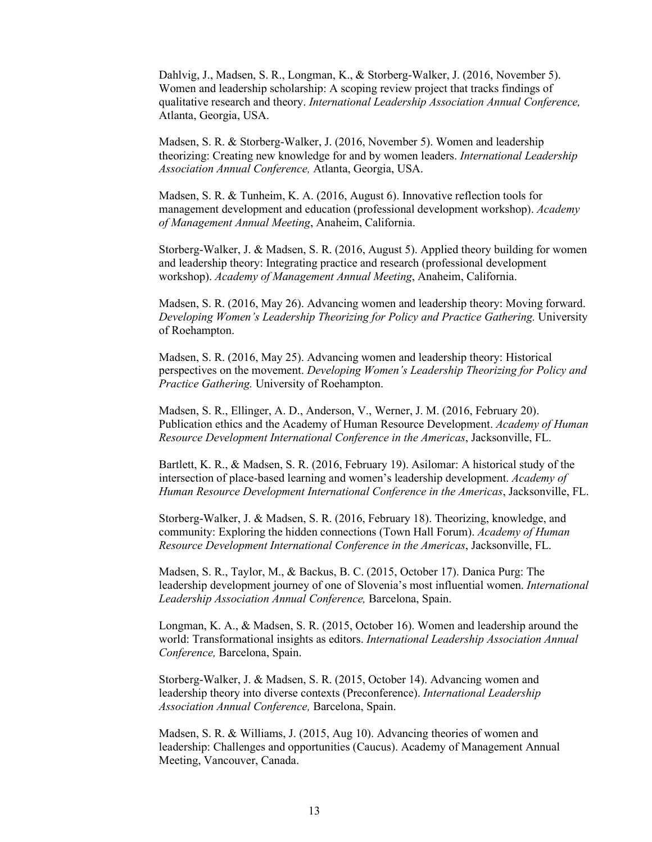Dahlvig, J., Madsen, S. R., Longman, K., & Storberg-Walker, J. (2016, November 5). Women and leadership scholarship: A scoping review project that tracks findings of qualitative research and theory. *International Leadership Association Annual Conference,* Atlanta, Georgia, USA.

Madsen, S. R. & Storberg-Walker, J. (2016, November 5). Women and leadership theorizing: Creating new knowledge for and by women leaders. *International Leadership Association Annual Conference,* Atlanta, Georgia, USA.

Madsen, S. R. & Tunheim, K. A. (2016, August 6). Innovative reflection tools for management development and education (professional development workshop). *Academy of Management Annual Meeting*, Anaheim, California.

Storberg-Walker, J. & Madsen, S. R. (2016, August 5). Applied theory building for women and leadership theory: Integrating practice and research (professional development workshop). *Academy of Management Annual Meeting*, Anaheim, California.

Madsen, S. R. (2016, May 26). Advancing women and leadership theory: Moving forward. *Developing Women's Leadership Theorizing for Policy and Practice Gathering.* University of Roehampton.

Madsen, S. R. (2016, May 25). Advancing women and leadership theory: Historical perspectives on the movement. *Developing Women's Leadership Theorizing for Policy and Practice Gathering.* University of Roehampton.

Madsen, S. R., Ellinger, A. D., Anderson, V., Werner, J. M. (2016, February 20). Publication ethics and the Academy of Human Resource Development. *Academy of Human Resource Development International Conference in the Americas*, Jacksonville, FL.

Bartlett, K. R., & Madsen, S. R. (2016, February 19). Asilomar: A historical study of the intersection of place-based learning and women's leadership development. *Academy of Human Resource Development International Conference in the Americas*, Jacksonville, FL.

Storberg-Walker, J. & Madsen, S. R. (2016, February 18). Theorizing, knowledge, and community: Exploring the hidden connections (Town Hall Forum). *Academy of Human Resource Development International Conference in the Americas*, Jacksonville, FL.

Madsen, S. R., Taylor, M., & Backus, B. C. (2015, October 17). Danica Purg: The leadership development journey of one of Slovenia's most influential women. *International Leadership Association Annual Conference,* Barcelona, Spain.

Longman, K. A., & Madsen, S. R. (2015, October 16). Women and leadership around the world: Transformational insights as editors. *International Leadership Association Annual Conference,* Barcelona, Spain.

Storberg-Walker, J. & Madsen, S. R. (2015, October 14). Advancing women and leadership theory into diverse contexts (Preconference). *International Leadership Association Annual Conference,* Barcelona, Spain.

Madsen, S. R. & Williams, J. (2015, Aug 10). Advancing theories of women and leadership: Challenges and opportunities (Caucus). Academy of Management Annual Meeting, Vancouver, Canada.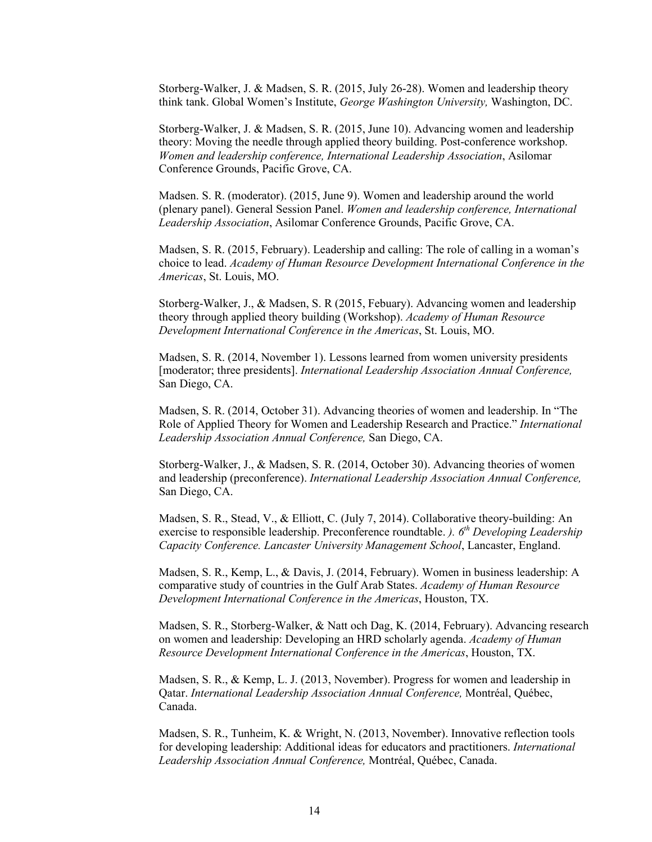Storberg-Walker, J. & Madsen, S. R. (2015, July 26-28). Women and leadership theory think tank. Global Women's Institute, *George Washington University,* Washington, DC.

Storberg-Walker, J. & Madsen, S. R. (2015, June 10). Advancing women and leadership theory: Moving the needle through applied theory building. Post-conference workshop. *Women and leadership conference, International Leadership Association*, Asilomar Conference Grounds, Pacific Grove, CA.

Madsen. S. R. (moderator). (2015, June 9). Women and leadership around the world (plenary panel). General Session Panel. *Women and leadership conference, International Leadership Association*, Asilomar Conference Grounds, Pacific Grove, CA.

Madsen, S. R. (2015, February). Leadership and calling: The role of calling in a woman's choice to lead. *Academy of Human Resource Development International Conference in the Americas*, St. Louis, MO.

Storberg-Walker, J., & Madsen, S. R (2015, Febuary). Advancing women and leadership theory through applied theory building (Workshop). *Academy of Human Resource Development International Conference in the Americas*, St. Louis, MO.

Madsen, S. R. (2014, November 1). Lessons learned from women university presidents [moderator; three presidents]. *International Leadership Association Annual Conference,* San Diego, CA.

Madsen, S. R. (2014, October 31). Advancing theories of women and leadership. In "The Role of Applied Theory for Women and Leadership Research and Practice." *International Leadership Association Annual Conference,* San Diego, CA.

Storberg-Walker, J., & Madsen, S. R. (2014, October 30). Advancing theories of women and leadership (preconference). *International Leadership Association Annual Conference,* San Diego, CA.

Madsen, S. R., Stead, V., & Elliott, C. (July 7, 2014). Collaborative theory-building: An exercise to responsible leadership. Preconference roundtable. *). 6th Developing Leadership Capacity Conference. Lancaster University Management School*, Lancaster, England.

Madsen, S. R., Kemp, L., & Davis, J. (2014, February). Women in business leadership: A comparative study of countries in the Gulf Arab States. *Academy of Human Resource Development International Conference in the Americas*, Houston, TX.

Madsen, S. R., Storberg-Walker, & Natt och Dag, K. (2014, February). Advancing research on women and leadership: Developing an HRD scholarly agenda. *Academy of Human Resource Development International Conference in the Americas*, Houston, TX.

Madsen, S. R., & Kemp, L. J. (2013, November). Progress for women and leadership in Qatar. *International Leadership Association Annual Conference,* Montréal, Québec, Canada.

Madsen, S. R., Tunheim, K. & Wright, N. (2013, November). Innovative reflection tools for developing leadership: Additional ideas for educators and practitioners. *International Leadership Association Annual Conference,* Montréal, Québec, Canada.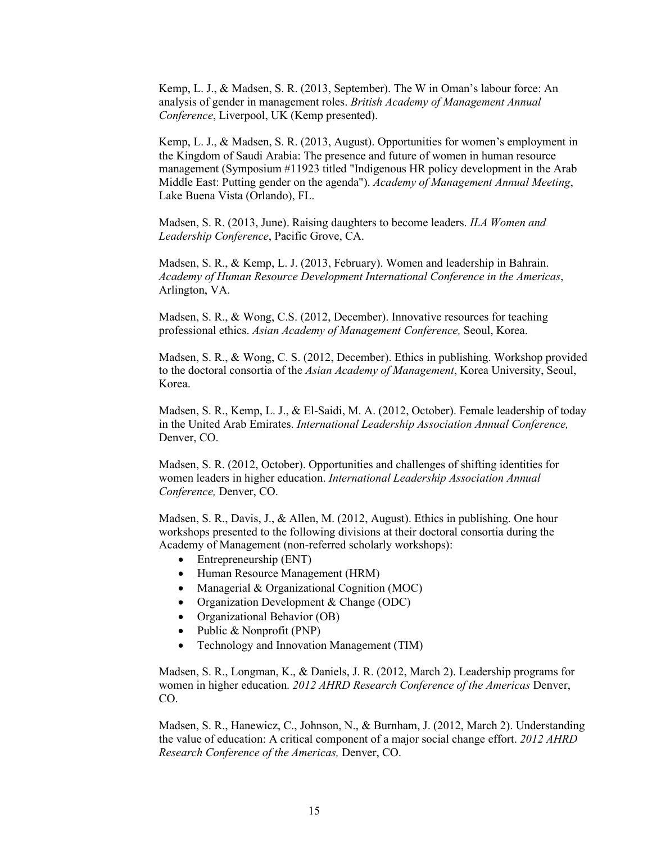Kemp, L. J., & Madsen, S. R. (2013, September). The W in Oman's labour force: An analysis of gender in management roles. *British Academy of Management Annual Conference*, Liverpool, UK (Kemp presented).

Kemp, L. J., & Madsen, S. R. (2013, August). Opportunities for women's employment in the Kingdom of Saudi Arabia: The presence and future of women in human resource management (Symposium #11923 titled "Indigenous HR policy development in the Arab Middle East: Putting gender on the agenda"). *Academy of Management Annual Meeting*, Lake Buena Vista (Orlando), FL.

Madsen, S. R. (2013, June). Raising daughters to become leaders. *ILA Women and Leadership Conference*, Pacific Grove, CA.

Madsen, S. R., & Kemp, L. J. (2013, February). Women and leadership in Bahrain. *Academy of Human Resource Development International Conference in the Americas*, Arlington, VA.

Madsen, S. R., & Wong, C.S. (2012, December). Innovative resources for teaching professional ethics. *Asian Academy of Management Conference,* Seoul, Korea.

Madsen, S. R., & Wong, C. S. (2012, December). Ethics in publishing. Workshop provided to the doctoral consortia of the *Asian Academy of Management*, Korea University, Seoul, Korea.

Madsen, S. R., Kemp, L. J., & El-Saidi, M. A. (2012, October). Female leadership of today in the United Arab Emirates. *International Leadership Association Annual Conference,* Denver, CO.

Madsen, S. R. (2012, October). Opportunities and challenges of shifting identities for women leaders in higher education. *International Leadership Association Annual Conference,* Denver, CO.

Madsen, S. R., Davis, J., & Allen, M. (2012, August). Ethics in publishing. One hour workshops presented to the following divisions at their doctoral consortia during the Academy of Management (non-referred scholarly workshops):

- Entrepreneurship (ENT)
- Human Resource Management (HRM)
- Managerial & Organizational Cognition (MOC)
- Organization Development & Change (ODC)
- Organizational Behavior (OB)
- Public & Nonprofit (PNP)
- Technology and Innovation Management (TIM)

Madsen, S. R., Longman, K., & Daniels, J. R. (2012, March 2). Leadership programs for women in higher education. *2012 AHRD Research Conference of the Americas* Denver, CO.

Madsen, S. R., Hanewicz, C., Johnson, N., & Burnham, J. (2012, March 2). Understanding the value of education: A critical component of a major social change effort. *2012 AHRD Research Conference of the Americas,* Denver, CO.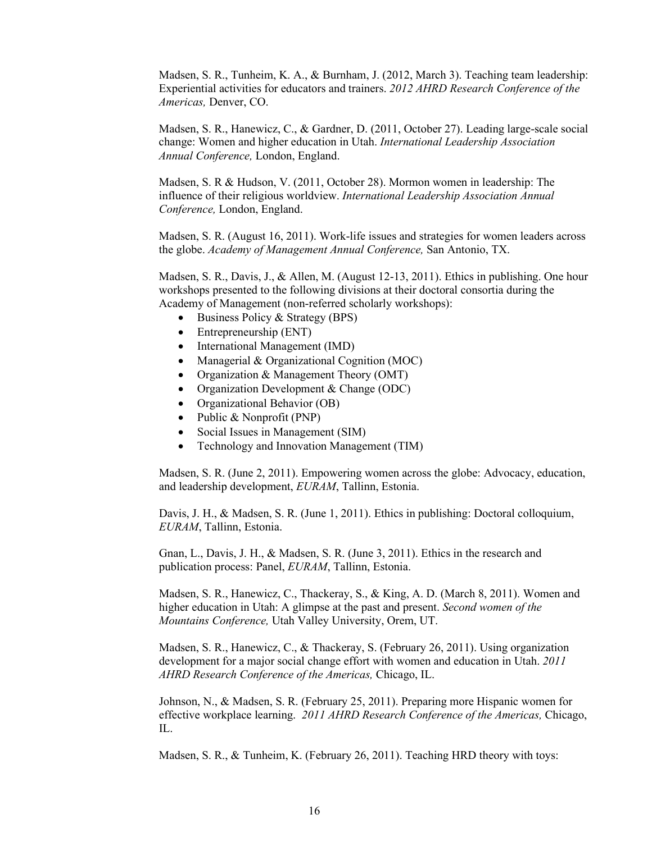Madsen, S. R., Tunheim, K. A., & Burnham, J. (2012, March 3). Teaching team leadership: Experiential activities for educators and trainers. *2012 AHRD Research Conference of the Americas,* Denver, CO.

Madsen, S. R., Hanewicz, C., & Gardner, D. (2011, October 27). Leading large-scale social change: Women and higher education in Utah. *International Leadership Association Annual Conference,* London, England.

Madsen, S. R & Hudson, V. (2011, October 28). Mormon women in leadership: The influence of their religious worldview. *International Leadership Association Annual Conference,* London, England.

Madsen, S. R. (August 16, 2011). Work-life issues and strategies for women leaders across the globe. *Academy of Management Annual Conference,* San Antonio, TX.

Madsen, S. R., Davis, J., & Allen, M. (August 12-13, 2011). Ethics in publishing. One hour workshops presented to the following divisions at their doctoral consortia during the Academy of Management (non-referred scholarly workshops):

- Business Policy & Strategy (BPS)
- Entrepreneurship (ENT)
- International Management (IMD)
- Managerial & Organizational Cognition (MOC)
- Organization & Management Theory (OMT)
- Organization Development & Change (ODC)
- Organizational Behavior (OB)
- Public & Nonprofit (PNP)
- Social Issues in Management (SIM)
- Technology and Innovation Management (TIM)

Madsen, S. R. (June 2, 2011). Empowering women across the globe: Advocacy, education, and leadership development, *EURAM*, Tallinn, Estonia.

Davis, J. H., & Madsen, S. R. (June 1, 2011). Ethics in publishing: Doctoral colloquium, *EURAM*, Tallinn, Estonia.

Gnan, L., Davis, J. H., & Madsen, S. R. (June 3, 2011). Ethics in the research and publication process: Panel, *EURAM*, Tallinn, Estonia.

Madsen, S. R., Hanewicz, C., Thackeray, S., & King, A. D. (March 8, 2011). Women and higher education in Utah: A glimpse at the past and present. *Second women of the Mountains Conference,* Utah Valley University, Orem, UT.

Madsen, S. R., Hanewicz, C., & Thackeray, S. (February 26, 2011). Using organization development for a major social change effort with women and education in Utah. *2011 AHRD Research Conference of the Americas,* Chicago, IL.

Johnson, N., & Madsen, S. R. (February 25, 2011). Preparing more Hispanic women for effective workplace learning. *2011 AHRD Research Conference of the Americas,* Chicago, IL.

Madsen, S. R., & Tunheim, K. (February 26, 2011). Teaching HRD theory with toys: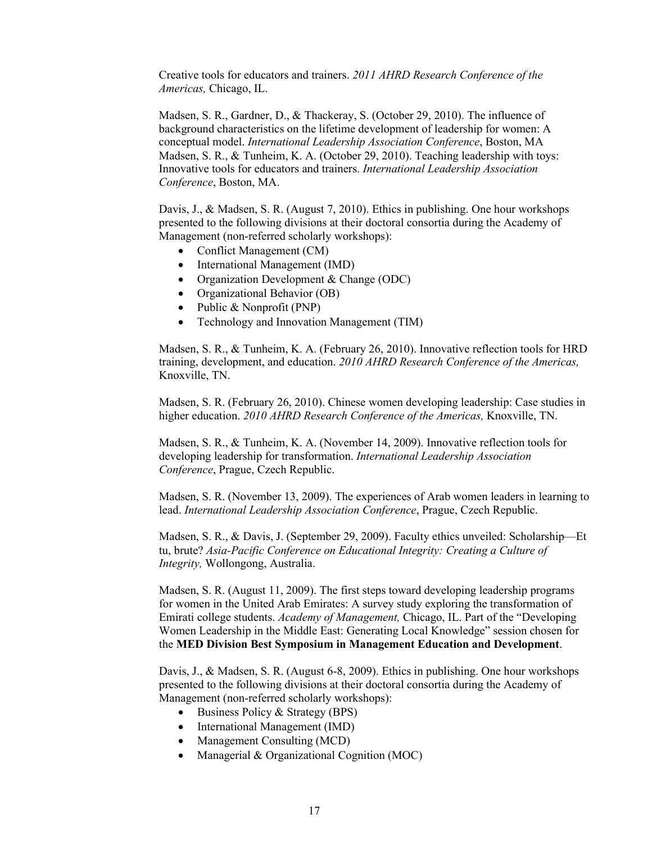Creative tools for educators and trainers. *2011 AHRD Research Conference of the Americas,* Chicago, IL.

Madsen, S. R., Gardner, D., & Thackeray, S. (October 29, 2010). The influence of background characteristics on the lifetime development of leadership for women: A conceptual model. *International Leadership Association Conference*, Boston, MA Madsen, S. R., & Tunheim, K. A. (October 29, 2010). Teaching leadership with toys: Innovative tools for educators and trainers. *International Leadership Association Conference*, Boston, MA.

Davis, J., & Madsen, S. R. (August 7, 2010). Ethics in publishing. One hour workshops presented to the following divisions at their doctoral consortia during the Academy of Management (non-referred scholarly workshops):

- Conflict Management (CM)
- International Management (IMD)
- Organization Development & Change (ODC)
- Organizational Behavior (OB)
- Public & Nonprofit (PNP)
- Technology and Innovation Management (TIM)

Madsen, S. R., & Tunheim, K. A. (February 26, 2010). Innovative reflection tools for HRD training, development, and education. *2010 AHRD Research Conference of the Americas,* Knoxville, TN.

Madsen, S. R. (February 26, 2010). Chinese women developing leadership: Case studies in higher education. *2010 AHRD Research Conference of the Americas,* Knoxville, TN.

Madsen, S. R., & Tunheim, K. A. (November 14, 2009). Innovative reflection tools for developing leadership for transformation. *International Leadership Association Conference*, Prague, Czech Republic.

Madsen, S. R. (November 13, 2009). The experiences of Arab women leaders in learning to lead. *International Leadership Association Conference*, Prague, Czech Republic.

Madsen, S. R., & Davis, J. (September 29, 2009). Faculty ethics unveiled: Scholarship—Et tu, brute? *Asia-Pacific Conference on Educational Integrity: Creating a Culture of Integrity,* Wollongong, Australia.

Madsen, S. R. (August 11, 2009). The first steps toward developing leadership programs for women in the United Arab Emirates: A survey study exploring the transformation of Emirati college students. *Academy of Management,* Chicago, IL. Part of the "Developing Women Leadership in the Middle East: Generating Local Knowledge" session chosen for the **MED Division Best Symposium in Management Education and Development**.

Davis, J., & Madsen, S. R. (August 6-8, 2009). Ethics in publishing. One hour workshops presented to the following divisions at their doctoral consortia during the Academy of Management (non-referred scholarly workshops):

- Business Policy & Strategy (BPS)
- International Management (IMD)
- Management Consulting (MCD)
- Managerial & Organizational Cognition (MOC)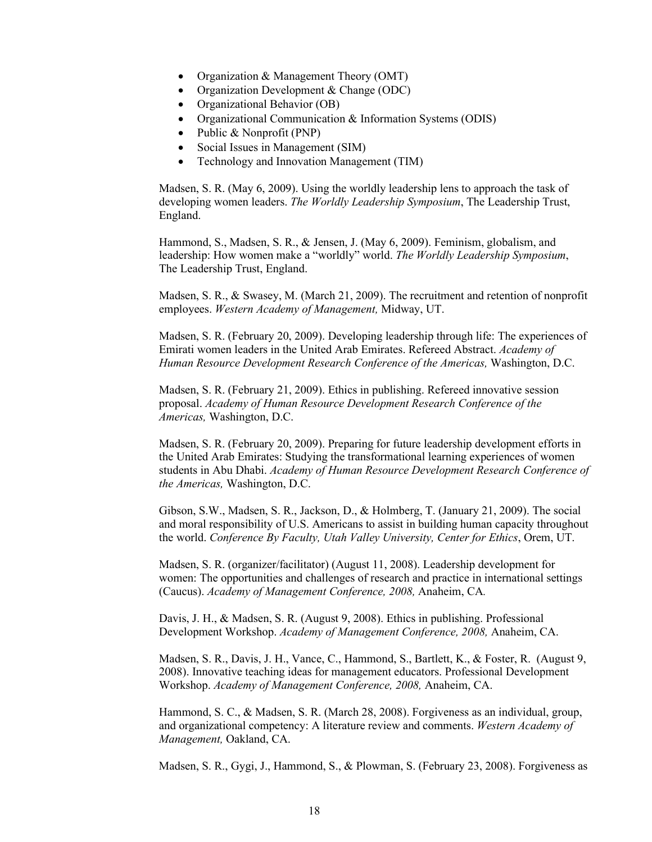- Organization & Management Theory (OMT)
- Organization Development & Change (ODC)
- Organizational Behavior (OB)
- Organizational Communication & Information Systems (ODIS)
- Public & Nonprofit (PNP)
- Social Issues in Management (SIM)
- Technology and Innovation Management (TIM)

Madsen, S. R. (May 6, 2009). Using the worldly leadership lens to approach the task of developing women leaders. *The Worldly Leadership Symposium*, The Leadership Trust, England.

Hammond, S., Madsen, S. R., & Jensen, J. (May 6, 2009). Feminism, globalism, and leadership: How women make a "worldly" world. *The Worldly Leadership Symposium*, The Leadership Trust, England.

Madsen, S. R., & Swasey, M. (March 21, 2009). The recruitment and retention of nonprofit employees. *Western Academy of Management,* Midway, UT.

Madsen, S. R. (February 20, 2009). Developing leadership through life: The experiences of Emirati women leaders in the United Arab Emirates. Refereed Abstract. *Academy of Human Resource Development Research Conference of the Americas,* Washington, D.C.

Madsen, S. R. (February 21, 2009). Ethics in publishing. Refereed innovative session proposal. *Academy of Human Resource Development Research Conference of the Americas,* Washington, D.C.

Madsen, S. R. (February 20, 2009). Preparing for future leadership development efforts in the United Arab Emirates: Studying the transformational learning experiences of women students in Abu Dhabi. *Academy of Human Resource Development Research Conference of the Americas,* Washington, D.C.

Gibson, S.W., Madsen, S. R., Jackson, D., & Holmberg, T. (January 21, 2009). The social and moral responsibility of U.S. Americans to assist in building human capacity throughout the world. *Conference By Faculty, Utah Valley University, Center for Ethics*, Orem, UT.

Madsen, S. R. (organizer/facilitator) (August 11, 2008). Leadership development for women: The opportunities and challenges of research and practice in international settings (Caucus). *Academy of Management Conference, 2008,* Anaheim, CA*.*

Davis, J. H., & Madsen, S. R. (August 9, 2008). Ethics in publishing. Professional Development Workshop. *Academy of Management Conference, 2008,* Anaheim, CA.

Madsen, S. R., Davis, J. H., Vance, C., Hammond, S., Bartlett, K., & Foster, R. (August 9, 2008). Innovative teaching ideas for management educators. Professional Development Workshop. *Academy of Management Conference, 2008,* Anaheim, CA.

Hammond, S. C., & Madsen, S. R. (March 28, 2008). Forgiveness as an individual, group, and organizational competency: A literature review and comments. *Western Academy of Management,* Oakland, CA.

Madsen, S. R., Gygi, J., Hammond, S., & Plowman, S. (February 23, 2008). Forgiveness as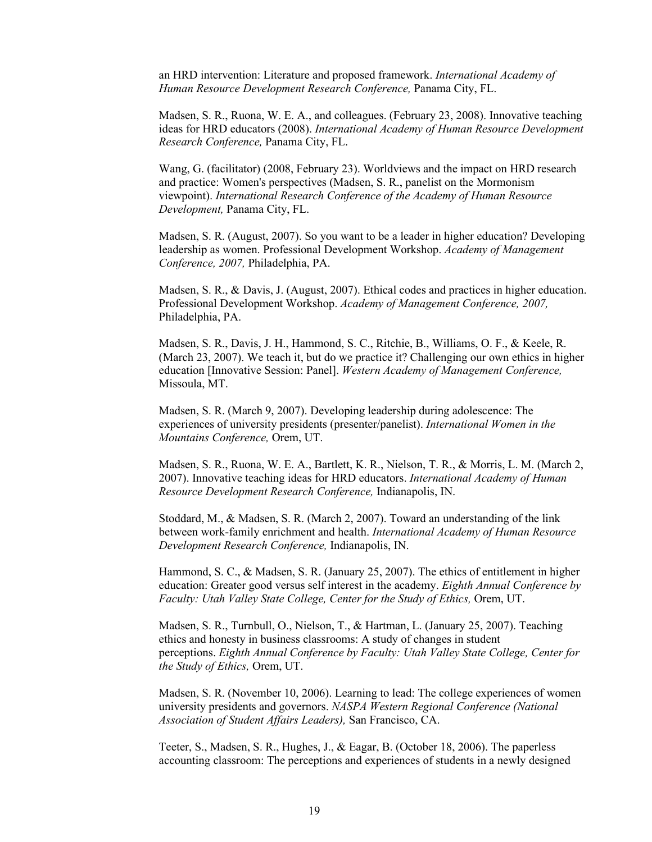an HRD intervention: Literature and proposed framework. *International Academy of Human Resource Development Research Conference,* Panama City, FL.

Madsen, S. R., Ruona, W. E. A., and colleagues. (February 23, 2008). Innovative teaching ideas for HRD educators (2008). *International Academy of Human Resource Development Research Conference,* Panama City, FL.

Wang, G. (facilitator) (2008, February 23). Worldviews and the impact on HRD research and practice: Women's perspectives (Madsen, S. R., panelist on the Mormonism viewpoint). *International Research Conference of the Academy of Human Resource Development,* Panama City, FL.

Madsen, S. R. (August, 2007). So you want to be a leader in higher education? Developing leadership as women. Professional Development Workshop. *Academy of Management Conference, 2007,* Philadelphia, PA.

Madsen, S. R., & Davis, J. (August, 2007). Ethical codes and practices in higher education. Professional Development Workshop. *Academy of Management Conference, 2007,* Philadelphia, PA.

Madsen, S. R., Davis, J. H., Hammond, S. C., Ritchie, B., Williams, O. F., & Keele, R. (March 23, 2007). We teach it, but do we practice it? Challenging our own ethics in higher education [Innovative Session: Panel]. *Western Academy of Management Conference,*  Missoula, MT.

Madsen, S. R. (March 9, 2007). Developing leadership during adolescence: The experiences of university presidents (presenter/panelist). *International Women in the Mountains Conference,* Orem, UT.

Madsen, S. R., Ruona, W. E. A., Bartlett, K. R., Nielson, T. R., & Morris, L. M. (March 2, 2007). Innovative teaching ideas for HRD educators. *International Academy of Human Resource Development Research Conference,* Indianapolis, IN.

Stoddard, M., & Madsen, S. R. (March 2, 2007). Toward an understanding of the link between work-family enrichment and health. *International Academy of Human Resource Development Research Conference,* Indianapolis, IN.

Hammond, S. C., & Madsen, S. R. (January 25, 2007). The ethics of entitlement in higher education: Greater good versus self interest in the academy. *Eighth Annual Conference by Faculty: Utah Valley State College, Center for the Study of Ethics,* Orem, UT.

Madsen, S. R., Turnbull, O., Nielson, T., & Hartman, L. (January 25, 2007). Teaching ethics and honesty in business classrooms: A study of changes in student perceptions. *Eighth Annual Conference by Faculty: Utah Valley State College, Center for the Study of Ethics,* Orem, UT.

Madsen, S. R. (November 10, 2006). Learning to lead: The college experiences of women university presidents and governors. *NASPA Western Regional Conference (National Association of Student Affairs Leaders),* San Francisco, CA.

Teeter, S., Madsen, S. R., Hughes, J., & Eagar, B. (October 18, 2006). The paperless accounting classroom: The perceptions and experiences of students in a newly designed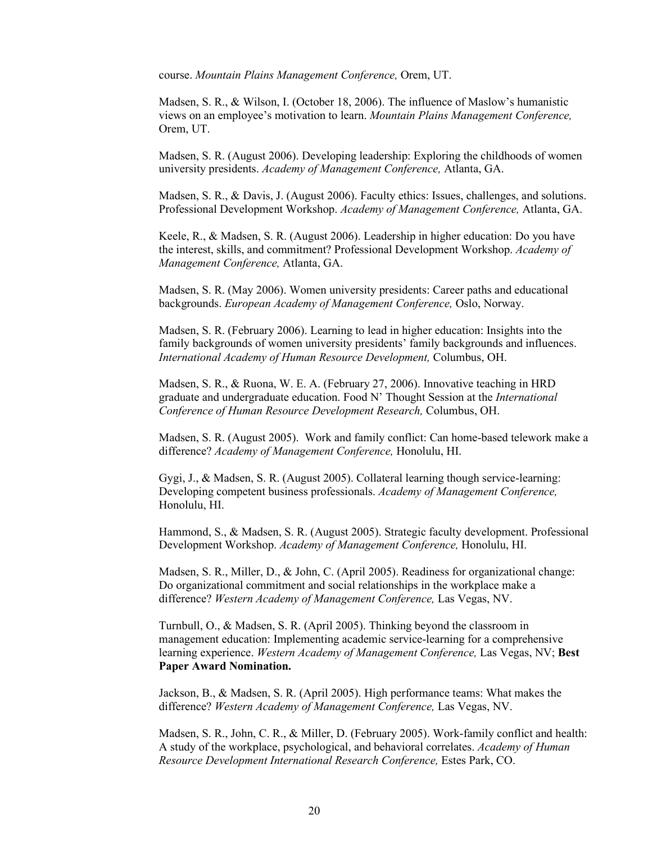course. *Mountain Plains Management Conference,* Orem, UT.

Madsen, S. R., & Wilson, I. (October 18, 2006). The influence of Maslow's humanistic views on an employee's motivation to learn. *Mountain Plains Management Conference,* Orem, UT.

Madsen, S. R. (August 2006). Developing leadership: Exploring the childhoods of women university presidents. *Academy of Management Conference,* Atlanta, GA.

Madsen, S. R., & Davis, J. (August 2006). Faculty ethics: Issues, challenges, and solutions. Professional Development Workshop. *Academy of Management Conference,* Atlanta, GA.

Keele, R., & Madsen, S. R. (August 2006). Leadership in higher education: Do you have the interest, skills, and commitment? Professional Development Workshop. *Academy of Management Conference,* Atlanta, GA.

Madsen, S. R. (May 2006). Women university presidents: Career paths and educational backgrounds. *European Academy of Management Conference,* Oslo, Norway.

Madsen, S. R. (February 2006). Learning to lead in higher education: Insights into the family backgrounds of women university presidents' family backgrounds and influences. *International Academy of Human Resource Development,* Columbus, OH.

Madsen, S. R., & Ruona, W. E. A. (February 27, 2006). Innovative teaching in HRD graduate and undergraduate education. Food N' Thought Session at the *International Conference of Human Resource Development Research,* Columbus, OH.

Madsen, S. R. (August 2005). Work and family conflict: Can home-based telework make a difference? *Academy of Management Conference,* Honolulu, HI.

Gygi, J., & Madsen, S. R. (August 2005). Collateral learning though service-learning: Developing competent business professionals. *Academy of Management Conference,*  Honolulu, HI.

Hammond, S., & Madsen, S. R. (August 2005). Strategic faculty development. Professional Development Workshop. *Academy of Management Conference,* Honolulu, HI.

Madsen, S. R., Miller, D., & John, C. (April 2005). Readiness for organizational change: Do organizational commitment and social relationships in the workplace make a difference? *Western Academy of Management Conference,* Las Vegas, NV.

Turnbull, O., & Madsen, S. R. (April 2005). Thinking beyond the classroom in management education: Implementing academic service-learning for a comprehensive learning experience. *Western Academy of Management Conference,* Las Vegas, NV; **Best Paper Award Nomination.**

Jackson, B., & Madsen, S. R. (April 2005). High performance teams: What makes the difference? *Western Academy of Management Conference,* Las Vegas, NV.

Madsen, S. R., John, C. R., & Miller, D. (February 2005). Work-family conflict and health: A study of the workplace, psychological, and behavioral correlates. *Academy of Human Resource Development International Research Conference,* Estes Park, CO.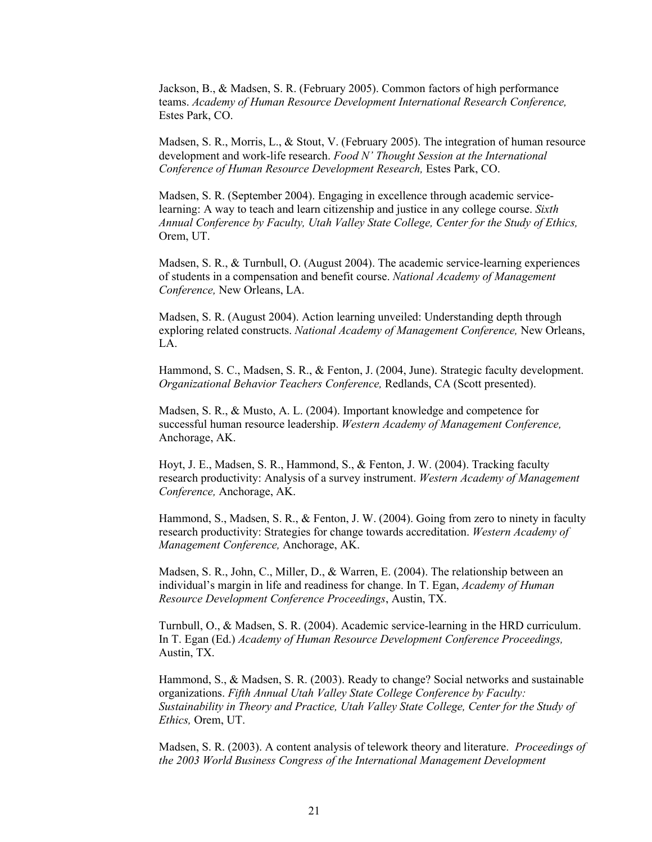Jackson, B., & Madsen, S. R. (February 2005). Common factors of high performance teams. *Academy of Human Resource Development International Research Conference,*  Estes Park, CO.

Madsen, S. R., Morris, L., & Stout, V. (February 2005). The integration of human resource development and work-life research. *Food N' Thought Session at the International Conference of Human Resource Development Research,* Estes Park, CO.

Madsen, S. R. (September 2004). Engaging in excellence through academic servicelearning: A way to teach and learn citizenship and justice in any college course. *Sixth Annual Conference by Faculty, Utah Valley State College, Center for the Study of Ethics,*  Orem, UT.

Madsen, S. R., & Turnbull, O. (August 2004). The academic service-learning experiences of students in a compensation and benefit course. *National Academy of Management Conference,* New Orleans, LA.

Madsen, S. R. (August 2004). Action learning unveiled: Understanding depth through exploring related constructs. *National Academy of Management Conference,* New Orleans, LA.

Hammond, S. C., Madsen, S. R., & Fenton, J. (2004, June). Strategic faculty development. *Organizational Behavior Teachers Conference,* Redlands, CA (Scott presented).

Madsen, S. R., & Musto, A. L. (2004). Important knowledge and competence for successful human resource leadership. *Western Academy of Management Conference,* Anchorage, AK.

Hoyt, J. E., Madsen, S. R., Hammond, S., & Fenton, J. W. (2004). Tracking faculty research productivity: Analysis of a survey instrument. *Western Academy of Management Conference,* Anchorage, AK.

Hammond, S., Madsen, S. R., & Fenton, J. W. (2004). Going from zero to ninety in faculty research productivity: Strategies for change towards accreditation. *Western Academy of Management Conference,* Anchorage, AK.

Madsen, S. R., John, C., Miller, D., & Warren, E. (2004). The relationship between an individual's margin in life and readiness for change. In T. Egan, *Academy of Human Resource Development Conference Proceedings*, Austin, TX.

Turnbull, O., & Madsen, S. R. (2004). Academic service-learning in the HRD curriculum. In T. Egan (Ed.) *Academy of Human Resource Development Conference Proceedings,* Austin, TX.

Hammond, S., & Madsen, S. R. (2003). Ready to change? Social networks and sustainable organizations. *Fifth Annual Utah Valley State College Conference by Faculty: Sustainability in Theory and Practice, Utah Valley State College, Center for the Study of Ethics,* Orem, UT.

Madsen, S. R. (2003). A content analysis of telework theory and literature. *Proceedings of the 2003 World Business Congress of the International Management Development*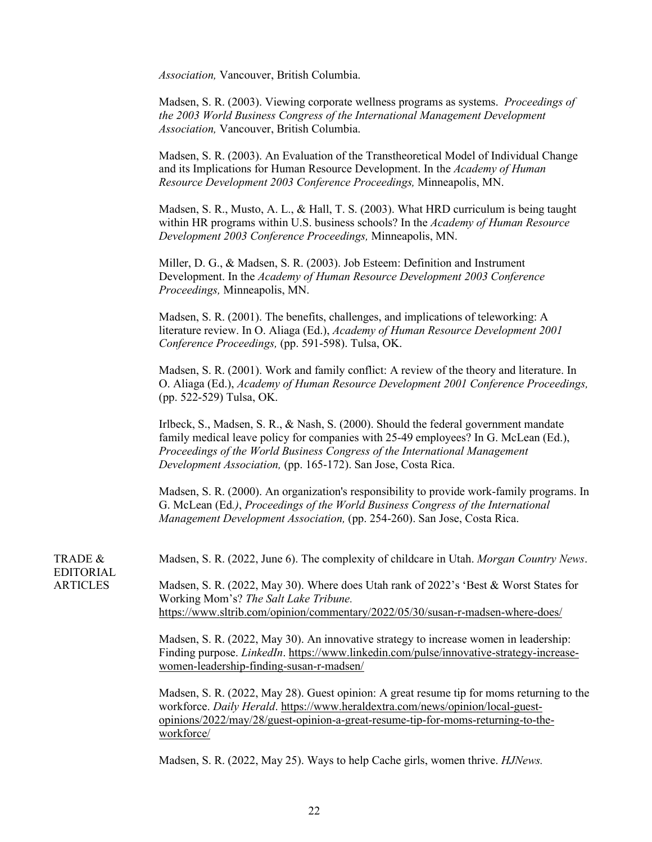*Association,* Vancouver, British Columbia.

Madsen, S. R. (2003). Viewing corporate wellness programs as systems. *Proceedings of the 2003 World Business Congress of the International Management Development Association,* Vancouver, British Columbia.

Madsen, S. R. (2003). An Evaluation of the Transtheoretical Model of Individual Change and its Implications for Human Resource Development. In the *Academy of Human Resource Development 2003 Conference Proceedings,* Minneapolis, MN.

Madsen, S. R., Musto, A. L., & Hall, T. S. (2003). What HRD curriculum is being taught within HR programs within U.S. business schools? In the *Academy of Human Resource Development 2003 Conference Proceedings,* Minneapolis, MN.

Miller, D. G., & Madsen, S. R. (2003). Job Esteem: Definition and Instrument Development. In the *Academy of Human Resource Development 2003 Conference Proceedings,* Minneapolis, MN.

Madsen, S. R. (2001). The benefits, challenges, and implications of teleworking: A literature review. In O. Aliaga (Ed.), *Academy of Human Resource Development 2001 Conference Proceedings,* (pp. 591-598). Tulsa, OK.

Madsen, S. R. (2001). Work and family conflict: A review of the theory and literature. In O. Aliaga (Ed.), *Academy of Human Resource Development 2001 Conference Proceedings,* (pp. 522-529) Tulsa, OK.

Irlbeck, S., Madsen, S. R., & Nash, S. (2000). Should the federal government mandate family medical leave policy for companies with 25-49 employees? In G. McLean (Ed.), *Proceedings of the World Business Congress of the International Management Development Association,* (pp. 165-172). San Jose, Costa Rica.

Madsen, S. R. (2000). An organization's responsibility to provide work-family programs. In G. McLean (Ed*.)*, *Proceedings of the World Business Congress of the International Management Development Association,* (pp. 254-260). San Jose, Costa Rica.

Madsen, S. R. (2022, June 6). The complexity of childcare in Utah. *Morgan Country News*.

Madsen, S. R. (2022, May 30). Where does Utah rank of 2022's 'Best & Worst States for Working Mom's? *The Salt Lake Tribune.*  <https://www.sltrib.com/opinion/commentary/2022/05/30/susan-r-madsen-where-does/>

Madsen, S. R. (2022, May 30). An innovative strategy to increase women in leadership: Finding purpose. *LinkedIn*. [https://www.linkedin.com/pulse/innovative-strategy-increase](https://www.linkedin.com/pulse/innovative-strategy-increase-women-leadership-finding-susan-r-madsen/)[women-leadership-finding-susan-r-madsen/](https://www.linkedin.com/pulse/innovative-strategy-increase-women-leadership-finding-susan-r-madsen/) 

Madsen, S. R. (2022, May 28). Guest opinion: A great resume tip for moms returning to the workforce. *Daily Herald*. [https://www.heraldextra.com/news/opinion/local-guest](https://www.heraldextra.com/news/opinion/local-guest-opinions/2022/may/28/guest-opinion-a-great-resume-tip-for-moms-returning-to-the-workforce/)[opinions/2022/may/28/guest-opinion-a-great-resume-tip-for-moms-returning-to-the](https://www.heraldextra.com/news/opinion/local-guest-opinions/2022/may/28/guest-opinion-a-great-resume-tip-for-moms-returning-to-the-workforce/)[workforce/](https://www.heraldextra.com/news/opinion/local-guest-opinions/2022/may/28/guest-opinion-a-great-resume-tip-for-moms-returning-to-the-workforce/) 

Madsen, S. R. (2022, May 25). Ways to help Cache girls, women thrive. *HJNews.*

TRADE & EDITORIAL ARTICLES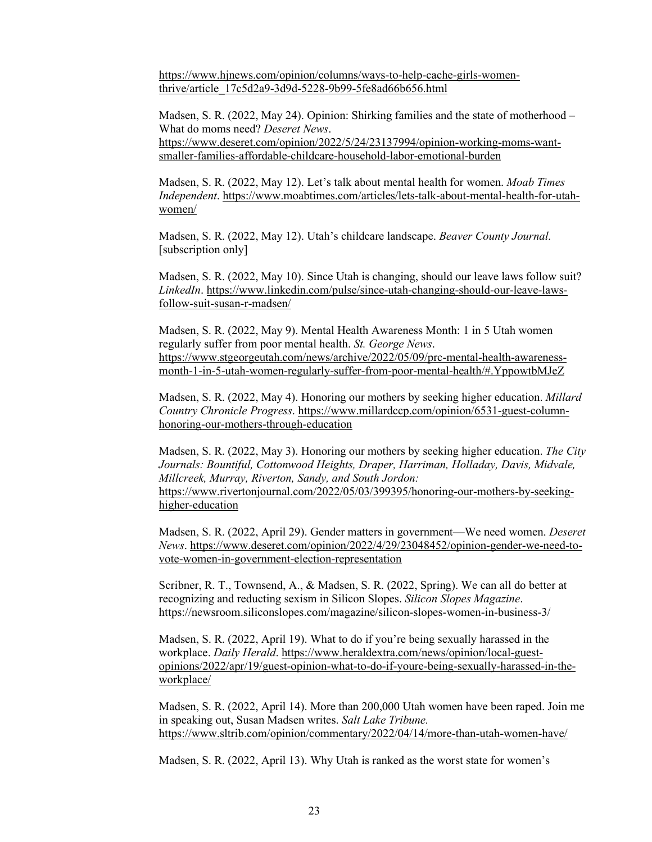[https://www.hjnews.com/opinion/columns/ways-to-help-cache-girls-women](https://www.hjnews.com/opinion/columns/ways-to-help-cache-girls-women-thrive/article_17c5d2a9-3d9d-5228-9b99-5fe8ad66b656.html)[thrive/article\\_17c5d2a9-3d9d-5228-9b99-5fe8ad66b656.html](https://www.hjnews.com/opinion/columns/ways-to-help-cache-girls-women-thrive/article_17c5d2a9-3d9d-5228-9b99-5fe8ad66b656.html) 

Madsen, S. R. (2022, May 24). Opinion: Shirking families and the state of motherhood – What do moms need? *Deseret News*. [https://www.deseret.com/opinion/2022/5/24/23137994/opinion-working-moms-want](https://www.deseret.com/opinion/2022/5/24/23137994/opinion-working-moms-want-smaller-families-affordable-childcare-household-labor-emotional-burden)[smaller-families-affordable-childcare-household-labor-emotional-burden](https://www.deseret.com/opinion/2022/5/24/23137994/opinion-working-moms-want-smaller-families-affordable-childcare-household-labor-emotional-burden)

Madsen, S. R. (2022, May 12). Let's talk about mental health for women. *Moab Times Independent*. [https://www.moabtimes.com/articles/lets-talk-about-mental-health-for-utah](https://www.moabtimes.com/articles/lets-talk-about-mental-health-for-utah-women/)[women/](https://www.moabtimes.com/articles/lets-talk-about-mental-health-for-utah-women/) 

Madsen, S. R. (2022, May 12). Utah's childcare landscape. *Beaver County Journal.* [subscription only]

Madsen, S. R. (2022, May 10). Since Utah is changing, should our leave laws follow suit? *LinkedIn*. [https://www.linkedin.com/pulse/since-utah-changing-should-our-leave-laws](https://www.linkedin.com/pulse/since-utah-changing-should-our-leave-laws-follow-suit-susan-r-madsen/)[follow-suit-susan-r-madsen/](https://www.linkedin.com/pulse/since-utah-changing-should-our-leave-laws-follow-suit-susan-r-madsen/) 

Madsen, S. R. (2022, May 9). Mental Health Awareness Month: 1 in 5 Utah women regularly suffer from poor mental health. *St. George News*. [https://www.stgeorgeutah.com/news/archive/2022/05/09/prc-mental-health-awareness](https://www.stgeorgeutah.com/news/archive/2022/05/09/prc-mental-health-awareness-month-1-in-5-utah-women-regularly-suffer-from-poor-mental-health/#.YppowtbMJeZ)[month-1-in-5-utah-women-regularly-suffer-from-poor-mental-health/#.YppowtbMJeZ](https://www.stgeorgeutah.com/news/archive/2022/05/09/prc-mental-health-awareness-month-1-in-5-utah-women-regularly-suffer-from-poor-mental-health/#.YppowtbMJeZ) 

Madsen, S. R. (2022, May 4). Honoring our mothers by seeking higher education. *Millard Country Chronicle Progress*. [https://www.millardccp.com/opinion/6531-guest-column](https://www.millardccp.com/opinion/6531-guest-column-honoring-our-mothers-through-education)[honoring-our-mothers-through-education](https://www.millardccp.com/opinion/6531-guest-column-honoring-our-mothers-through-education) 

Madsen, S. R. (2022, May 3). Honoring our mothers by seeking higher education. *The City Journals: Bountiful, Cottonwood Heights, Draper, Harriman, Holladay, Davis, Midvale, Millcreek, Murray, Riverton, Sandy, and South Jordon:* [https://www.rivertonjournal.com/2022/05/03/399395/honoring-our-mothers-by-seeking](https://www.rivertonjournal.com/2022/05/03/399395/honoring-our-mothers-by-seeking-higher-education)[higher-education](https://www.rivertonjournal.com/2022/05/03/399395/honoring-our-mothers-by-seeking-higher-education) 

Madsen, S. R. (2022, April 29). Gender matters in government—We need women. *Deseret News*. [https://www.deseret.com/opinion/2022/4/29/23048452/opinion-gender-we-need-to](https://www.deseret.com/opinion/2022/4/29/23048452/opinion-gender-we-need-to-vote-women-in-government-election-representation)[vote-women-in-government-election-representation](https://www.deseret.com/opinion/2022/4/29/23048452/opinion-gender-we-need-to-vote-women-in-government-election-representation) 

Scribner, R. T., Townsend, A., & Madsen, S. R. (2022, Spring). We can all do better at recognizing and reducting sexism in Silicon Slopes. *Silicon Slopes Magazine*. https://newsroom.siliconslopes.com/magazine/silicon-slopes-women-in-business-3/

Madsen, S. R. (2022, April 19). What to do if you're being sexually harassed in the workplace. *Daily Herald*. [https://www.heraldextra.com/news/opinion/local-guest](https://www.heraldextra.com/news/opinion/local-guest-opinions/2022/apr/19/guest-opinion-what-to-do-if-youre-being-sexually-harassed-in-the-workplace/)[opinions/2022/apr/19/guest-opinion-what-to-do-if-youre-being-sexually-harassed-in-the](https://www.heraldextra.com/news/opinion/local-guest-opinions/2022/apr/19/guest-opinion-what-to-do-if-youre-being-sexually-harassed-in-the-workplace/)[workplace/](https://www.heraldextra.com/news/opinion/local-guest-opinions/2022/apr/19/guest-opinion-what-to-do-if-youre-being-sexually-harassed-in-the-workplace/) 

Madsen, S. R. (2022, April 14). More than 200,000 Utah women have been raped. Join me in speaking out, Susan Madsen writes. *Salt Lake Tribune.* <https://www.sltrib.com/opinion/commentary/2022/04/14/more-than-utah-women-have/>

Madsen, S. R. (2022, April 13). Why Utah is ranked as the worst state for women's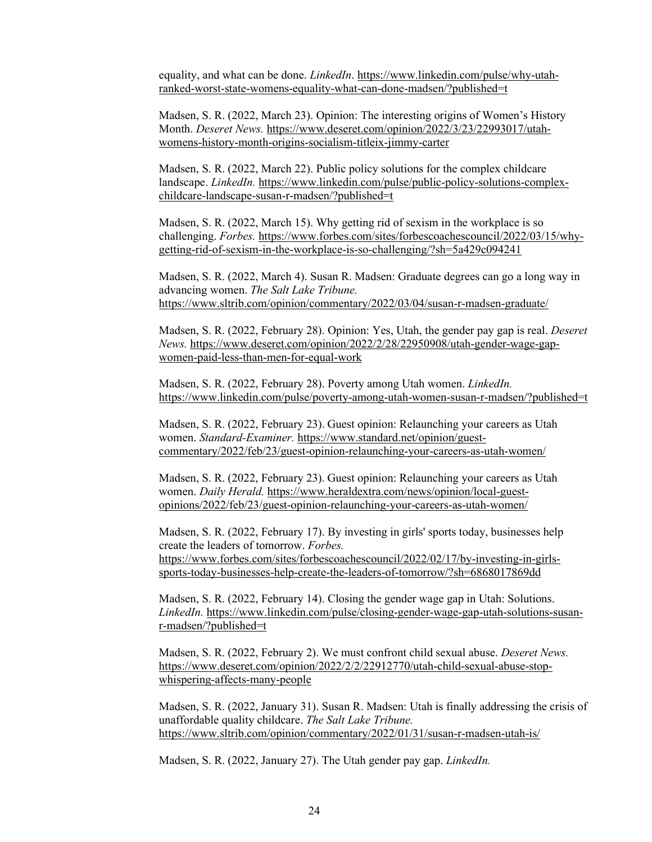equality, and what can be done. *LinkedIn*[. https://www.linkedin.com/pulse/why-utah](https://www.linkedin.com/pulse/why-utah-ranked-worst-state-womens-equality-what-can-done-madsen/?published=t)[ranked-worst-state-womens-equality-what-can-done-madsen/?published=t](https://www.linkedin.com/pulse/why-utah-ranked-worst-state-womens-equality-what-can-done-madsen/?published=t) 

Madsen, S. R. (2022, March 23). Opinion: The interesting origins of Women's History Month. *Deseret News.* [https://www.deseret.com/opinion/2022/3/23/22993017/utah](https://www.deseret.com/opinion/2022/3/23/22993017/utah-womens-history-month-origins-socialism-titleix-jimmy-carter)[womens-history-month-origins-socialism-titleix-jimmy-carter](https://www.deseret.com/opinion/2022/3/23/22993017/utah-womens-history-month-origins-socialism-titleix-jimmy-carter)

Madsen, S. R. (2022, March 22). Public policy solutions for the complex childcare landscape. *LinkedIn.* [https://www.linkedin.com/pulse/public-policy-solutions-complex](https://www.linkedin.com/pulse/public-policy-solutions-complex-childcare-landscape-susan-r-madsen/?published=t)[childcare-landscape-susan-r-madsen/?published=t](https://www.linkedin.com/pulse/public-policy-solutions-complex-childcare-landscape-susan-r-madsen/?published=t)

Madsen, S. R. (2022, March 15). Why getting rid of sexism in the workplace is so challenging. *Forbes.* [https://www.forbes.com/sites/forbescoachescouncil/2022/03/15/why](https://www.forbes.com/sites/forbescoachescouncil/2022/03/15/why-getting-rid-of-sexism-in-the-workplace-is-so-challenging/?sh=5a429c094241)[getting-rid-of-sexism-in-the-workplace-is-so-challenging/?sh=5a429c094241](https://www.forbes.com/sites/forbescoachescouncil/2022/03/15/why-getting-rid-of-sexism-in-the-workplace-is-so-challenging/?sh=5a429c094241)

Madsen, S. R. (2022, March 4). Susan R. Madsen: Graduate degrees can go a long way in advancing women. *The Salt Lake Tribune.*  <https://www.sltrib.com/opinion/commentary/2022/03/04/susan-r-madsen-graduate/>

Madsen, S. R. (2022, February 28). Opinion: Yes, Utah, the gender pay gap is real. *Deseret News.* [https://www.deseret.com/opinion/2022/2/28/22950908/utah-gender-wage-gap](https://www.deseret.com/opinion/2022/2/28/22950908/utah-gender-wage-gap-women-paid-less-than-men-for-equal-work)[women-paid-less-than-men-for-equal-work](https://www.deseret.com/opinion/2022/2/28/22950908/utah-gender-wage-gap-women-paid-less-than-men-for-equal-work)

Madsen, S. R. (2022, February 28). Poverty among Utah women. *LinkedIn.*  <https://www.linkedin.com/pulse/poverty-among-utah-women-susan-r-madsen/?published=t>

Madsen, S. R. (2022, February 23). Guest opinion: Relaunching your careers as Utah women. *Standard-Examiner.* [https://www.standard.net/opinion/guest](https://www.standard.net/opinion/guest-commentary/2022/feb/23/guest-opinion-relaunching-your-careers-as-utah-women/)[commentary/2022/feb/23/guest-opinion-relaunching-your-careers-as-utah-women/](https://www.standard.net/opinion/guest-commentary/2022/feb/23/guest-opinion-relaunching-your-careers-as-utah-women/)

Madsen, S. R. (2022, February 23). Guest opinion: Relaunching your careers as Utah women. *Daily Herald.* [https://www.heraldextra.com/news/opinion/local-guest](https://www.heraldextra.com/news/opinion/local-guest-opinions/2022/feb/23/guest-opinion-relaunching-your-careers-as-utah-women/)[opinions/2022/feb/23/guest-opinion-relaunching-your-careers-as-utah-women/](https://www.heraldextra.com/news/opinion/local-guest-opinions/2022/feb/23/guest-opinion-relaunching-your-careers-as-utah-women/)

Madsen, S. R. (2022, February 17). By investing in girls' sports today, businesses help create the leaders of tomorrow. *Forbes.*  [https://www.forbes.com/sites/forbescoachescouncil/2022/02/17/by-investing-in-girls](https://www.forbes.com/sites/forbescoachescouncil/2022/02/17/by-investing-in-girls-sports-today-businesses-help-create-the-leaders-of-tomorrow/?sh=6868017869dd)[sports-today-businesses-help-create-the-leaders-of-tomorrow/?sh=6868017869dd](https://www.forbes.com/sites/forbescoachescouncil/2022/02/17/by-investing-in-girls-sports-today-businesses-help-create-the-leaders-of-tomorrow/?sh=6868017869dd)

Madsen, S. R. (2022, February 14). Closing the gender wage gap in Utah: Solutions. *LinkedIn.* [https://www.linkedin.com/pulse/closing-gender-wage-gap-utah-solutions-susan](https://www.linkedin.com/pulse/closing-gender-wage-gap-utah-solutions-susan-r-madsen/?published=t)[r-madsen/?published=t](https://www.linkedin.com/pulse/closing-gender-wage-gap-utah-solutions-susan-r-madsen/?published=t)

Madsen, S. R. (2022, February 2). We must confront child sexual abuse. *Deseret News.*  [https://www.deseret.com/opinion/2022/2/2/22912770/utah-child-sexual-abuse-stop](https://www.deseret.com/opinion/2022/2/2/22912770/utah-child-sexual-abuse-stop-whispering-affects-many-people)[whispering-affects-many-people](https://www.deseret.com/opinion/2022/2/2/22912770/utah-child-sexual-abuse-stop-whispering-affects-many-people)

Madsen, S. R. (2022, January 31). Susan R. Madsen: Utah is finally addressing the crisis of unaffordable quality childcare. *The Salt Lake Tribune.*  <https://www.sltrib.com/opinion/commentary/2022/01/31/susan-r-madsen-utah-is/>

Madsen, S. R. (2022, January 27). The Utah gender pay gap. *LinkedIn.*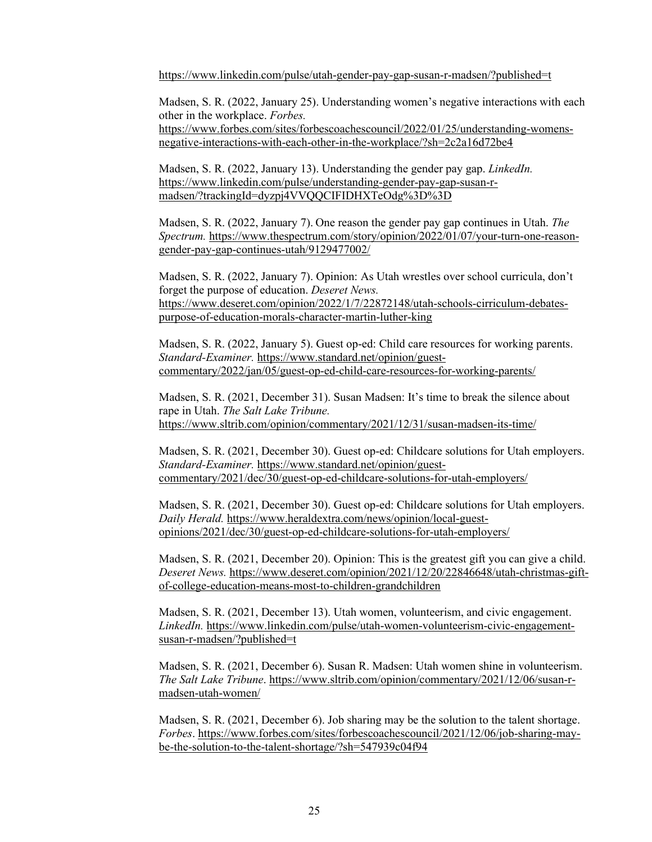<https://www.linkedin.com/pulse/utah-gender-pay-gap-susan-r-madsen/?published=t>

Madsen, S. R. (2022, January 25). Understanding women's negative interactions with each other in the workplace. *Forbes.*  [https://www.forbes.com/sites/forbescoachescouncil/2022/01/25/understanding-womens-](https://www.forbes.com/sites/forbescoachescouncil/2022/01/25/understanding-womens-negative-interactions-with-each-other-in-the-workplace/?sh=2c2a16d72be4)

[negative-interactions-with-each-other-in-the-workplace/?sh=2c2a16d72be4](https://www.forbes.com/sites/forbescoachescouncil/2022/01/25/understanding-womens-negative-interactions-with-each-other-in-the-workplace/?sh=2c2a16d72be4)

Madsen, S. R. (2022, January 13). Understanding the gender pay gap. *LinkedIn.*  [https://www.linkedin.com/pulse/understanding-gender-pay-gap-susan-r](https://www.linkedin.com/pulse/understanding-gender-pay-gap-susan-r-madsen/?trackingId=dyzpj4VVQQCIFIDHXTeOdg%3D%3D)[madsen/?trackingId=dyzpj4VVQQCIFIDHXTeOdg%3D%3D](https://www.linkedin.com/pulse/understanding-gender-pay-gap-susan-r-madsen/?trackingId=dyzpj4VVQQCIFIDHXTeOdg%3D%3D)

Madsen, S. R. (2022, January 7). One reason the gender pay gap continues in Utah. *The Spectrum.* [https://www.thespectrum.com/story/opinion/2022/01/07/your-turn-one-reason](https://www.thespectrum.com/story/opinion/2022/01/07/your-turn-one-reason-gender-pay-gap-continues-utah/9129477002/)[gender-pay-gap-continues-utah/9129477002/](https://www.thespectrum.com/story/opinion/2022/01/07/your-turn-one-reason-gender-pay-gap-continues-utah/9129477002/)

Madsen, S. R. (2022, January 7). Opinion: As Utah wrestles over school curricula, don't forget the purpose of education. *Deseret News.*  [https://www.deseret.com/opinion/2022/1/7/22872148/utah-schools-cirriculum-debates](https://www.deseret.com/opinion/2022/1/7/22872148/utah-schools-cirriculum-debates-purpose-of-education-morals-character-martin-luther-king)[purpose-of-education-morals-character-martin-luther-king](https://www.deseret.com/opinion/2022/1/7/22872148/utah-schools-cirriculum-debates-purpose-of-education-morals-character-martin-luther-king)

Madsen, S. R. (2022, January 5). Guest op-ed: Child care resources for working parents. *Standard-Examiner.* [https://www.standard.net/opinion/guest](https://www.standard.net/opinion/guest-commentary/2022/jan/05/guest-op-ed-child-care-resources-for-working-parents/)[commentary/2022/jan/05/guest-op-ed-child-care-resources-for-working-parents/](https://www.standard.net/opinion/guest-commentary/2022/jan/05/guest-op-ed-child-care-resources-for-working-parents/)

Madsen, S. R. (2021, December 31). Susan Madsen: It's time to break the silence about rape in Utah. *The Salt Lake Tribune.*  <https://www.sltrib.com/opinion/commentary/2021/12/31/susan-madsen-its-time/>

Madsen, S. R. (2021, December 30). Guest op-ed: Childcare solutions for Utah employers. *Standard-Examiner.* [https://www.standard.net/opinion/guest](https://www.standard.net/opinion/guest-commentary/2021/dec/30/guest-op-ed-childcare-solutions-for-utah-employers/)[commentary/2021/dec/30/guest-op-ed-childcare-solutions-for-utah-employers/](https://www.standard.net/opinion/guest-commentary/2021/dec/30/guest-op-ed-childcare-solutions-for-utah-employers/)

Madsen, S. R. (2021, December 30). Guest op-ed: Childcare solutions for Utah employers. *Daily Herald.* [https://www.heraldextra.com/news/opinion/local-guest](https://www.heraldextra.com/news/opinion/local-guest-opinions/2021/dec/30/guest-op-ed-childcare-solutions-for-utah-employers/)[opinions/2021/dec/30/guest-op-ed-childcare-solutions-for-utah-employers/](https://www.heraldextra.com/news/opinion/local-guest-opinions/2021/dec/30/guest-op-ed-childcare-solutions-for-utah-employers/)

Madsen, S. R. (2021, December 20). Opinion: This is the greatest gift you can give a child. *Deseret News.* [https://www.deseret.com/opinion/2021/12/20/22846648/utah-christmas-gift](https://www.deseret.com/opinion/2021/12/20/22846648/utah-christmas-gift-of-college-education-means-most-to-children-grandchildren)[of-college-education-means-most-to-children-grandchildren](https://www.deseret.com/opinion/2021/12/20/22846648/utah-christmas-gift-of-college-education-means-most-to-children-grandchildren)

Madsen, S. R. (2021, December 13). Utah women, volunteerism, and civic engagement. *LinkedIn.* [https://www.linkedin.com/pulse/utah-women-volunteerism-civic-engagement](https://www.linkedin.com/pulse/utah-women-volunteerism-civic-engagement-susan-r-madsen/?published=t)[susan-r-madsen/?published=t](https://www.linkedin.com/pulse/utah-women-volunteerism-civic-engagement-susan-r-madsen/?published=t) 

Madsen, S. R. (2021, December 6). Susan R. Madsen: Utah women shine in volunteerism. *The Salt Lake Tribune*. [https://www.sltrib.com/opinion/commentary/2021/12/06/susan-r](https://www.sltrib.com/opinion/commentary/2021/12/06/susan-r-madsen-utah-women/)[madsen-utah-women/](https://www.sltrib.com/opinion/commentary/2021/12/06/susan-r-madsen-utah-women/)

Madsen, S. R. (2021, December 6). Job sharing may be the solution to the talent shortage. *Forbes*. [https://www.forbes.com/sites/forbescoachescouncil/2021/12/06/job-sharing-may](https://www.forbes.com/sites/forbescoachescouncil/2021/12/06/job-sharing-may-be-the-solution-to-the-talent-shortage/?sh=547939c04f94)[be-the-solution-to-the-talent-shortage/?sh=547939c04f94](https://www.forbes.com/sites/forbescoachescouncil/2021/12/06/job-sharing-may-be-the-solution-to-the-talent-shortage/?sh=547939c04f94)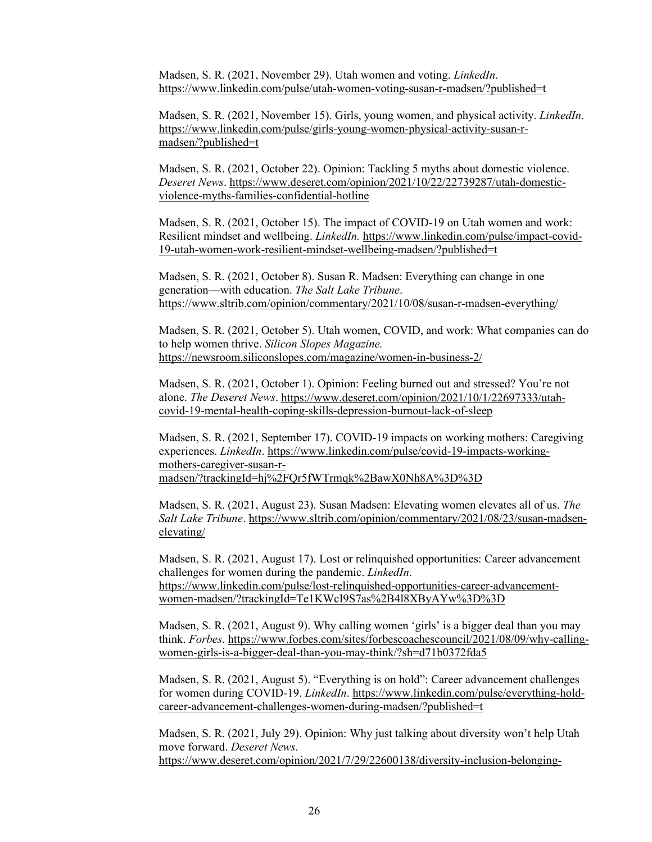Madsen, S. R. (2021, November 29). Utah women and voting. *LinkedIn*. <https://www.linkedin.com/pulse/utah-women-voting-susan-r-madsen/?published=t>

Madsen, S. R. (2021, November 15). Girls, young women, and physical activity. *LinkedIn*. [https://www.linkedin.com/pulse/girls-young-women-physical-activity-susan-r](https://www.linkedin.com/pulse/girls-young-women-physical-activity-susan-r-madsen/?published=t)[madsen/?published=t](https://www.linkedin.com/pulse/girls-young-women-physical-activity-susan-r-madsen/?published=t) 

Madsen, S. R. (2021, October 22). Opinion: Tackling 5 myths about domestic violence. *Deseret News*[. https://www.deseret.com/opinion/2021/10/22/22739287/utah-domestic](https://www.deseret.com/opinion/2021/10/22/22739287/utah-domestic-violence-myths-families-confidential-hotline)[violence-myths-families-confidential-hotline](https://www.deseret.com/opinion/2021/10/22/22739287/utah-domestic-violence-myths-families-confidential-hotline) 

Madsen, S. R. (2021, October 15). The impact of COVID-19 on Utah women and work: Resilient mindset and wellbeing. *LinkedIn.* [https://www.linkedin.com/pulse/impact-covid-](https://www.linkedin.com/pulse/impact-covid-19-utah-women-work-resilient-mindset-wellbeing-madsen/?published=t)[19-utah-women-work-resilient-mindset-wellbeing-madsen/?published=t](https://www.linkedin.com/pulse/impact-covid-19-utah-women-work-resilient-mindset-wellbeing-madsen/?published=t) 

Madsen, S. R. (2021, October 8). Susan R. Madsen: Everything can change in one generation—with education. *The Salt Lake Tribune*. <https://www.sltrib.com/opinion/commentary/2021/10/08/susan-r-madsen-everything/>

Madsen, S. R. (2021, October 5). Utah women, COVID, and work: What companies can do to help women thrive. *Silicon Slopes Magazine.*  <https://newsroom.siliconslopes.com/magazine/women-in-business-2/>

Madsen, S. R. (2021, October 1). Opinion: Feeling burned out and stressed? You're not alone. *The Deseret News*. [https://www.deseret.com/opinion/2021/10/1/22697333/utah](https://www.deseret.com/opinion/2021/10/1/22697333/utah-covid-19-mental-health-coping-skills-depression-burnout-lack-of-sleep)[covid-19-mental-health-coping-skills-depression-burnout-lack-of-sleep](https://www.deseret.com/opinion/2021/10/1/22697333/utah-covid-19-mental-health-coping-skills-depression-burnout-lack-of-sleep) 

Madsen, S. R. (2021, September 17). COVID-19 impacts on working mothers: Caregiving experiences. *LinkedIn*. [https://www.linkedin.com/pulse/covid-19-impacts-working](https://www.linkedin.com/pulse/covid-19-impacts-working-mothers-caregiver-susan-r-madsen/?trackingId=hj%2FQr5fWTrmqk%2BawX0Nh8A%3D%3D)[mothers-caregiver-susan-r](https://www.linkedin.com/pulse/covid-19-impacts-working-mothers-caregiver-susan-r-madsen/?trackingId=hj%2FQr5fWTrmqk%2BawX0Nh8A%3D%3D)[madsen/?trackingId=hj%2FQr5fWTrmqk%2BawX0Nh8A%3D%3D](https://www.linkedin.com/pulse/covid-19-impacts-working-mothers-caregiver-susan-r-madsen/?trackingId=hj%2FQr5fWTrmqk%2BawX0Nh8A%3D%3D) 

Madsen, S. R. (2021, August 23). Susan Madsen: Elevating women elevates all of us. *The Salt Lake Tribune*. [https://www.sltrib.com/opinion/commentary/2021/08/23/susan-madsen](https://www.sltrib.com/opinion/commentary/2021/08/23/susan-madsen-elevating/)[elevating/](https://www.sltrib.com/opinion/commentary/2021/08/23/susan-madsen-elevating/) 

Madsen, S. R. (2021, August 17). Lost or relinquished opportunities: Career advancement challenges for women during the pandemic. *LinkedIn*. [https://www.linkedin.com/pulse/lost-relinquished-opportunities-career-advancement](https://www.linkedin.com/pulse/lost-relinquished-opportunities-career-advancement-women-madsen/?trackingId=Te1KWcI9S7as%2B4l8XByAYw%3D%3D)[women-madsen/?trackingId=Te1KWcI9S7as%2B4l8XByAYw%3D%3D](https://www.linkedin.com/pulse/lost-relinquished-opportunities-career-advancement-women-madsen/?trackingId=Te1KWcI9S7as%2B4l8XByAYw%3D%3D) 

Madsen, S. R. (2021, August 9). Why calling women 'girls' is a bigger deal than you may think. *Forbes*. [https://www.forbes.com/sites/forbescoachescouncil/2021/08/09/why-calling](https://www.forbes.com/sites/forbescoachescouncil/2021/08/09/why-calling-women-girls-is-a-bigger-deal-than-you-may-think/?sh=d71b0372fda5)[women-girls-is-a-bigger-deal-than-you-may-think/?sh=d71b0372fda5](https://www.forbes.com/sites/forbescoachescouncil/2021/08/09/why-calling-women-girls-is-a-bigger-deal-than-you-may-think/?sh=d71b0372fda5) 

Madsen, S. R. (2021, August 5). "Everything is on hold": Career advancement challenges for women during COVID-19. *LinkedIn*. [https://www.linkedin.com/pulse/everything-hold](https://www.linkedin.com/pulse/everything-hold-career-advancement-challenges-women-during-madsen/?published=t)[career-advancement-challenges-women-during-madsen/?published=t](https://www.linkedin.com/pulse/everything-hold-career-advancement-challenges-women-during-madsen/?published=t) 

Madsen, S. R. (2021, July 29). Opinion: Why just talking about diversity won't help Utah move forward. *Deseret News*. [https://www.deseret.com/opinion/2021/7/29/22600138/diversity-inclusion-belonging-](https://www.deseret.com/opinion/2021/7/29/22600138/diversity-inclusion-belonging-equality-equity-are-words-utahns-need-to-understand)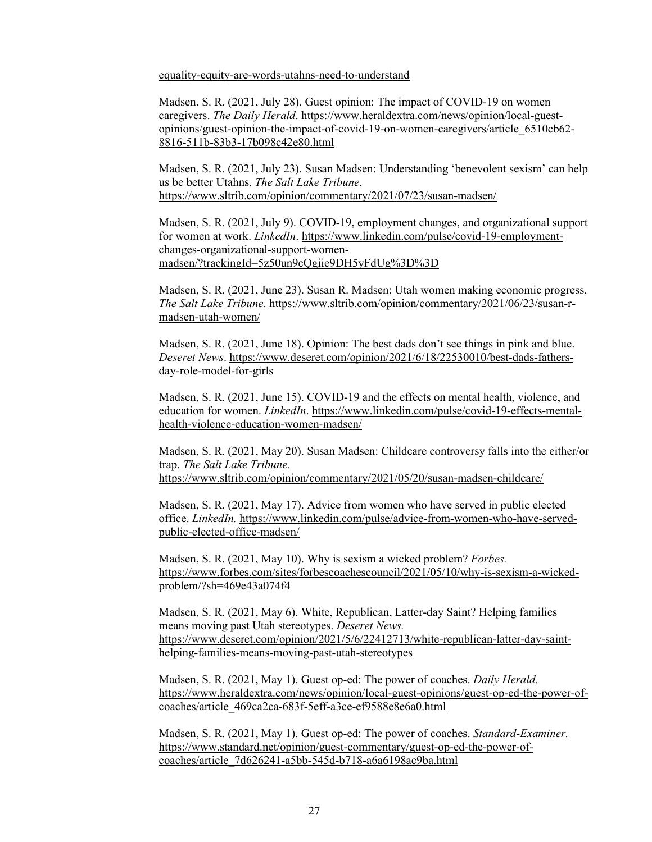[equality-equity-are-words-utahns-need-to-understand](https://www.deseret.com/opinion/2021/7/29/22600138/diversity-inclusion-belonging-equality-equity-are-words-utahns-need-to-understand)

Madsen. S. R. (2021, July 28). Guest opinion: The impact of COVID-19 on women caregivers. *The Daily Herald*. [https://www.heraldextra.com/news/opinion/local-guest](https://www.heraldextra.com/news/opinion/local-guest-opinions/guest-opinion-the-impact-of-covid-19-on-women-caregivers/article_6510cb62-8816-511b-83b3-17b098c42e80.html)[opinions/guest-opinion-the-impact-of-covid-19-on-women-caregivers/article\\_6510cb62-](https://www.heraldextra.com/news/opinion/local-guest-opinions/guest-opinion-the-impact-of-covid-19-on-women-caregivers/article_6510cb62-8816-511b-83b3-17b098c42e80.html) [8816-511b-83b3-17b098c42e80.html](https://www.heraldextra.com/news/opinion/local-guest-opinions/guest-opinion-the-impact-of-covid-19-on-women-caregivers/article_6510cb62-8816-511b-83b3-17b098c42e80.html) 

Madsen, S. R. (2021, July 23). Susan Madsen: Understanding 'benevolent sexism' can help us be better Utahns. *The Salt Lake Tribune*. <https://www.sltrib.com/opinion/commentary/2021/07/23/susan-madsen/>

Madsen, S. R. (2021, July 9). COVID-19, employment changes, and organizational support for women at work. *LinkedIn*. [https://www.linkedin.com/pulse/covid-19-employment](https://www.linkedin.com/pulse/covid-19-employment-changes-organizational-support-women-madsen/?trackingId=5z50un9cQgiie9DH5yFdUg%3D%3D)[changes-organizational-support-women](https://www.linkedin.com/pulse/covid-19-employment-changes-organizational-support-women-madsen/?trackingId=5z50un9cQgiie9DH5yFdUg%3D%3D)[madsen/?trackingId=5z50un9cQgiie9DH5yFdUg%3D%3D](https://www.linkedin.com/pulse/covid-19-employment-changes-organizational-support-women-madsen/?trackingId=5z50un9cQgiie9DH5yFdUg%3D%3D) 

Madsen, S. R. (2021, June 23). Susan R. Madsen: Utah women making economic progress. *The Salt Lake Tribune*. [https://www.sltrib.com/opinion/commentary/2021/06/23/susan-r](https://www.sltrib.com/opinion/commentary/2021/06/23/susan-r-madsen-utah-women/)[madsen-utah-women/](https://www.sltrib.com/opinion/commentary/2021/06/23/susan-r-madsen-utah-women/) 

Madsen, S. R. (2021, June 18). Opinion: The best dads don't see things in pink and blue. *Deseret News*[. https://www.deseret.com/opinion/2021/6/18/22530010/best-dads-fathers](https://www.deseret.com/opinion/2021/6/18/22530010/best-dads-fathers-day-role-model-for-girls)[day-role-model-for-girls](https://www.deseret.com/opinion/2021/6/18/22530010/best-dads-fathers-day-role-model-for-girls) 

Madsen, S. R. (2021, June 15). COVID-19 and the effects on mental health, violence, and education for women. *LinkedIn*. [https://www.linkedin.com/pulse/covid-19-effects-mental](https://www.linkedin.com/pulse/covid-19-effects-mental-health-violence-education-women-madsen/)[health-violence-education-women-madsen/](https://www.linkedin.com/pulse/covid-19-effects-mental-health-violence-education-women-madsen/) 

Madsen, S. R. (2021, May 20). Susan Madsen: Childcare controversy falls into the either/or trap. *The Salt Lake Tribune.*  <https://www.sltrib.com/opinion/commentary/2021/05/20/susan-madsen-childcare/>

Madsen, S. R. (2021, May 17). Advice from women who have served in public elected office. *LinkedIn.* [https://www.linkedin.com/pulse/advice-from-women-who-have-served](https://www.linkedin.com/pulse/advice-from-women-who-have-served-public-elected-office-madsen/)[public-elected-office-madsen/](https://www.linkedin.com/pulse/advice-from-women-who-have-served-public-elected-office-madsen/)

Madsen, S. R. (2021, May 10). Why is sexism a wicked problem? *Forbes.*  [https://www.forbes.com/sites/forbescoachescouncil/2021/05/10/why-is-sexism-a-wicked](https://www.forbes.com/sites/forbescoachescouncil/2021/05/10/why-is-sexism-a-wicked-problem/?sh=469e43a074f4)[problem/?sh=469e43a074f4](https://www.forbes.com/sites/forbescoachescouncil/2021/05/10/why-is-sexism-a-wicked-problem/?sh=469e43a074f4)

Madsen, S. R. (2021, May 6). White, Republican, Latter-day Saint? Helping families means moving past Utah stereotypes. *Deseret News.*  [https://www.deseret.com/opinion/2021/5/6/22412713/white-republican-latter-day-saint](https://www.deseret.com/opinion/2021/5/6/22412713/white-republican-latter-day-saint-helping-families-means-moving-past-utah-stereotypes)[helping-families-means-moving-past-utah-stereotypes](https://www.deseret.com/opinion/2021/5/6/22412713/white-republican-latter-day-saint-helping-families-means-moving-past-utah-stereotypes)

Madsen, S. R. (2021, May 1). Guest op-ed: The power of coaches. *Daily Herald.*  [https://www.heraldextra.com/news/opinion/local-guest-opinions/guest-op-ed-the-power-of](https://www.heraldextra.com/news/opinion/local-guest-opinions/guest-op-ed-the-power-of-coaches/article_469ca2ca-683f-5eff-a3ce-ef9588e8e6a0.html)[coaches/article\\_469ca2ca-683f-5eff-a3ce-ef9588e8e6a0.html](https://www.heraldextra.com/news/opinion/local-guest-opinions/guest-op-ed-the-power-of-coaches/article_469ca2ca-683f-5eff-a3ce-ef9588e8e6a0.html) 

Madsen, S. R. (2021, May 1). Guest op-ed: The power of coaches. *Standard-Examiner.*  [https://www.standard.net/opinion/guest-commentary/guest-op-ed-the-power-of](https://www.standard.net/opinion/guest-commentary/guest-op-ed-the-power-of-coaches/article_7d626241-a5bb-545d-b718-a6a6198ac9ba.html)[coaches/article\\_7d626241-a5bb-545d-b718-a6a6198ac9ba.html](https://www.standard.net/opinion/guest-commentary/guest-op-ed-the-power-of-coaches/article_7d626241-a5bb-545d-b718-a6a6198ac9ba.html)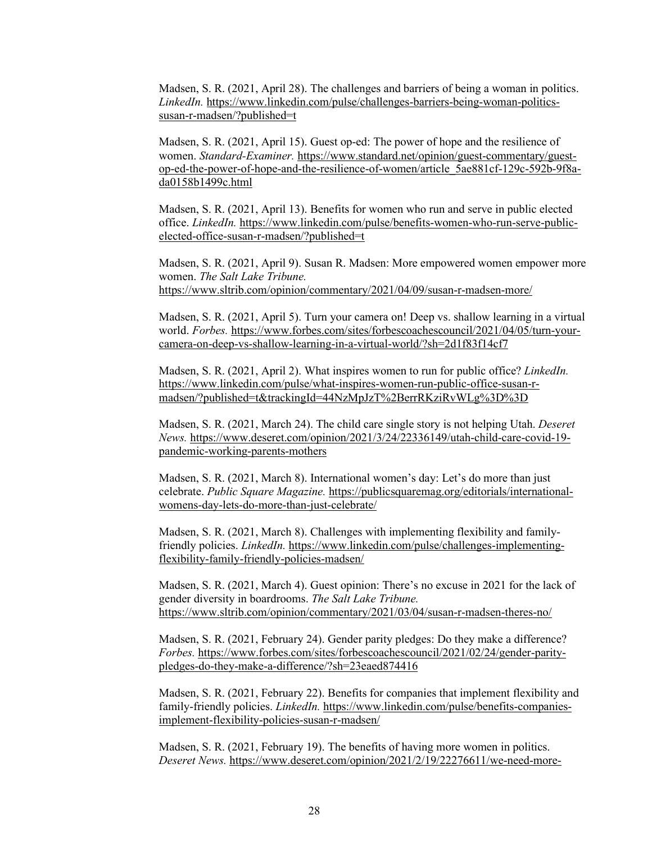Madsen, S. R. (2021, April 28). The challenges and barriers of being a woman in politics. *LinkedIn.* [https://www.linkedin.com/pulse/challenges-barriers-being-woman-politics](https://www.linkedin.com/pulse/challenges-barriers-being-woman-politics-susan-r-madsen/?published=t)[susan-r-madsen/?published=t](https://www.linkedin.com/pulse/challenges-barriers-being-woman-politics-susan-r-madsen/?published=t)

Madsen, S. R. (2021, April 15). Guest op-ed: The power of hope and the resilience of women. *Standard-Examiner.* [https://www.standard.net/opinion/guest-commentary/guest](https://www.standard.net/opinion/guest-commentary/guest-op-ed-the-power-of-hope-and-the-resilience-of-women/article_5ae881cf-129c-592b-9f8a-da0158b1499c.html)[op-ed-the-power-of-hope-and-the-resilience-of-women/article\\_5ae881cf-129c-592b-9f8a](https://www.standard.net/opinion/guest-commentary/guest-op-ed-the-power-of-hope-and-the-resilience-of-women/article_5ae881cf-129c-592b-9f8a-da0158b1499c.html)[da0158b1499c.html](https://www.standard.net/opinion/guest-commentary/guest-op-ed-the-power-of-hope-and-the-resilience-of-women/article_5ae881cf-129c-592b-9f8a-da0158b1499c.html)

Madsen, S. R. (2021, April 13). Benefits for women who run and serve in public elected office. *LinkedIn.* [https://www.linkedin.com/pulse/benefits-women-who-run-serve-public](https://www.linkedin.com/pulse/benefits-women-who-run-serve-public-elected-office-susan-r-madsen/?published=t)[elected-office-susan-r-madsen/?published=t](https://www.linkedin.com/pulse/benefits-women-who-run-serve-public-elected-office-susan-r-madsen/?published=t)

Madsen, S. R. (2021, April 9). Susan R. Madsen: More empowered women empower more women. *The Salt Lake Tribune.*  <https://www.sltrib.com/opinion/commentary/2021/04/09/susan-r-madsen-more/>

Madsen, S. R. (2021, April 5). Turn your camera on! Deep vs. shallow learning in a virtual world. *Forbes.* [https://www.forbes.com/sites/forbescoachescouncil/2021/04/05/turn-your](https://www.forbes.com/sites/forbescoachescouncil/2021/04/05/turn-your-camera-on-deep-vs-shallow-learning-in-a-virtual-world/?sh=2d1f83f14cf7)[camera-on-deep-vs-shallow-learning-in-a-virtual-world/?sh=2d1f83f14cf7](https://www.forbes.com/sites/forbescoachescouncil/2021/04/05/turn-your-camera-on-deep-vs-shallow-learning-in-a-virtual-world/?sh=2d1f83f14cf7)

Madsen, S. R. (2021, April 2). What inspires women to run for public office? *LinkedIn.*  [https://www.linkedin.com/pulse/what-inspires-women-run-public-office-susan-r](https://www.linkedin.com/pulse/what-inspires-women-run-public-office-susan-r-madsen/?published=t&trackingId=44NzMpJzT%2BerrRKziRvWLg%3D%3D)[madsen/?published=t&trackingId=44NzMpJzT%2BerrRKziRvWLg%3D%3D](https://www.linkedin.com/pulse/what-inspires-women-run-public-office-susan-r-madsen/?published=t&trackingId=44NzMpJzT%2BerrRKziRvWLg%3D%3D)

Madsen, S. R. (2021, March 24). The child care single story is not helping Utah. *Deseret News.* [https://www.deseret.com/opinion/2021/3/24/22336149/utah-child-care-covid-19](https://www.deseret.com/opinion/2021/3/24/22336149/utah-child-care-covid-19-pandemic-working-parents-mothers) [pandemic-working-parents-mothers](https://www.deseret.com/opinion/2021/3/24/22336149/utah-child-care-covid-19-pandemic-working-parents-mothers)

Madsen, S. R. (2021, March 8). International women's day: Let's do more than just celebrate. *Public Square Magazine.* [https://publicsquaremag.org/editorials/international](https://publicsquaremag.org/editorials/international-womens-day-lets-do-more-than-just-celebrate/)[womens-day-lets-do-more-than-just-celebrate/](https://publicsquaremag.org/editorials/international-womens-day-lets-do-more-than-just-celebrate/)

Madsen, S. R. (2021, March 8). Challenges with implementing flexibility and familyfriendly policies. *LinkedIn.* [https://www.linkedin.com/pulse/challenges-implementing](https://www.linkedin.com/pulse/challenges-implementing-flexibility-family-friendly-policies-madsen/)[flexibility-family-friendly-policies-madsen/](https://www.linkedin.com/pulse/challenges-implementing-flexibility-family-friendly-policies-madsen/)

Madsen, S. R. (2021, March 4). Guest opinion: There's no excuse in 2021 for the lack of gender diversity in boardrooms. *The Salt Lake Tribune.*  <https://www.sltrib.com/opinion/commentary/2021/03/04/susan-r-madsen-theres-no/>

Madsen, S. R. (2021, February 24). Gender parity pledges: Do they make a difference? *Forbes.* [https://www.forbes.com/sites/forbescoachescouncil/2021/02/24/gender-parity](https://www.forbes.com/sites/forbescoachescouncil/2021/02/24/gender-parity-pledges-do-they-make-a-difference/?sh=23eaed874416)[pledges-do-they-make-a-difference/?sh=23eaed874416](https://www.forbes.com/sites/forbescoachescouncil/2021/02/24/gender-parity-pledges-do-they-make-a-difference/?sh=23eaed874416)

Madsen, S. R. (2021, February 22). Benefits for companies that implement flexibility and family-friendly policies. *LinkedIn.* [https://www.linkedin.com/pulse/benefits-companies](https://www.linkedin.com/pulse/benefits-companies-implement-flexibility-policies-susan-r-madsen/)[implement-flexibility-policies-susan-r-madsen/](https://www.linkedin.com/pulse/benefits-companies-implement-flexibility-policies-susan-r-madsen/)

Madsen, S. R. (2021, February 19). The benefits of having more women in politics. *Deseret News.* [https://www.deseret.com/opinion/2021/2/19/22276611/we-need-more-](https://www.deseret.com/opinion/2021/2/19/22276611/we-need-more-women-in-utah-politics-that-starts-with-all-of-us-government-females-public-office)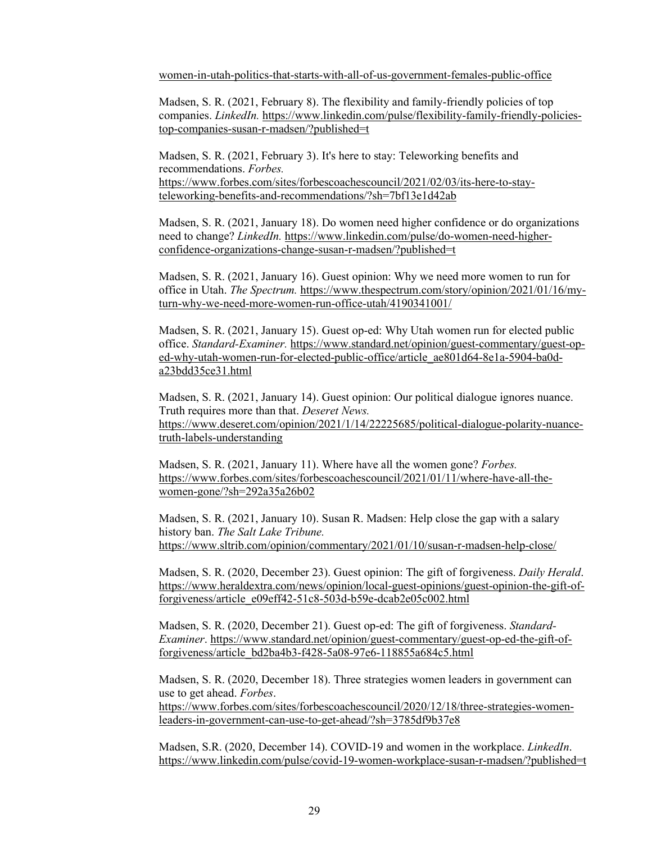[women-in-utah-politics-that-starts-with-all-of-us-government-females-public-office](https://www.deseret.com/opinion/2021/2/19/22276611/we-need-more-women-in-utah-politics-that-starts-with-all-of-us-government-females-public-office)

Madsen, S. R. (2021, February 8). The flexibility and family-friendly policies of top companies. *LinkedIn.* [https://www.linkedin.com/pulse/flexibility-family-friendly-policies](https://www.linkedin.com/pulse/flexibility-family-friendly-policies-top-companies-susan-r-madsen/?published=t)[top-companies-susan-r-madsen/?published=t](https://www.linkedin.com/pulse/flexibility-family-friendly-policies-top-companies-susan-r-madsen/?published=t)

Madsen, S. R. (2021, February 3). It's here to stay: Teleworking benefits and recommendations. *Forbes.*  [https://www.forbes.com/sites/forbescoachescouncil/2021/02/03/its-here-to-stay](https://www.forbes.com/sites/forbescoachescouncil/2021/02/03/its-here-to-stay-teleworking-benefits-and-recommendations/?sh=7bf13e1d42ab)[teleworking-benefits-and-recommendations/?sh=7bf13e1d42ab](https://www.forbes.com/sites/forbescoachescouncil/2021/02/03/its-here-to-stay-teleworking-benefits-and-recommendations/?sh=7bf13e1d42ab) 

Madsen, S. R. (2021, January 18). Do women need higher confidence or do organizations need to change? *LinkedIn.* [https://www.linkedin.com/pulse/do-women-need-higher](https://www.linkedin.com/pulse/do-women-need-higher-confidence-organizations-change-susan-r-madsen/?published=t)[confidence-organizations-change-susan-r-madsen/?published=t](https://www.linkedin.com/pulse/do-women-need-higher-confidence-organizations-change-susan-r-madsen/?published=t)

Madsen, S. R. (2021, January 16). Guest opinion: Why we need more women to run for office in Utah. *The Spectrum.* [https://www.thespectrum.com/story/opinion/2021/01/16/my](https://www.thespectrum.com/story/opinion/2021/01/16/my-turn-why-we-need-more-women-run-office-utah/4190341001/)[turn-why-we-need-more-women-run-office-utah/4190341001/](https://www.thespectrum.com/story/opinion/2021/01/16/my-turn-why-we-need-more-women-run-office-utah/4190341001/)

Madsen, S. R. (2021, January 15). Guest op-ed: Why Utah women run for elected public office. *Standard-Examiner.* [https://www.standard.net/opinion/guest-commentary/guest-op](https://www.standard.net/opinion/guest-commentary/guest-op-ed-why-utah-women-run-for-elected-public-office/article_ae801d64-8e1a-5904-ba0d-a23bdd35ce31.html)[ed-why-utah-women-run-for-elected-public-office/article\\_ae801d64-8e1a-5904-ba0d](https://www.standard.net/opinion/guest-commentary/guest-op-ed-why-utah-women-run-for-elected-public-office/article_ae801d64-8e1a-5904-ba0d-a23bdd35ce31.html)[a23bdd35ce31.html](https://www.standard.net/opinion/guest-commentary/guest-op-ed-why-utah-women-run-for-elected-public-office/article_ae801d64-8e1a-5904-ba0d-a23bdd35ce31.html) 

Madsen, S. R. (2021, January 14). Guest opinion: Our political dialogue ignores nuance. Truth requires more than that. *Deseret News.*  [https://www.deseret.com/opinion/2021/1/14/22225685/political-dialogue-polarity-nuance](https://www.deseret.com/opinion/2021/1/14/22225685/political-dialogue-polarity-nuance-truth-labels-understanding)[truth-labels-understanding](https://www.deseret.com/opinion/2021/1/14/22225685/political-dialogue-polarity-nuance-truth-labels-understanding)

Madsen, S. R. (2021, January 11). Where have all the women gone? *Forbes.*  [https://www.forbes.com/sites/forbescoachescouncil/2021/01/11/where-have-all-the](https://www.forbes.com/sites/forbescoachescouncil/2021/01/11/where-have-all-the-women-gone/?sh=292a35a26b02)[women-gone/?sh=292a35a26b02](https://www.forbes.com/sites/forbescoachescouncil/2021/01/11/where-have-all-the-women-gone/?sh=292a35a26b02)

Madsen, S. R. (2021, January 10). Susan R. Madsen: Help close the gap with a salary history ban. *The Salt Lake Tribune.*  <https://www.sltrib.com/opinion/commentary/2021/01/10/susan-r-madsen-help-close/>

Madsen, S. R. (2020, December 23). Guest opinion: The gift of forgiveness. *Daily Herald*. [https://www.heraldextra.com/news/opinion/local-guest-opinions/guest-opinion-the-gift-of](https://www.heraldextra.com/news/opinion/local-guest-opinions/guest-opinion-the-gift-of-forgiveness/article_e09eff42-51c8-503d-b59e-dcab2e05c002.html)[forgiveness/article\\_e09eff42-51c8-503d-b59e-dcab2e05c002.html](https://www.heraldextra.com/news/opinion/local-guest-opinions/guest-opinion-the-gift-of-forgiveness/article_e09eff42-51c8-503d-b59e-dcab2e05c002.html) 

Madsen, S. R. (2020, December 21). Guest op-ed: The gift of forgiveness. *Standard-Examiner*. [https://www.standard.net/opinion/guest-commentary/guest-op-ed-the-gift-of](https://www.standard.net/opinion/guest-commentary/guest-op-ed-the-gift-of-forgiveness/article_bd2ba4b3-f428-5a08-97e6-118855a684c5.html)[forgiveness/article\\_bd2ba4b3-f428-5a08-97e6-118855a684c5.html](https://www.standard.net/opinion/guest-commentary/guest-op-ed-the-gift-of-forgiveness/article_bd2ba4b3-f428-5a08-97e6-118855a684c5.html) 

Madsen, S. R. (2020, December 18). Three strategies women leaders in government can use to get ahead. *Forbes*.

[https://www.forbes.com/sites/forbescoachescouncil/2020/12/18/three-strategies-women](https://www.forbes.com/sites/forbescoachescouncil/2020/12/18/three-strategies-women-leaders-in-government-can-use-to-get-ahead/?sh=3785df9b37e8)[leaders-in-government-can-use-to-get-ahead/?sh=3785df9b37e8](https://www.forbes.com/sites/forbescoachescouncil/2020/12/18/three-strategies-women-leaders-in-government-can-use-to-get-ahead/?sh=3785df9b37e8) 

Madsen, S.R. (2020, December 14). COVID-19 and women in the workplace. *LinkedIn*. <https://www.linkedin.com/pulse/covid-19-women-workplace-susan-r-madsen/?published=t>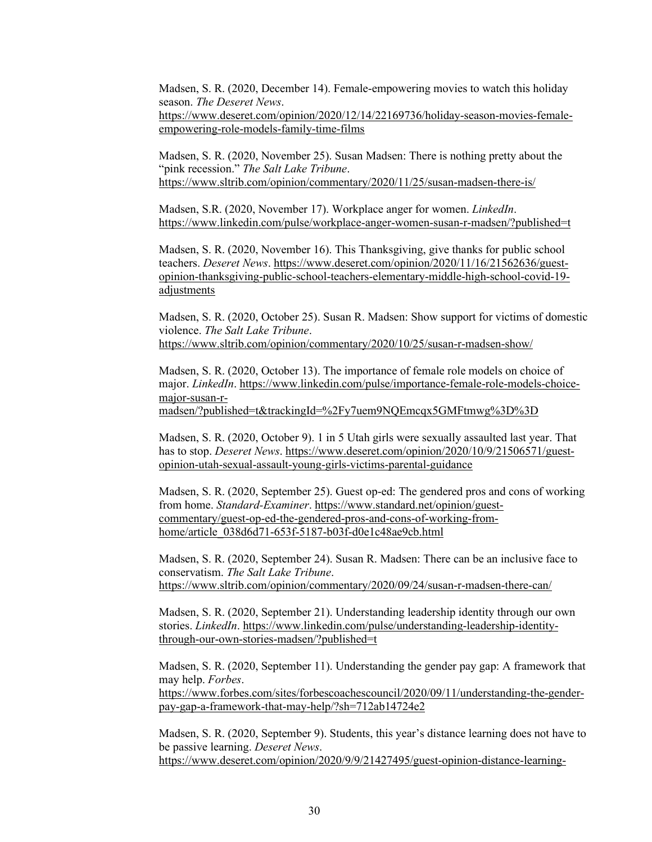Madsen, S. R. (2020, December 14). Female-empowering movies to watch this holiday season. *The Deseret News*.

[https://www.deseret.com/opinion/2020/12/14/22169736/holiday-season-movies-female](https://www.deseret.com/opinion/2020/12/14/22169736/holiday-season-movies-female-empowering-role-models-family-time-films)[empowering-role-models-family-time-films](https://www.deseret.com/opinion/2020/12/14/22169736/holiday-season-movies-female-empowering-role-models-family-time-films) 

Madsen, S. R. (2020, November 25). Susan Madsen: There is nothing pretty about the "pink recession." *The Salt Lake Tribune*. <https://www.sltrib.com/opinion/commentary/2020/11/25/susan-madsen-there-is/>

Madsen, S.R. (2020, November 17). Workplace anger for women. *LinkedIn*. <https://www.linkedin.com/pulse/workplace-anger-women-susan-r-madsen/?published=t>

Madsen, S. R. (2020, November 16). This Thanksgiving, give thanks for public school teachers. *Deseret News*. [https://www.deseret.com/opinion/2020/11/16/21562636/guest](https://www.deseret.com/opinion/2020/11/16/21562636/guest-opinion-thanksgiving-public-school-teachers-elementary-middle-high-school-covid-19-adjustments)[opinion-thanksgiving-public-school-teachers-elementary-middle-high-school-covid-19](https://www.deseret.com/opinion/2020/11/16/21562636/guest-opinion-thanksgiving-public-school-teachers-elementary-middle-high-school-covid-19-adjustments) [adjustments](https://www.deseret.com/opinion/2020/11/16/21562636/guest-opinion-thanksgiving-public-school-teachers-elementary-middle-high-school-covid-19-adjustments) 

Madsen, S. R. (2020, October 25). Susan R. Madsen: Show support for victims of domestic violence. *The Salt Lake Tribune*.

<https://www.sltrib.com/opinion/commentary/2020/10/25/susan-r-madsen-show/>

Madsen, S. R. (2020, October 13). The importance of female role models on choice of major. *LinkedIn*. [https://www.linkedin.com/pulse/importance-female-role-models-choice](https://www.linkedin.com/pulse/importance-female-role-models-choice-major-susan-r-madsen/?published=t&trackingId=%2Fy7uem9NQEmcqx5GMFtmwg%3D%3D)[major-susan-r-](https://www.linkedin.com/pulse/importance-female-role-models-choice-major-susan-r-madsen/?published=t&trackingId=%2Fy7uem9NQEmcqx5GMFtmwg%3D%3D)

[madsen/?published=t&trackingId=%2Fy7uem9NQEmcqx5GMFtmwg%3D%3D](https://www.linkedin.com/pulse/importance-female-role-models-choice-major-susan-r-madsen/?published=t&trackingId=%2Fy7uem9NQEmcqx5GMFtmwg%3D%3D) 

Madsen, S. R. (2020, October 9). 1 in 5 Utah girls were sexually assaulted last year. That has to stop. *Deseret News*. [https://www.deseret.com/opinion/2020/10/9/21506571/guest](https://www.deseret.com/opinion/2020/10/9/21506571/guest-opinion-utah-sexual-assault-young-girls-victims-parental-guidance)[opinion-utah-sexual-assault-young-girls-victims-parental-guidance](https://www.deseret.com/opinion/2020/10/9/21506571/guest-opinion-utah-sexual-assault-young-girls-victims-parental-guidance) 

Madsen, S. R. (2020, September 25). Guest op-ed: The gendered pros and cons of working from home. *Standard-Examiner*[. https://www.standard.net/opinion/guest](https://www.standard.net/opinion/guest-commentary/guest-op-ed-the-gendered-pros-and-cons-of-working-from-home/article_038d6d71-653f-5187-b03f-d0e1c48ae9cb.html)[commentary/guest-op-ed-the-gendered-pros-and-cons-of-working-from](https://www.standard.net/opinion/guest-commentary/guest-op-ed-the-gendered-pros-and-cons-of-working-from-home/article_038d6d71-653f-5187-b03f-d0e1c48ae9cb.html)[home/article\\_038d6d71-653f-5187-b03f-d0e1c48ae9cb.html](https://www.standard.net/opinion/guest-commentary/guest-op-ed-the-gendered-pros-and-cons-of-working-from-home/article_038d6d71-653f-5187-b03f-d0e1c48ae9cb.html) 

Madsen, S. R. (2020, September 24). Susan R. Madsen: There can be an inclusive face to conservatism. *The Salt Lake Tribune*. <https://www.sltrib.com/opinion/commentary/2020/09/24/susan-r-madsen-there-can/>

Madsen, S. R. (2020, September 21). Understanding leadership identity through our own stories. *LinkedIn*. [https://www.linkedin.com/pulse/understanding-leadership-identity](https://www.linkedin.com/pulse/understanding-leadership-identity-through-our-own-stories-madsen/?published=t)[through-our-own-stories-madsen/?published=t](https://www.linkedin.com/pulse/understanding-leadership-identity-through-our-own-stories-madsen/?published=t) 

Madsen, S. R. (2020, September 11). Understanding the gender pay gap: A framework that may help. *Forbes*.

[https://www.forbes.com/sites/forbescoachescouncil/2020/09/11/understanding-the-gender](https://www.forbes.com/sites/forbescoachescouncil/2020/09/11/understanding-the-gender-pay-gap-a-framework-that-may-help/?sh=712ab14724e2)[pay-gap-a-framework-that-may-help/?sh=712ab14724e2](https://www.forbes.com/sites/forbescoachescouncil/2020/09/11/understanding-the-gender-pay-gap-a-framework-that-may-help/?sh=712ab14724e2) 

Madsen, S. R. (2020, September 9). Students, this year's distance learning does not have to be passive learning. *Deseret News*. [https://www.deseret.com/opinion/2020/9/9/21427495/guest-opinion-distance-learning-](https://www.deseret.com/opinion/2020/9/9/21427495/guest-opinion-distance-learning-university-accountability-study-fall-semester-participation)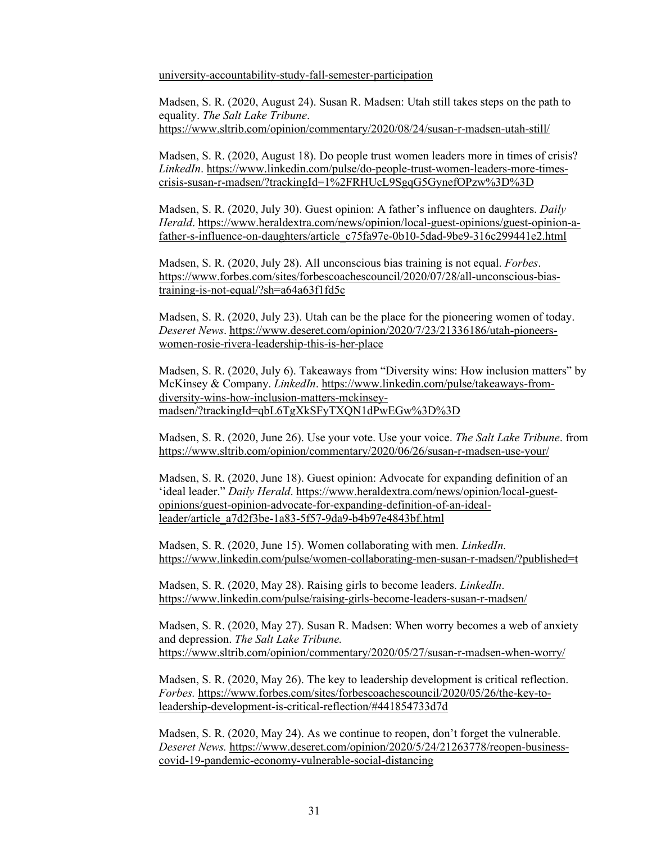[university-accountability-study-fall-semester-participation](https://www.deseret.com/opinion/2020/9/9/21427495/guest-opinion-distance-learning-university-accountability-study-fall-semester-participation)

Madsen, S. R. (2020, August 24). Susan R. Madsen: Utah still takes steps on the path to equality. *The Salt Lake Tribune*. <https://www.sltrib.com/opinion/commentary/2020/08/24/susan-r-madsen-utah-still/>

Madsen, S. R. (2020, August 18). Do people trust women leaders more in times of crisis? *LinkedIn*. [https://www.linkedin.com/pulse/do-people-trust-women-leaders-more-times](https://www.linkedin.com/pulse/do-people-trust-women-leaders-more-times-crisis-susan-r-madsen/?trackingId=1%2FRHUcL9SgqG5GynefOPzw%3D%3D)[crisis-susan-r-madsen/?trackingId=1%2FRHUcL9SgqG5GynefOPzw%3D%3D](https://www.linkedin.com/pulse/do-people-trust-women-leaders-more-times-crisis-susan-r-madsen/?trackingId=1%2FRHUcL9SgqG5GynefOPzw%3D%3D) 

Madsen, S. R. (2020, July 30). Guest opinion: A father's influence on daughters. *Daily Herald*. [https://www.heraldextra.com/news/opinion/local-guest-opinions/guest-opinion-a](https://www.heraldextra.com/news/opinion/local-guest-opinions/guest-opinion-a-father-s-influence-on-daughters/article_c75fa97e-0b10-5dad-9be9-316c299441e2.html)[father-s-influence-on-daughters/article\\_c75fa97e-0b10-5dad-9be9-316c299441e2.html](https://www.heraldextra.com/news/opinion/local-guest-opinions/guest-opinion-a-father-s-influence-on-daughters/article_c75fa97e-0b10-5dad-9be9-316c299441e2.html) 

Madsen, S. R. (2020, July 28). All unconscious bias training is not equal. *Forbes*. [https://www.forbes.com/sites/forbescoachescouncil/2020/07/28/all-unconscious-bias](https://www.forbes.com/sites/forbescoachescouncil/2020/07/28/all-unconscious-bias-training-is-not-equal/?sh=a64a63f1fd5c)[training-is-not-equal/?sh=a64a63f1fd5c](https://www.forbes.com/sites/forbescoachescouncil/2020/07/28/all-unconscious-bias-training-is-not-equal/?sh=a64a63f1fd5c) 

Madsen, S. R. (2020, July 23). Utah can be the place for the pioneering women of today. *Deseret News*. [https://www.deseret.com/opinion/2020/7/23/21336186/utah-pioneers](https://www.deseret.com/opinion/2020/7/23/21336186/utah-pioneers-women-rosie-rivera-leadership-this-is-her-place)[women-rosie-rivera-leadership-this-is-her-place](https://www.deseret.com/opinion/2020/7/23/21336186/utah-pioneers-women-rosie-rivera-leadership-this-is-her-place) 

Madsen, S. R. (2020, July 6). Takeaways from "Diversity wins: How inclusion matters" by McKinsey & Company. *LinkedIn*. [https://www.linkedin.com/pulse/takeaways-from](https://www.linkedin.com/pulse/takeaways-from-diversity-wins-how-inclusion-matters-mckinsey-madsen/?trackingId=qbL6TgXkSFyTXQN1dPwEGw%3D%3D)[diversity-wins-how-inclusion-matters-mckinsey](https://www.linkedin.com/pulse/takeaways-from-diversity-wins-how-inclusion-matters-mckinsey-madsen/?trackingId=qbL6TgXkSFyTXQN1dPwEGw%3D%3D)[madsen/?trackingId=qbL6TgXkSFyTXQN1dPwEGw%3D%3D](https://www.linkedin.com/pulse/takeaways-from-diversity-wins-how-inclusion-matters-mckinsey-madsen/?trackingId=qbL6TgXkSFyTXQN1dPwEGw%3D%3D) 

Madsen, S. R. (2020, June 26). Use your vote. Use your voice. *The Salt Lake Tribune*. from <https://www.sltrib.com/opinion/commentary/2020/06/26/susan-r-madsen-use-your/>

Madsen, S. R. (2020, June 18). Guest opinion: Advocate for expanding definition of an 'ideal leader." *Daily Herald*. [https://www.heraldextra.com/news/opinion/local-guest](https://www.heraldextra.com/news/opinion/local-guest-opinions/guest-opinion-advocate-for-expanding-definition-of-an-ideal-leader/article_a7d2f3be-1a83-5f57-9da9-b4b97e4843bf.html)[opinions/guest-opinion-advocate-for-expanding-definition-of-an-ideal](https://www.heraldextra.com/news/opinion/local-guest-opinions/guest-opinion-advocate-for-expanding-definition-of-an-ideal-leader/article_a7d2f3be-1a83-5f57-9da9-b4b97e4843bf.html)[leader/article\\_a7d2f3be-1a83-5f57-9da9-b4b97e4843bf.html](https://www.heraldextra.com/news/opinion/local-guest-opinions/guest-opinion-advocate-for-expanding-definition-of-an-ideal-leader/article_a7d2f3be-1a83-5f57-9da9-b4b97e4843bf.html) 

Madsen, S. R. (2020, June 15). Women collaborating with men. *LinkedIn*. <https://www.linkedin.com/pulse/women-collaborating-men-susan-r-madsen/?published=t>

Madsen, S. R. (2020, May 28). Raising girls to become leaders. *LinkedIn*. <https://www.linkedin.com/pulse/raising-girls-become-leaders-susan-r-madsen/>

Madsen, S. R. (2020, May 27). Susan R. Madsen: When worry becomes a web of anxiety and depression. *The Salt Lake Tribune.* <https://www.sltrib.com/opinion/commentary/2020/05/27/susan-r-madsen-when-worry/>

Madsen, S. R. (2020, May 26). The key to leadership development is critical reflection. *Forbes.* [https://www.forbes.com/sites/forbescoachescouncil/2020/05/26/the-key-to](https://www.forbes.com/sites/forbescoachescouncil/2020/05/26/the-key-to-leadership-development-is-critical-reflection/#441854733d7d)[leadership-development-is-critical-reflection/#441854733d7d](https://www.forbes.com/sites/forbescoachescouncil/2020/05/26/the-key-to-leadership-development-is-critical-reflection/#441854733d7d) 

Madsen, S. R. (2020, May 24). As we continue to reopen, don't forget the vulnerable. *Deseret News.* [https://www.deseret.com/opinion/2020/5/24/21263778/reopen-business](https://www.deseret.com/opinion/2020/5/24/21263778/reopen-business-covid-19-pandemic-economy-vulnerable-social-distancing)[covid-19-pandemic-economy-vulnerable-social-distancing](https://www.deseret.com/opinion/2020/5/24/21263778/reopen-business-covid-19-pandemic-economy-vulnerable-social-distancing)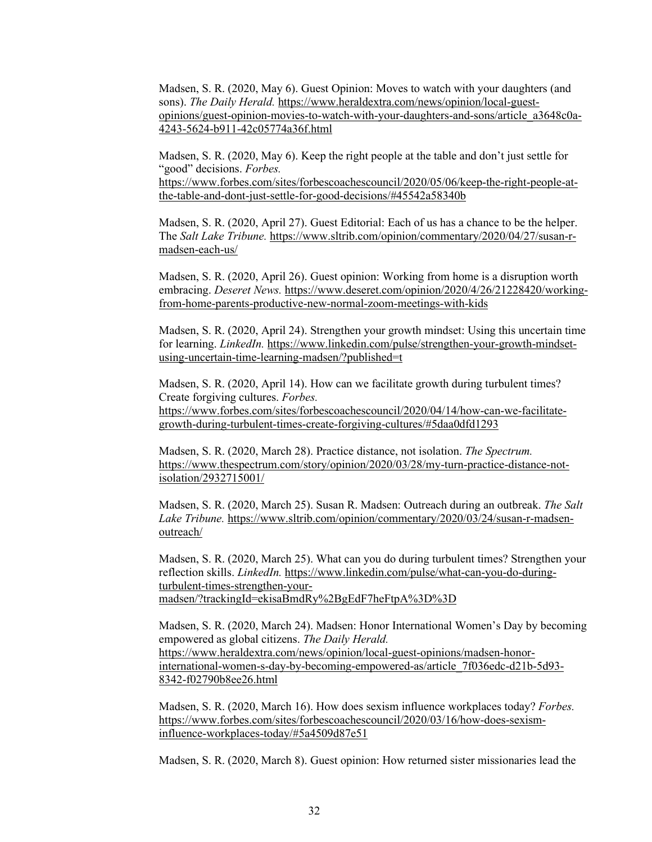Madsen, S. R. (2020, May 6). Guest Opinion: Moves to watch with your daughters (and sons). The Daily Herald. [https://www.heraldextra.com/news/opinion/local-guest](https://www.heraldextra.com/news/opinion/local-guest-opinions/guest-opinion-movies-to-watch-with-your-daughters-and-sons/article_a3648c0a-4243-5624-b911-42c05774a36f.html)[opinions/guest-opinion-movies-to-watch-with-your-daughters-and-sons/article\\_a3648c0a-](https://www.heraldextra.com/news/opinion/local-guest-opinions/guest-opinion-movies-to-watch-with-your-daughters-and-sons/article_a3648c0a-4243-5624-b911-42c05774a36f.html)[4243-5624-b911-42c05774a36f.html](https://www.heraldextra.com/news/opinion/local-guest-opinions/guest-opinion-movies-to-watch-with-your-daughters-and-sons/article_a3648c0a-4243-5624-b911-42c05774a36f.html)

Madsen, S. R. (2020, May 6). Keep the right people at the table and don't just settle for "good" decisions. *Forbes.*

[https://www.forbes.com/sites/forbescoachescouncil/2020/05/06/keep-the-right-people-at](https://www.forbes.com/sites/forbescoachescouncil/2020/05/06/keep-the-right-people-at-the-table-and-dont-just-settle-for-good-decisions/#45542a58340b)[the-table-and-dont-just-settle-for-good-decisions/#45542a58340b](https://www.forbes.com/sites/forbescoachescouncil/2020/05/06/keep-the-right-people-at-the-table-and-dont-just-settle-for-good-decisions/#45542a58340b) 

Madsen, S. R. (2020, April 27). Guest Editorial: Each of us has a chance to be the helper. The *Salt Lake Tribune.* [https://www.sltrib.com/opinion/commentary/2020/04/27/susan-r](https://www.sltrib.com/opinion/commentary/2020/04/27/susan-r-madsen-each-us/)[madsen-each-us/](https://www.sltrib.com/opinion/commentary/2020/04/27/susan-r-madsen-each-us/) 

Madsen, S. R. (2020, April 26). Guest opinion: Working from home is a disruption worth embracing. *Deseret News.* [https://www.deseret.com/opinion/2020/4/26/21228420/working](https://www.deseret.com/opinion/2020/4/26/21228420/working-from-home-parents-productive-new-normal-zoom-meetings-with-kids)[from-home-parents-productive-new-normal-zoom-meetings-with-kids](https://www.deseret.com/opinion/2020/4/26/21228420/working-from-home-parents-productive-new-normal-zoom-meetings-with-kids) 

Madsen, S. R. (2020, April 24). Strengthen your growth mindset: Using this uncertain time for learning. *LinkedIn.* [https://www.linkedin.com/pulse/strengthen-your-growth-mindset](https://www.linkedin.com/pulse/strengthen-your-growth-mindset-using-uncertain-time-learning-madsen/?published=t)[using-uncertain-time-learning-madsen/?published=t](https://www.linkedin.com/pulse/strengthen-your-growth-mindset-using-uncertain-time-learning-madsen/?published=t) 

Madsen, S. R. (2020, April 14). How can we facilitate growth during turbulent times? Create forgiving cultures. *Forbes.* [https://www.forbes.com/sites/forbescoachescouncil/2020/04/14/how-can-we-facilitate](https://www.forbes.com/sites/forbescoachescouncil/2020/04/14/how-can-we-facilitate-growth-during-turbulent-times-create-forgiving-cultures/#5daa0dfd1293)[growth-during-turbulent-times-create-forgiving-cultures/#5daa0dfd1293](https://www.forbes.com/sites/forbescoachescouncil/2020/04/14/how-can-we-facilitate-growth-during-turbulent-times-create-forgiving-cultures/#5daa0dfd1293) 

Madsen, S. R. (2020, March 28). Practice distance, not isolation. *The Spectrum.* [https://www.thespectrum.com/story/opinion/2020/03/28/my-turn-practice-distance-not](https://www.thespectrum.com/story/opinion/2020/03/28/my-turn-practice-distance-not-isolation/2932715001/)[isolation/2932715001/](https://www.thespectrum.com/story/opinion/2020/03/28/my-turn-practice-distance-not-isolation/2932715001/) 

Madsen, S. R. (2020, March 25). Susan R. Madsen: Outreach during an outbreak. *The Salt Lake Tribune.* [https://www.sltrib.com/opinion/commentary/2020/03/24/susan-r-madsen](https://www.sltrib.com/opinion/commentary/2020/03/24/susan-r-madsen-outreach/)[outreach/](https://www.sltrib.com/opinion/commentary/2020/03/24/susan-r-madsen-outreach/) 

Madsen, S. R. (2020, March 25). What can you do during turbulent times? Strengthen your reflection skills. *LinkedIn.* [https://www.linkedin.com/pulse/what-can-you-do-during](https://www.linkedin.com/pulse/what-can-you-do-during-turbulent-times-strengthen-your-madsen/?trackingId=ekisaBmdRy%2BgEdF7heFtpA%3D%3D)[turbulent-times-strengthen-your](https://www.linkedin.com/pulse/what-can-you-do-during-turbulent-times-strengthen-your-madsen/?trackingId=ekisaBmdRy%2BgEdF7heFtpA%3D%3D)[madsen/?trackingId=ekisaBmdRy%2BgEdF7heFtpA%3D%3D](https://www.linkedin.com/pulse/what-can-you-do-during-turbulent-times-strengthen-your-madsen/?trackingId=ekisaBmdRy%2BgEdF7heFtpA%3D%3D) 

Madsen, S. R. (2020, March 24). Madsen: Honor International Women's Day by becoming empowered as global citizens. *The Daily Herald.* [https://www.heraldextra.com/news/opinion/local-guest-opinions/madsen-honor](https://www.heraldextra.com/news/opinion/local-guest-opinions/madsen-honor-international-women-s-day-by-becoming-empowered-as/article_7f036edc-d21b-5d93-8342-f02790b8ee26.html)[international-women-s-day-by-becoming-empowered-as/article\\_7f036edc-d21b-5d93-](https://www.heraldextra.com/news/opinion/local-guest-opinions/madsen-honor-international-women-s-day-by-becoming-empowered-as/article_7f036edc-d21b-5d93-8342-f02790b8ee26.html) [8342-f02790b8ee26.html](https://www.heraldextra.com/news/opinion/local-guest-opinions/madsen-honor-international-women-s-day-by-becoming-empowered-as/article_7f036edc-d21b-5d93-8342-f02790b8ee26.html)

Madsen, S. R. (2020, March 16). How does sexism influence workplaces today? *Forbes.* [https://www.forbes.com/sites/forbescoachescouncil/2020/03/16/how-does-sexism](https://www.forbes.com/sites/forbescoachescouncil/2020/03/16/how-does-sexism-influence-workplaces-today/#5a4509d87e51)[influence-workplaces-today/#5a4509d87e51](https://www.forbes.com/sites/forbescoachescouncil/2020/03/16/how-does-sexism-influence-workplaces-today/#5a4509d87e51) 

Madsen, S. R. (2020, March 8). Guest opinion: How returned sister missionaries lead the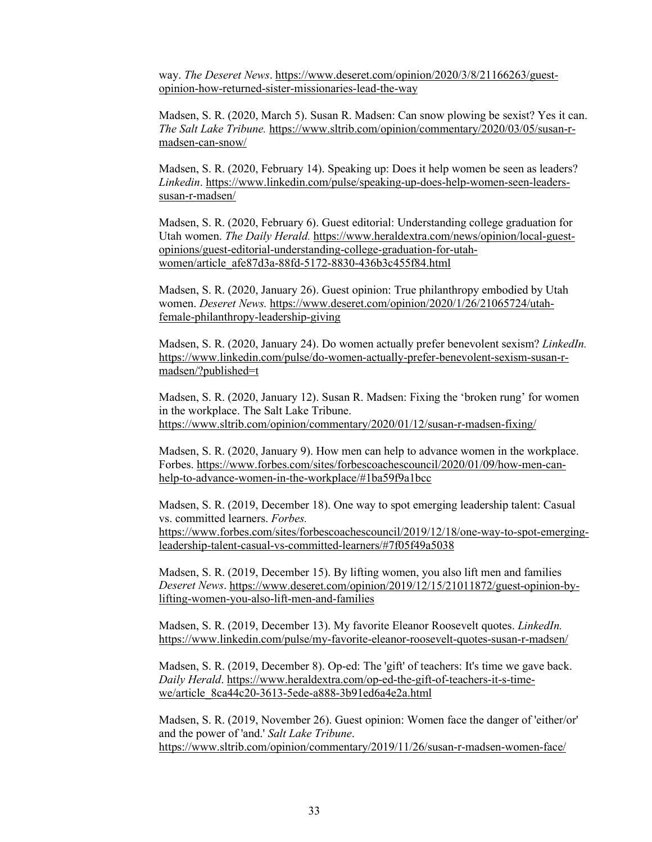way. *The Deseret News*[. https://www.deseret.com/opinion/2020/3/8/21166263/guest](https://www.deseret.com/opinion/2020/3/8/21166263/guest-opinion-how-returned-sister-missionaries-lead-the-way)[opinion-how-returned-sister-missionaries-lead-the-way](https://www.deseret.com/opinion/2020/3/8/21166263/guest-opinion-how-returned-sister-missionaries-lead-the-way) 

Madsen, S. R. (2020, March 5). Susan R. Madsen: Can snow plowing be sexist? Yes it can. *The Salt Lake Tribune.* [https://www.sltrib.com/opinion/commentary/2020/03/05/susan-r](https://www.sltrib.com/opinion/commentary/2020/03/05/susan-r-madsen-can-snow/)[madsen-can-snow/](https://www.sltrib.com/opinion/commentary/2020/03/05/susan-r-madsen-can-snow/) 

Madsen, S. R. (2020, February 14). Speaking up: Does it help women be seen as leaders? *Linkedin*. [https://www.linkedin.com/pulse/speaking-up-does-help-women-seen-leaders](https://www.linkedin.com/pulse/speaking-up-does-help-women-seen-leaders-susan-r-madsen/)[susan-r-madsen/](https://www.linkedin.com/pulse/speaking-up-does-help-women-seen-leaders-susan-r-madsen/) 

Madsen, S. R. (2020, February 6). Guest editorial: Understanding college graduation for Utah women. *The Daily Herald.* [https://www.heraldextra.com/news/opinion/local-guest](https://www.heraldextra.com/news/opinion/local-guest-opinions/guest-editorial-understanding-college-graduation-for-utah-women/article_afe87d3a-88fd-5172-8830-436b3c455f84.html)[opinions/guest-editorial-understanding-college-graduation-for-utah](https://www.heraldextra.com/news/opinion/local-guest-opinions/guest-editorial-understanding-college-graduation-for-utah-women/article_afe87d3a-88fd-5172-8830-436b3c455f84.html)[women/article\\_afe87d3a-88fd-5172-8830-436b3c455f84.html](https://www.heraldextra.com/news/opinion/local-guest-opinions/guest-editorial-understanding-college-graduation-for-utah-women/article_afe87d3a-88fd-5172-8830-436b3c455f84.html) 

Madsen, S. R. (2020, January 26). Guest opinion: True philanthropy embodied by Utah women. *Deseret News.* [https://www.deseret.com/opinion/2020/1/26/21065724/utah](https://www.deseret.com/opinion/2020/1/26/21065724/utah-female-philanthropy-leadership-giving)[female-philanthropy-leadership-giving](https://www.deseret.com/opinion/2020/1/26/21065724/utah-female-philanthropy-leadership-giving) 

Madsen, S. R. (2020, January 24). Do women actually prefer benevolent sexism? *LinkedIn.* [https://www.linkedin.com/pulse/do-women-actually-prefer-benevolent-sexism-susan-r](https://www.linkedin.com/pulse/do-women-actually-prefer-benevolent-sexism-susan-r-madsen/?published=t)[madsen/?published=t](https://www.linkedin.com/pulse/do-women-actually-prefer-benevolent-sexism-susan-r-madsen/?published=t) 

Madsen, S. R. (2020, January 12). Susan R. Madsen: Fixing the 'broken rung' for women in the workplace. The Salt Lake Tribune. <https://www.sltrib.com/opinion/commentary/2020/01/12/susan-r-madsen-fixing/>

Madsen, S. R. (2020, January 9). How men can help to advance women in the workplace. Forbes[. https://www.forbes.com/sites/forbescoachescouncil/2020/01/09/how-men-can](https://www.forbes.com/sites/forbescoachescouncil/2020/01/09/how-men-can-help-to-advance-women-in-the-workplace/#1ba59f9a1bcc)[help-to-advance-women-in-the-workplace/#1ba59f9a1bcc](https://www.forbes.com/sites/forbescoachescouncil/2020/01/09/how-men-can-help-to-advance-women-in-the-workplace/#1ba59f9a1bcc) 

Madsen, S. R. (2019, December 18). One way to spot emerging leadership talent: Casual vs. committed learners. *Forbes.* [https://www.forbes.com/sites/forbescoachescouncil/2019/12/18/one-way-to-spot-emerging](https://www.forbes.com/sites/forbescoachescouncil/2019/12/18/one-way-to-spot-emerging-leadership-talent-casual-vs-committed-learners/#7f05f49a5038)[leadership-talent-casual-vs-committed-learners/#7f05f49a5038](https://www.forbes.com/sites/forbescoachescouncil/2019/12/18/one-way-to-spot-emerging-leadership-talent-casual-vs-committed-learners/#7f05f49a5038) 

Madsen, S. R. (2019, December 15). By lifting women, you also lift men and families *Deseret News*[. https://www.deseret.com/opinion/2019/12/15/21011872/guest-opinion-by](https://www.deseret.com/opinion/2019/12/15/21011872/guest-opinion-by-lifting-women-you-also-lift-men-and-families)[lifting-women-you-also-lift-men-and-families](https://www.deseret.com/opinion/2019/12/15/21011872/guest-opinion-by-lifting-women-you-also-lift-men-and-families) 

Madsen, S. R. (2019, December 13). My favorite Eleanor Roosevelt quotes. *LinkedIn.* <https://www.linkedin.com/pulse/my-favorite-eleanor-roosevelt-quotes-susan-r-madsen/>

Madsen, S. R. (2019, December 8). Op-ed: The 'gift' of teachers: It's time we gave back. *Daily Herald*. [https://www.heraldextra.com/op-ed-the-gift-of-teachers-it-s-time](https://www.heraldextra.com/op-ed-the-gift-of-teachers-it-s-time-we/article_8ca44c20-3613-5ede-a888-3b91ed6a4e2a.html)[we/article\\_8ca44c20-3613-5ede-a888-3b91ed6a4e2a.html](https://www.heraldextra.com/op-ed-the-gift-of-teachers-it-s-time-we/article_8ca44c20-3613-5ede-a888-3b91ed6a4e2a.html) 

Madsen, S. R. (2019, November 26). Guest opinion: Women face the danger of 'either/or' and the power of 'and.' *Salt Lake Tribune*. <https://www.sltrib.com/opinion/commentary/2019/11/26/susan-r-madsen-women-face/>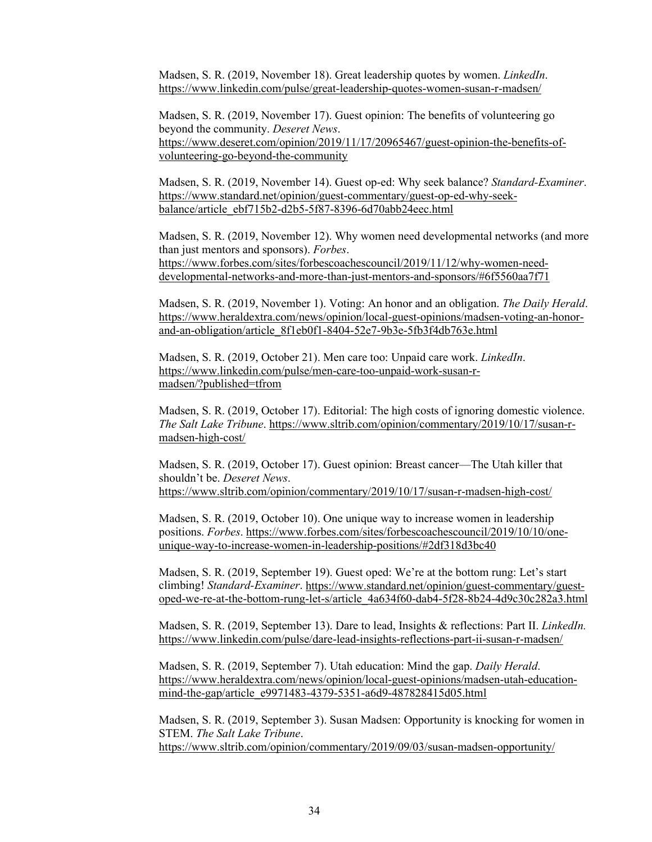Madsen, S. R. (2019, November 18). Great leadership quotes by women. *LinkedIn*. <https://www.linkedin.com/pulse/great-leadership-quotes-women-susan-r-madsen/>

Madsen, S. R. (2019, November 17). Guest opinion: The benefits of volunteering go beyond the community. *Deseret News*. [https://www.deseret.com/opinion/2019/11/17/20965467/guest-opinion-the-benefits-of](https://www.deseret.com/opinion/2019/11/17/20965467/guest-opinion-the-benefits-of-volunteering-go-beyond-the-community)[volunteering-go-beyond-the-community](https://www.deseret.com/opinion/2019/11/17/20965467/guest-opinion-the-benefits-of-volunteering-go-beyond-the-community) 

Madsen, S. R. (2019, November 14). Guest op-ed: Why seek balance? *Standard-Examiner*. [https://www.standard.net/opinion/guest-commentary/guest-op-ed-why-seek](https://www.standard.net/opinion/guest-commentary/guest-op-ed-why-seek-balance/article_ebf715b2-d2b5-5f87-8396-6d70abb24eec.html)[balance/article\\_ebf715b2-d2b5-5f87-8396-6d70abb24eec.html](https://www.standard.net/opinion/guest-commentary/guest-op-ed-why-seek-balance/article_ebf715b2-d2b5-5f87-8396-6d70abb24eec.html) 

Madsen, S. R. (2019, November 12). Why women need developmental networks (and more than just mentors and sponsors). *Forbes*. [https://www.forbes.com/sites/forbescoachescouncil/2019/11/12/why-women-need](https://www.forbes.com/sites/forbescoachescouncil/2019/11/12/why-women-need-developmental-networks-and-more-than-just-mentors-and-sponsors/#6f5560aa7f71)[developmental-networks-and-more-than-just-mentors-and-sponsors/#6f5560aa7f71](https://www.forbes.com/sites/forbescoachescouncil/2019/11/12/why-women-need-developmental-networks-and-more-than-just-mentors-and-sponsors/#6f5560aa7f71)

Madsen, S. R. (2019, November 1). Voting: An honor and an obligation. *The Daily Herald*. [https://www.heraldextra.com/news/opinion/local-guest-opinions/madsen-voting-an-honor](https://www.heraldextra.com/news/opinion/local-guest-opinions/madsen-voting-an-honor-and-an-obligation/article_8f1eb0f1-8404-52e7-9b3e-5fb3f4db763e.html)[and-an-obligation/article\\_8f1eb0f1-8404-52e7-9b3e-5fb3f4db763e.html](https://www.heraldextra.com/news/opinion/local-guest-opinions/madsen-voting-an-honor-and-an-obligation/article_8f1eb0f1-8404-52e7-9b3e-5fb3f4db763e.html) 

Madsen, S. R. (2019, October 21). Men care too: Unpaid care work. *LinkedIn*. [https://www.linkedin.com/pulse/men-care-too-unpaid-work-susan-r](https://www.linkedin.com/pulse/men-care-too-unpaid-work-susan-r-madsen/?published=tfrom)[madsen/?published=tfrom](https://www.linkedin.com/pulse/men-care-too-unpaid-work-susan-r-madsen/?published=tfrom) 

Madsen, S. R. (2019, October 17). Editorial: The high costs of ignoring domestic violence. *The Salt Lake Tribune*. [https://www.sltrib.com/opinion/commentary/2019/10/17/susan-r](https://www.sltrib.com/opinion/commentary/2019/10/17/susan-r-madsen-high-cost/)[madsen-high-cost/](https://www.sltrib.com/opinion/commentary/2019/10/17/susan-r-madsen-high-cost/) 

Madsen, S. R. (2019, October 17). Guest opinion: Breast cancer—The Utah killer that shouldn't be. *Deseret News*. <https://www.sltrib.com/opinion/commentary/2019/10/17/susan-r-madsen-high-cost/>

Madsen, S. R. (2019, October 10). One unique way to increase women in leadership positions. *Forbes*. [https://www.forbes.com/sites/forbescoachescouncil/2019/10/10/one](https://www.forbes.com/sites/forbescoachescouncil/2019/10/10/one-unique-way-to-increase-women-in-leadership-positions/#2df318d3bc40)[unique-way-to-increase-women-in-leadership-positions/#2df318d3bc40](https://www.forbes.com/sites/forbescoachescouncil/2019/10/10/one-unique-way-to-increase-women-in-leadership-positions/#2df318d3bc40) 

Madsen, S. R. (2019, September 19). Guest oped: We're at the bottom rung: Let's start climbing! *Standard-Examiner*. [https://www.standard.net/opinion/guest-commentary/guest](https://www.standard.net/opinion/guest-commentary/guest-oped-we-re-at-the-bottom-rung-let-s/article_4a634f60-dab4-5f28-8b24-4d9c30c282a3.html)[oped-we-re-at-the-bottom-rung-let-s/article\\_4a634f60-dab4-5f28-8b24-4d9c30c282a3.html](https://www.standard.net/opinion/guest-commentary/guest-oped-we-re-at-the-bottom-rung-let-s/article_4a634f60-dab4-5f28-8b24-4d9c30c282a3.html) 

Madsen, S. R. (2019, September 13). Dare to lead, Insights & reflections: Part II. *LinkedIn.* <https://www.linkedin.com/pulse/dare-lead-insights-reflections-part-ii-susan-r-madsen/>

Madsen, S. R. (2019, September 7). Utah education: Mind the gap. *Daily Herald*. [https://www.heraldextra.com/news/opinion/local-guest-opinions/madsen-utah-education](https://www.heraldextra.com/news/opinion/local-guest-opinions/madsen-utah-education-mind-the-gap/article_e9971483-4379-5351-a6d9-487828415d05.html)[mind-the-gap/article\\_e9971483-4379-5351-a6d9-487828415d05.html](https://www.heraldextra.com/news/opinion/local-guest-opinions/madsen-utah-education-mind-the-gap/article_e9971483-4379-5351-a6d9-487828415d05.html) 

Madsen, S. R. (2019, September 3). Susan Madsen: Opportunity is knocking for women in STEM. *The Salt Lake Tribune*. <https://www.sltrib.com/opinion/commentary/2019/09/03/susan-madsen-opportunity/>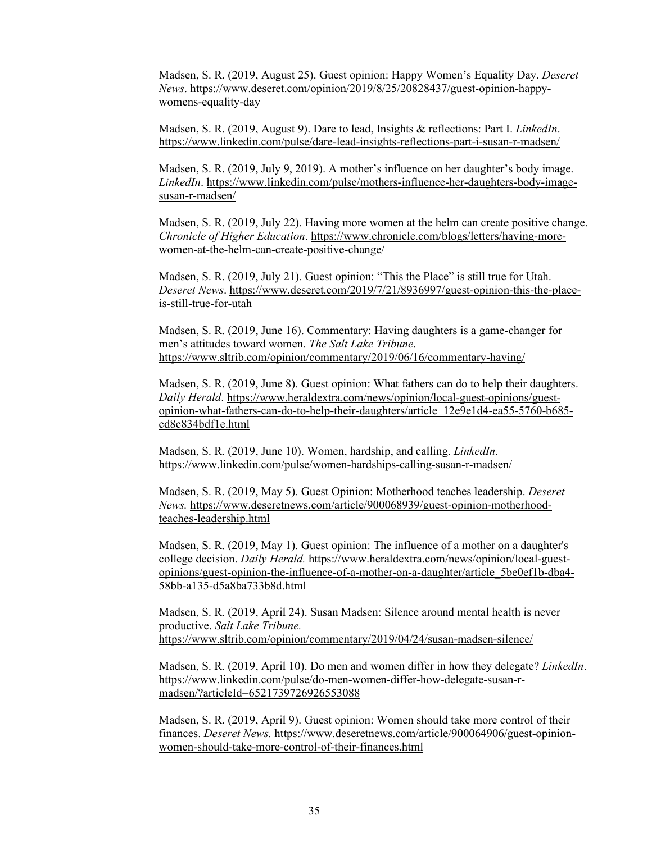Madsen, S. R. (2019, August 25). Guest opinion: Happy Women's Equality Day. *Deseret News*. [https://www.deseret.com/opinion/2019/8/25/20828437/guest-opinion-happy](https://www.deseret.com/opinion/2019/8/25/20828437/guest-opinion-happy-womens-equality-day)[womens-equality-day](https://www.deseret.com/opinion/2019/8/25/20828437/guest-opinion-happy-womens-equality-day) 

Madsen, S. R. (2019, August 9). Dare to lead, Insights & reflections: Part I. *LinkedIn*. <https://www.linkedin.com/pulse/dare-lead-insights-reflections-part-i-susan-r-madsen/>

Madsen, S. R. (2019, July 9, 2019). A mother's influence on her daughter's body image. *LinkedIn*. [https://www.linkedin.com/pulse/mothers-influence-her-daughters-body-image](https://www.linkedin.com/pulse/mothers-influence-her-daughters-body-image-susan-r-madsen/)[susan-r-madsen/](https://www.linkedin.com/pulse/mothers-influence-her-daughters-body-image-susan-r-madsen/)

Madsen, S. R. (2019, July 22). Having more women at the helm can create positive change. *Chronicle of Higher Education*. [https://www.chronicle.com/blogs/letters/having-more](https://www.chronicle.com/blogs/letters/having-more-women-at-the-helm-can-create-positive-change/)[women-at-the-helm-can-create-positive-change/](https://www.chronicle.com/blogs/letters/having-more-women-at-the-helm-can-create-positive-change/)

Madsen, S. R. (2019, July 21). Guest opinion: "This the Place" is still true for Utah. *Deseret News*[. https://www.deseret.com/2019/7/21/8936997/guest-opinion-this-the-place](https://www.deseret.com/2019/7/21/8936997/guest-opinion-this-the-place-is-still-true-for-utah)[is-still-true-for-utah](https://www.deseret.com/2019/7/21/8936997/guest-opinion-this-the-place-is-still-true-for-utah)

Madsen, S. R. (2019, June 16). Commentary: Having daughters is a game-changer for men's attitudes toward women. *The Salt Lake Tribune*. <https://www.sltrib.com/opinion/commentary/2019/06/16/commentary-having/>

Madsen, S. R. (2019, June 8). Guest opinion: What fathers can do to help their daughters. *Daily Herald*. [https://www.heraldextra.com/news/opinion/local-guest-opinions/guest](https://www.heraldextra.com/news/opinion/local-guest-opinions/guest-opinion-what-fathers-can-do-to-help-their-daughters/article_12e9e1d4-ea55-5760-b685-cd8c834bdf1e.html)[opinion-what-fathers-can-do-to-help-their-daughters/article\\_12e9e1d4-ea55-5760-b685](https://www.heraldextra.com/news/opinion/local-guest-opinions/guest-opinion-what-fathers-can-do-to-help-their-daughters/article_12e9e1d4-ea55-5760-b685-cd8c834bdf1e.html) [cd8c834bdf1e.html](https://www.heraldextra.com/news/opinion/local-guest-opinions/guest-opinion-what-fathers-can-do-to-help-their-daughters/article_12e9e1d4-ea55-5760-b685-cd8c834bdf1e.html)

Madsen, S. R. (2019, June 10). Women, hardship, and calling. *LinkedIn*. <https://www.linkedin.com/pulse/women-hardships-calling-susan-r-madsen/>

Madsen, S. R. (2019, May 5). Guest Opinion: Motherhood teaches leadership. *Deseret News.* [https://www.deseretnews.com/article/900068939/guest-opinion-motherhood](https://www.deseretnews.com/article/900068939/guest-opinion-motherhood-teaches-leadership.html)[teaches-leadership.html](https://www.deseretnews.com/article/900068939/guest-opinion-motherhood-teaches-leadership.html) 

Madsen, S. R. (2019, May 1). Guest opinion: The influence of a mother on a daughter's college decision. *Daily Herald.* [https://www.heraldextra.com/news/opinion/local-guest](https://www.heraldextra.com/news/opinion/local-guest-opinions/guest-opinion-the-influence-of-a-mother-on-a-daughter/article_5be0ef1b-dba4-58bb-a135-d5a8ba733b8d.html)[opinions/guest-opinion-the-influence-of-a-mother-on-a-daughter/article\\_5be0ef1b-dba4-](https://www.heraldextra.com/news/opinion/local-guest-opinions/guest-opinion-the-influence-of-a-mother-on-a-daughter/article_5be0ef1b-dba4-58bb-a135-d5a8ba733b8d.html) [58bb-a135-d5a8ba733b8d.html](https://www.heraldextra.com/news/opinion/local-guest-opinions/guest-opinion-the-influence-of-a-mother-on-a-daughter/article_5be0ef1b-dba4-58bb-a135-d5a8ba733b8d.html) 

Madsen, S. R. (2019, April 24). Susan Madsen: Silence around mental health is never productive. *Salt Lake Tribune.* <https://www.sltrib.com/opinion/commentary/2019/04/24/susan-madsen-silence/>

Madsen, S. R. (2019, April 10). Do men and women differ in how they delegate? *LinkedIn*. [https://www.linkedin.com/pulse/do-men-women-differ-how-delegate-susan-r](https://www.linkedin.com/pulse/do-men-women-differ-how-delegate-susan-r-madsen/?articleId=6521739726926553088)[madsen/?articleId=6521739726926553088](https://www.linkedin.com/pulse/do-men-women-differ-how-delegate-susan-r-madsen/?articleId=6521739726926553088) 

Madsen, S. R. (2019, April 9). Guest opinion: Women should take more control of their finances. *Deseret News.* [https://www.deseretnews.com/article/900064906/guest-opinion](https://www.deseretnews.com/article/900064906/guest-opinion-women-should-take-more-control-of-their-finances.html)[women-should-take-more-control-of-their-finances.html](https://www.deseretnews.com/article/900064906/guest-opinion-women-should-take-more-control-of-their-finances.html)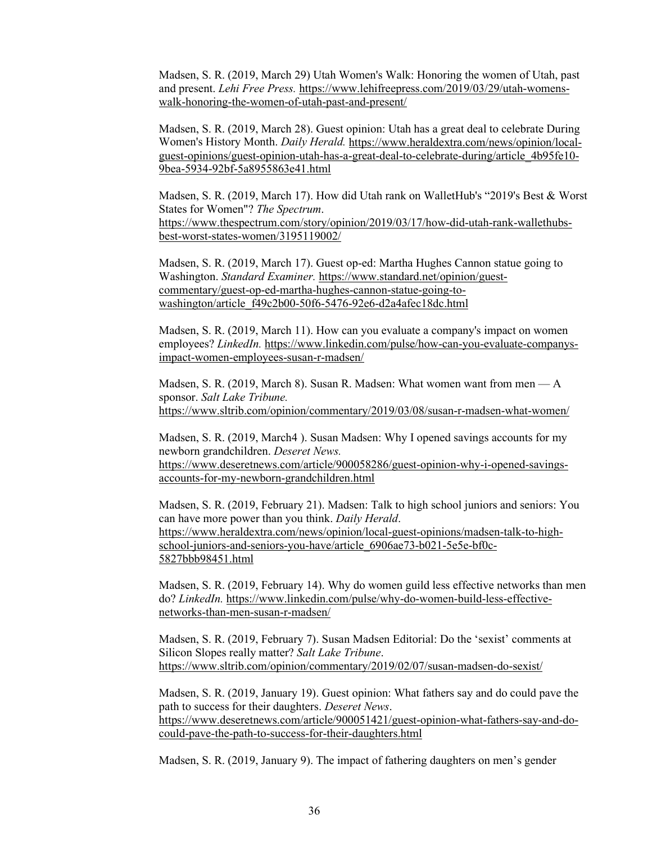Madsen, S. R. (2019, March 29) Utah Women's Walk: Honoring the women of Utah, past and present. *Lehi Free Press.* [https://www.lehifreepress.com/2019/03/29/utah-womens](https://www.lehifreepress.com/2019/03/29/utah-womens-walk-honoring-the-women-of-utah-past-and-present/)[walk-honoring-the-women-of-utah-past-and-present/](https://www.lehifreepress.com/2019/03/29/utah-womens-walk-honoring-the-women-of-utah-past-and-present/) 

Madsen, S. R. (2019, March 28). Guest opinion: Utah has a great deal to celebrate During Women's History Month. *Daily Herald.* [https://www.heraldextra.com/news/opinion/local](https://www.heraldextra.com/news/opinion/local-guest-opinions/guest-opinion-utah-has-a-great-deal-to-celebrate-during/article_4b95fe10-9bea-5934-92bf-5a8955863e41.html)[guest-opinions/guest-opinion-utah-has-a-great-deal-to-celebrate-during/article\\_4b95fe10-](https://www.heraldextra.com/news/opinion/local-guest-opinions/guest-opinion-utah-has-a-great-deal-to-celebrate-during/article_4b95fe10-9bea-5934-92bf-5a8955863e41.html) [9bea-5934-92bf-5a8955863e41.html](https://www.heraldextra.com/news/opinion/local-guest-opinions/guest-opinion-utah-has-a-great-deal-to-celebrate-during/article_4b95fe10-9bea-5934-92bf-5a8955863e41.html) 

Madsen, S. R. (2019, March 17). How did Utah rank on WalletHub's "2019's Best & Worst States for Women"? *The Spectrum*. [https://www.thespectrum.com/story/opinion/2019/03/17/how-did-utah-rank-wallethubs](https://www.thespectrum.com/story/opinion/2019/03/17/how-did-utah-rank-wallethubs-best-worst-states-women/3195119002/)[best-worst-states-women/3195119002/](https://www.thespectrum.com/story/opinion/2019/03/17/how-did-utah-rank-wallethubs-best-worst-states-women/3195119002/) 

Madsen, S. R. (2019, March 17). Guest op-ed: Martha Hughes Cannon statue going to Washington. *Standard Examiner.* [https://www.standard.net/opinion/guest](https://www.standard.net/opinion/guest-commentary/guest-op-ed-martha-hughes-cannon-statue-going-to-washington/article_f49c2b00-50f6-5476-92e6-d2a4afec18dc.html)[commentary/guest-op-ed-martha-hughes-cannon-statue-going-to](https://www.standard.net/opinion/guest-commentary/guest-op-ed-martha-hughes-cannon-statue-going-to-washington/article_f49c2b00-50f6-5476-92e6-d2a4afec18dc.html)[washington/article\\_f49c2b00-50f6-5476-92e6-d2a4afec18dc.html](https://www.standard.net/opinion/guest-commentary/guest-op-ed-martha-hughes-cannon-statue-going-to-washington/article_f49c2b00-50f6-5476-92e6-d2a4afec18dc.html) 

Madsen, S. R. (2019, March 11). How can you evaluate a company's impact on women employees? *LinkedIn.* [https://www.linkedin.com/pulse/how-can-you-evaluate-companys](https://www.linkedin.com/pulse/how-can-you-evaluate-companys-impact-women-employees-susan-r-madsen/)[impact-women-employees-susan-r-madsen/](https://www.linkedin.com/pulse/how-can-you-evaluate-companys-impact-women-employees-susan-r-madsen/) 

Madsen, S. R. (2019, March 8). Susan R. Madsen: What women want from men — A sponsor. *Salt Lake Tribune.* <https://www.sltrib.com/opinion/commentary/2019/03/08/susan-r-madsen-what-women/>

Madsen, S. R. (2019, March4 ). Susan Madsen: Why I opened savings accounts for my newborn grandchildren. *Deseret News.*  [https://www.deseretnews.com/article/900058286/guest-opinion-why-i-opened-savings](https://www.deseretnews.com/article/900058286/guest-opinion-why-i-opened-savings-accounts-for-my-newborn-grandchildren.html)[accounts-for-my-newborn-grandchildren.html](https://www.deseretnews.com/article/900058286/guest-opinion-why-i-opened-savings-accounts-for-my-newborn-grandchildren.html) 

Madsen, S. R. (2019, February 21). Madsen: Talk to high school juniors and seniors: You can have more power than you think. *Daily Herald*. [https://www.heraldextra.com/news/opinion/local-guest-opinions/madsen-talk-to-high](https://www.heraldextra.com/news/opinion/local-guest-opinions/madsen-talk-to-high-school-juniors-and-seniors-you-have/article_6906ae73-b021-5e5e-bf0c-5827bbb98451.html)[school-juniors-and-seniors-you-have/article\\_6906ae73-b021-5e5e-bf0c-](https://www.heraldextra.com/news/opinion/local-guest-opinions/madsen-talk-to-high-school-juniors-and-seniors-you-have/article_6906ae73-b021-5e5e-bf0c-5827bbb98451.html)[5827bbb98451.html](https://www.heraldextra.com/news/opinion/local-guest-opinions/madsen-talk-to-high-school-juniors-and-seniors-you-have/article_6906ae73-b021-5e5e-bf0c-5827bbb98451.html) 

Madsen, S. R. (2019, February 14). Why do women guild less effective networks than men do? *LinkedIn.* [https://www.linkedin.com/pulse/why-do-women-build-less-effective](https://www.linkedin.com/pulse/why-do-women-build-less-effective-networks-than-men-susan-r-madsen/)[networks-than-men-susan-r-madsen/](https://www.linkedin.com/pulse/why-do-women-build-less-effective-networks-than-men-susan-r-madsen/) 

Madsen, S. R. (2019, February 7). Susan Madsen Editorial: Do the 'sexist' comments at Silicon Slopes really matter? *Salt Lake Tribune*. <https://www.sltrib.com/opinion/commentary/2019/02/07/susan-madsen-do-sexist/>

Madsen, S. R. (2019, January 19). Guest opinion: What fathers say and do could pave the path to success for their daughters. *Deseret News*. [https://www.deseretnews.com/article/900051421/guest-opinion-what-fathers-say-and-do](https://www.deseretnews.com/article/900051421/guest-opinion-what-fathers-say-and-do-could-pave-the-path-to-success-for-their-daughters.html)[could-pave-the-path-to-success-for-their-daughters.html](https://www.deseretnews.com/article/900051421/guest-opinion-what-fathers-say-and-do-could-pave-the-path-to-success-for-their-daughters.html) 

Madsen, S. R. (2019, January 9). The impact of fathering daughters on men's gender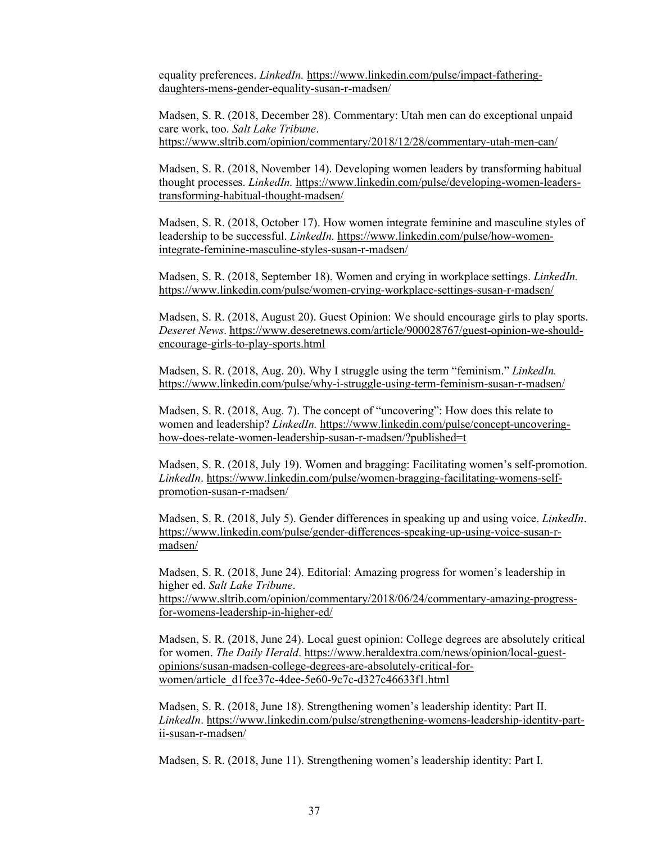equality preferences. *LinkedIn.* [https://www.linkedin.com/pulse/impact-fathering](https://www.linkedin.com/pulse/impact-fathering-daughters-mens-gender-equality-susan-r-madsen/)[daughters-mens-gender-equality-susan-r-madsen/](https://www.linkedin.com/pulse/impact-fathering-daughters-mens-gender-equality-susan-r-madsen/) 

Madsen, S. R. (2018, December 28). Commentary: Utah men can do exceptional unpaid care work, too. *Salt Lake Tribune*. <https://www.sltrib.com/opinion/commentary/2018/12/28/commentary-utah-men-can/>

Madsen, S. R. (2018, November 14). Developing women leaders by transforming habitual thought processes. *LinkedIn.* [https://www.linkedin.com/pulse/developing-women-leaders](https://www.linkedin.com/pulse/developing-women-leaders-transforming-habitual-thought-madsen/)[transforming-habitual-thought-madsen/](https://www.linkedin.com/pulse/developing-women-leaders-transforming-habitual-thought-madsen/) 

Madsen, S. R. (2018, October 17). How women integrate feminine and masculine styles of leadership to be successful. *LinkedIn.* [https://www.linkedin.com/pulse/how-women](https://www.linkedin.com/pulse/how-women-integrate-feminine-masculine-styles-susan-r-madsen/)[integrate-feminine-masculine-styles-susan-r-madsen/](https://www.linkedin.com/pulse/how-women-integrate-feminine-masculine-styles-susan-r-madsen/) 

Madsen, S. R. (2018, September 18). Women and crying in workplace settings. *LinkedIn.* <https://www.linkedin.com/pulse/women-crying-workplace-settings-susan-r-madsen/>

Madsen, S. R. (2018, August 20). Guest Opinion: We should encourage girls to play sports. *Deseret News*[. https://www.deseretnews.com/article/900028767/guest-opinion-we-should](https://www.deseretnews.com/article/900028767/guest-opinion-we-should-encourage-girls-to-play-sports.html)[encourage-girls-to-play-sports.html](https://www.deseretnews.com/article/900028767/guest-opinion-we-should-encourage-girls-to-play-sports.html) 

Madsen, S. R. (2018, Aug. 20). Why I struggle using the term "feminism." *LinkedIn.* <https://www.linkedin.com/pulse/why-i-struggle-using-term-feminism-susan-r-madsen/>

Madsen, S. R. (2018, Aug. 7). The concept of "uncovering": How does this relate to women and leadership? *LinkedIn.* [https://www.linkedin.com/pulse/concept-uncovering](https://www.linkedin.com/pulse/concept-uncovering-how-does-relate-women-leadership-susan-r-madsen/?published=t)[how-does-relate-women-leadership-susan-r-madsen/?published=t](https://www.linkedin.com/pulse/concept-uncovering-how-does-relate-women-leadership-susan-r-madsen/?published=t) 

Madsen, S. R. (2018, July 19). Women and bragging: Facilitating women's self-promotion. *LinkedIn*. [https://www.linkedin.com/pulse/women-bragging-facilitating-womens-self](https://www.linkedin.com/pulse/women-bragging-facilitating-womens-self-promotion-susan-r-madsen/)[promotion-susan-r-madsen/](https://www.linkedin.com/pulse/women-bragging-facilitating-womens-self-promotion-susan-r-madsen/) 

Madsen, S. R. (2018, July 5). Gender differences in speaking up and using voice. *LinkedIn*. [https://www.linkedin.com/pulse/gender-differences-speaking-up-using-voice-susan-r](https://www.linkedin.com/pulse/gender-differences-speaking-up-using-voice-susan-r-madsen/)[madsen/](https://www.linkedin.com/pulse/gender-differences-speaking-up-using-voice-susan-r-madsen/) 

Madsen, S. R. (2018, June 24). Editorial: Amazing progress for women's leadership in higher ed. *Salt Lake Tribune*. [https://www.sltrib.com/opinion/commentary/2018/06/24/commentary-amazing-progress-](https://www.sltrib.com/opinion/commentary/2018/06/24/commentary-amazing-progress-for-womens-leadership-in-higher-ed/)

[for-womens-leadership-in-higher-ed/](https://www.sltrib.com/opinion/commentary/2018/06/24/commentary-amazing-progress-for-womens-leadership-in-higher-ed/) 

Madsen, S. R. (2018, June 24). Local guest opinion: College degrees are absolutely critical for women. *The Daily Herald*. [https://www.heraldextra.com/news/opinion/local-guest](https://www.heraldextra.com/news/opinion/local-guest-opinions/susan-madsen-college-degrees-are-absolutely-critical-for-women/article_d1fce37c-4dee-5e60-9c7c-d327c46633f1.html)[opinions/susan-madsen-college-degrees-are-absolutely-critical-for](https://www.heraldextra.com/news/opinion/local-guest-opinions/susan-madsen-college-degrees-are-absolutely-critical-for-women/article_d1fce37c-4dee-5e60-9c7c-d327c46633f1.html)women/article\_d1fce37c-4dee-5e60-9c7c-d327c46633f1.html

Madsen, S. R. (2018, June 18). Strengthening women's leadership identity: Part II. *LinkedIn*. [https://www.linkedin.com/pulse/strengthening-womens-leadership-identity-part](https://www.linkedin.com/pulse/strengthening-womens-leadership-identity-part-ii-susan-r-madsen/)[ii-susan-r-madsen/](https://www.linkedin.com/pulse/strengthening-womens-leadership-identity-part-ii-susan-r-madsen/) 

Madsen, S. R. (2018, June 11). Strengthening women's leadership identity: Part I.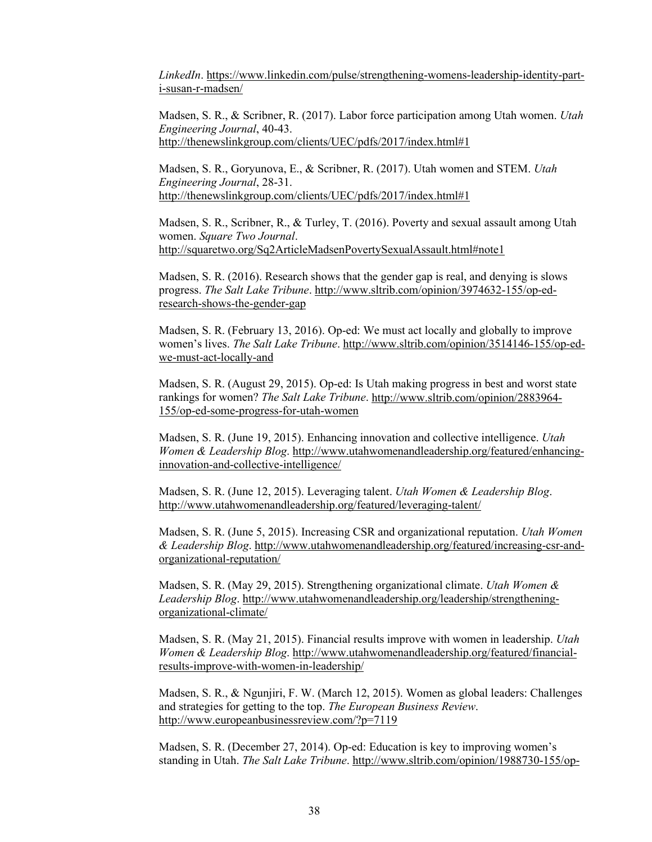*LinkedIn*. [https://www.linkedin.com/pulse/strengthening-womens-leadership-identity-part](https://www.linkedin.com/pulse/strengthening-womens-leadership-identity-part-i-susan-r-madsen/)[i-susan-r-madsen/](https://www.linkedin.com/pulse/strengthening-womens-leadership-identity-part-i-susan-r-madsen/) 

Madsen, S. R., & Scribner, R. (2017). Labor force participation among Utah women. *Utah Engineering Journal*, 40-43. <http://thenewslinkgroup.com/clients/UEC/pdfs/2017/index.html#1>

Madsen, S. R., Goryunova, E., & Scribner, R. (2017). Utah women and STEM. *Utah Engineering Journal*, 28-31. <http://thenewslinkgroup.com/clients/UEC/pdfs/2017/index.html#1>

Madsen, S. R., Scribner, R., & Turley, T. (2016). Poverty and sexual assault among Utah women. *Square Two Journal*. <http://squaretwo.org/Sq2ArticleMadsenPovertySexualAssault.html#note1>

Madsen, S. R. (2016). Research shows that the gender gap is real, and denying is slows progress. *The Salt Lake Tribune*[. http://www.sltrib.com/opinion/3974632-155/op-ed](http://www.sltrib.com/opinion/3974632-155/op-ed-research-shows-the-gender-gap)[research-shows-the-gender-gap](http://www.sltrib.com/opinion/3974632-155/op-ed-research-shows-the-gender-gap) 

Madsen, S. R. (February 13, 2016). Op-ed: We must act locally and globally to improve women's lives. *The Salt Lake Tribune*. [http://www.sltrib.com/opinion/3514146-155/op-ed](http://www.sltrib.com/opinion/3514146-155/op-ed-we-must-act-locally-and)[we-must-act-locally-and](http://www.sltrib.com/opinion/3514146-155/op-ed-we-must-act-locally-and)

Madsen, S. R. (August 29, 2015). Op-ed: Is Utah making progress in best and worst state rankings for women? *The Salt Lake Tribune*. [http://www.sltrib.com/opinion/2883964-](http://www.sltrib.com/opinion/2883964-155/op-ed-some-progress-for-utah-women) [155/op-ed-some-progress-for-utah-women](http://www.sltrib.com/opinion/2883964-155/op-ed-some-progress-for-utah-women)

Madsen, S. R. (June 19, 2015). Enhancing innovation and collective intelligence. *Utah Women & Leadership Blog*. [http://www.utahwomenandleadership.org/featured/enhancing](http://www.utahwomenandleadership.org/featured/enhancing-innovation-and-collective-intelligence/)[innovation-and-collective-intelligence/](http://www.utahwomenandleadership.org/featured/enhancing-innovation-and-collective-intelligence/)

Madsen, S. R. (June 12, 2015). Leveraging talent. *Utah Women & Leadership Blog*. <http://www.utahwomenandleadership.org/featured/leveraging-talent/>

Madsen, S. R. (June 5, 2015). Increasing CSR and organizational reputation. *Utah Women & Leadership Blog*. [http://www.utahwomenandleadership.org/featured/increasing-csr-and](http://www.utahwomenandleadership.org/featured/increasing-csr-and-organizational-reputation/)[organizational-reputation/](http://www.utahwomenandleadership.org/featured/increasing-csr-and-organizational-reputation/) 

Madsen, S. R. (May 29, 2015). Strengthening organizational climate. *Utah Women & Leadership Blog*. [http://www.utahwomenandleadership.org/leadership/strengthening](http://www.utahwomenandleadership.org/leadership/strengthening-organizational-climate/)[organizational-climate/](http://www.utahwomenandleadership.org/leadership/strengthening-organizational-climate/)

Madsen, S. R. (May 21, 2015). Financial results improve with women in leadership. *Utah Women & Leadership Blog*. [http://www.utahwomenandleadership.org/featured/financial](http://www.utahwomenandleadership.org/featured/financial-results-improve-with-women-in-leadership/)[results-improve-with-women-in-leadership/](http://www.utahwomenandleadership.org/featured/financial-results-improve-with-women-in-leadership/)

Madsen, S. R., & Ngunjiri, F. W. (March 12, 2015). Women as global leaders: Challenges and strategies for getting to the top. *The European Business Review*. <http://www.europeanbusinessreview.com/?p=7119>

Madsen, S. R. (December 27, 2014). Op-ed: Education is key to improving women's standing in Utah. *The Salt Lake Tribune*. [http://www.sltrib.com/opinion/1988730-155/op-](http://www.sltrib.com/opinion/1988730-155/op-ed-education-is-key-to-improving)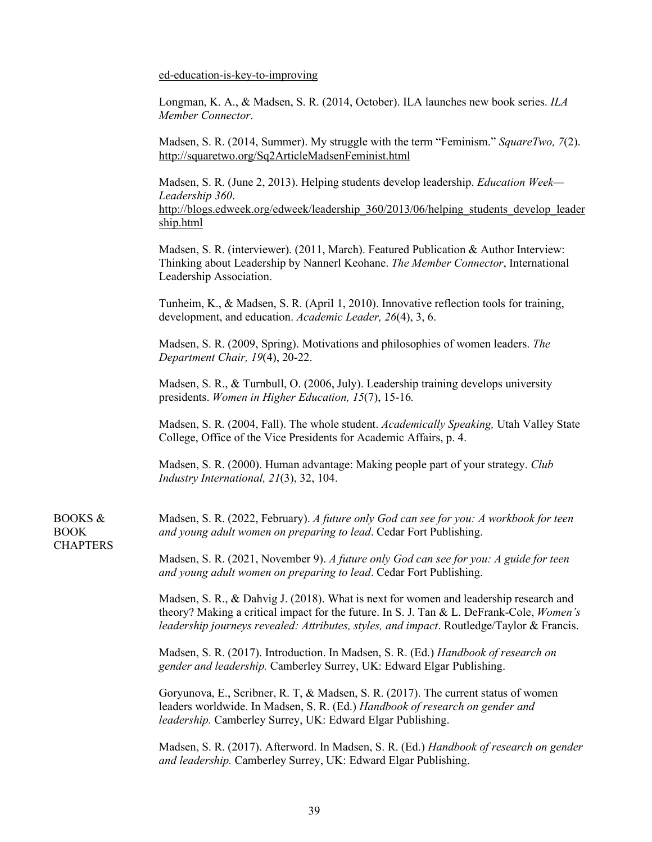[ed-education-is-key-to-improving](http://www.sltrib.com/opinion/1988730-155/op-ed-education-is-key-to-improving)

BOOKS & BOOK **CHAPTERS**  Longman, K. A., & Madsen, S. R. (2014, October). ILA launches new book series. *ILA Member Connector*.

Madsen, S. R. (2014, Summer). My struggle with the term "Feminism." *SquareTwo, 7*(2). <http://squaretwo.org/Sq2ArticleMadsenFeminist.html>

Madsen, S. R. (June 2, 2013). Helping students develop leadership. *Education Week— Leadership 360*. [http://blogs.edweek.org/edweek/leadership\\_360/2013/06/helping\\_students\\_develop\\_leader](http://blogs.edweek.org/edweek/leadership_360/2013/06/helping_students_develop_leadership.html) [ship.html](http://blogs.edweek.org/edweek/leadership_360/2013/06/helping_students_develop_leadership.html) 

Madsen, S. R. (interviewer). (2011, March). Featured Publication & Author Interview: Thinking about Leadership by Nannerl Keohane. *The Member Connector*, International Leadership Association.

Tunheim, K., & Madsen, S. R. (April 1, 2010). Innovative reflection tools for training, development, and education. *Academic Leader, 26*(4), 3, 6.

Madsen, S. R. (2009, Spring). Motivations and philosophies of women leaders. *The Department Chair, 19*(4), 20-22.

Madsen, S. R., & Turnbull, O. (2006, July). Leadership training develops university presidents. *Women in Higher Education, 15*(7), 15-16*.* 

Madsen, S. R. (2004, Fall). The whole student. *Academically Speaking,* Utah Valley State College, Office of the Vice Presidents for Academic Affairs, p. 4.

Madsen, S. R. (2000). Human advantage: Making people part of your strategy. *Club Industry International, 21*(3), 32, 104.

Madsen, S. R. (2022, February). *A future only God can see for you: A workbook for teen and young adult women on preparing to lead*. Cedar Fort Publishing.

Madsen, S. R. (2021, November 9). *A future only God can see for you: A guide for teen and young adult women on preparing to lead*. Cedar Fort Publishing.

Madsen, S. R., & Dahvig J. (2018). What is next for women and leadership research and theory? Making a critical impact for the future. In S. J. Tan & L. DeFrank-Cole, *Women's leadership journeys revealed: Attributes, styles, and impact*. Routledge/Taylor & Francis.

Madsen, S. R. (2017). Introduction. In Madsen, S. R. (Ed.) *Handbook of research on gender and leadership.* Camberley Surrey, UK: Edward Elgar Publishing.

Goryunova, E., Scribner, R. T, & Madsen, S. R. (2017). The current status of women leaders worldwide. In Madsen, S. R. (Ed.) *Handbook of research on gender and leadership.* Camberley Surrey, UK: Edward Elgar Publishing.

Madsen, S. R. (2017). Afterword. In Madsen, S. R. (Ed.) *Handbook of research on gender and leadership.* Camberley Surrey, UK: Edward Elgar Publishing.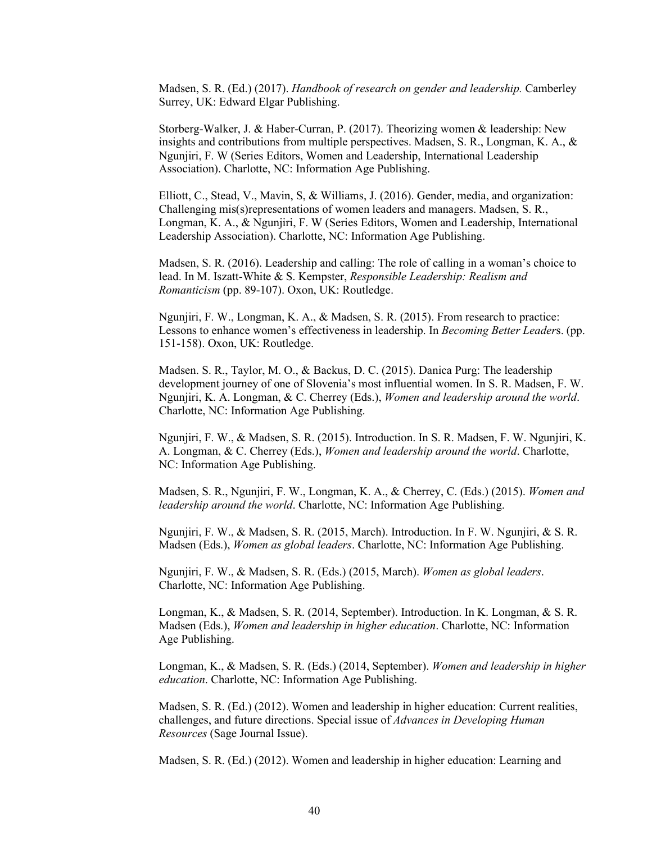Madsen, S. R. (Ed.) (2017). *Handbook of research on gender and leadership.* Camberley Surrey, UK: Edward Elgar Publishing.

Storberg-Walker, J. & Haber-Curran, P. (2017). Theorizing women & leadership: New insights and contributions from multiple perspectives. Madsen, S. R., Longman, K. A., & Ngunjiri, F. W (Series Editors, Women and Leadership, International Leadership Association). Charlotte, NC: Information Age Publishing.

Elliott, C., Stead, V., Mavin, S, & Williams, J. (2016). Gender, media, and organization: Challenging mis(s)representations of women leaders and managers. Madsen, S. R., Longman, K. A., & Ngunjiri, F. W (Series Editors, Women and Leadership, International Leadership Association). Charlotte, NC: Information Age Publishing.

Madsen, S. R. (2016). Leadership and calling: The role of calling in a woman's choice to lead. In M. Iszatt-White & S. Kempster, *Responsible Leadership: Realism and Romanticism* (pp. 89-107). Oxon, UK: Routledge.

Ngunjiri, F. W., Longman, K. A., & Madsen, S. R. (2015). From research to practice: Lessons to enhance women's effectiveness in leadership. In *Becoming Better Leader*s. (pp. 151-158). Oxon, UK: Routledge.

Madsen. S. R., Taylor, M. O., & Backus, D. C. (2015). Danica Purg: The leadership development journey of one of Slovenia's most influential women. In S. R. Madsen, F. W. Ngunjiri, K. A. Longman, & C. Cherrey (Eds.), *Women and leadership around the world*. Charlotte, NC: Information Age Publishing.

Ngunjiri, F. W., & Madsen, S. R. (2015). Introduction. In S. R. Madsen, F. W. Ngunjiri, K. A. Longman, & C. Cherrey (Eds.), *Women and leadership around the world*. Charlotte, NC: Information Age Publishing.

Madsen, S. R., Ngunjiri, F. W., Longman, K. A., & Cherrey, C. (Eds.) (2015). *Women and leadership around the world*. Charlotte, NC: Information Age Publishing.

Ngunjiri, F. W., & Madsen, S. R. (2015, March). Introduction. In F. W. Ngunjiri, & S. R. Madsen (Eds.), *Women as global leaders*. Charlotte, NC: Information Age Publishing.

Ngunjiri, F. W., & Madsen, S. R. (Eds.) (2015, March). *Women as global leaders*. Charlotte, NC: Information Age Publishing.

Longman, K., & Madsen, S. R. (2014, September). Introduction. In K. Longman, & S. R. Madsen (Eds.), *Women and leadership in higher education*. Charlotte, NC: Information Age Publishing.

Longman, K., & Madsen, S. R. (Eds.) (2014, September). *Women and leadership in higher education*. Charlotte, NC: Information Age Publishing.

Madsen, S. R. (Ed.) (2012). Women and leadership in higher education: Current realities, challenges, and future directions. Special issue of *Advances in Developing Human Resources* (Sage Journal Issue).

Madsen, S. R. (Ed.) (2012). Women and leadership in higher education: Learning and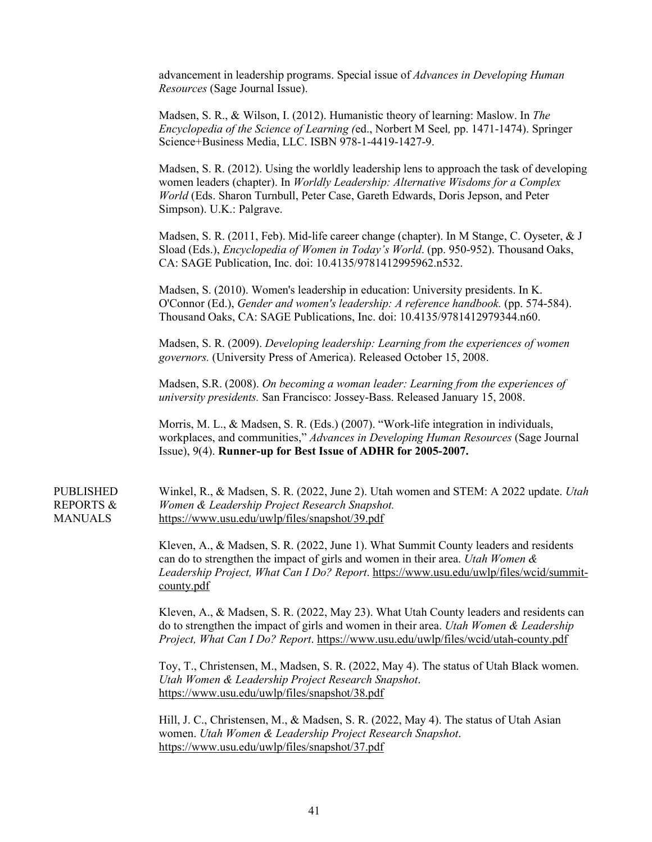advancement in leadership programs. Special issue of *Advances in Developing Human Resources* (Sage Journal Issue).

Madsen, S. R., & Wilson, I. (2012). Humanistic theory of learning: Maslow. In *The Encyclopedia of the Science of Learning (*ed., Norbert M Seel*,* pp. 1471-1474). Springer Science+Business Media, LLC. ISBN 978-1-4419-1427-9.

Madsen, S. R. (2012). Using the worldly leadership lens to approach the task of developing women leaders (chapter). In *Worldly Leadership: Alternative Wisdoms for a Complex World* (Eds. Sharon Turnbull, Peter Case, Gareth Edwards, Doris Jepson, and Peter Simpson). U.K.: Palgrave.

Madsen, S. R. (2011, Feb). Mid-life career change (chapter). In M Stange, C. Oyseter, & J Sload (Eds.), *Encyclopedia of Women in Today's World*. (pp. 950-952). Thousand Oaks, CA: SAGE Publication, Inc. doi: 10.4135/9781412995962.n532.

Madsen, S. (2010). Women's leadership in education: University presidents. In K. O'Connor (Ed.), *Gender and women's leadership: A reference handbook.* (pp. 574-584). Thousand Oaks, CA: SAGE Publications, Inc. doi: 10.4135/9781412979344.n60.

Madsen, S. R. (2009). *Developing leadership: Learning from the experiences of women governors.* (University Press of America). Released October 15, 2008.

Madsen, S.R. (2008). *On becoming a woman leader: Learning from the experiences of university presidents.* San Francisco: Jossey-Bass. Released January 15, 2008.

Morris, M. L., & Madsen, S. R. (Eds.) (2007). "Work-life integration in individuals, workplaces, and communities," *Advances in Developing Human Resources* (Sage Journal Issue), 9(4). **Runner-up for Best Issue of ADHR for 2005-2007.** 

## PUBLISHED REPORTS & MANUALS

Winkel, R., & Madsen, S. R. (2022, June 2). Utah women and STEM: A 2022 update. *Utah Women & Leadership Project Research Snapshot.* <https://www.usu.edu/uwlp/files/snapshot/39.pdf>

Kleven, A., & Madsen, S. R. (2022, June 1). What Summit County leaders and residents can do to strengthen the impact of girls and women in their area. *Utah Women & Leadership Project, What Can I Do? Report*. [https://www.usu.edu/uwlp/files/wcid/summit](https://www.usu.edu/uwlp/files/wcid/summit-county.pdf)[county.pdf](https://www.usu.edu/uwlp/files/wcid/summit-county.pdf) 

Kleven, A., & Madsen, S. R. (2022, May 23). What Utah County leaders and residents can do to strengthen the impact of girls and women in their area. *Utah Women & Leadership Project, What Can I Do? Report*[. https://www.usu.edu/uwlp/files/wcid/utah-county.pdf](https://www.usu.edu/uwlp/files/wcid/utah-county.pdf) 

Toy, T., Christensen, M., Madsen, S. R. (2022, May 4). The status of Utah Black women. *Utah Women & Leadership Project Research Snapshot*. <https://www.usu.edu/uwlp/files/snapshot/38.pdf>

Hill, J. C., Christensen, M., & Madsen, S. R. (2022, May 4). The status of Utah Asian women. *Utah Women & Leadership Project Research Snapshot*. <https://www.usu.edu/uwlp/files/snapshot/37.pdf>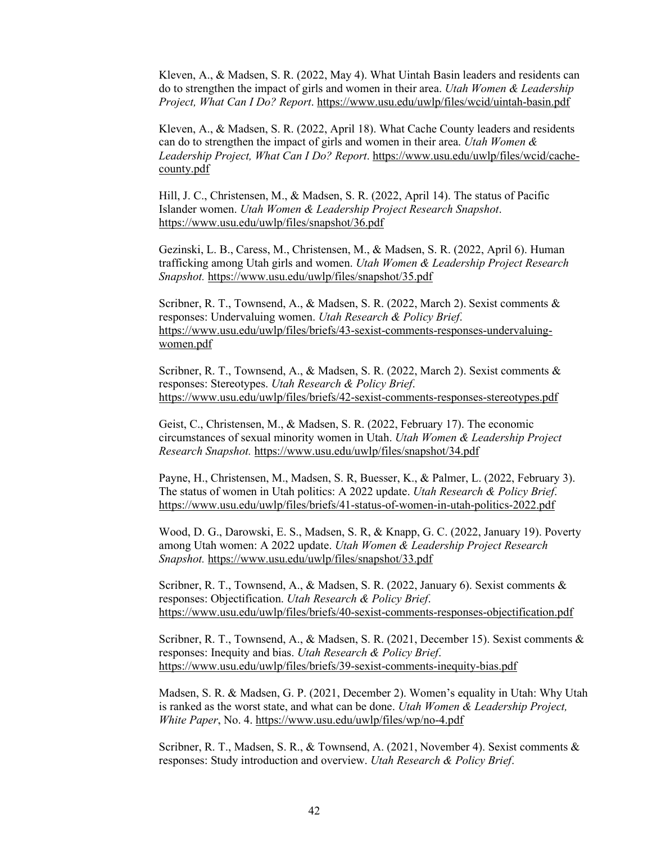Kleven, A., & Madsen, S. R. (2022, May 4). What Uintah Basin leaders and residents can do to strengthen the impact of girls and women in their area. *Utah Women & Leadership Project, What Can I Do? Report*[. https://www.usu.edu/uwlp/files/wcid/uintah-basin.pdf](https://www.usu.edu/uwlp/files/wcid/uintah-basin.pdf) 

Kleven, A., & Madsen, S. R. (2022, April 18). What Cache County leaders and residents can do to strengthen the impact of girls and women in their area. *Utah Women & Leadership Project, What Can I Do? Report*. [https://www.usu.edu/uwlp/files/wcid/cache](https://www.usu.edu/uwlp/files/wcid/cache-county.pdf)[county.pdf](https://www.usu.edu/uwlp/files/wcid/cache-county.pdf) 

Hill, J. C., Christensen, M., & Madsen, S. R. (2022, April 14). The status of Pacific Islander women. *Utah Women & Leadership Project Research Snapshot*. <https://www.usu.edu/uwlp/files/snapshot/36.pdf>

Gezinski, L. B., Caress, M., Christensen, M., & Madsen, S. R. (2022, April 6). Human trafficking among Utah girls and women. *Utah Women & Leadership Project Research Snapshot.* <https://www.usu.edu/uwlp/files/snapshot/35.pdf>

Scribner, R. T., Townsend, A., & Madsen, S. R. (2022, March 2). Sexist comments & responses: Undervaluing women. *Utah Research & Policy Brief*. [https://www.usu.edu/uwlp/files/briefs/43-sexist-comments-responses-undervaluing](https://www.usu.edu/uwlp/files/briefs/43-sexist-comments-responses-undervaluing-women.pdf)[women.pdf](https://www.usu.edu/uwlp/files/briefs/43-sexist-comments-responses-undervaluing-women.pdf) 

Scribner, R. T., Townsend, A., & Madsen, S. R. (2022, March 2). Sexist comments & responses: Stereotypes. *Utah Research & Policy Brief*. <https://www.usu.edu/uwlp/files/briefs/42-sexist-comments-responses-stereotypes.pdf>

Geist, C., Christensen, M., & Madsen, S. R. (2022, February 17). The economic circumstances of sexual minority women in Utah. *Utah Women & Leadership Project Research Snapshot.* <https://www.usu.edu/uwlp/files/snapshot/34.pdf>

Payne, H., Christensen, M., Madsen, S. R, Buesser, K., & Palmer, L. (2022, February 3). The status of women in Utah politics: A 2022 update. *Utah Research & Policy Brief*. <https://www.usu.edu/uwlp/files/briefs/41-status-of-women-in-utah-politics-2022.pdf>

Wood, D. G., Darowski, E. S., Madsen, S. R, & Knapp, G. C. (2022, January 19). Poverty among Utah women: A 2022 update. *Utah Women & Leadership Project Research Snapshot.* <https://www.usu.edu/uwlp/files/snapshot/33.pdf>

Scribner, R. T., Townsend, A., & Madsen, S. R. (2022, January 6). Sexist comments & responses: Objectification. *Utah Research & Policy Brief*. <https://www.usu.edu/uwlp/files/briefs/40-sexist-comments-responses-objectification.pdf>

Scribner, R. T., Townsend, A., & Madsen, S. R. (2021, December 15). Sexist comments & responses: Inequity and bias. *Utah Research & Policy Brief*. <https://www.usu.edu/uwlp/files/briefs/39-sexist-comments-inequity-bias.pdf>

Madsen, S. R. & Madsen, G. P. (2021, December 2). Women's equality in Utah: Why Utah is ranked as the worst state, and what can be done. *Utah Women & Leadership Project, White Paper*, No. 4.<https://www.usu.edu/uwlp/files/wp/no-4.pdf>

Scribner, R. T., Madsen, S. R., & Townsend, A. (2021, November 4). Sexist comments & responses: Study introduction and overview. *Utah Research & Policy Brief*.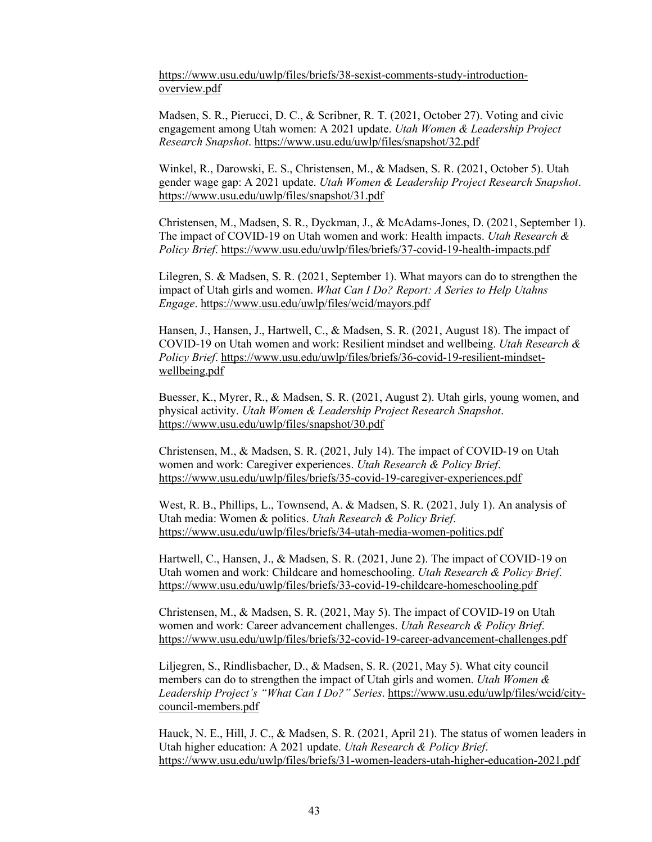[https://www.usu.edu/uwlp/files/briefs/38-sexist-comments-study-introduction](https://www.usu.edu/uwlp/files/briefs/38-sexist-comments-study-introduction-overview.pdf)[overview.pdf](https://www.usu.edu/uwlp/files/briefs/38-sexist-comments-study-introduction-overview.pdf) 

Madsen, S. R., Pierucci, D. C., & Scribner, R. T. (2021, October 27). Voting and civic engagement among Utah women: A 2021 update. *Utah Women & Leadership Project Research Snapshot*.<https://www.usu.edu/uwlp/files/snapshot/32.pdf>

Winkel, R., Darowski, E. S., Christensen, M., & Madsen, S. R. (2021, October 5). Utah gender wage gap: A 2021 update. *Utah Women & Leadership Project Research Snapshot*. <https://www.usu.edu/uwlp/files/snapshot/31.pdf>

Christensen, M., Madsen, S. R., Dyckman, J., & McAdams-Jones, D. (2021, September 1). The impact of COVID-19 on Utah women and work: Health impacts. *Utah Research & Policy Brief*.<https://www.usu.edu/uwlp/files/briefs/37-covid-19-health-impacts.pdf>

Lilegren, S. & Madsen, S. R. (2021, September 1). What mayors can do to strengthen the impact of Utah girls and women. *What Can I Do? Report: A Series to Help Utahns Engage*.<https://www.usu.edu/uwlp/files/wcid/mayors.pdf>

Hansen, J., Hansen, J., Hartwell, C., & Madsen, S. R. (2021, August 18). The impact of COVID-19 on Utah women and work: Resilient mindset and wellbeing. *Utah Research & Policy Brief*. [https://www.usu.edu/uwlp/files/briefs/36-covid-19-resilient-mindset](https://www.usu.edu/uwlp/files/briefs/36-covid-19-resilient-mindset-wellbeing.pdf)[wellbeing.pdf](https://www.usu.edu/uwlp/files/briefs/36-covid-19-resilient-mindset-wellbeing.pdf) 

Buesser, K., Myrer, R., & Madsen, S. R. (2021, August 2). Utah girls, young women, and physical activity. *Utah Women & Leadership Project Research Snapshot*. <https://www.usu.edu/uwlp/files/snapshot/30.pdf>

Christensen, M., & Madsen, S. R. (2021, July 14). The impact of COVID-19 on Utah women and work: Caregiver experiences. *Utah Research & Policy Brief*. <https://www.usu.edu/uwlp/files/briefs/35-covid-19-caregiver-experiences.pdf>

West, R. B., Phillips, L., Townsend, A. & Madsen, S. R. (2021, July 1). An analysis of Utah media: Women & politics. *Utah Research & Policy Brief*. <https://www.usu.edu/uwlp/files/briefs/34-utah-media-women-politics.pdf>

Hartwell, C., Hansen, J., & Madsen, S. R. (2021, June 2). The impact of COVID-19 on Utah women and work: Childcare and homeschooling. *Utah Research & Policy Brief*. <https://www.usu.edu/uwlp/files/briefs/33-covid-19-childcare-homeschooling.pdf>

Christensen, M., & Madsen, S. R. (2021, May 5). The impact of COVID-19 on Utah women and work: Career advancement challenges. *Utah Research & Policy Brief*. <https://www.usu.edu/uwlp/files/briefs/32-covid-19-career-advancement-challenges.pdf>

Liljegren, S., Rindlisbacher, D., & Madsen, S. R. (2021, May 5). What city council members can do to strengthen the impact of Utah girls and women. *Utah Women & Leadership Project's "What Can I Do?" Series*. [https://www.usu.edu/uwlp/files/wcid/city](https://www.usu.edu/uwlp/files/wcid/city-council-members.pdf)[council-members.pdf](https://www.usu.edu/uwlp/files/wcid/city-council-members.pdf) 

Hauck, N. E., Hill, J. C., & Madsen, S. R. (2021, April 21). The status of women leaders in Utah higher education: A 2021 update. *Utah Research & Policy Brief*. <https://www.usu.edu/uwlp/files/briefs/31-women-leaders-utah-higher-education-2021.pdf>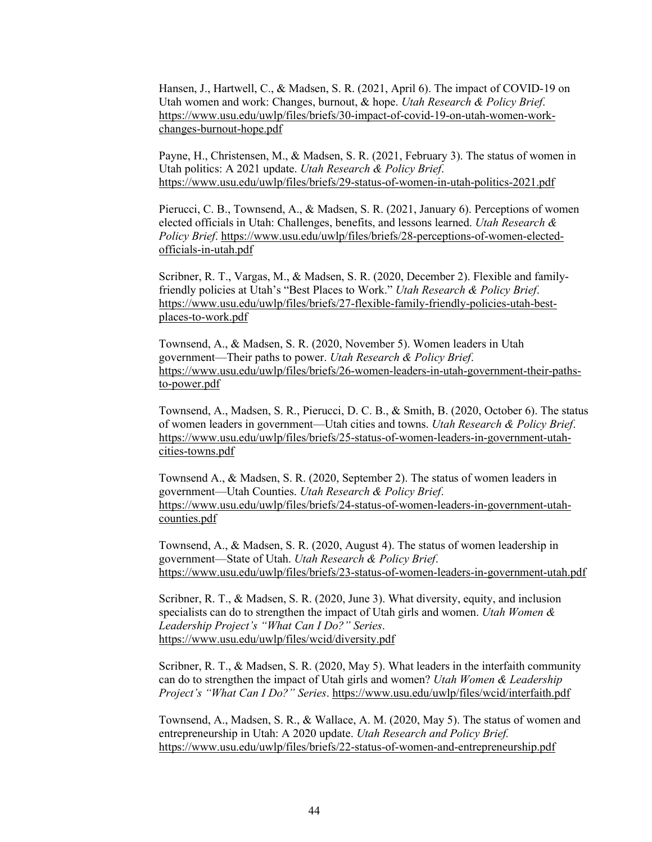Hansen, J., Hartwell, C., & Madsen, S. R. (2021, April 6). The impact of COVID-19 on Utah women and work: Changes, burnout, & hope. *Utah Research & Policy Brief*. [https://www.usu.edu/uwlp/files/briefs/30-impact-of-covid-19-on-utah-women-work](https://www.usu.edu/uwlp/files/briefs/30-impact-of-covid-19-on-utah-women-work-changes-burnout-hope.pdf)[changes-burnout-hope.pdf](https://www.usu.edu/uwlp/files/briefs/30-impact-of-covid-19-on-utah-women-work-changes-burnout-hope.pdf) 

Payne, H., Christensen, M., & Madsen, S. R. (2021, February 3). The status of women in Utah politics: A 2021 update. *Utah Research & Policy Brief*. <https://www.usu.edu/uwlp/files/briefs/29-status-of-women-in-utah-politics-2021.pdf>

Pierucci, C. B., Townsend, A., & Madsen, S. R. (2021, January 6). Perceptions of women elected officials in Utah: Challenges, benefits, and lessons learned. *Utah Research & Policy Brief*. [https://www.usu.edu/uwlp/files/briefs/28-perceptions-of-women-elected](https://www.usu.edu/uwlp/files/briefs/28-perceptions-of-women-elected-officials-in-utah.pdf)[officials-in-utah.pdf](https://www.usu.edu/uwlp/files/briefs/28-perceptions-of-women-elected-officials-in-utah.pdf) 

Scribner, R. T., Vargas, M., & Madsen, S. R. (2020, December 2). Flexible and familyfriendly policies at Utah's "Best Places to Work." *Utah Research & Policy Brief*. [https://www.usu.edu/uwlp/files/briefs/27-flexible-family-friendly-policies-utah-best](https://www.usu.edu/uwlp/files/briefs/27-flexible-family-friendly-policies-utah-best-places-to-work.pdf)[places-to-work.pdf](https://www.usu.edu/uwlp/files/briefs/27-flexible-family-friendly-policies-utah-best-places-to-work.pdf) 

Townsend, A., & Madsen, S. R. (2020, November 5). Women leaders in Utah government—Their paths to power. *Utah Research & Policy Brief*. [https://www.usu.edu/uwlp/files/briefs/26-women-leaders-in-utah-government-their-paths](https://www.usu.edu/uwlp/files/briefs/26-women-leaders-in-utah-government-their-paths-to-power.pdf)[to-power.pdf](https://www.usu.edu/uwlp/files/briefs/26-women-leaders-in-utah-government-their-paths-to-power.pdf) 

Townsend, A., Madsen, S. R., Pierucci, D. C. B., & Smith, B. (2020, October 6). The status of women leaders in government—Utah cities and towns. *Utah Research & Policy Brief*. [https://www.usu.edu/uwlp/files/briefs/25-status-of-women-leaders-in-government-utah](https://www.usu.edu/uwlp/files/briefs/25-status-of-women-leaders-in-government-utah-cities-towns.pdf)[cities-towns.pdf](https://www.usu.edu/uwlp/files/briefs/25-status-of-women-leaders-in-government-utah-cities-towns.pdf) 

Townsend A., & Madsen, S. R. (2020, September 2). The status of women leaders in government—Utah Counties. *Utah Research & Policy Brief*. [https://www.usu.edu/uwlp/files/briefs/24-status-of-women-leaders-in-government-utah](https://www.usu.edu/uwlp/files/briefs/24-status-of-women-leaders-in-government-utah-counties.pdf)[counties.pdf](https://www.usu.edu/uwlp/files/briefs/24-status-of-women-leaders-in-government-utah-counties.pdf) 

Townsend, A., & Madsen, S. R. (2020, August 4). The status of women leadership in government—State of Utah. *Utah Research & Policy Brief*. <https://www.usu.edu/uwlp/files/briefs/23-status-of-women-leaders-in-government-utah.pdf>

Scribner, R. T., & Madsen, S. R. (2020, June 3). What diversity, equity, and inclusion specialists can do to strengthen the impact of Utah girls and women. *Utah Women & Leadership Project's "What Can I Do?" Series*. <https://www.usu.edu/uwlp/files/wcid/diversity.pdf>

Scribner, R. T., & Madsen, S. R. (2020, May 5). What leaders in the interfaith community can do to strengthen the impact of Utah girls and women? *Utah Women & Leadership Project's "What Can I Do?" Series*.<https://www.usu.edu/uwlp/files/wcid/interfaith.pdf>

Townsend, A., Madsen, S. R., & Wallace, A. M. (2020, May 5). The status of women and entrepreneurship in Utah: A 2020 update. *Utah Research and Policy Brief.*  <https://www.usu.edu/uwlp/files/briefs/22-status-of-women-and-entrepreneurship.pdf>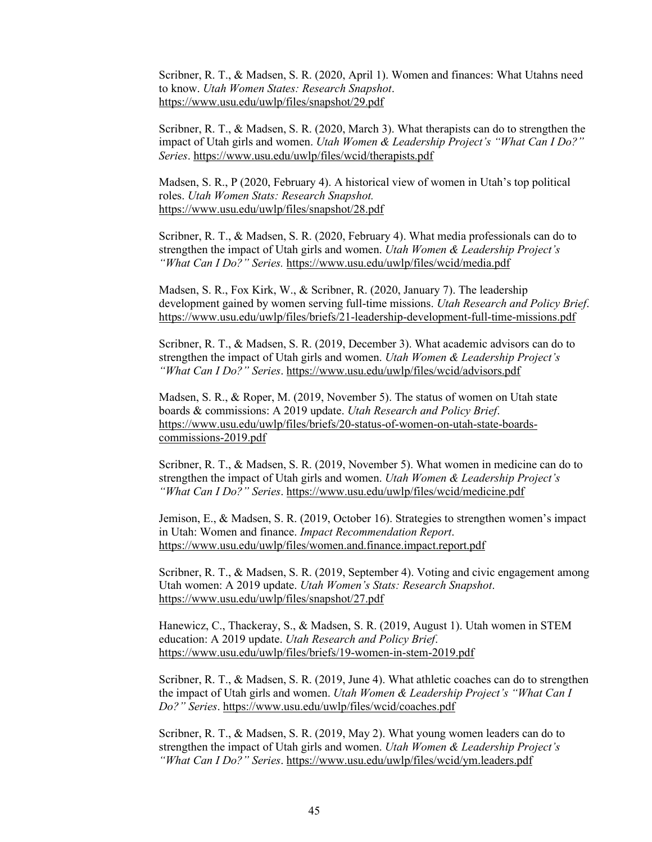Scribner, R. T., & Madsen, S. R. (2020, April 1). Women and finances: What Utahns need to know. *Utah Women States: Research Snapshot*. <https://www.usu.edu/uwlp/files/snapshot/29.pdf>

Scribner, R. T., & Madsen, S. R. (2020, March 3). What therapists can do to strengthen the impact of Utah girls and women. *Utah Women & Leadership Project's "What Can I Do?" Series*[. https://www.usu.edu/uwlp/files/wcid/therapists.pdf](https://www.usu.edu/uwlp/files/wcid/therapists.pdf) 

Madsen, S. R., P (2020, February 4). A historical view of women in Utah's top political roles. *Utah Women Stats: Research Snapshot.* <https://www.usu.edu/uwlp/files/snapshot/28.pdf>

Scribner, R. T., & Madsen, S. R. (2020, February 4). What media professionals can do to strengthen the impact of Utah girls and women. *Utah Women & Leadership Project's "What Can I Do?" Series.* <https://www.usu.edu/uwlp/files/wcid/media.pdf>

Madsen, S. R., Fox Kirk, W., & Scribner, R. (2020, January 7). The leadership development gained by women serving full-time missions. *Utah Research and Policy Brief*. <https://www.usu.edu/uwlp/files/briefs/21-leadership-development-full-time-missions.pdf>

Scribner, R. T., & Madsen, S. R. (2019, December 3). What academic advisors can do to strengthen the impact of Utah girls and women. *Utah Women & Leadership Project's "What Can I Do?" Series*.<https://www.usu.edu/uwlp/files/wcid/advisors.pdf>

Madsen, S. R., & Roper, M. (2019, November 5). The status of women on Utah state boards & commissions: A 2019 update. *Utah Research and Policy Brief*. [https://www.usu.edu/uwlp/files/briefs/20-status-of-women-on-utah-state-boards](https://www.usu.edu/uwlp/files/briefs/20-status-of-women-on-utah-state-boards-commissions-2019.pdf)[commissions-2019.pdf](https://www.usu.edu/uwlp/files/briefs/20-status-of-women-on-utah-state-boards-commissions-2019.pdf) 

Scribner, R. T., & Madsen, S. R. (2019, November 5). What women in medicine can do to strengthen the impact of Utah girls and women. *Utah Women & Leadership Project's "What Can I Do?" Series*.<https://www.usu.edu/uwlp/files/wcid/medicine.pdf>

Jemison, E., & Madsen, S. R. (2019, October 16). Strategies to strengthen women's impact in Utah: Women and finance. *Impact Recommendation Report*. <https://www.usu.edu/uwlp/files/women.and.finance.impact.report.pdf>

Scribner, R. T., & Madsen, S. R. (2019, September 4). Voting and civic engagement among Utah women: A 2019 update. *Utah Women's Stats: Research Snapshot*. <https://www.usu.edu/uwlp/files/snapshot/27.pdf>

Hanewicz, C., Thackeray, S., & Madsen, S. R. (2019, August 1). Utah women in STEM education: A 2019 update. *Utah Research and Policy Brief*. <https://www.usu.edu/uwlp/files/briefs/19-women-in-stem-2019.pdf>

Scribner, R. T., & Madsen, S. R. (2019, June 4). What athletic coaches can do to strengthen the impact of Utah girls and women. *Utah Women & Leadership Project's "What Can I Do?" Series*.<https://www.usu.edu/uwlp/files/wcid/coaches.pdf>

Scribner, R. T., & Madsen, S. R. (2019, May 2). What young women leaders can do to strengthen the impact of Utah girls and women. *Utah Women & Leadership Project's "What Can I Do?" Series*.<https://www.usu.edu/uwlp/files/wcid/ym.leaders.pdf>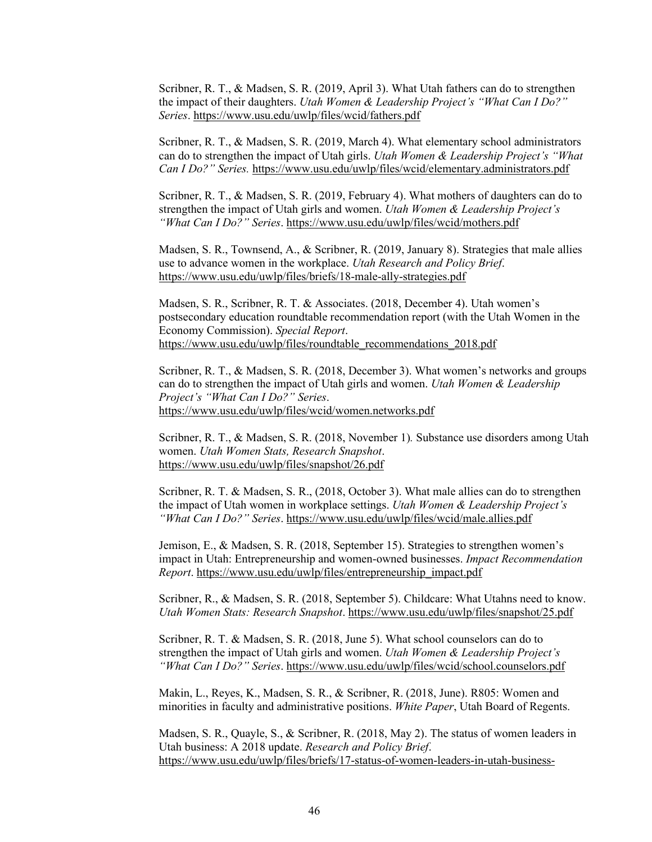Scribner, R. T., & Madsen, S. R. (2019, April 3). What Utah fathers can do to strengthen the impact of their daughters. *Utah Women & Leadership Project's "What Can I Do?" Series*[. https://www.usu.edu/uwlp/files/wcid/fathers.pdf](https://www.usu.edu/uwlp/files/wcid/fathers.pdf) 

Scribner, R. T., & Madsen, S. R. (2019, March 4). What elementary school administrators can do to strengthen the impact of Utah girls. *Utah Women & Leadership Project's "What Can I Do?" Series.* <https://www.usu.edu/uwlp/files/wcid/elementary.administrators.pdf>

Scribner, R. T., & Madsen, S. R. (2019, February 4). What mothers of daughters can do to strengthen the impact of Utah girls and women. *Utah Women & Leadership Project's "What Can I Do?" Series*.<https://www.usu.edu/uwlp/files/wcid/mothers.pdf>

Madsen, S. R., Townsend, A., & Scribner, R. (2019, January 8). Strategies that male allies use to advance women in the workplace. *Utah Research and Policy Brief*. <https://www.usu.edu/uwlp/files/briefs/18-male-ally-strategies.pdf>

Madsen, S. R., Scribner, R. T. & Associates. (2018, December 4). Utah women's postsecondary education roundtable recommendation report (with the Utah Women in the Economy Commission). *Special Report*. [https://www.usu.edu/uwlp/files/roundtable\\_recommendations\\_2018.pdf](https://www.usu.edu/uwlp/files/roundtable_recommendations_2018.pdf) 

Scribner, R. T., & Madsen, S. R. (2018, December 3). What women's networks and groups can do to strengthen the impact of Utah girls and women. *Utah Women & Leadership Project's "What Can I Do?" Series*. <https://www.usu.edu/uwlp/files/wcid/women.networks.pdf>

Scribner, R. T., & Madsen, S. R. (2018, November 1)*.* Substance use disorders among Utah women. *Utah Women Stats, Research Snapshot*. <https://www.usu.edu/uwlp/files/snapshot/26.pdf>

Scribner, R. T. & Madsen, S. R., (2018, October 3). What male allies can do to strengthen the impact of Utah women in workplace settings. *Utah Women & Leadership Project's "What Can I Do?" Series*.<https://www.usu.edu/uwlp/files/wcid/male.allies.pdf>

Jemison, E., & Madsen, S. R. (2018, September 15). Strategies to strengthen women's impact in Utah: Entrepreneurship and women-owned businesses. *Impact Recommendation Report*[. https://www.usu.edu/uwlp/files/entrepreneurship\\_impact.pdf](https://www.usu.edu/uwlp/files/entrepreneurship_impact.pdf) 

Scribner, R., & Madsen, S. R. (2018, September 5). Childcare: What Utahns need to know. *Utah Women Stats: Research Snapshot*.<https://www.usu.edu/uwlp/files/snapshot/25.pdf>

Scribner, R. T. & Madsen, S. R. (2018, June 5). What school counselors can do to strengthen the impact of Utah girls and women. *Utah Women & Leadership Project's "What Can I Do?" Series*.<https://www.usu.edu/uwlp/files/wcid/school.counselors.pdf>

Makin, L., Reyes, K., Madsen, S. R., & Scribner, R. (2018, June). R805: Women and minorities in faculty and administrative positions. *White Paper*, Utah Board of Regents.

Madsen, S. R., Quayle, S., & Scribner, R. (2018, May 2). The status of women leaders in Utah business: A 2018 update. *Research and Policy Brief*. [https://www.usu.edu/uwlp/files/briefs/17-status-of-women-leaders-in-utah-business-](https://www.usu.edu/uwlp/files/briefs/17-status-of-women-leaders-in-utah-business-2018.pdf)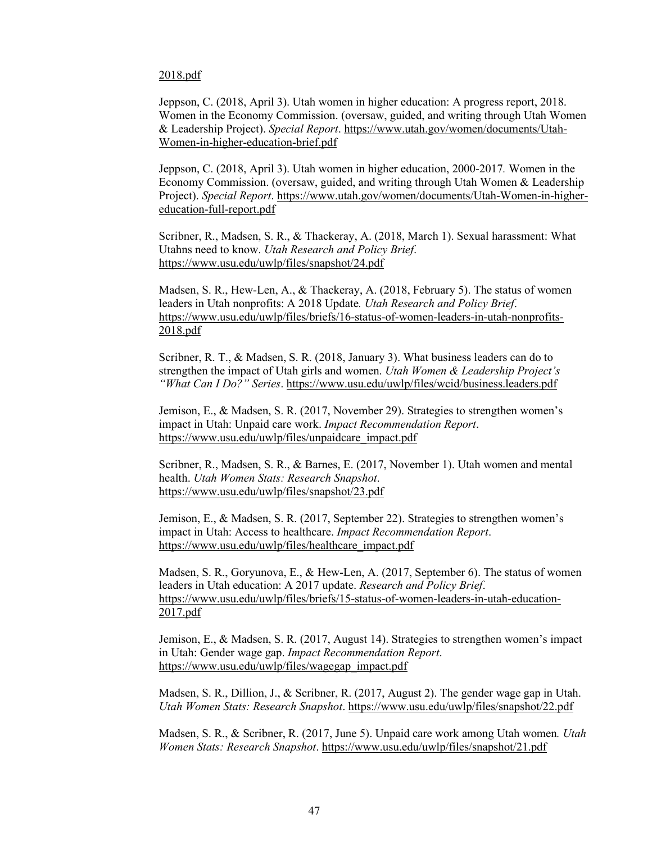## [2018.pdf](https://www.usu.edu/uwlp/files/briefs/17-status-of-women-leaders-in-utah-business-2018.pdf)

Jeppson, C. (2018, April 3). Utah women in higher education: A progress report, 2018. Women in the Economy Commission. (oversaw, guided, and writing through Utah Women & Leadership Project). *Special Report*. [https://www.utah.gov/women/documents/Utah-](https://www.utah.gov/women/documents/Utah-Women-in-higher-education-brief.pdf)[Women-in-higher-education-brief.pdf](https://www.utah.gov/women/documents/Utah-Women-in-higher-education-brief.pdf) 

Jeppson, C. (2018, April 3). Utah women in higher education, 2000-2017*.* Women in the Economy Commission. (oversaw, guided, and writing through Utah Women & Leadership Project). *Special Report*. [https://www.utah.gov/women/documents/Utah-Women-in-higher](https://www.utah.gov/women/documents/Utah-Women-in-higher-education-full-report.pdf)[education-full-report.pdf](https://www.utah.gov/women/documents/Utah-Women-in-higher-education-full-report.pdf) 

Scribner, R., Madsen, S. R., & Thackeray, A. (2018, March 1). Sexual harassment: What Utahns need to know. *Utah Research and Policy Brief*. <https://www.usu.edu/uwlp/files/snapshot/24.pdf>

Madsen, S. R., Hew-Len, A., & Thackeray, A. (2018, February 5). The status of women leaders in Utah nonprofits: A 2018 Update*. Utah Research and Policy Brief*. [https://www.usu.edu/uwlp/files/briefs/16-status-of-women-leaders-in-utah-nonprofits-](https://www.usu.edu/uwlp/files/briefs/16-status-of-women-leaders-in-utah-nonprofits-2018.pdf)[2018.pdf](https://www.usu.edu/uwlp/files/briefs/16-status-of-women-leaders-in-utah-nonprofits-2018.pdf) 

Scribner, R. T., & Madsen, S. R. (2018, January 3). What business leaders can do to strengthen the impact of Utah girls and women. *Utah Women & Leadership Project's "What Can I Do?" Series*.<https://www.usu.edu/uwlp/files/wcid/business.leaders.pdf>

Jemison, E., & Madsen, S. R. (2017, November 29). Strategies to strengthen women's impact in Utah: Unpaid care work. *Impact Recommendation Report*. [https://www.usu.edu/uwlp/files/unpaidcare\\_impact.pdf](https://www.usu.edu/uwlp/files/unpaidcare_impact.pdf) 

Scribner, R., Madsen, S. R., & Barnes, E. (2017, November 1). Utah women and mental health. *Utah Women Stats: Research Snapshot*. <https://www.usu.edu/uwlp/files/snapshot/23.pdf>

Jemison, E., & Madsen, S. R. (2017, September 22). Strategies to strengthen women's impact in Utah: Access to healthcare. *Impact Recommendation Report*. [https://www.usu.edu/uwlp/files/healthcare\\_impact.pdf](https://www.usu.edu/uwlp/files/healthcare_impact.pdf) 

Madsen, S. R., Goryunova, E., & Hew-Len, A. (2017, September 6). The status of women leaders in Utah education: A 2017 update. *Research and Policy Brief*. [https://www.usu.edu/uwlp/files/briefs/15-status-of-women-leaders-in-utah-education-](https://www.usu.edu/uwlp/files/briefs/15-status-of-women-leaders-in-utah-education-2017.pdf)[2017.pdf](https://www.usu.edu/uwlp/files/briefs/15-status-of-women-leaders-in-utah-education-2017.pdf) 

Jemison, E., & Madsen, S. R. (2017, August 14). Strategies to strengthen women's impact in Utah: Gender wage gap. *Impact Recommendation Report*. [https://www.usu.edu/uwlp/files/wagegap\\_impact.pdf](https://www.usu.edu/uwlp/files/wagegap_impact.pdf) 

Madsen, S. R., Dillion, J., & Scribner, R. (2017, August 2). The gender wage gap in Utah. *Utah Women Stats: Research Snapshot*.<https://www.usu.edu/uwlp/files/snapshot/22.pdf>

Madsen, S. R., & Scribner, R. (2017, June 5). Unpaid care work among Utah women*. Utah Women Stats: Research Snapshot*.<https://www.usu.edu/uwlp/files/snapshot/21.pdf>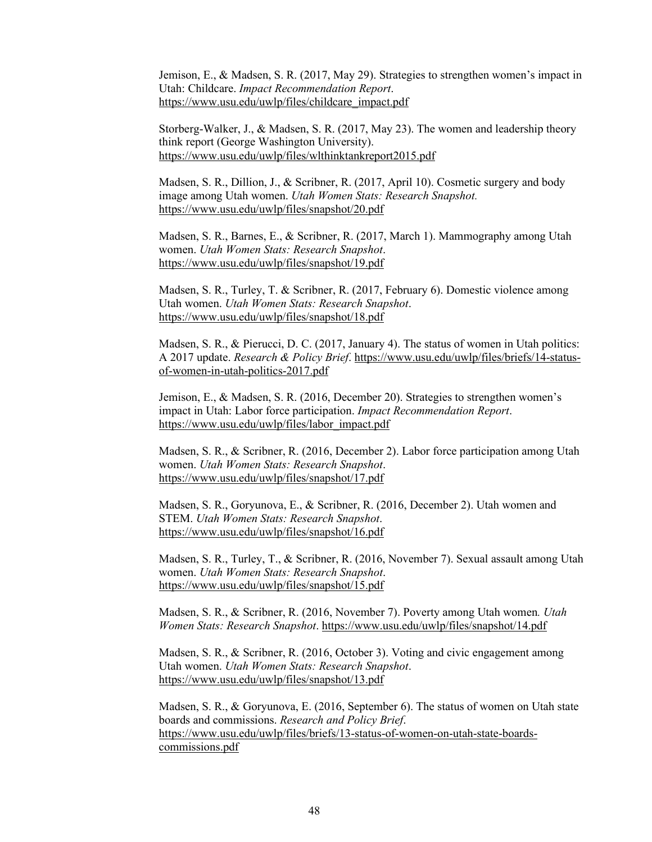Jemison, E., & Madsen, S. R. (2017, May 29). Strategies to strengthen women's impact in Utah: Childcare. *Impact Recommendation Report*. [https://www.usu.edu/uwlp/files/childcare\\_impact.pdf](https://www.usu.edu/uwlp/files/childcare_impact.pdf) 

Storberg-Walker, J., & Madsen, S. R. (2017, May 23). The women and leadership theory think report (George Washington University). <https://www.usu.edu/uwlp/files/wlthinktankreport2015.pdf>

Madsen, S. R., Dillion, J., & Scribner, R. (2017, April 10). Cosmetic surgery and body image among Utah women. *Utah Women Stats: Research Snapshot.* <https://www.usu.edu/uwlp/files/snapshot/20.pdf>

Madsen, S. R., Barnes, E., & Scribner, R. (2017, March 1). Mammography among Utah women. *Utah Women Stats: Research Snapshot*. <https://www.usu.edu/uwlp/files/snapshot/19.pdf>

Madsen, S. R., Turley, T. & Scribner, R. (2017, February 6). Domestic violence among Utah women. *Utah Women Stats: Research Snapshot*. <https://www.usu.edu/uwlp/files/snapshot/18.pdf>

Madsen, S. R., & Pierucci, D. C. (2017, January 4). The status of women in Utah politics: A 2017 update. *Research & Policy Brief*. [https://www.usu.edu/uwlp/files/briefs/14-status](https://www.usu.edu/uwlp/files/briefs/14-status-of-women-in-utah-politics-2017.pdf)[of-women-in-utah-politics-2017.pdf](https://www.usu.edu/uwlp/files/briefs/14-status-of-women-in-utah-politics-2017.pdf) 

Jemison, E., & Madsen, S. R. (2016, December 20). Strategies to strengthen women's impact in Utah: Labor force participation. *Impact Recommendation Report*. [https://www.usu.edu/uwlp/files/labor\\_impact.pdf](https://www.usu.edu/uwlp/files/labor_impact.pdf) 

Madsen, S. R., & Scribner, R. (2016, December 2). Labor force participation among Utah women. *Utah Women Stats: Research Snapshot*. <https://www.usu.edu/uwlp/files/snapshot/17.pdf>

Madsen, S. R., Goryunova, E., & Scribner, R. (2016, December 2). Utah women and STEM. *Utah Women Stats: Research Snapshot*. <https://www.usu.edu/uwlp/files/snapshot/16.pdf>

Madsen, S. R., Turley, T., & Scribner, R. (2016, November 7). Sexual assault among Utah women. *Utah Women Stats: Research Snapshot*. <https://www.usu.edu/uwlp/files/snapshot/15.pdf>

Madsen, S. R., & Scribner, R. (2016, November 7). Poverty among Utah women*. Utah Women Stats: Research Snapshot*.<https://www.usu.edu/uwlp/files/snapshot/14.pdf>

Madsen, S. R., & Scribner, R. (2016, October 3). Voting and civic engagement among Utah women. *Utah Women Stats: Research Snapshot*. <https://www.usu.edu/uwlp/files/snapshot/13.pdf>

Madsen, S. R., & Goryunova, E. (2016, September 6). The status of women on Utah state boards and commissions. *Research and Policy Brief*. [https://www.usu.edu/uwlp/files/briefs/13-status-of-women-on-utah-state-boards](https://www.usu.edu/uwlp/files/briefs/13-status-of-women-on-utah-state-boards-commissions.pdf)[commissions.pdf](https://www.usu.edu/uwlp/files/briefs/13-status-of-women-on-utah-state-boards-commissions.pdf)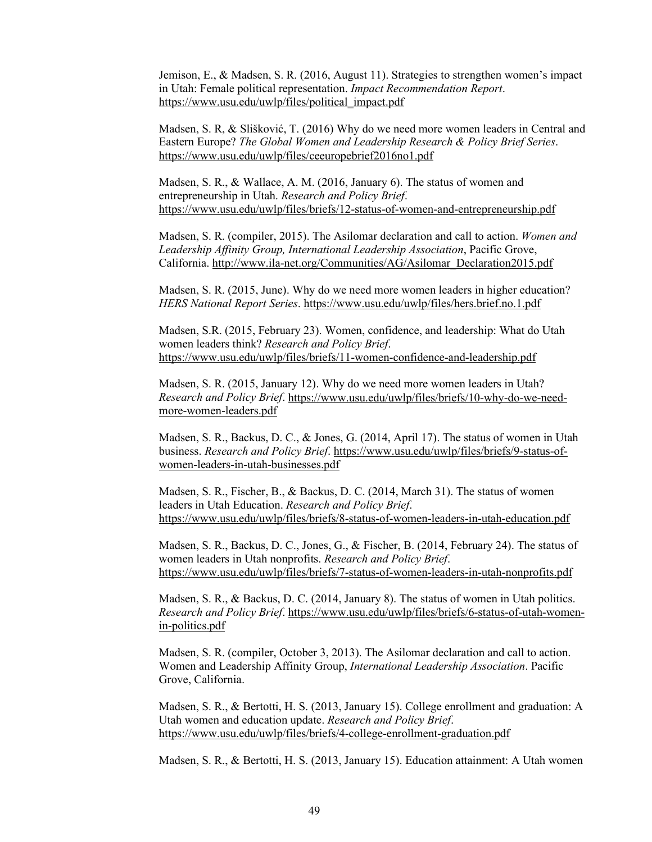Jemison, E., & Madsen, S. R. (2016, August 11). Strategies to strengthen women's impact in Utah: Female political representation. *Impact Recommendation Report*. [https://www.usu.edu/uwlp/files/political\\_impact.pdf](https://www.usu.edu/uwlp/files/political_impact.pdf) 

Madsen, S. R, & Slišković, T. (2016) Why do we need more women leaders in Central and Eastern Europe? *The Global Women and Leadership Research & Policy Brief Series*. <https://www.usu.edu/uwlp/files/ceeuropebrief2016no1.pdf>

Madsen, S. R., & Wallace, A. M. (2016, January 6). The status of women and entrepreneurship in Utah. *Research and Policy Brief*. <https://www.usu.edu/uwlp/files/briefs/12-status-of-women-and-entrepreneurship.pdf>

Madsen, S. R. (compiler, 2015). The Asilomar declaration and call to action. *Women and Leadership Affinity Group, International Leadership Association*, Pacific Grove, California. [http://www.ila-net.org/Communities/AG/Asilomar\\_Declaration2015.pdf](http://www.ila-net.org/Communities/AG/Asilomar_Declaration2015.pdf) 

Madsen, S. R. (2015, June). Why do we need more women leaders in higher education? *HERS National Report Series*.<https://www.usu.edu/uwlp/files/hers.brief.no.1.pdf>

Madsen, S.R. (2015, February 23). Women, confidence, and leadership: What do Utah women leaders think? *Research and Policy Brief*. <https://www.usu.edu/uwlp/files/briefs/11-women-confidence-and-leadership.pdf>

Madsen, S. R. (2015, January 12). Why do we need more women leaders in Utah? *Research and Policy Brief*. [https://www.usu.edu/uwlp/files/briefs/10-why-do-we-need](https://www.usu.edu/uwlp/files/briefs/10-why-do-we-need-more-women-leaders.pdf)[more-women-leaders.pdf](https://www.usu.edu/uwlp/files/briefs/10-why-do-we-need-more-women-leaders.pdf) 

Madsen, S. R., Backus, D. C., & Jones, G. (2014, April 17). The status of women in Utah business. *Research and Policy Brief*. [https://www.usu.edu/uwlp/files/briefs/9-status-of](https://www.usu.edu/uwlp/files/briefs/9-status-of-women-leaders-in-utah-businesses.pdf)[women-leaders-in-utah-businesses.pdf](https://www.usu.edu/uwlp/files/briefs/9-status-of-women-leaders-in-utah-businesses.pdf) 

Madsen, S. R., Fischer, B., & Backus, D. C. (2014, March 31). The status of women leaders in Utah Education. *Research and Policy Brief*. <https://www.usu.edu/uwlp/files/briefs/8-status-of-women-leaders-in-utah-education.pdf>

Madsen, S. R., Backus, D. C., Jones, G., & Fischer, B. (2014, February 24). The status of women leaders in Utah nonprofits. *Research and Policy Brief*. <https://www.usu.edu/uwlp/files/briefs/7-status-of-women-leaders-in-utah-nonprofits.pdf>

Madsen, S. R., & Backus, D. C. (2014, January 8). The status of women in Utah politics. *Research and Policy Brief*. [https://www.usu.edu/uwlp/files/briefs/6-status-of-utah-women](https://www.usu.edu/uwlp/files/briefs/6-status-of-utah-women-in-politics.pdf)[in-politics.pdf](https://www.usu.edu/uwlp/files/briefs/6-status-of-utah-women-in-politics.pdf) 

Madsen, S. R. (compiler, October 3, 2013). The Asilomar declaration and call to action. Women and Leadership Affinity Group, *International Leadership Association*. Pacific Grove, California.

Madsen, S. R., & Bertotti, H. S. (2013, January 15). College enrollment and graduation: A Utah women and education update. *Research and Policy Brief*. <https://www.usu.edu/uwlp/files/briefs/4-college-enrollment-graduation.pdf>

Madsen, S. R., & Bertotti, H. S. (2013, January 15). Education attainment: A Utah women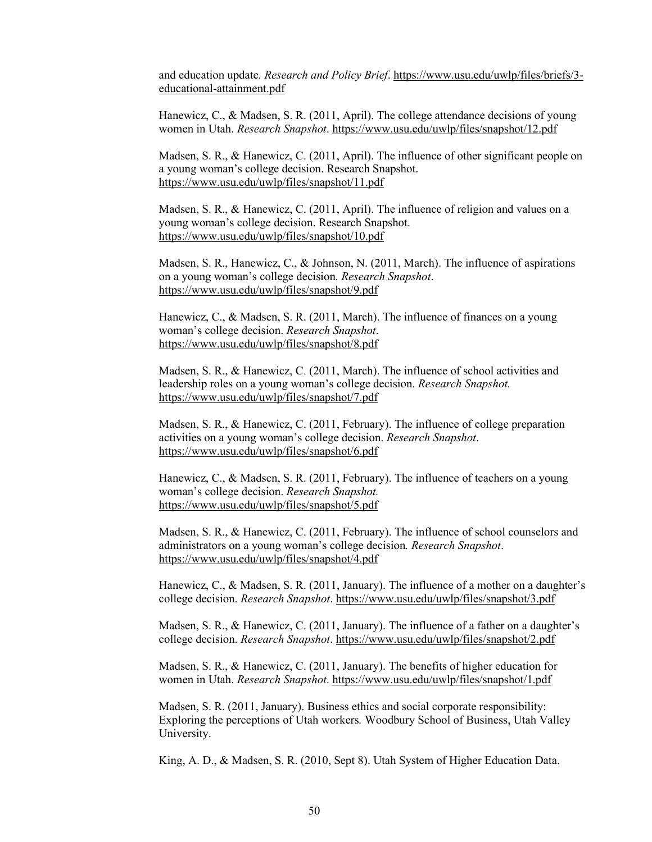and education update*. Research and Policy Brief*. [https://www.usu.edu/uwlp/files/briefs/3](https://www.usu.edu/uwlp/files/briefs/3-educational-attainment.pdf) [educational-attainment.pdf](https://www.usu.edu/uwlp/files/briefs/3-educational-attainment.pdf) 

Hanewicz, C., & Madsen, S. R. (2011, April). The college attendance decisions of young women in Utah. *Research Snapshot*.<https://www.usu.edu/uwlp/files/snapshot/12.pdf>

Madsen, S. R., & Hanewicz, C. (2011, April). The influence of other significant people on a young woman's college decision. Research Snapshot. <https://www.usu.edu/uwlp/files/snapshot/11.pdf>

Madsen, S. R., & Hanewicz, C. (2011, April). The influence of religion and values on a young woman's college decision. Research Snapshot. <https://www.usu.edu/uwlp/files/snapshot/10.pdf>

Madsen, S. R., Hanewicz, C., & Johnson, N. (2011, March). The influence of aspirations on a young woman's college decision*. Research Snapshot*. <https://www.usu.edu/uwlp/files/snapshot/9.pdf>

Hanewicz, C., & Madsen, S. R. (2011, March). The influence of finances on a young woman's college decision. *Research Snapshot*. <https://www.usu.edu/uwlp/files/snapshot/8.pdf>

Madsen, S. R., & Hanewicz, C. (2011, March). The influence of school activities and leadership roles on a young woman's college decision. *Research Snapshot.* <https://www.usu.edu/uwlp/files/snapshot/7.pdf>

Madsen, S. R., & Hanewicz, C. (2011, February). The influence of college preparation activities on a young woman's college decision. *Research Snapshot*. <https://www.usu.edu/uwlp/files/snapshot/6.pdf>

Hanewicz, C., & Madsen, S. R. (2011, February). The influence of teachers on a young woman's college decision. *Research Snapshot.* <https://www.usu.edu/uwlp/files/snapshot/5.pdf>

Madsen, S. R., & Hanewicz, C. (2011, February). The influence of school counselors and administrators on a young woman's college decision*. Research Snapshot*. <https://www.usu.edu/uwlp/files/snapshot/4.pdf>

Hanewicz, C., & Madsen, S. R. (2011, January). The influence of a mother on a daughter's college decision. *Research Snapshot*.<https://www.usu.edu/uwlp/files/snapshot/3.pdf>

Madsen, S. R., & Hanewicz, C. (2011, January). The influence of a father on a daughter's college decision. *Research Snapshot*.<https://www.usu.edu/uwlp/files/snapshot/2.pdf>

Madsen, S. R., & Hanewicz, C. (2011, January). The benefits of higher education for women in Utah. *Research Snapshot*.<https://www.usu.edu/uwlp/files/snapshot/1.pdf>

Madsen, S. R. (2011, January). Business ethics and social corporate responsibility: Exploring the perceptions of Utah workers*.* Woodbury School of Business, Utah Valley University.

King, A. D., & Madsen, S. R. (2010, Sept 8). Utah System of Higher Education Data.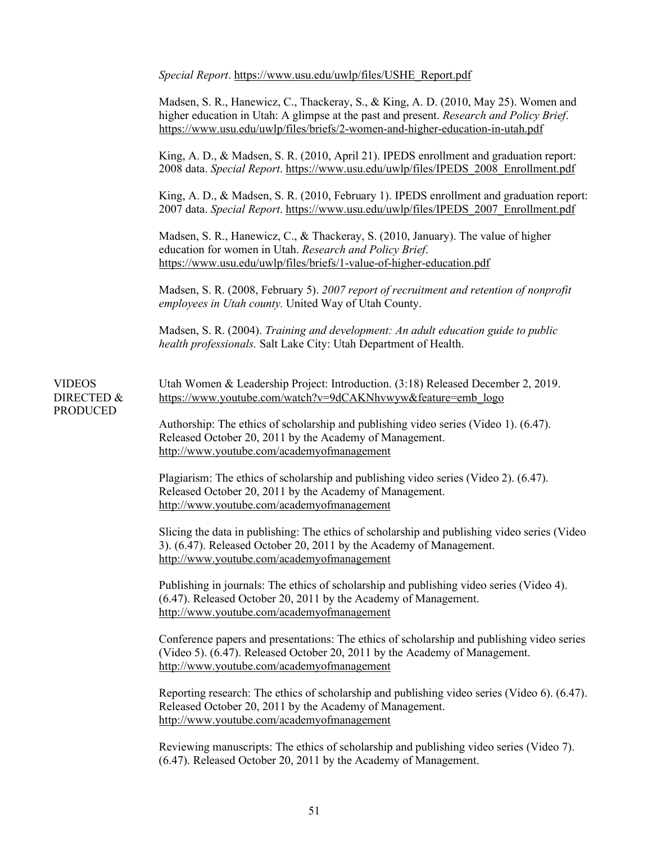*Special Report*. [https://www.usu.edu/uwlp/files/USHE\\_Report.pdf](https://www.usu.edu/uwlp/files/USHE_Report.pdf)

Madsen, S. R., Hanewicz, C., Thackeray, S., & King, A. D. (2010, May 25). Women and higher education in Utah: A glimpse at the past and present. *Research and Policy Brief*. <https://www.usu.edu/uwlp/files/briefs/2-women-and-higher-education-in-utah.pdf>

King, A. D., & Madsen, S. R. (2010, April 21). IPEDS enrollment and graduation report: 2008 data. *Special Report*. [https://www.usu.edu/uwlp/files/IPEDS\\_2008\\_Enrollment.pdf](https://www.usu.edu/uwlp/files/IPEDS_2008_Enrollment.pdf) 

King, A. D., & Madsen, S. R. (2010, February 1). IPEDS enrollment and graduation report: 2007 data. *Special Report*. [https://www.usu.edu/uwlp/files/IPEDS\\_2007\\_Enrollment.pdf](https://www.usu.edu/uwlp/files/IPEDS_2007_Enrollment.pdf) 

Madsen, S. R., Hanewicz, C., & Thackeray, S. (2010, January). The value of higher education for women in Utah. *Research and Policy Brief*. <https://www.usu.edu/uwlp/files/briefs/1-value-of-higher-education.pdf>

Madsen, S. R. (2008, February 5). *2007 report of recruitment and retention of nonprofit employees in Utah county.* United Way of Utah County.

Madsen, S. R. (2004). *Training and development: An adult education guide to public health professionals.* Salt Lake City: Utah Department of Health.

VIDEOS DIRECTED & PRODUCED Utah Women & Leadership Project: Introduction. (3:18) Released December 2, 2019. [https://www.youtube.com/watch?v=9dCAKNhvwyw&feature=emb\\_logo](https://www.youtube.com/watch?v=9dCAKNhvwyw&feature=emb_logo) 

Authorship: The ethics of scholarship and publishing video series (Video 1). (6.47). Released October 20, 2011 by the Academy of Management. <http://www.youtube.com/academyofmanagement>

Plagiarism: The ethics of scholarship and publishing video series (Video 2). (6.47). Released October 20, 2011 by the Academy of Management. <http://www.youtube.com/academyofmanagement>

Slicing the data in publishing: The ethics of scholarship and publishing video series (Video 3). (6.47). Released October 20, 2011 by the Academy of Management. <http://www.youtube.com/academyofmanagement>

Publishing in journals: The ethics of scholarship and publishing video series (Video 4). (6.47). Released October 20, 2011 by the Academy of Management. <http://www.youtube.com/academyofmanagement>

Conference papers and presentations: The ethics of scholarship and publishing video series (Video 5). (6.47). Released October 20, 2011 by the Academy of Management. <http://www.youtube.com/academyofmanagement>

Reporting research: The ethics of scholarship and publishing video series (Video 6). (6.47). Released October 20, 2011 by the Academy of Management. <http://www.youtube.com/academyofmanagement>

Reviewing manuscripts: The ethics of scholarship and publishing video series (Video 7). (6.47). Released October 20, 2011 by the Academy of Management.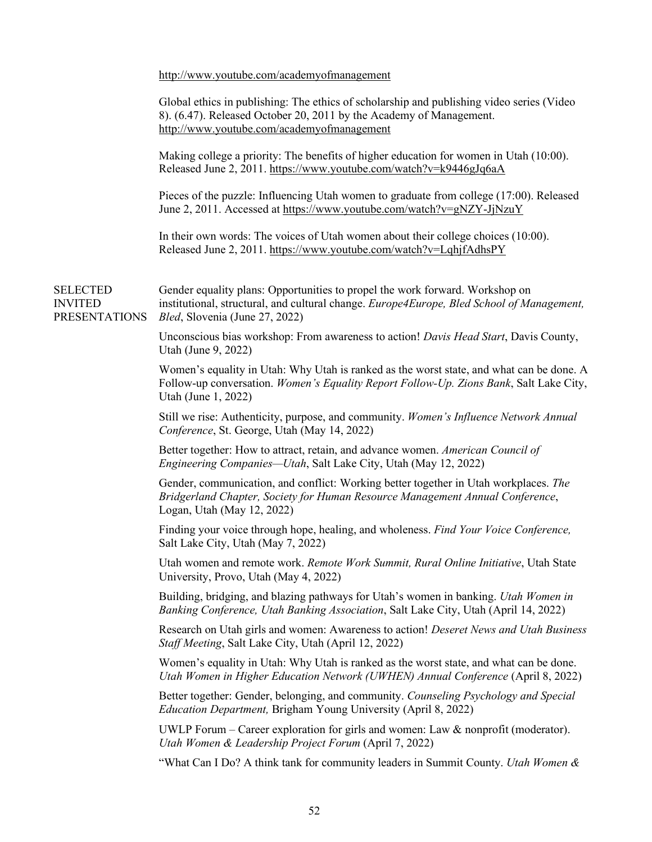<http://www.youtube.com/academyofmanagement>

|                                                           | Global ethics in publishing: The ethics of scholarship and publishing video series (Video<br>8). (6.47). Released October 20, 2011 by the Academy of Management.<br>http://www.youtube.com/academyofmanagement |
|-----------------------------------------------------------|----------------------------------------------------------------------------------------------------------------------------------------------------------------------------------------------------------------|
|                                                           | Making college a priority: The benefits of higher education for women in Utah (10:00).<br>Released June 2, 2011. https://www.youtube.com/watch?v=k9446gJq6aA                                                   |
|                                                           | Pieces of the puzzle: Influencing Utah women to graduate from college (17:00). Released<br>June 2, 2011. Accessed at https://www.youtube.com/watch?v=gNZY-JjNzuY                                               |
|                                                           | In their own words: The voices of Utah women about their college choices $(10:00)$ .<br>Released June 2, 2011. https://www.youtube.com/watch?v=LqhjfAdhsPY                                                     |
| <b>SELECTED</b><br><b>INVITED</b><br><b>PRESENTATIONS</b> | Gender equality plans: Opportunities to propel the work forward. Workshop on<br>institutional, structural, and cultural change. Europe4Europe, Bled School of Management,<br>Bled, Slovenia (June 27, 2022)    |
|                                                           | Unconscious bias workshop: From awareness to action! Davis Head Start, Davis County,<br>Utah (June 9, 2022)                                                                                                    |
|                                                           | Women's equality in Utah: Why Utah is ranked as the worst state, and what can be done. A<br>Follow-up conversation. Women's Equality Report Follow-Up. Zions Bank, Salt Lake City,<br>Utah (June 1, 2022)      |
|                                                           | Still we rise: Authenticity, purpose, and community. Women's Influence Network Annual<br>Conference, St. George, Utah (May 14, 2022)                                                                           |
|                                                           | Better together: How to attract, retain, and advance women. American Council of<br><i>Engineering Companies—Utah</i> , Salt Lake City, Utah (May 12, 2022)                                                     |
|                                                           | Gender, communication, and conflict: Working better together in Utah workplaces. The<br>Bridgerland Chapter, Society for Human Resource Management Annual Conference,<br>Logan, Utah (May 12, 2022)            |
|                                                           | Finding your voice through hope, healing, and wholeness. Find Your Voice Conference,<br>Salt Lake City, Utah (May 7, 2022)                                                                                     |
|                                                           | Utah women and remote work. Remote Work Summit, Rural Online Initiative, Utah State<br>University, Provo, Utah (May 4, 2022)                                                                                   |
|                                                           | Building, bridging, and blazing pathways for Utah's women in banking. <i>Utah Women in</i><br>Banking Conference, Utah Banking Association, Salt Lake City, Utah (April 14, 2022)                              |
|                                                           | Research on Utah girls and women: Awareness to action! Deseret News and Utah Business<br>Staff Meeting, Salt Lake City, Utah (April 12, 2022)                                                                  |
|                                                           | Women's equality in Utah: Why Utah is ranked as the worst state, and what can be done.<br>Utah Women in Higher Education Network (UWHEN) Annual Conference (April 8, 2022)                                     |
|                                                           | Better together: Gender, belonging, and community. Counseling Psychology and Special<br><i>Education Department</i> , Brigham Young University (April 8, 2022)                                                 |
|                                                           | UWLP Forum – Career exploration for girls and women: Law & nonprofit (moderator).<br>Utah Women & Leadership Project Forum (April 7, 2022)                                                                     |
|                                                           | "What Can I Do? A think tank for community leaders in Summit County. <i>Utah Women &amp;</i>                                                                                                                   |
|                                                           |                                                                                                                                                                                                                |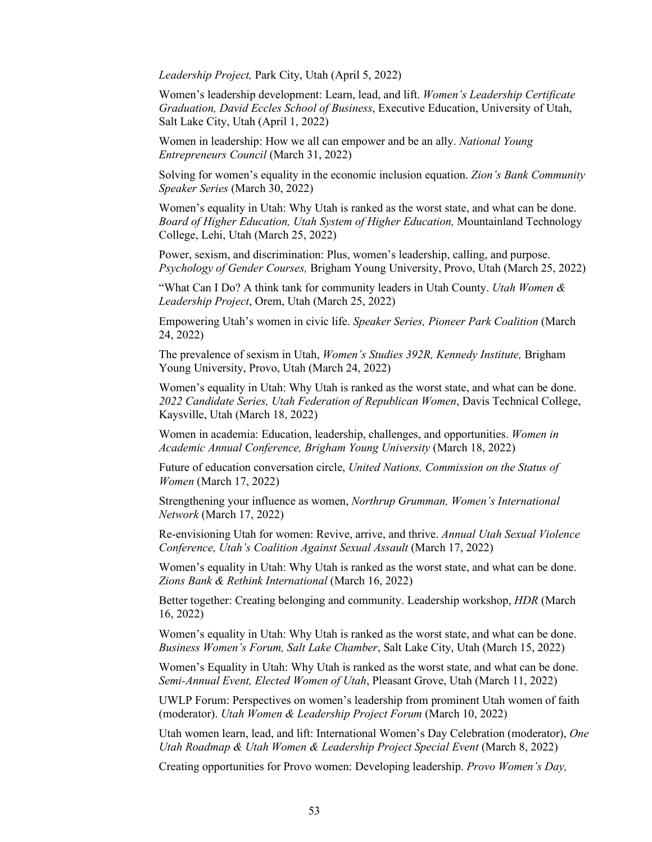*Leadership Project,* Park City, Utah (April 5, 2022)

Women's leadership development: Learn, lead, and lift. *Women's Leadership Certificate Graduation, David Eccles School of Business*, Executive Education, University of Utah, Salt Lake City, Utah (April 1, 2022)

Women in leadership: How we all can empower and be an ally. *National Young Entrepreneurs Council* (March 31, 2022)

Solving for women's equality in the economic inclusion equation. *Zion's Bank Community Speaker Series* (March 30, 2022)

Women's equality in Utah: Why Utah is ranked as the worst state, and what can be done. *Board of Higher Education, Utah System of Higher Education,* Mountainland Technology College, Lehi, Utah (March 25, 2022)

Power, sexism, and discrimination: Plus, women's leadership, calling, and purpose. *Psychology of Gender Courses,* Brigham Young University, Provo, Utah (March 25, 2022)

"What Can I Do? A think tank for community leaders in Utah County. *Utah Women & Leadership Project*, Orem, Utah (March 25, 2022)

Empowering Utah's women in civic life. *Speaker Series, Pioneer Park Coalition* (March 24, 2022)

The prevalence of sexism in Utah, *Women's Studies 392R, Kennedy Institute,* Brigham Young University, Provo, Utah (March 24, 2022)

Women's equality in Utah: Why Utah is ranked as the worst state, and what can be done. *2022 Candidate Series, Utah Federation of Republican Women*, Davis Technical College, Kaysville, Utah (March 18, 2022)

Women in academia: Education, leadership, challenges, and opportunities. *Women in Academic Annual Conference, Brigham Young University* (March 18, 2022)

Future of education conversation circle, *United Nations, Commission on the Status of Women* (March 17, 2022)

Strengthening your influence as women, *Northrup Grumman, Women's International Network* (March 17, 2022)

Re-envisioning Utah for women: Revive, arrive, and thrive. *Annual Utah Sexual Violence Conference, Utah's Coalition Against Sexual Assault* (March 17, 2022)

Women's equality in Utah: Why Utah is ranked as the worst state, and what can be done. *Zions Bank & Rethink International* (March 16, 2022)

Better together: Creating belonging and community. Leadership workshop, *HDR* (March 16, 2022)

Women's equality in Utah: Why Utah is ranked as the worst state, and what can be done. *Business Women's Forum, Salt Lake Chamber*, Salt Lake City, Utah (March 15, 2022)

Women's Equality in Utah: Why Utah is ranked as the worst state, and what can be done. *Semi-Annual Event, Elected Women of Utah*, Pleasant Grove, Utah (March 11, 2022)

UWLP Forum: Perspectives on women's leadership from prominent Utah women of faith (moderator). *Utah Women & Leadership Project Forum* (March 10, 2022)

Utah women learn, lead, and lift: International Women's Day Celebration (moderator), *One Utah Roadmap & Utah Women & Leadership Project Special Event* (March 8, 2022)

Creating opportunities for Provo women: Developing leadership. *Provo Women's Day,*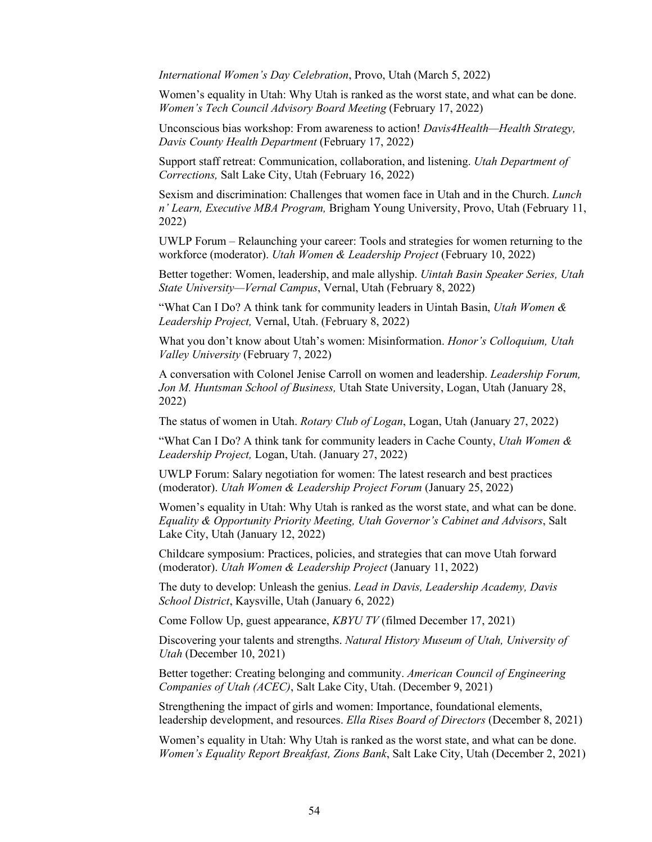*International Women's Day Celebration*, Provo, Utah (March 5, 2022)

Women's equality in Utah: Why Utah is ranked as the worst state, and what can be done. *Women's Tech Council Advisory Board Meeting* (February 17, 2022)

Unconscious bias workshop: From awareness to action! *Davis4Health—Health Strategy, Davis County Health Department* (February 17, 2022)

Support staff retreat: Communication, collaboration, and listening. *Utah Department of Corrections,* Salt Lake City, Utah (February 16, 2022)

Sexism and discrimination: Challenges that women face in Utah and in the Church. *Lunch n' Learn, Executive MBA Program,* Brigham Young University, Provo, Utah (February 11, 2022)

UWLP Forum – Relaunching your career: Tools and strategies for women returning to the workforce (moderator). *Utah Women & Leadership Project* (February 10, 2022)

Better together: Women, leadership, and male allyship. *Uintah Basin Speaker Series, Utah State University—Vernal Campus*, Vernal, Utah (February 8, 2022)

"What Can I Do? A think tank for community leaders in Uintah Basin, *Utah Women & Leadership Project,* Vernal, Utah. (February 8, 2022)

What you don't know about Utah's women: Misinformation. *Honor's Colloquium, Utah Valley University* (February 7, 2022)

A conversation with Colonel Jenise Carroll on women and leadership. *Leadership Forum, Jon M. Huntsman School of Business,* Utah State University, Logan, Utah (January 28, 2022)

The status of women in Utah. *Rotary Club of Logan*, Logan, Utah (January 27, 2022)

"What Can I Do? A think tank for community leaders in Cache County, *Utah Women & Leadership Project,* Logan, Utah. (January 27, 2022)

UWLP Forum: Salary negotiation for women: The latest research and best practices (moderator). *Utah Women & Leadership Project Forum* (January 25, 2022)

Women's equality in Utah: Why Utah is ranked as the worst state, and what can be done. *Equality & Opportunity Priority Meeting, Utah Governor's Cabinet and Advisors*, Salt Lake City, Utah (January 12, 2022)

Childcare symposium: Practices, policies, and strategies that can move Utah forward (moderator). *Utah Women & Leadership Project* (January 11, 2022)

The duty to develop: Unleash the genius. *Lead in Davis, Leadership Academy, Davis School District*, Kaysville, Utah (January 6, 2022)

Come Follow Up, guest appearance, *KBYU TV* (filmed December 17, 2021)

Discovering your talents and strengths. *Natural History Museum of Utah, University of Utah* (December 10, 2021)

Better together: Creating belonging and community. *American Council of Engineering Companies of Utah (ACEC)*, Salt Lake City, Utah. (December 9, 2021)

Strengthening the impact of girls and women: Importance, foundational elements, leadership development, and resources. *Ella Rises Board of Directors* (December 8, 2021)

Women's equality in Utah: Why Utah is ranked as the worst state, and what can be done. *Women's Equality Report Breakfast, Zions Bank*, Salt Lake City, Utah (December 2, 2021)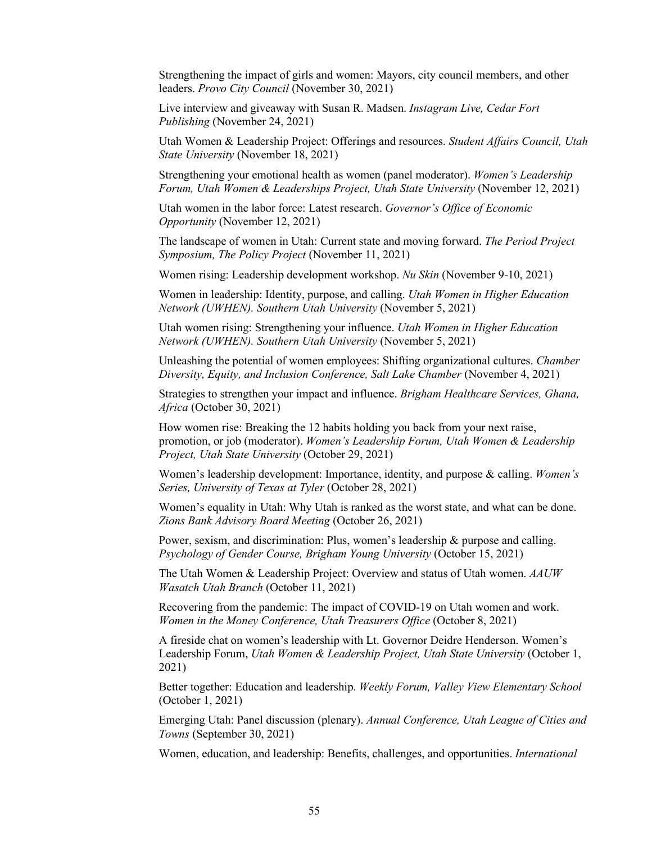Strengthening the impact of girls and women: Mayors, city council members, and other leaders. *Provo City Council* (November 30, 2021)

Live interview and giveaway with Susan R. Madsen. *Instagram Live, Cedar Fort Publishing* (November 24, 2021)

Utah Women & Leadership Project: Offerings and resources. *Student Affairs Council, Utah State University* (November 18, 2021)

Strengthening your emotional health as women (panel moderator). *Women's Leadership Forum, Utah Women & Leaderships Project, Utah State University* (November 12, 2021)

Utah women in the labor force: Latest research. *Governor's Office of Economic Opportunity* (November 12, 2021)

The landscape of women in Utah: Current state and moving forward. *The Period Project Symposium, The Policy Project* (November 11, 2021)

Women rising: Leadership development workshop. *Nu Skin* (November 9-10, 2021)

Women in leadership: Identity, purpose, and calling. *Utah Women in Higher Education Network (UWHEN). Southern Utah University* (November 5, 2021)

Utah women rising: Strengthening your influence. *Utah Women in Higher Education Network (UWHEN). Southern Utah University* (November 5, 2021)

Unleashing the potential of women employees: Shifting organizational cultures. *Chamber Diversity, Equity, and Inclusion Conference, Salt Lake Chamber* (November 4, 2021)

Strategies to strengthen your impact and influence. *Brigham Healthcare Services, Ghana, Africa* (October 30, 2021)

How women rise: Breaking the 12 habits holding you back from your next raise, promotion, or job (moderator). *Women's Leadership Forum, Utah Women & Leadership Project, Utah State University* (October 29, 2021)

Women's leadership development: Importance, identity, and purpose & calling. *Women's Series, University of Texas at Tyler* (October 28, 2021)

Women's equality in Utah: Why Utah is ranked as the worst state, and what can be done. *Zions Bank Advisory Board Meeting* (October 26, 2021)

Power, sexism, and discrimination: Plus, women's leadership & purpose and calling. *Psychology of Gender Course, Brigham Young University* (October 15, 2021)

The Utah Women & Leadership Project: Overview and status of Utah women. *AAUW Wasatch Utah Branch* (October 11, 2021)

Recovering from the pandemic: The impact of COVID-19 on Utah women and work. *Women in the Money Conference, Utah Treasurers Office* (October 8, 2021)

A fireside chat on women's leadership with Lt. Governor Deidre Henderson. Women's Leadership Forum, *Utah Women & Leadership Project, Utah State University* (October 1, 2021)

Better together: Education and leadership. *Weekly Forum, Valley View Elementary School*  (October 1, 2021)

Emerging Utah: Panel discussion (plenary). *Annual Conference, Utah League of Cities and Towns* (September 30, 2021)

Women, education, and leadership: Benefits, challenges, and opportunities. *International*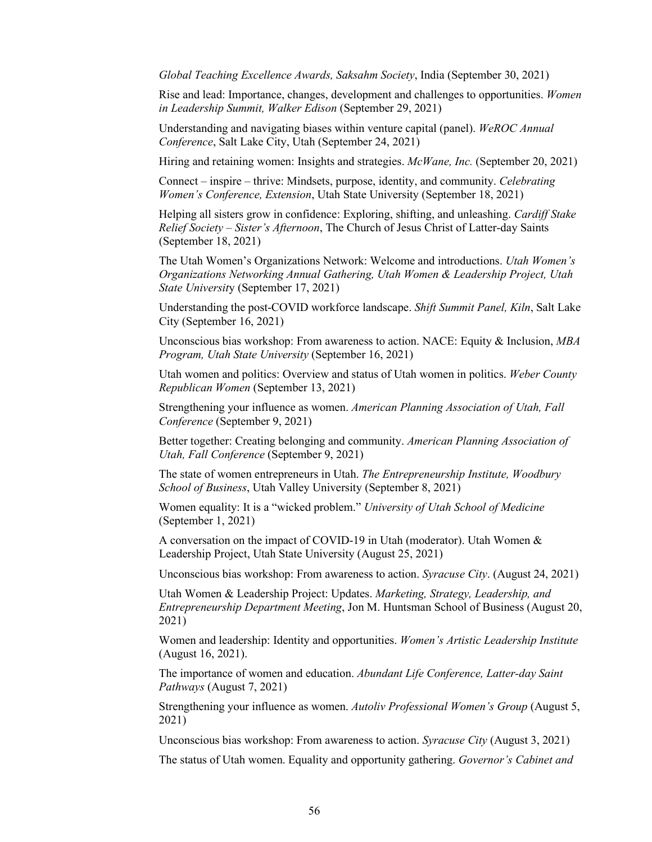*Global Teaching Excellence Awards, Saksahm Society*, India (September 30, 2021)

Rise and lead: Importance, changes, development and challenges to opportunities. *Women in Leadership Summit, Walker Edison* (September 29, 2021)

Understanding and navigating biases within venture capital (panel). *WeROC Annual Conference*, Salt Lake City, Utah (September 24, 2021)

Hiring and retaining women: Insights and strategies. *McWane, Inc.* (September 20, 2021)

Connect – inspire – thrive: Mindsets, purpose, identity, and community. *Celebrating Women's Conference, Extension*, Utah State University (September 18, 2021)

Helping all sisters grow in confidence: Exploring, shifting, and unleashing. *Cardiff Stake Relief Society – Sister's Afternoon*, The Church of Jesus Christ of Latter-day Saints (September 18, 2021)

The Utah Women's Organizations Network: Welcome and introductions. *Utah Women's Organizations Networking Annual Gathering, Utah Women & Leadership Project, Utah State Universit*y (September 17, 2021)

Understanding the post-COVID workforce landscape. *Shift Summit Panel, Kiln*, Salt Lake City (September 16, 2021)

Unconscious bias workshop: From awareness to action. NACE: Equity & Inclusion, *MBA Program, Utah State University* (September 16, 2021)

Utah women and politics: Overview and status of Utah women in politics. *Weber County Republican Women* (September 13, 2021)

Strengthening your influence as women. *American Planning Association of Utah, Fall Conference* (September 9, 2021)

Better together: Creating belonging and community. *American Planning Association of Utah, Fall Conference* (September 9, 2021)

The state of women entrepreneurs in Utah. *The Entrepreneurship Institute, Woodbury School of Business*, Utah Valley University (September 8, 2021)

Women equality: It is a "wicked problem." *University of Utah School of Medicine* (September 1, 2021)

A conversation on the impact of COVID-19 in Utah (moderator). Utah Women & Leadership Project, Utah State University (August 25, 2021)

Unconscious bias workshop: From awareness to action. *Syracuse City*. (August 24, 2021)

Utah Women & Leadership Project: Updates. *Marketing, Strategy, Leadership, and Entrepreneurship Department Meeting*, Jon M. Huntsman School of Business (August 20, 2021)

Women and leadership: Identity and opportunities. *Women's Artistic Leadership Institute*  (August 16, 2021).

The importance of women and education. *Abundant Life Conference, Latter-day Saint Pathways* (August 7, 2021)

Strengthening your influence as women. *Autoliv Professional Women's Group* (August 5, 2021)

Unconscious bias workshop: From awareness to action. *Syracuse City* (August 3, 2021)

The status of Utah women. Equality and opportunity gathering. *Governor's Cabinet and*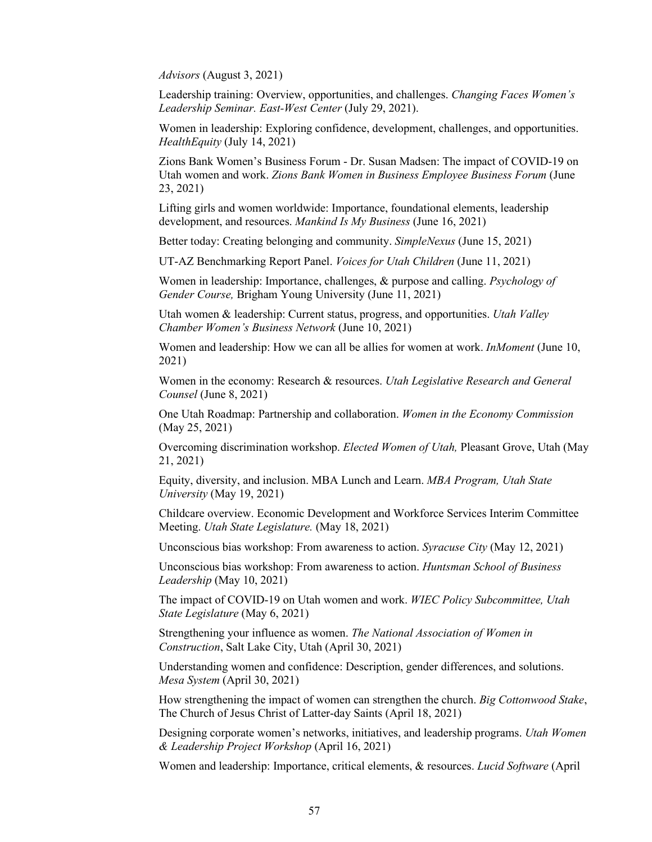*Advisors* (August 3, 2021)

Leadership training: Overview, opportunities, and challenges. *Changing Faces Women's Leadership Seminar. East-West Center* (July 29, 2021).

Women in leadership: Exploring confidence, development, challenges, and opportunities. *HealthEquity* (July 14, 2021)

Zions Bank Women's Business Forum - Dr. Susan Madsen: The impact of COVID-19 on Utah women and work. *Zions Bank Women in Business Employee Business Forum* (June 23, 2021)

Lifting girls and women worldwide: Importance, foundational elements, leadership development, and resources. *Mankind Is My Business* (June 16, 2021)

Better today: Creating belonging and community. *SimpleNexus* (June 15, 2021)

UT-AZ Benchmarking Report Panel. *Voices for Utah Children* (June 11, 2021)

Women in leadership: Importance, challenges, & purpose and calling. *Psychology of Gender Course,* Brigham Young University (June 11, 2021)

Utah women & leadership: Current status, progress, and opportunities. *Utah Valley Chamber Women's Business Network* (June 10, 2021)

Women and leadership: How we can all be allies for women at work. *InMoment* (June 10, 2021)

Women in the economy: Research & resources. *Utah Legislative Research and General Counsel* (June 8, 2021)

One Utah Roadmap: Partnership and collaboration. *Women in the Economy Commission*  (May 25, 2021)

Overcoming discrimination workshop. *Elected Women of Utah,* Pleasant Grove, Utah (May 21, 2021)

Equity, diversity, and inclusion. MBA Lunch and Learn. *MBA Program, Utah State University* (May 19, 2021)

Childcare overview. Economic Development and Workforce Services Interim Committee Meeting. *Utah State Legislature.* (May 18, 2021)

Unconscious bias workshop: From awareness to action. *Syracuse City* (May 12, 2021)

Unconscious bias workshop: From awareness to action. *Huntsman School of Business Leadership* (May 10, 2021)

The impact of COVID-19 on Utah women and work. *WIEC Policy Subcommittee, Utah State Legislature* (May 6, 2021)

Strengthening your influence as women. *The National Association of Women in Construction*, Salt Lake City, Utah (April 30, 2021)

Understanding women and confidence: Description, gender differences, and solutions. *Mesa System* (April 30, 2021)

How strengthening the impact of women can strengthen the church. *Big Cottonwood Stake*, The Church of Jesus Christ of Latter-day Saints (April 18, 2021)

Designing corporate women's networks, initiatives, and leadership programs. *Utah Women & Leadership Project Workshop* (April 16, 2021)

Women and leadership: Importance, critical elements, & resources. *Lucid Software* (April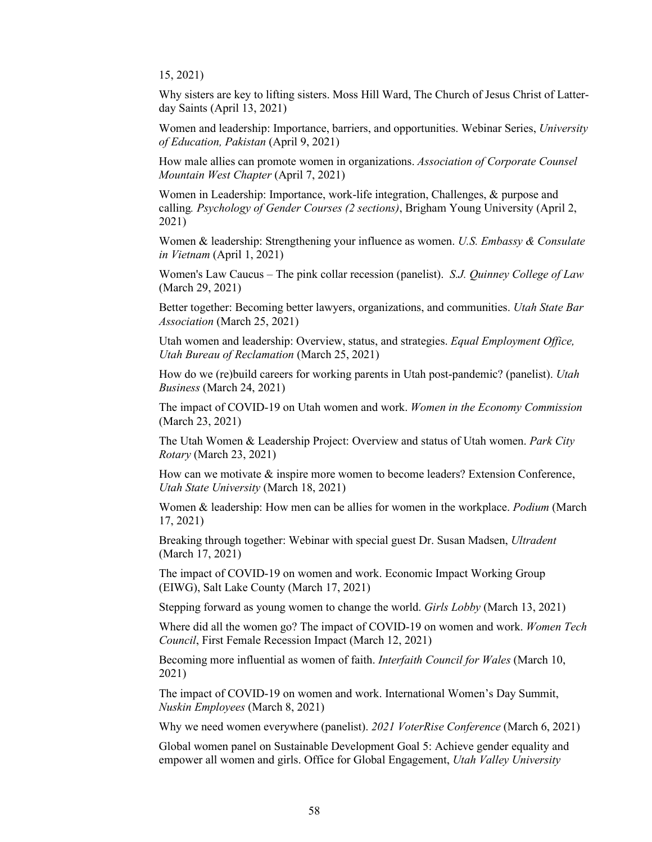15, 2021)

Why sisters are key to lifting sisters. Moss Hill Ward, The Church of Jesus Christ of Latterday Saints (April 13, 2021)

Women and leadership: Importance, barriers, and opportunities. Webinar Series, *University of Education, Pakistan* (April 9, 2021)

How male allies can promote women in organizations. *Association of Corporate Counsel Mountain West Chapter* (April 7, 2021)

Women in Leadership: Importance, work-life integration, Challenges, & purpose and calling*. Psychology of Gender Courses (2 sections)*, Brigham Young University (April 2, 2021)

Women & leadership: Strengthening your influence as women. *U.S. Embassy & Consulate in Vietnam* (April 1, 2021)

Women's Law Caucus – The pink collar recession (panelist). *S.J. Quinney College of Law*  (March 29, 2021)

Better together: Becoming better lawyers, organizations, and communities. *Utah State Bar Association* (March 25, 2021)

Utah women and leadership: Overview, status, and strategies. *Equal Employment Office, Utah Bureau of Reclamation* (March 25, 2021)

How do we (re)build careers for working parents in Utah post-pandemic? (panelist). *Utah Business* (March 24, 2021)

The impact of COVID-19 on Utah women and work. *Women in the Economy Commission*  (March 23, 2021)

The Utah Women & Leadership Project: Overview and status of Utah women. *Park City Rotary* (March 23, 2021)

How can we motivate  $\&$  inspire more women to become leaders? Extension Conference, *Utah State University* (March 18, 2021)

Women & leadership: How men can be allies for women in the workplace. *Podium* (March 17, 2021)

Breaking through together: Webinar with special guest Dr. Susan Madsen, *Ultradent*  (March 17, 2021)

The impact of COVID-19 on women and work. Economic Impact Working Group (EIWG), Salt Lake County (March 17, 2021)

Stepping forward as young women to change the world. *Girls Lobby* (March 13, 2021)

Where did all the women go? The impact of COVID-19 on women and work. *Women Tech Council*, First Female Recession Impact (March 12, 2021)

Becoming more influential as women of faith. *Interfaith Council for Wales* (March 10, 2021)

The impact of COVID-19 on women and work. International Women's Day Summit, *Nuskin Employees* (March 8, 2021)

Why we need women everywhere (panelist). *2021 VoterRise Conference* (March 6, 2021)

Global women panel on Sustainable Development Goal 5: Achieve gender equality and empower all women and girls. Office for Global Engagement, *Utah Valley University*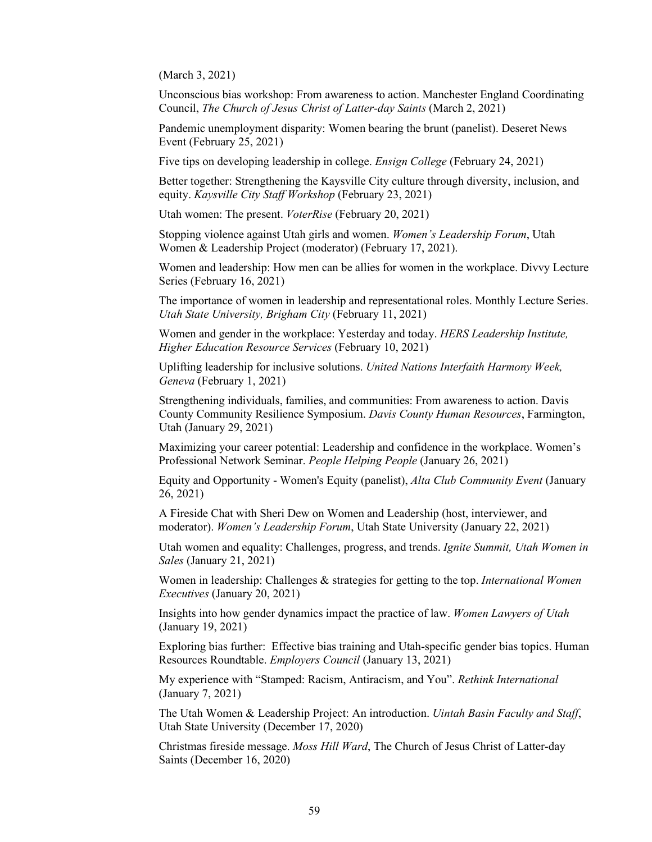(March 3, 2021)

Unconscious bias workshop: From awareness to action. Manchester England Coordinating Council, *The Church of Jesus Christ of Latter-day Saints* (March 2, 2021)

Pandemic unemployment disparity: Women bearing the brunt (panelist). Deseret News Event (February 25, 2021)

Five tips on developing leadership in college. *Ensign College* (February 24, 2021)

Better together: Strengthening the Kaysville City culture through diversity, inclusion, and equity. *Kaysville City Staff Workshop* (February 23, 2021)

Utah women: The present. *VoterRise* (February 20, 2021)

Stopping violence against Utah girls and women. *Women's Leadership Forum*, Utah Women & Leadership Project (moderator) (February 17, 2021).

Women and leadership: How men can be allies for women in the workplace. Divvy Lecture Series (February 16, 2021)

The importance of women in leadership and representational roles. Monthly Lecture Series. *Utah State University, Brigham City* (February 11, 2021)

Women and gender in the workplace: Yesterday and today. *HERS Leadership Institute, Higher Education Resource Services* (February 10, 2021)

Uplifting leadership for inclusive solutions. *United Nations Interfaith Harmony Week, Geneva* (February 1, 2021)

Strengthening individuals, families, and communities: From awareness to action. Davis County Community Resilience Symposium. *Davis County Human Resources*, Farmington, Utah (January 29, 2021)

Maximizing your career potential: Leadership and confidence in the workplace. Women's Professional Network Seminar. *People Helping People* (January 26, 2021)

Equity and Opportunity - Women's Equity (panelist), *Alta Club Community Event* (January 26, 2021)

A Fireside Chat with Sheri Dew on Women and Leadership (host, interviewer, and moderator). *Women's Leadership Forum*, Utah State University (January 22, 2021)

Utah women and equality: Challenges, progress, and trends. *Ignite Summit, Utah Women in Sales* (January 21, 2021)

Women in leadership: Challenges & strategies for getting to the top. *International Women Executives* (January 20, 2021)

Insights into how gender dynamics impact the practice of law. *Women Lawyers of Utah* (January 19, 2021)

Exploring bias further: Effective bias training and Utah-specific gender bias topics. Human Resources Roundtable. *Employers Council* (January 13, 2021)

My experience with "Stamped: Racism, Antiracism, and You". *Rethink International* (January 7, 2021)

The Utah Women & Leadership Project: An introduction. *Uintah Basin Faculty and Staff*, Utah State University (December 17, 2020)

Christmas fireside message. *Moss Hill Ward*, The Church of Jesus Christ of Latter-day Saints (December 16, 2020)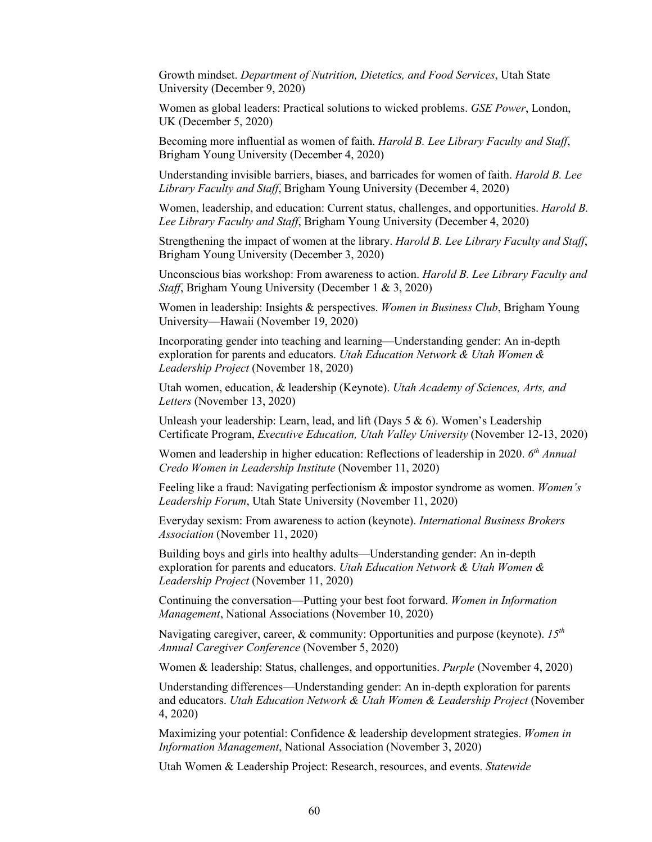Growth mindset. *Department of Nutrition, Dietetics, and Food Services*, Utah State University (December 9, 2020)

Women as global leaders: Practical solutions to wicked problems. *GSE Power*, London, UK (December 5, 2020)

Becoming more influential as women of faith. *Harold B. Lee Library Faculty and Staff*, Brigham Young University (December 4, 2020)

Understanding invisible barriers, biases, and barricades for women of faith. *Harold B. Lee Library Faculty and Staff*, Brigham Young University (December 4, 2020)

Women, leadership, and education: Current status, challenges, and opportunities. *Harold B. Lee Library Faculty and Staff*, Brigham Young University (December 4, 2020)

Strengthening the impact of women at the library. *Harold B. Lee Library Faculty and Staff*, Brigham Young University (December 3, 2020)

Unconscious bias workshop: From awareness to action. *Harold B. Lee Library Faculty and Staff*, Brigham Young University (December 1 & 3, 2020)

Women in leadership: Insights & perspectives. *Women in Business Club*, Brigham Young University—Hawaii (November 19, 2020)

Incorporating gender into teaching and learning—Understanding gender: An in-depth exploration for parents and educators. *Utah Education Network & Utah Women & Leadership Project* (November 18, 2020)

Utah women, education, & leadership (Keynote). *Utah Academy of Sciences, Arts, and Letters* (November 13, 2020)

Unleash your leadership: Learn, lead, and lift (Days 5 & 6). Women's Leadership Certificate Program, *Executive Education, Utah Valley University* (November 12-13, 2020)

Women and leadership in higher education: Reflections of leadership in 2020. *6th Annual Credo Women in Leadership Institute* (November 11, 2020)

Feeling like a fraud: Navigating perfectionism & impostor syndrome as women. *Women's Leadership Forum*, Utah State University (November 11, 2020)

Everyday sexism: From awareness to action (keynote). *International Business Brokers Association* (November 11, 2020)

Building boys and girls into healthy adults—Understanding gender: An in-depth exploration for parents and educators. *Utah Education Network & Utah Women & Leadership Project* (November 11, 2020)

Continuing the conversation—Putting your best foot forward. *Women in Information Management*, National Associations (November 10, 2020)

Navigating caregiver, career, & community: Opportunities and purpose (keynote). *15th Annual Caregiver Conference* (November 5, 2020)

Women & leadership: Status, challenges, and opportunities. *Purple* (November 4, 2020)

Understanding differences—Understanding gender: An in-depth exploration for parents and educators. *Utah Education Network & Utah Women & Leadership Project* (November 4, 2020)

Maximizing your potential: Confidence & leadership development strategies. *Women in Information Management*, National Association (November 3, 2020)

Utah Women & Leadership Project: Research, resources, and events. *Statewide*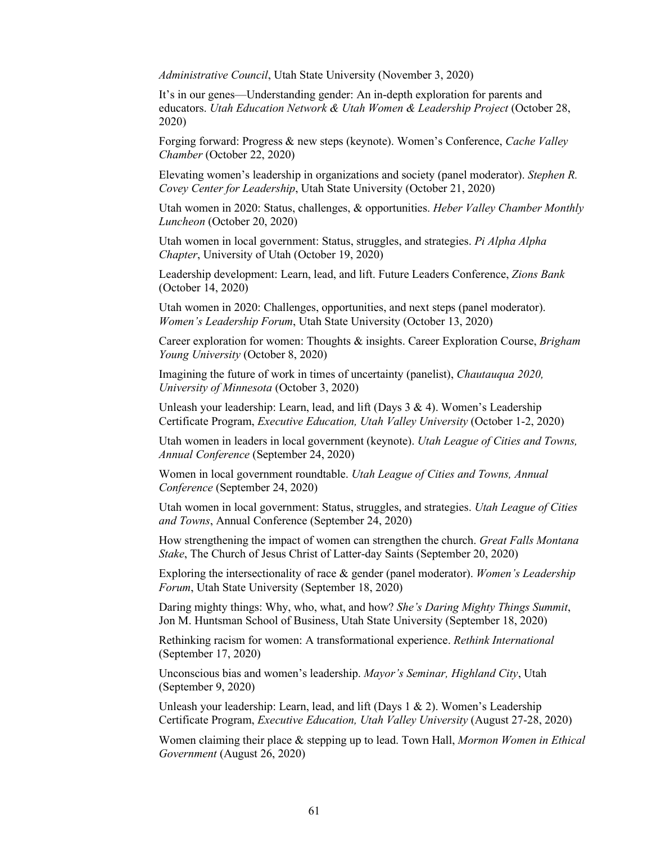*Administrative Council*, Utah State University (November 3, 2020)

It's in our genes—Understanding gender: An in-depth exploration for parents and educators. *Utah Education Network & Utah Women & Leadership Project* (October 28, 2020)

Forging forward: Progress & new steps (keynote). Women's Conference, *Cache Valley Chamber* (October 22, 2020)

Elevating women's leadership in organizations and society (panel moderator). *Stephen R. Covey Center for Leadership*, Utah State University (October 21, 2020)

Utah women in 2020: Status, challenges, & opportunities. *Heber Valley Chamber Monthly Luncheon* (October 20, 2020)

Utah women in local government: Status, struggles, and strategies. *Pi Alpha Alpha Chapter*, University of Utah (October 19, 2020)

Leadership development: Learn, lead, and lift. Future Leaders Conference, *Zions Bank*  (October 14, 2020)

Utah women in 2020: Challenges, opportunities, and next steps (panel moderator). *Women's Leadership Forum*, Utah State University (October 13, 2020)

Career exploration for women: Thoughts & insights. Career Exploration Course, *Brigham Young University* (October 8, 2020)

Imagining the future of work in times of uncertainty (panelist), *Chautauqua 2020, University of Minnesota* (October 3, 2020)

Unleash your leadership: Learn, lead, and lift (Days 3 & 4). Women's Leadership Certificate Program, *Executive Education, Utah Valley University* (October 1-2, 2020)

Utah women in leaders in local government (keynote). *Utah League of Cities and Towns, Annual Conference* (September 24, 2020)

Women in local government roundtable. *Utah League of Cities and Towns, Annual Conference* (September 24, 2020)

Utah women in local government: Status, struggles, and strategies. *Utah League of Cities and Towns*, Annual Conference (September 24, 2020)

How strengthening the impact of women can strengthen the church. *Great Falls Montana Stake*, The Church of Jesus Christ of Latter-day Saints (September 20, 2020)

Exploring the intersectionality of race & gender (panel moderator). *Women's Leadership Forum*, Utah State University (September 18, 2020)

Daring mighty things: Why, who, what, and how? *She's Daring Mighty Things Summit*, Jon M. Huntsman School of Business, Utah State University (September 18, 2020)

Rethinking racism for women: A transformational experience. *Rethink International* (September 17, 2020)

Unconscious bias and women's leadership. *Mayor's Seminar, Highland City*, Utah (September 9, 2020)

Unleash your leadership: Learn, lead, and lift (Days  $1 \& 2$ ). Women's Leadership Certificate Program, *Executive Education, Utah Valley University* (August 27-28, 2020)

Women claiming their place & stepping up to lead. Town Hall, *Mormon Women in Ethical Government* (August 26, 2020)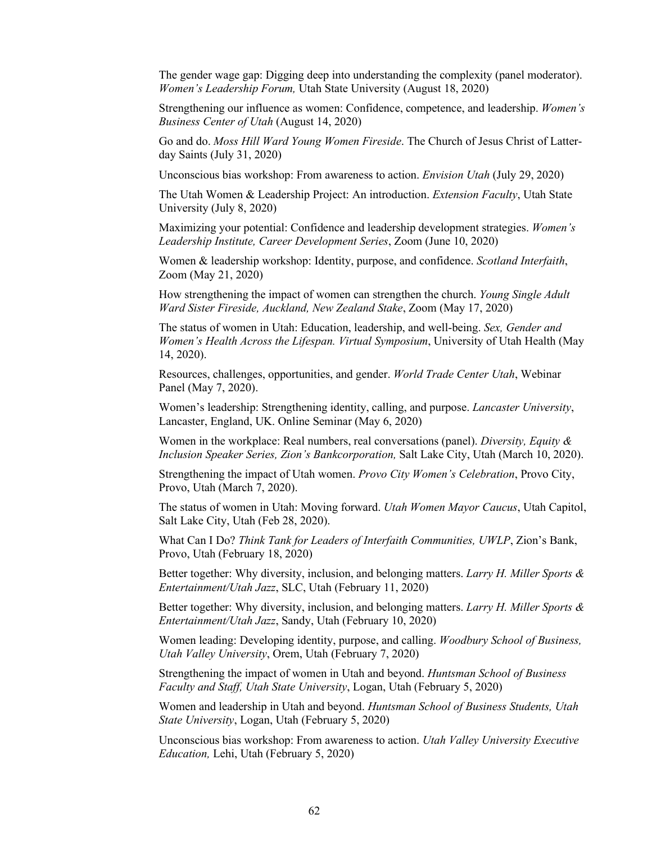The gender wage gap: Digging deep into understanding the complexity (panel moderator). *Women's Leadership Forum,* Utah State University (August 18, 2020)

Strengthening our influence as women: Confidence, competence, and leadership. *Women's Business Center of Utah* (August 14, 2020)

Go and do. *Moss Hill Ward Young Women Fireside*. The Church of Jesus Christ of Latterday Saints (July 31, 2020)

Unconscious bias workshop: From awareness to action. *Envision Utah* (July 29, 2020)

The Utah Women & Leadership Project: An introduction. *Extension Faculty*, Utah State University (July 8, 2020)

Maximizing your potential: Confidence and leadership development strategies. *Women's Leadership Institute, Career Development Series*, Zoom (June 10, 2020)

Women & leadership workshop: Identity, purpose, and confidence. *Scotland Interfaith*, Zoom (May 21, 2020)

How strengthening the impact of women can strengthen the church. *Young Single Adult Ward Sister Fireside, Auckland, New Zealand Stake*, Zoom (May 17, 2020)

The status of women in Utah: Education, leadership, and well-being. *Sex, Gender and Women's Health Across the Lifespan. Virtual Symposium*, University of Utah Health (May 14, 2020).

Resources, challenges, opportunities, and gender. *World Trade Center Utah*, Webinar Panel (May 7, 2020).

Women's leadership: Strengthening identity, calling, and purpose. *Lancaster University*, Lancaster, England, UK. Online Seminar (May 6, 2020)

Women in the workplace: Real numbers, real conversations (panel). *Diversity, Equity & Inclusion Speaker Series, Zion's Bankcorporation,* Salt Lake City, Utah (March 10, 2020).

Strengthening the impact of Utah women. *Provo City Women's Celebration*, Provo City, Provo, Utah (March 7, 2020).

The status of women in Utah: Moving forward. *Utah Women Mayor Caucus*, Utah Capitol, Salt Lake City, Utah (Feb 28, 2020).

What Can I Do? *Think Tank for Leaders of Interfaith Communities, UWLP*, Zion's Bank, Provo, Utah (February 18, 2020)

Better together: Why diversity, inclusion, and belonging matters. *Larry H. Miller Sports & Entertainment/Utah Jazz*, SLC, Utah (February 11, 2020)

Better together: Why diversity, inclusion, and belonging matters. *Larry H. Miller Sports & Entertainment/Utah Jazz*, Sandy, Utah (February 10, 2020)

Women leading: Developing identity, purpose, and calling. *Woodbury School of Business, Utah Valley University*, Orem, Utah (February 7, 2020)

Strengthening the impact of women in Utah and beyond. *Huntsman School of Business Faculty and Staff, Utah State University*, Logan, Utah (February 5, 2020)

Women and leadership in Utah and beyond. *Huntsman School of Business Students, Utah State University*, Logan, Utah (February 5, 2020)

Unconscious bias workshop: From awareness to action. *Utah Valley University Executive Education,* Lehi, Utah (February 5, 2020)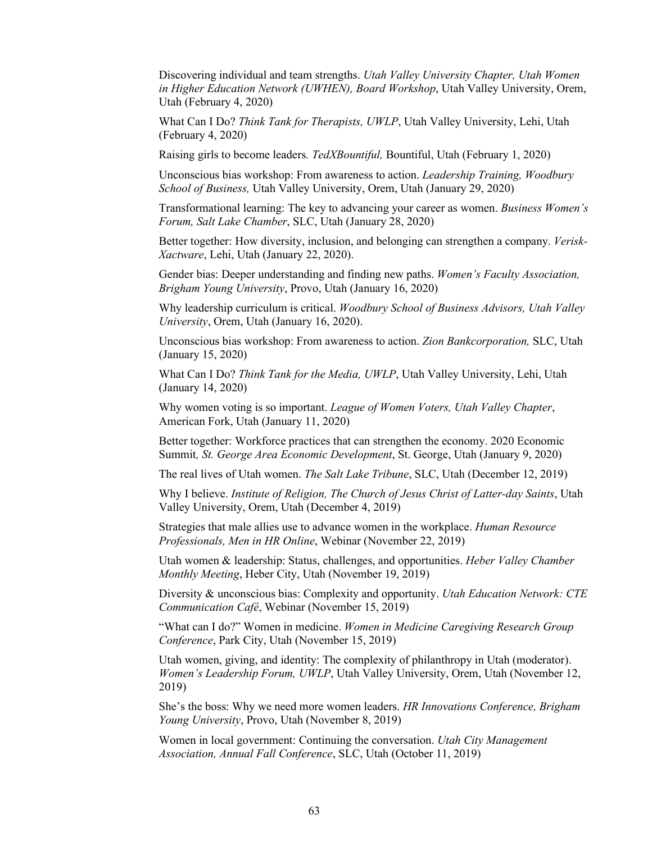Discovering individual and team strengths. *Utah Valley University Chapter, Utah Women in Higher Education Network (UWHEN), Board Workshop*, Utah Valley University, Orem, Utah (February 4, 2020)

What Can I Do? *Think Tank for Therapists, UWLP*, Utah Valley University, Lehi, Utah (February 4, 2020)

Raising girls to become leaders*. TedXBountiful,* Bountiful, Utah (February 1, 2020)

Unconscious bias workshop: From awareness to action. *Leadership Training, Woodbury School of Business,* Utah Valley University, Orem, Utah (January 29, 2020)

Transformational learning: The key to advancing your career as women. *Business Women's Forum, Salt Lake Chamber*, SLC, Utah (January 28, 2020)

Better together: How diversity, inclusion, and belonging can strengthen a company. *Verisk-Xactware*, Lehi, Utah (January 22, 2020).

Gender bias: Deeper understanding and finding new paths. *Women's Faculty Association, Brigham Young University*, Provo, Utah (January 16, 2020)

Why leadership curriculum is critical. *Woodbury School of Business Advisors, Utah Valley University*, Orem, Utah (January 16, 2020).

Unconscious bias workshop: From awareness to action. *Zion Bankcorporation,* SLC, Utah (January 15, 2020)

What Can I Do? *Think Tank for the Media, UWLP*, Utah Valley University, Lehi, Utah (January 14, 2020)

Why women voting is so important. *League of Women Voters, Utah Valley Chapter*, American Fork, Utah (January 11, 2020)

Better together: Workforce practices that can strengthen the economy. 2020 Economic Summit*, St. George Area Economic Development*, St. George, Utah (January 9, 2020)

The real lives of Utah women. *The Salt Lake Tribune*, SLC, Utah (December 12, 2019)

Why I believe. *Institute of Religion, The Church of Jesus Christ of Latter-day Saints*, Utah Valley University, Orem, Utah (December 4, 2019)

Strategies that male allies use to advance women in the workplace. *Human Resource Professionals, Men in HR Online*, Webinar (November 22, 2019)

Utah women & leadership: Status, challenges, and opportunities. *Heber Valley Chamber Monthly Meeting*, Heber City, Utah (November 19, 2019)

Diversity & unconscious bias: Complexity and opportunity. *Utah Education Network: CTE Communication Café*, Webinar (November 15, 2019)

"What can I do?" Women in medicine. *Women in Medicine Caregiving Research Group Conference*, Park City, Utah (November 15, 2019)

Utah women, giving, and identity: The complexity of philanthropy in Utah (moderator). *Women's Leadership Forum, UWLP*, Utah Valley University, Orem, Utah (November 12, 2019)

She's the boss: Why we need more women leaders. *HR Innovations Conference, Brigham Young University*, Provo, Utah (November 8, 2019)

Women in local government: Continuing the conversation. *Utah City Management Association, Annual Fall Conference*, SLC, Utah (October 11, 2019)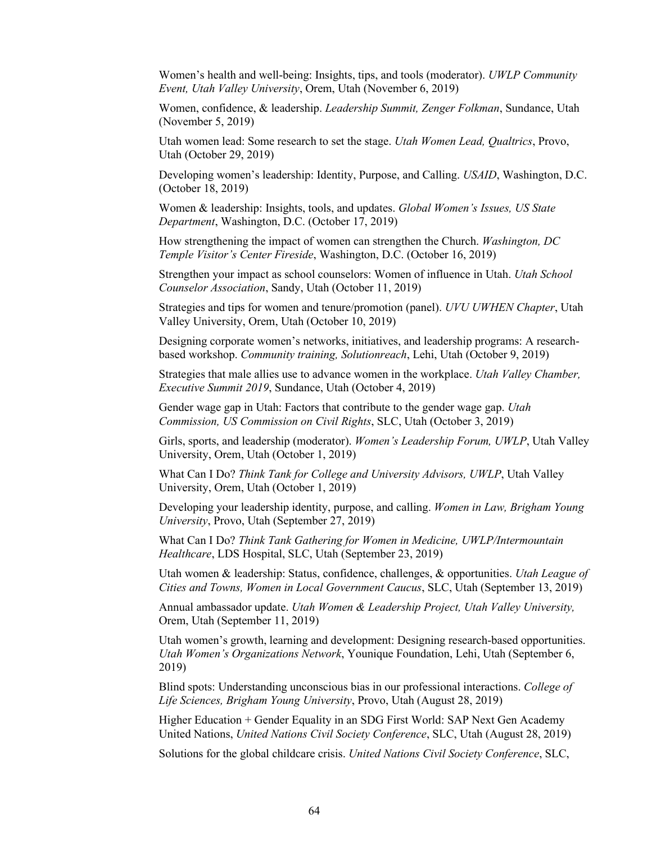Women's health and well-being: Insights, tips, and tools (moderator). *UWLP Community Event, Utah Valley University*, Orem, Utah (November 6, 2019)

Women, confidence, & leadership. *Leadership Summit, Zenger Folkman*, Sundance, Utah (November 5, 2019)

Utah women lead: Some research to set the stage. *Utah Women Lead, Qualtrics*, Provo, Utah (October 29, 2019)

Developing women's leadership: Identity, Purpose, and Calling. *USAID*, Washington, D.C. (October 18, 2019)

Women & leadership: Insights, tools, and updates. *Global Women's Issues, US State Department*, Washington, D.C. (October 17, 2019)

How strengthening the impact of women can strengthen the Church. *Washington, DC Temple Visitor's Center Fireside*, Washington, D.C. (October 16, 2019)

Strengthen your impact as school counselors: Women of influence in Utah. *Utah School Counselor Association*, Sandy, Utah (October 11, 2019)

Strategies and tips for women and tenure/promotion (panel). *UVU UWHEN Chapter*, Utah Valley University, Orem, Utah (October 10, 2019)

Designing corporate women's networks, initiatives, and leadership programs: A researchbased workshop. *Community training, Solutionreach*, Lehi, Utah (October 9, 2019)

Strategies that male allies use to advance women in the workplace. *Utah Valley Chamber, Executive Summit 2019*, Sundance, Utah (October 4, 2019)

Gender wage gap in Utah: Factors that contribute to the gender wage gap. *Utah Commission, US Commission on Civil Rights*, SLC, Utah (October 3, 2019)

Girls, sports, and leadership (moderator). *Women's Leadership Forum, UWLP*, Utah Valley University, Orem, Utah (October 1, 2019)

What Can I Do? *Think Tank for College and University Advisors, UWLP*, Utah Valley University, Orem, Utah (October 1, 2019)

Developing your leadership identity, purpose, and calling. *Women in Law, Brigham Young University*, Provo, Utah (September 27, 2019)

What Can I Do? *Think Tank Gathering for Women in Medicine, UWLP/Intermountain Healthcare*, LDS Hospital, SLC, Utah (September 23, 2019)

Utah women & leadership: Status, confidence, challenges, & opportunities. *Utah League of Cities and Towns, Women in Local Government Caucus*, SLC, Utah (September 13, 2019)

Annual ambassador update. *Utah Women & Leadership Project, Utah Valley University,* Orem, Utah (September 11, 2019)

Utah women's growth, learning and development: Designing research-based opportunities. *Utah Women's Organizations Network*, Younique Foundation, Lehi, Utah (September 6, 2019)

Blind spots: Understanding unconscious bias in our professional interactions. *College of Life Sciences, Brigham Young University*, Provo, Utah (August 28, 2019)

Higher Education + Gender Equality in an SDG First World: SAP Next Gen Academy United Nations, *United Nations Civil Society Conference*, SLC, Utah (August 28, 2019)

Solutions for the global childcare crisis. *United Nations Civil Society Conference*, SLC,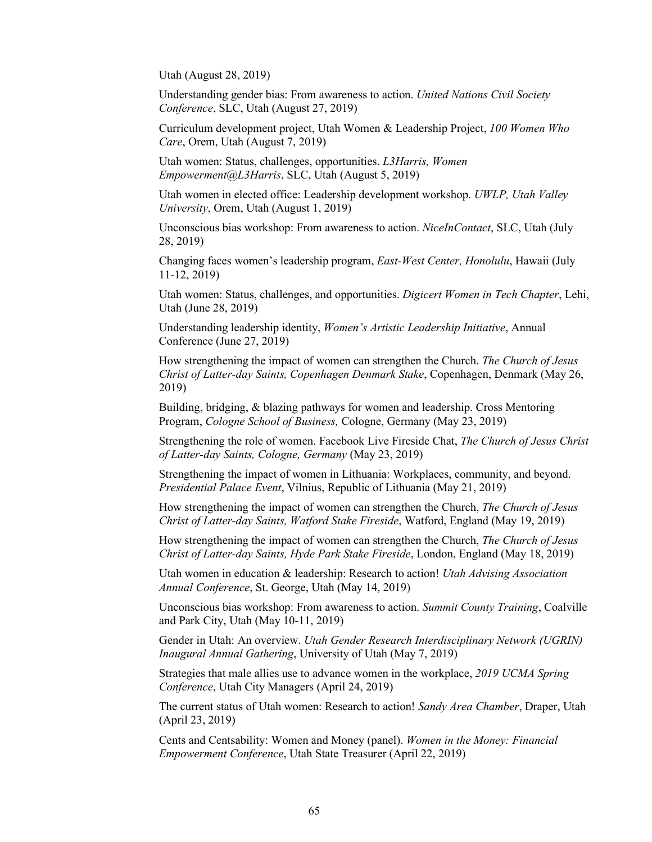Utah (August 28, 2019)

Understanding gender bias: From awareness to action. *United Nations Civil Society Conference*, SLC, Utah (August 27, 2019)

Curriculum development project, Utah Women & Leadership Project, *100 Women Who Care*, Orem, Utah (August 7, 2019)

Utah women: Status, challenges, opportunities. *L3Harris, Women Empowerment@L3Harris*, SLC, Utah (August 5, 2019)

Utah women in elected office: Leadership development workshop. *UWLP, Utah Valley University*, Orem, Utah (August 1, 2019)

Unconscious bias workshop: From awareness to action. *NiceInContact*, SLC, Utah (July 28, 2019)

Changing faces women's leadership program, *East-West Center, Honolulu*, Hawaii (July 11-12, 2019)

Utah women: Status, challenges, and opportunities. *Digicert Women in Tech Chapter*, Lehi, Utah (June 28, 2019)

Understanding leadership identity, *Women's Artistic Leadership Initiative*, Annual Conference (June 27, 2019)

How strengthening the impact of women can strengthen the Church. *The Church of Jesus Christ of Latter-day Saints, Copenhagen Denmark Stake*, Copenhagen, Denmark (May 26, 2019)

Building, bridging, & blazing pathways for women and leadership. Cross Mentoring Program, *Cologne School of Business,* Cologne, Germany (May 23, 2019)

Strengthening the role of women. Facebook Live Fireside Chat, *The Church of Jesus Christ of Latter-day Saints, Cologne, Germany* (May 23, 2019)

Strengthening the impact of women in Lithuania: Workplaces, community, and beyond. *Presidential Palace Event*, Vilnius, Republic of Lithuania (May 21, 2019)

How strengthening the impact of women can strengthen the Church, *The Church of Jesus Christ of Latter-day Saints, Watford Stake Fireside*, Watford, England (May 19, 2019)

How strengthening the impact of women can strengthen the Church, *The Church of Jesus Christ of Latter-day Saints, Hyde Park Stake Fireside*, London, England (May 18, 2019)

Utah women in education & leadership: Research to action! *Utah Advising Association Annual Conference*, St. George, Utah (May 14, 2019)

Unconscious bias workshop: From awareness to action. *Summit County Training*, Coalville and Park City, Utah (May 10-11, 2019)

Gender in Utah: An overview. *Utah Gender Research Interdisciplinary Network (UGRIN) Inaugural Annual Gathering*, University of Utah (May 7, 2019)

Strategies that male allies use to advance women in the workplace, *2019 UCMA Spring Conference*, Utah City Managers (April 24, 2019)

The current status of Utah women: Research to action! *Sandy Area Chamber*, Draper, Utah (April 23, 2019)

Cents and Centsability: Women and Money (panel). *Women in the Money: Financial Empowerment Conference*, Utah State Treasurer (April 22, 2019)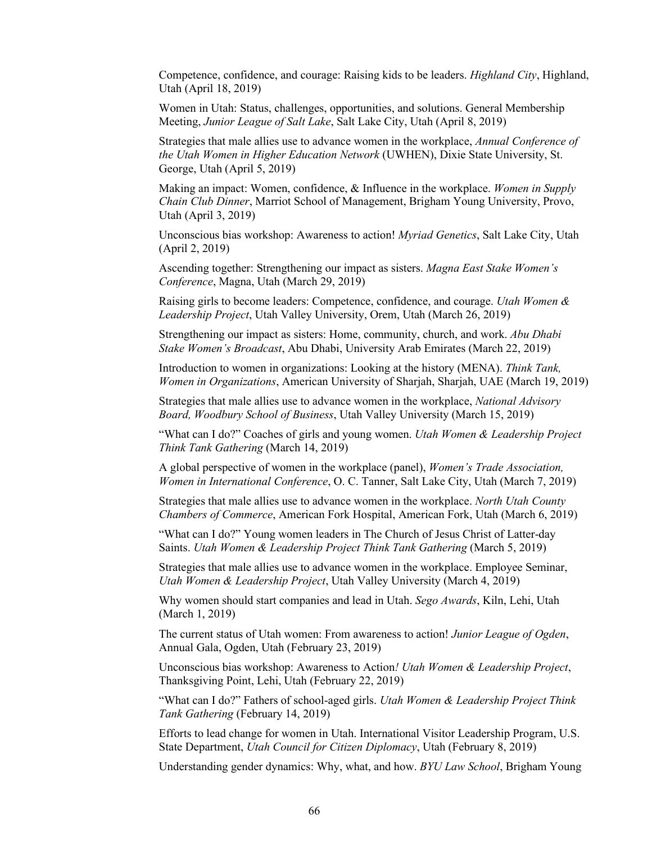Competence, confidence, and courage: Raising kids to be leaders. *Highland City*, Highland, Utah (April 18, 2019)

Women in Utah: Status, challenges, opportunities, and solutions. General Membership Meeting, *Junior League of Salt Lake*, Salt Lake City, Utah (April 8, 2019)

Strategies that male allies use to advance women in the workplace, *Annual Conference of the Utah Women in Higher Education Network* (UWHEN), Dixie State University, St. George, Utah (April 5, 2019)

Making an impact: Women, confidence, & Influence in the workplace. *Women in Supply Chain Club Dinner*, Marriot School of Management, Brigham Young University, Provo, Utah (April 3, 2019)

Unconscious bias workshop: Awareness to action! *Myriad Genetics*, Salt Lake City, Utah (April 2, 2019)

Ascending together: Strengthening our impact as sisters. *Magna East Stake Women's Conference*, Magna, Utah (March 29, 2019)

Raising girls to become leaders: Competence, confidence, and courage. *Utah Women & Leadership Project*, Utah Valley University, Orem, Utah (March 26, 2019)

Strengthening our impact as sisters: Home, community, church, and work. *Abu Dhabi Stake Women's Broadcast*, Abu Dhabi, University Arab Emirates (March 22, 2019)

Introduction to women in organizations: Looking at the history (MENA). *Think Tank, Women in Organizations*, American University of Sharjah, Sharjah, UAE (March 19, 2019)

Strategies that male allies use to advance women in the workplace, *National Advisory Board, Woodbury School of Business*, Utah Valley University (March 15, 2019)

"What can I do?" Coaches of girls and young women. *Utah Women & Leadership Project Think Tank Gathering* (March 14, 2019)

A global perspective of women in the workplace (panel), *Women's Trade Association, Women in International Conference*, O. C. Tanner, Salt Lake City, Utah (March 7, 2019)

Strategies that male allies use to advance women in the workplace. *North Utah County Chambers of Commerce*, American Fork Hospital, American Fork, Utah (March 6, 2019)

"What can I do?" Young women leaders in The Church of Jesus Christ of Latter-day Saints. *Utah Women & Leadership Project Think Tank Gathering* (March 5, 2019)

Strategies that male allies use to advance women in the workplace. Employee Seminar, *Utah Women & Leadership Project*, Utah Valley University (March 4, 2019)

Why women should start companies and lead in Utah. *Sego Awards*, Kiln, Lehi, Utah (March 1, 2019)

The current status of Utah women: From awareness to action! *Junior League of Ogden*, Annual Gala, Ogden, Utah (February 23, 2019)

Unconscious bias workshop: Awareness to Action*! Utah Women & Leadership Project*, Thanksgiving Point, Lehi, Utah (February 22, 2019)

"What can I do?" Fathers of school-aged girls. *Utah Women & Leadership Project Think Tank Gathering* (February 14, 2019)

Efforts to lead change for women in Utah. International Visitor Leadership Program, U.S. State Department, *Utah Council for Citizen Diplomacy*, Utah (February 8, 2019)

Understanding gender dynamics: Why, what, and how. *BYU Law School*, Brigham Young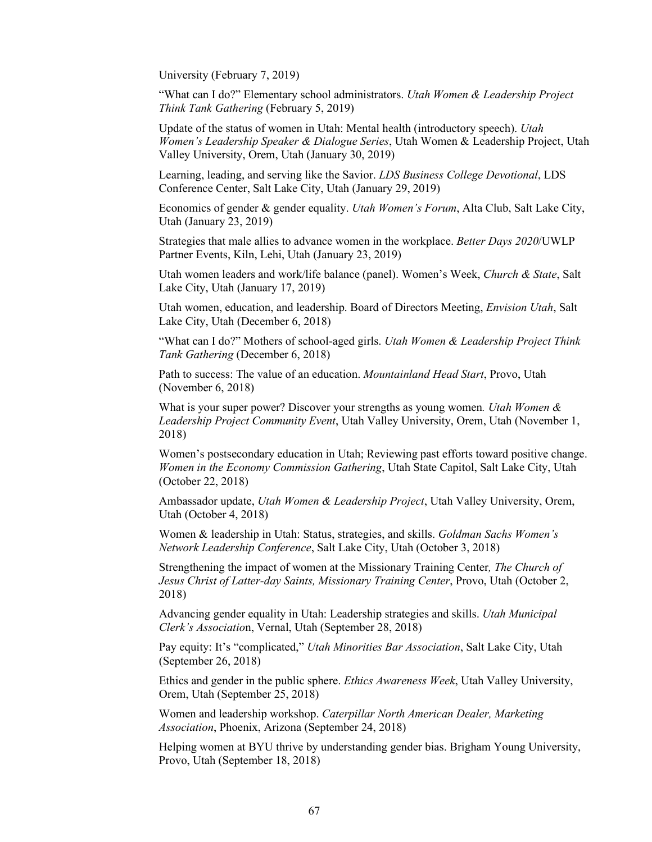University (February 7, 2019)

"What can I do?" Elementary school administrators. *Utah Women & Leadership Project Think Tank Gathering* (February 5, 2019)

Update of the status of women in Utah: Mental health (introductory speech). *Utah Women's Leadership Speaker & Dialogue Series*, Utah Women & Leadership Project, Utah Valley University, Orem, Utah (January 30, 2019)

Learning, leading, and serving like the Savior. *LDS Business College Devotional*, LDS Conference Center, Salt Lake City, Utah (January 29, 2019)

Economics of gender & gender equality. *Utah Women's Forum*, Alta Club, Salt Lake City, Utah (January 23, 2019)

Strategies that male allies to advance women in the workplace. *Better Days 2020*/UWLP Partner Events, Kiln, Lehi, Utah (January 23, 2019)

Utah women leaders and work/life balance (panel). Women's Week, *Church & State*, Salt Lake City, Utah (January 17, 2019)

Utah women, education, and leadership. Board of Directors Meeting, *Envision Utah*, Salt Lake City, Utah (December 6, 2018)

"What can I do?" Mothers of school-aged girls. *Utah Women & Leadership Project Think Tank Gathering* (December 6, 2018)

Path to success: The value of an education. *Mountainland Head Start*, Provo, Utah (November 6, 2018)

What is your super power? Discover your strengths as young women*. Utah Women & Leadership Project Community Event*, Utah Valley University, Orem, Utah (November 1, 2018)

Women's postsecondary education in Utah; Reviewing past efforts toward positive change. *Women in the Economy Commission Gathering*, Utah State Capitol, Salt Lake City, Utah (October 22, 2018)

Ambassador update, *Utah Women & Leadership Project*, Utah Valley University, Orem, Utah (October 4, 2018)

Women & leadership in Utah: Status, strategies, and skills. *Goldman Sachs Women's Network Leadership Conference*, Salt Lake City, Utah (October 3, 2018)

Strengthening the impact of women at the Missionary Training Center*, The Church of Jesus Christ of Latter-day Saints, Missionary Training Center*, Provo, Utah (October 2, 2018)

Advancing gender equality in Utah: Leadership strategies and skills. *Utah Municipal Clerk's Associatio*n, Vernal, Utah (September 28, 2018)

Pay equity: It's "complicated," *Utah Minorities Bar Association*, Salt Lake City, Utah (September 26, 2018)

Ethics and gender in the public sphere. *Ethics Awareness Week*, Utah Valley University, Orem, Utah (September 25, 2018)

Women and leadership workshop. *Caterpillar North American Dealer, Marketing Association*, Phoenix, Arizona (September 24, 2018)

Helping women at BYU thrive by understanding gender bias. Brigham Young University, Provo, Utah (September 18, 2018)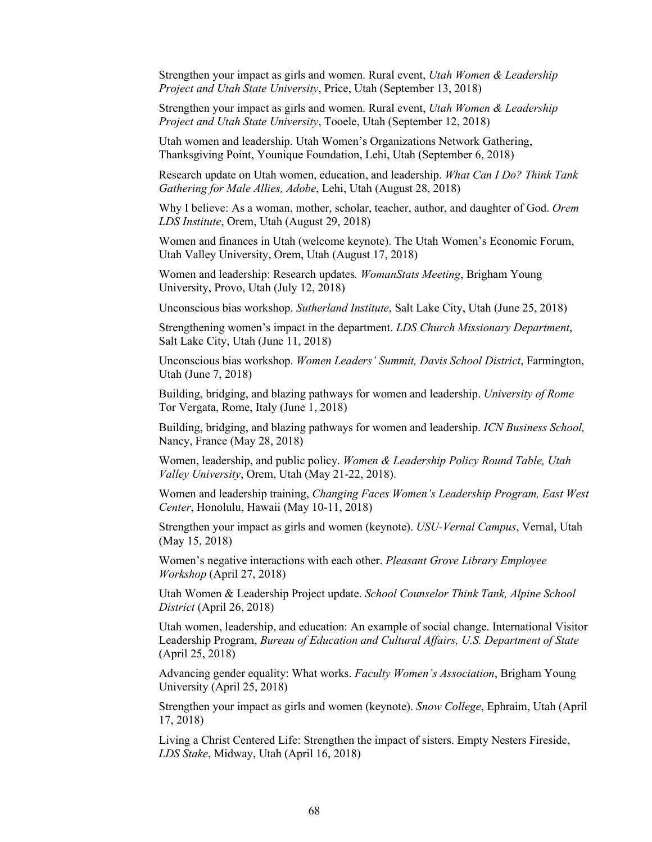Strengthen your impact as girls and women. Rural event, *Utah Women & Leadership Project and Utah State University*, Price, Utah (September 13, 2018)

Strengthen your impact as girls and women. Rural event, *Utah Women & Leadership Project and Utah State University*, Tooele, Utah (September 12, 2018)

Utah women and leadership. Utah Women's Organizations Network Gathering, Thanksgiving Point, Younique Foundation, Lehi, Utah (September 6, 2018)

Research update on Utah women, education, and leadership. *What Can I Do? Think Tank Gathering for Male Allies, Adobe*, Lehi, Utah (August 28, 2018)

Why I believe: As a woman, mother, scholar, teacher, author, and daughter of God. *Orem LDS Institute*, Orem, Utah (August 29, 2018)

Women and finances in Utah (welcome keynote). The Utah Women's Economic Forum, Utah Valley University, Orem, Utah (August 17, 2018)

Women and leadership: Research updates*. WomanStats Meeting*, Brigham Young University, Provo, Utah (July 12, 2018)

Unconscious bias workshop. *Sutherland Institute*, Salt Lake City, Utah (June 25, 2018)

Strengthening women's impact in the department. *LDS Church Missionary Department*, Salt Lake City, Utah (June 11, 2018)

Unconscious bias workshop. *Women Leaders' Summit, Davis School District*, Farmington, Utah (June 7, 2018)

Building, bridging, and blazing pathways for women and leadership. *University of Rome* Tor Vergata, Rome, Italy (June 1, 2018)

Building, bridging, and blazing pathways for women and leadership. *ICN Business School,*  Nancy, France (May 28, 2018)

Women, leadership, and public policy. *Women & Leadership Policy Round Table, Utah Valley University*, Orem, Utah (May 21-22, 2018).

Women and leadership training, *Changing Faces Women's Leadership Program, East West Center*, Honolulu, Hawaii (May 10-11, 2018)

Strengthen your impact as girls and women (keynote). *USU-Vernal Campus*, Vernal, Utah (May 15, 2018)

Women's negative interactions with each other. *Pleasant Grove Library Employee Workshop* (April 27, 2018)

Utah Women & Leadership Project update. *School Counselor Think Tank, Alpine School District* (April 26, 2018)

Utah women, leadership, and education: An example of social change. International Visitor Leadership Program, *Bureau of Education and Cultural Affairs, U.S. Department of State* (April 25, 2018)

Advancing gender equality: What works. *Faculty Women's Association*, Brigham Young University (April 25, 2018)

Strengthen your impact as girls and women (keynote). *Snow College*, Ephraim, Utah (April 17, 2018)

Living a Christ Centered Life: Strengthen the impact of sisters. Empty Nesters Fireside, *LDS Stake*, Midway, Utah (April 16, 2018)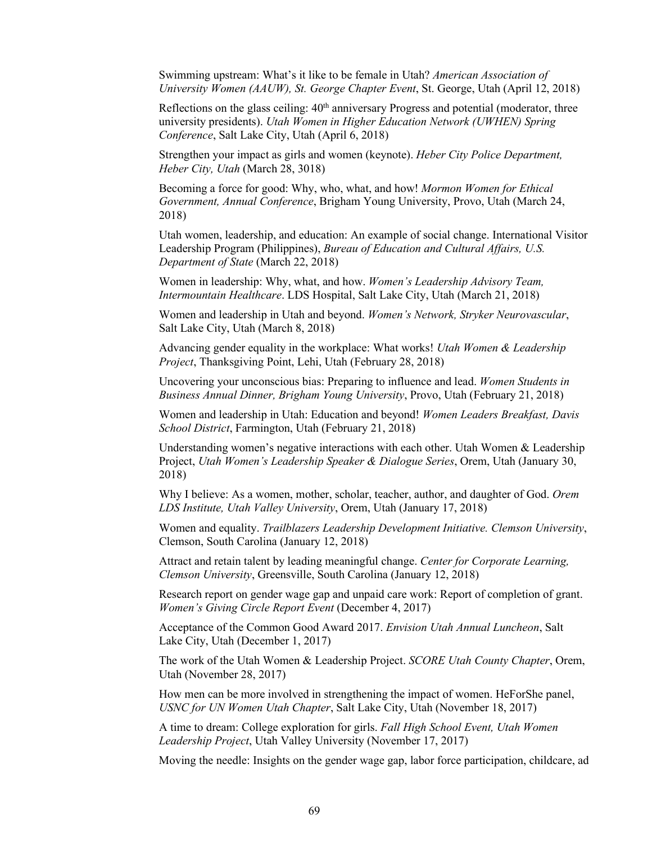Swimming upstream: What's it like to be female in Utah? *American Association of University Women (AAUW), St. George Chapter Event*, St. George, Utah (April 12, 2018)

Reflections on the glass ceiling:  $40<sup>th</sup>$  anniversary Progress and potential (moderator, three university presidents). *Utah Women in Higher Education Network (UWHEN) Spring Conference*, Salt Lake City, Utah (April 6, 2018)

Strengthen your impact as girls and women (keynote). *Heber City Police Department, Heber City, Utah* (March 28, 3018)

Becoming a force for good: Why, who, what, and how! *Mormon Women for Ethical Government, Annual Conference*, Brigham Young University, Provo, Utah (March 24, 2018)

Utah women, leadership, and education: An example of social change. International Visitor Leadership Program (Philippines), *Bureau of Education and Cultural Affairs, U.S. Department of State* (March 22, 2018)

Women in leadership: Why, what, and how. *Women's Leadership Advisory Team, Intermountain Healthcare*. LDS Hospital, Salt Lake City, Utah (March 21, 2018)

Women and leadership in Utah and beyond. *Women's Network, Stryker Neurovascular*, Salt Lake City, Utah (March 8, 2018)

Advancing gender equality in the workplace: What works! *Utah Women & Leadership Project*, Thanksgiving Point, Lehi, Utah (February 28, 2018)

Uncovering your unconscious bias: Preparing to influence and lead. *Women Students in Business Annual Dinner, Brigham Young University*, Provo, Utah (February 21, 2018)

Women and leadership in Utah: Education and beyond! *Women Leaders Breakfast, Davis School District*, Farmington, Utah (February 21, 2018)

Understanding women's negative interactions with each other. Utah Women & Leadership Project, *Utah Women's Leadership Speaker & Dialogue Series*, Orem, Utah (January 30, 2018)

Why I believe: As a women, mother, scholar, teacher, author, and daughter of God. *Orem LDS Institute, Utah Valley University*, Orem, Utah (January 17, 2018)

Women and equality. *Trailblazers Leadership Development Initiative. Clemson University*, Clemson, South Carolina (January 12, 2018)

Attract and retain talent by leading meaningful change. *Center for Corporate Learning, Clemson University*, Greensville, South Carolina (January 12, 2018)

Research report on gender wage gap and unpaid care work: Report of completion of grant. *Women's Giving Circle Report Event* (December 4, 2017)

Acceptance of the Common Good Award 2017. *Envision Utah Annual Luncheon*, Salt Lake City, Utah (December 1, 2017)

The work of the Utah Women & Leadership Project. *SCORE Utah County Chapter*, Orem, Utah (November 28, 2017)

How men can be more involved in strengthening the impact of women. HeForShe panel, *USNC for UN Women Utah Chapter*, Salt Lake City, Utah (November 18, 2017)

A time to dream: College exploration for girls. *Fall High School Event, Utah Women Leadership Project*, Utah Valley University (November 17, 2017)

Moving the needle: Insights on the gender wage gap, labor force participation, childcare, ad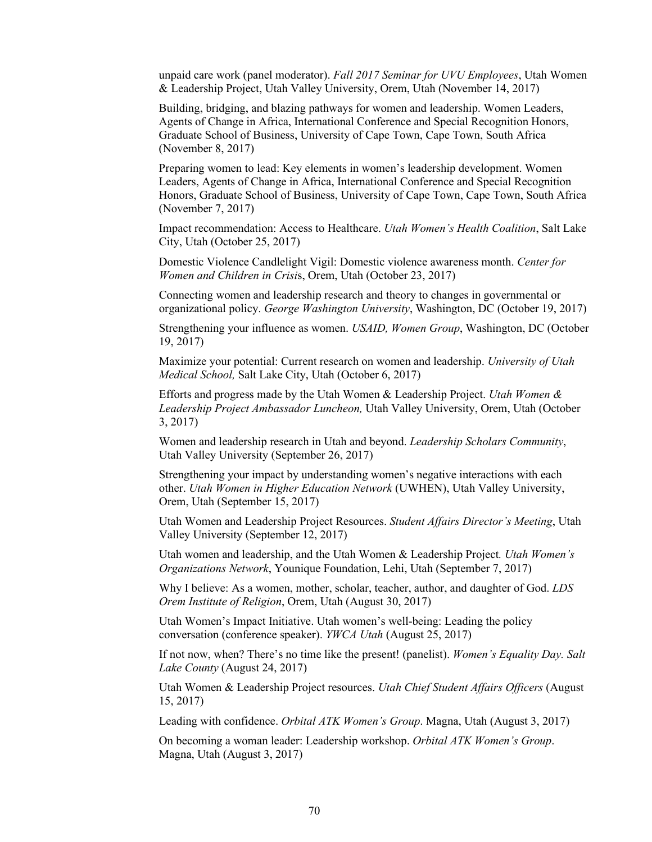unpaid care work (panel moderator). *Fall 2017 Seminar for UVU Employees*, Utah Women & Leadership Project, Utah Valley University, Orem, Utah (November 14, 2017)

Building, bridging, and blazing pathways for women and leadership. Women Leaders, Agents of Change in Africa, International Conference and Special Recognition Honors, Graduate School of Business, University of Cape Town, Cape Town, South Africa (November 8, 2017)

Preparing women to lead: Key elements in women's leadership development. Women Leaders, Agents of Change in Africa, International Conference and Special Recognition Honors, Graduate School of Business, University of Cape Town, Cape Town, South Africa (November 7, 2017)

Impact recommendation: Access to Healthcare. *Utah Women's Health Coalition*, Salt Lake City, Utah (October 25, 2017)

Domestic Violence Candlelight Vigil: Domestic violence awareness month. *Center for Women and Children in Crisi*s, Orem, Utah (October 23, 2017)

Connecting women and leadership research and theory to changes in governmental or organizational policy. *George Washington University*, Washington, DC (October 19, 2017)

Strengthening your influence as women. *USAID, Women Group*, Washington, DC (October 19, 2017)

Maximize your potential: Current research on women and leadership. *University of Utah Medical School,* Salt Lake City, Utah (October 6, 2017)

Efforts and progress made by the Utah Women & Leadership Project. *Utah Women & Leadership Project Ambassador Luncheon,* Utah Valley University, Orem, Utah (October 3, 2017)

Women and leadership research in Utah and beyond. *Leadership Scholars Community*, Utah Valley University (September 26, 2017)

Strengthening your impact by understanding women's negative interactions with each other. *Utah Women in Higher Education Network* (UWHEN), Utah Valley University, Orem, Utah (September 15, 2017)

Utah Women and Leadership Project Resources. *Student Affairs Director's Meeting*, Utah Valley University (September 12, 2017)

Utah women and leadership, and the Utah Women & Leadership Project*. Utah Women's Organizations Network*, Younique Foundation, Lehi, Utah (September 7, 2017)

Why I believe: As a women, mother, scholar, teacher, author, and daughter of God. *LDS Orem Institute of Religion*, Orem, Utah (August 30, 2017)

Utah Women's Impact Initiative. Utah women's well-being: Leading the policy conversation (conference speaker). *YWCA Utah* (August 25, 2017)

If not now, when? There's no time like the present! (panelist). *Women's Equality Day. Salt Lake County* (August 24, 2017)

Utah Women & Leadership Project resources. *Utah Chief Student Affairs Officers* (August 15, 2017)

Leading with confidence. *Orbital ATK Women's Group*. Magna, Utah (August 3, 2017)

On becoming a woman leader: Leadership workshop. *Orbital ATK Women's Group*. Magna, Utah (August 3, 2017)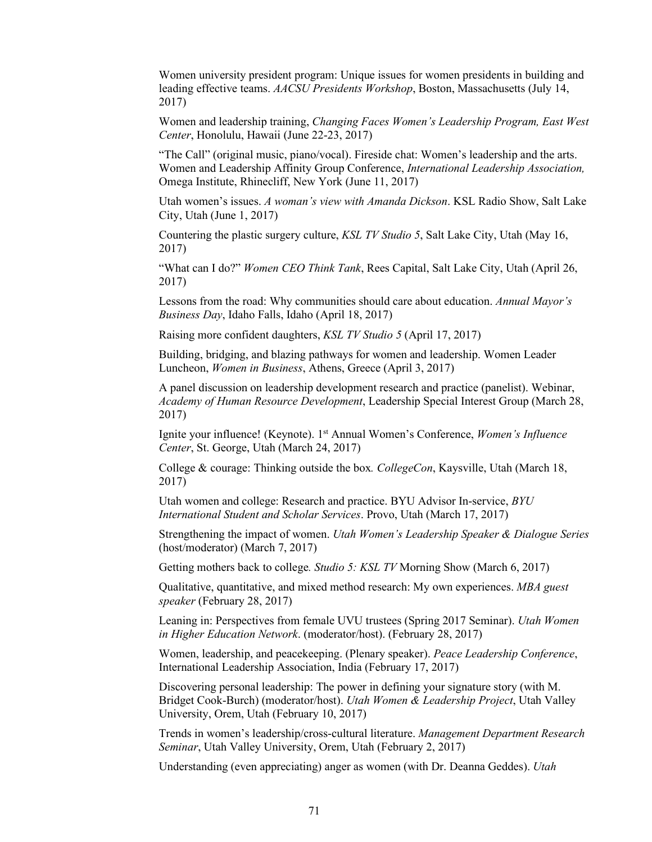Women university president program: Unique issues for women presidents in building and leading effective teams. *AACSU Presidents Workshop*, Boston, Massachusetts (July 14, 2017)

Women and leadership training, *Changing Faces Women's Leadership Program, East West Center*, Honolulu, Hawaii (June 22-23, 2017)

"The Call" (original music, piano/vocal). Fireside chat: Women's leadership and the arts. Women and Leadership Affinity Group Conference, *International Leadership Association,* Omega Institute, Rhinecliff, New York (June 11, 2017)

Utah women's issues. *A woman's view with Amanda Dickson*. KSL Radio Show, Salt Lake City, Utah (June 1, 2017)

Countering the plastic surgery culture, *KSL TV Studio 5*, Salt Lake City, Utah (May 16, 2017)

"What can I do?" *Women CEO Think Tank*, Rees Capital, Salt Lake City, Utah (April 26, 2017)

Lessons from the road: Why communities should care about education. *Annual Mayor's Business Day*, Idaho Falls, Idaho (April 18, 2017)

Raising more confident daughters, *KSL TV Studio 5* (April 17, 2017)

Building, bridging, and blazing pathways for women and leadership. Women Leader Luncheon, *Women in Business*, Athens, Greece (April 3, 2017)

A panel discussion on leadership development research and practice (panelist). Webinar, *Academy of Human Resource Development*, Leadership Special Interest Group (March 28, 2017)

Ignite your influence! (Keynote). 1st Annual Women's Conference, *Women's Influence Center*, St. George, Utah (March 24, 2017)

College & courage: Thinking outside the box*. CollegeCon*, Kaysville, Utah (March 18, 2017)

Utah women and college: Research and practice. BYU Advisor In-service, *BYU International Student and Scholar Services*. Provo, Utah (March 17, 2017)

Strengthening the impact of women. *Utah Women's Leadership Speaker & Dialogue Series* (host/moderator) (March 7, 2017)

Getting mothers back to college*. Studio 5: KSL TV* Morning Show (March 6, 2017)

Qualitative, quantitative, and mixed method research: My own experiences. *MBA guest speaker* (February 28, 2017)

Leaning in: Perspectives from female UVU trustees (Spring 2017 Seminar). *Utah Women in Higher Education Network*. (moderator/host). (February 28, 2017)

Women, leadership, and peacekeeping. (Plenary speaker). *Peace Leadership Conference*, International Leadership Association, India (February 17, 2017)

Discovering personal leadership: The power in defining your signature story (with M. Bridget Cook-Burch) (moderator/host). *Utah Women & Leadership Project*, Utah Valley University, Orem, Utah (February 10, 2017)

Trends in women's leadership/cross-cultural literature. *Management Department Research Seminar*, Utah Valley University, Orem, Utah (February 2, 2017)

Understanding (even appreciating) anger as women (with Dr. Deanna Geddes). *Utah*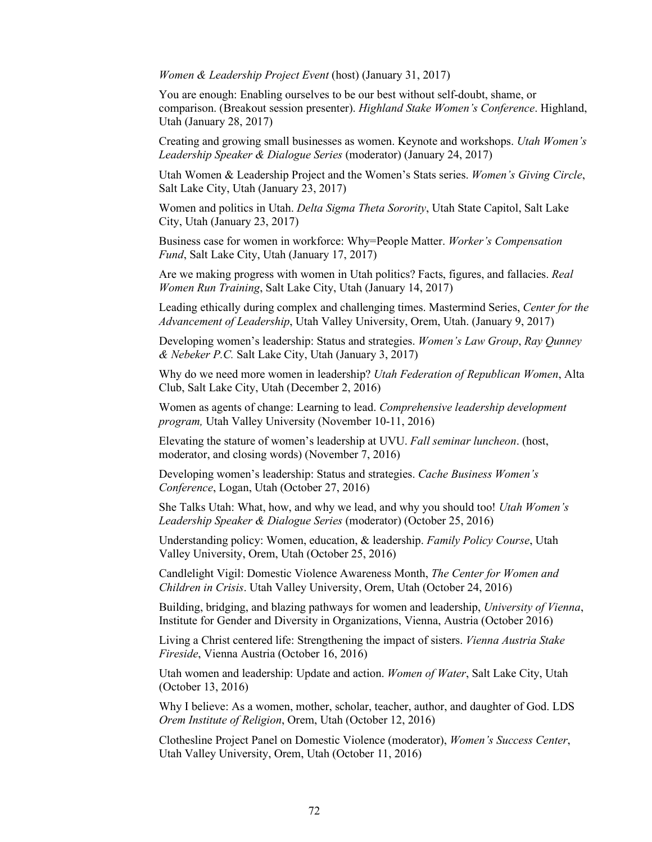*Women & Leadership Project Event* (host) (January 31, 2017)

You are enough: Enabling ourselves to be our best without self-doubt, shame, or comparison. (Breakout session presenter). *Highland Stake Women's Conference*. Highland, Utah (January 28, 2017)

Creating and growing small businesses as women. Keynote and workshops. *Utah Women's Leadership Speaker & Dialogue Series* (moderator) (January 24, 2017)

Utah Women & Leadership Project and the Women's Stats series. *Women's Giving Circle*, Salt Lake City, Utah (January 23, 2017)

Women and politics in Utah. *Delta Sigma Theta Sorority*, Utah State Capitol, Salt Lake City, Utah (January 23, 2017)

Business case for women in workforce: Why=People Matter. *Worker's Compensation Fund*, Salt Lake City, Utah (January 17, 2017)

Are we making progress with women in Utah politics? Facts, figures, and fallacies. *Real Women Run Training*, Salt Lake City, Utah (January 14, 2017)

Leading ethically during complex and challenging times. Mastermind Series, *Center for the Advancement of Leadership*, Utah Valley University, Orem, Utah. (January 9, 2017)

Developing women's leadership: Status and strategies. *Women's Law Group*, *Ray Qunney & Nebeker P.C.* Salt Lake City, Utah (January 3, 2017)

Why do we need more women in leadership? *Utah Federation of Republican Women*, Alta Club, Salt Lake City, Utah (December 2, 2016)

Women as agents of change: Learning to lead. *Comprehensive leadership development program,* Utah Valley University (November 10-11, 2016)

Elevating the stature of women's leadership at UVU. *Fall seminar luncheon*. (host, moderator, and closing words) (November 7, 2016)

Developing women's leadership: Status and strategies. *Cache Business Women's Conference*, Logan, Utah (October 27, 2016)

She Talks Utah: What, how, and why we lead, and why you should too! *Utah Women's Leadership Speaker & Dialogue Series* (moderator) (October 25, 2016)

Understanding policy: Women, education, & leadership. *Family Policy Course*, Utah Valley University, Orem, Utah (October 25, 2016)

Candlelight Vigil: Domestic Violence Awareness Month, *The Center for Women and Children in Crisis*. Utah Valley University, Orem, Utah (October 24, 2016)

Building, bridging, and blazing pathways for women and leadership, *University of Vienna*, Institute for Gender and Diversity in Organizations, Vienna, Austria (October 2016)

Living a Christ centered life: Strengthening the impact of sisters. *Vienna Austria Stake Fireside*, Vienna Austria (October 16, 2016)

Utah women and leadership: Update and action. *Women of Water*, Salt Lake City, Utah (October 13, 2016)

Why I believe: As a women, mother, scholar, teacher, author, and daughter of God. LDS *Orem Institute of Religion*, Orem, Utah (October 12, 2016)

Clothesline Project Panel on Domestic Violence (moderator), *Women's Success Center*, Utah Valley University, Orem, Utah (October 11, 2016)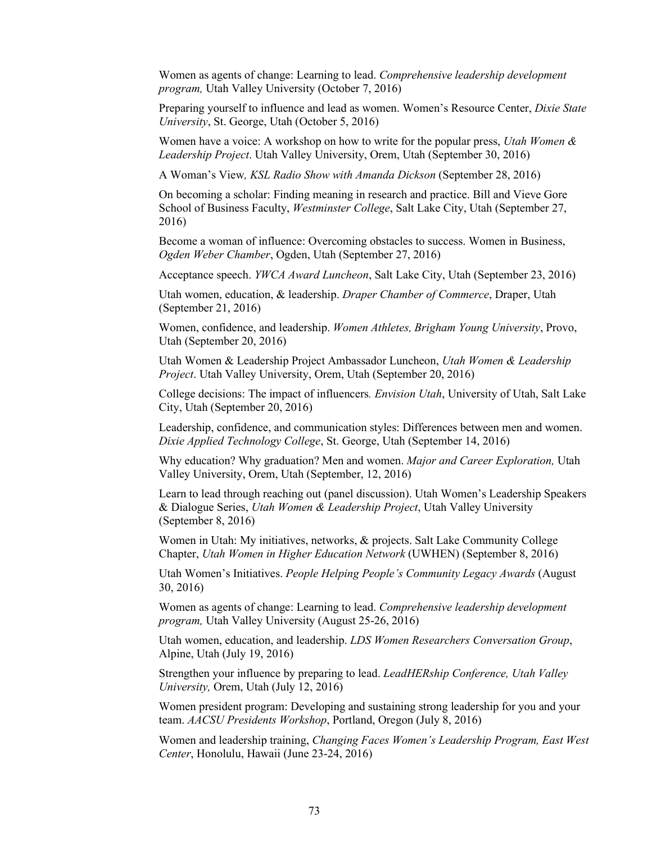Women as agents of change: Learning to lead. *Comprehensive leadership development program,* Utah Valley University (October 7, 2016)

Preparing yourself to influence and lead as women. Women's Resource Center, *Dixie State University*, St. George, Utah (October 5, 2016)

Women have a voice: A workshop on how to write for the popular press, *Utah Women & Leadership Project*. Utah Valley University, Orem, Utah (September 30, 2016)

A Woman's View*, KSL Radio Show with Amanda Dickson* (September 28, 2016)

On becoming a scholar: Finding meaning in research and practice. Bill and Vieve Gore School of Business Faculty, *Westminster College*, Salt Lake City, Utah (September 27, 2016)

Become a woman of influence: Overcoming obstacles to success. Women in Business, *Ogden Weber Chamber*, Ogden, Utah (September 27, 2016)

Acceptance speech. *YWCA Award Luncheon*, Salt Lake City, Utah (September 23, 2016)

Utah women, education, & leadership. *Draper Chamber of Commerce*, Draper, Utah (September 21, 2016)

Women, confidence, and leadership. *Women Athletes, Brigham Young University*, Provo, Utah (September 20, 2016)

Utah Women & Leadership Project Ambassador Luncheon, *Utah Women & Leadership Project*. Utah Valley University, Orem, Utah (September 20, 2016)

College decisions: The impact of influencers*. Envision Utah*, University of Utah, Salt Lake City, Utah (September 20, 2016)

Leadership, confidence, and communication styles: Differences between men and women. *Dixie Applied Technology College*, St. George, Utah (September 14, 2016)

Why education? Why graduation? Men and women. *Major and Career Exploration,* Utah Valley University, Orem, Utah (September, 12, 2016)

Learn to lead through reaching out (panel discussion). Utah Women's Leadership Speakers & Dialogue Series, *Utah Women & Leadership Project*, Utah Valley University (September 8, 2016)

Women in Utah: My initiatives, networks, & projects. Salt Lake Community College Chapter, *Utah Women in Higher Education Network* (UWHEN) (September 8, 2016)

Utah Women's Initiatives. *People Helping People's Community Legacy Awards* (August 30, 2016)

Women as agents of change: Learning to lead. *Comprehensive leadership development program,* Utah Valley University (August 25-26, 2016)

Utah women, education, and leadership. *LDS Women Researchers Conversation Group*, Alpine, Utah (July 19, 2016)

Strengthen your influence by preparing to lead. *LeadHERship Conference, Utah Valley University,* Orem, Utah (July 12, 2016)

Women president program: Developing and sustaining strong leadership for you and your team. *AACSU Presidents Workshop*, Portland, Oregon (July 8, 2016)

Women and leadership training, *Changing Faces Women's Leadership Program, East West Center*, Honolulu, Hawaii (June 23-24, 2016)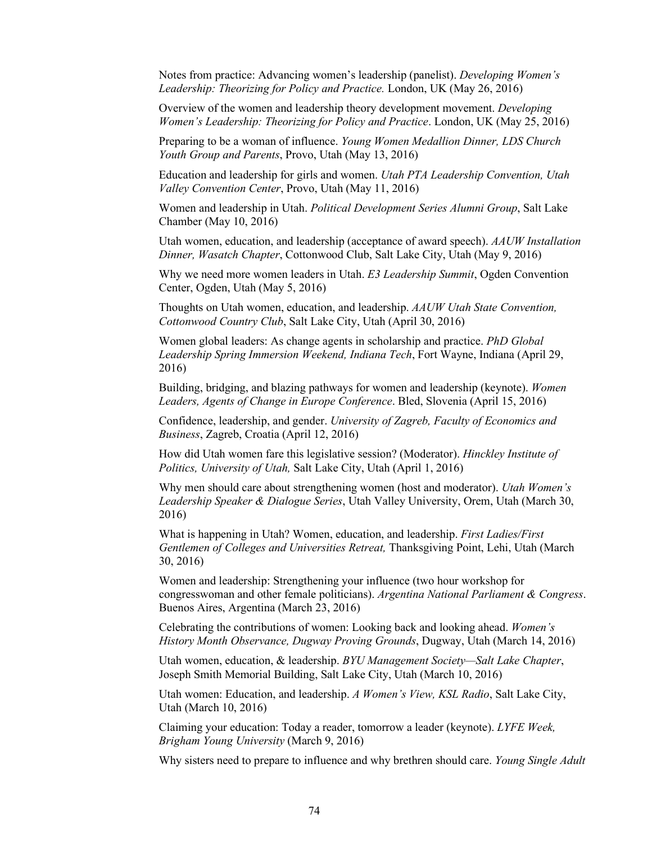Notes from practice: Advancing women's leadership (panelist). *Developing Women's Leadership: Theorizing for Policy and Practice.* London, UK (May 26, 2016)

Overview of the women and leadership theory development movement. *Developing Women's Leadership: Theorizing for Policy and Practice*. London, UK (May 25, 2016)

Preparing to be a woman of influence. *Young Women Medallion Dinner, LDS Church Youth Group and Parents*, Provo, Utah (May 13, 2016)

Education and leadership for girls and women. *Utah PTA Leadership Convention, Utah Valley Convention Center*, Provo, Utah (May 11, 2016)

Women and leadership in Utah. *Political Development Series Alumni Group*, Salt Lake Chamber (May 10, 2016)

Utah women, education, and leadership (acceptance of award speech). *AAUW Installation Dinner, Wasatch Chapter*, Cottonwood Club, Salt Lake City, Utah (May 9, 2016)

Why we need more women leaders in Utah. *E3 Leadership Summit*, Ogden Convention Center, Ogden, Utah (May 5, 2016)

Thoughts on Utah women, education, and leadership. *AAUW Utah State Convention, Cottonwood Country Club*, Salt Lake City, Utah (April 30, 2016)

Women global leaders: As change agents in scholarship and practice. *PhD Global Leadership Spring Immersion Weekend, Indiana Tech*, Fort Wayne, Indiana (April 29, 2016)

Building, bridging, and blazing pathways for women and leadership (keynote). *Women Leaders, Agents of Change in Europe Conference*. Bled, Slovenia (April 15, 2016)

Confidence, leadership, and gender. *University of Zagreb, Faculty of Economics and Business*, Zagreb, Croatia (April 12, 2016)

How did Utah women fare this legislative session? (Moderator). *Hinckley Institute of Politics, University of Utah,* Salt Lake City, Utah (April 1, 2016)

Why men should care about strengthening women (host and moderator). *Utah Women's Leadership Speaker & Dialogue Series*, Utah Valley University, Orem, Utah (March 30, 2016)

What is happening in Utah? Women, education, and leadership. *First Ladies/First Gentlemen of Colleges and Universities Retreat,* Thanksgiving Point, Lehi, Utah (March 30, 2016)

Women and leadership: Strengthening your influence (two hour workshop for congresswoman and other female politicians). *Argentina National Parliament & Congress*. Buenos Aires, Argentina (March 23, 2016)

Celebrating the contributions of women: Looking back and looking ahead. *Women's History Month Observance, Dugway Proving Grounds*, Dugway, Utah (March 14, 2016)

Utah women, education, & leadership. *BYU Management Society—Salt Lake Chapter*, Joseph Smith Memorial Building, Salt Lake City, Utah (March 10, 2016)

Utah women: Education, and leadership. *A Women's View, KSL Radio*, Salt Lake City, Utah (March 10, 2016)

Claiming your education: Today a reader, tomorrow a leader (keynote). *LYFE Week, Brigham Young University* (March 9, 2016)

Why sisters need to prepare to influence and why brethren should care. *Young Single Adult*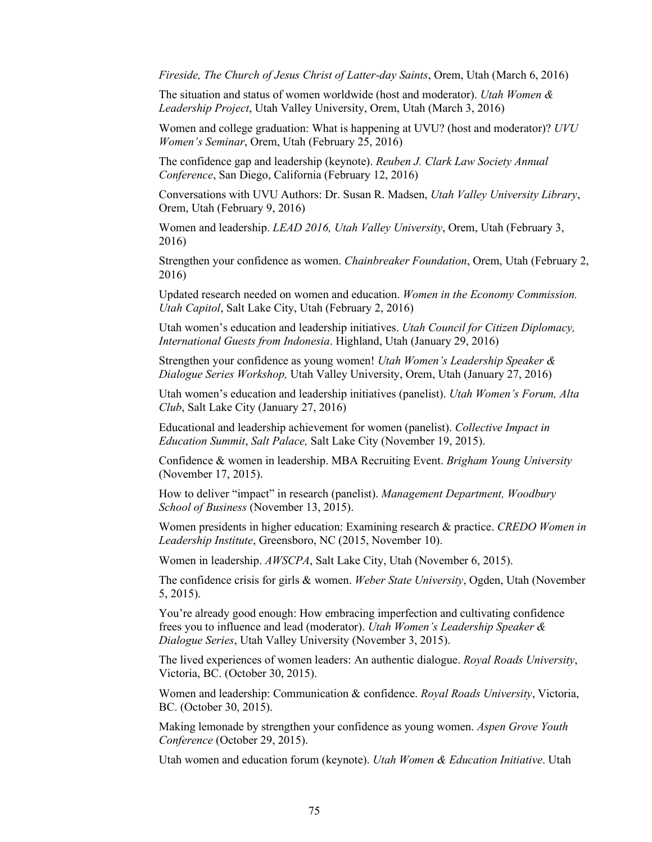*Fireside, The Church of Jesus Christ of Latter-day Saints*, Orem, Utah (March 6, 2016)

The situation and status of women worldwide (host and moderator). *Utah Women & Leadership Project*, Utah Valley University, Orem, Utah (March 3, 2016)

Women and college graduation: What is happening at UVU? (host and moderator)? *UVU Women's Seminar*, Orem, Utah (February 25, 2016)

The confidence gap and leadership (keynote). *Reuben J. Clark Law Society Annual Conference*, San Diego, California (February 12, 2016)

Conversations with UVU Authors: Dr. Susan R. Madsen, *Utah Valley University Library*, Orem, Utah (February 9, 2016)

Women and leadership. *LEAD 2016, Utah Valley University*, Orem, Utah (February 3, 2016)

Strengthen your confidence as women. *Chainbreaker Foundation*, Orem, Utah (February 2, 2016)

Updated research needed on women and education. *Women in the Economy Commission. Utah Capitol*, Salt Lake City, Utah (February 2, 2016)

Utah women's education and leadership initiatives. *Utah Council for Citizen Diplomacy, International Guests from Indonesia*. Highland, Utah (January 29, 2016)

Strengthen your confidence as young women! *Utah Women's Leadership Speaker & Dialogue Series Workshop,* Utah Valley University, Orem, Utah (January 27, 2016)

Utah women's education and leadership initiatives (panelist). *Utah Women's Forum, Alta Club*, Salt Lake City (January 27, 2016)

Educational and leadership achievement for women (panelist). *Collective Impact in Education Summit*, *Salt Palace,* Salt Lake City (November 19, 2015).

Confidence & women in leadership. MBA Recruiting Event. *Brigham Young University* (November 17, 2015).

How to deliver "impact" in research (panelist). *Management Department, Woodbury School of Business* (November 13, 2015).

Women presidents in higher education: Examining research & practice. *CREDO Women in Leadership Institute*, Greensboro, NC (2015, November 10).

Women in leadership. *AWSCPA*, Salt Lake City, Utah (November 6, 2015).

The confidence crisis for girls & women. *Weber State University*, Ogden, Utah (November 5, 2015).

You're already good enough: How embracing imperfection and cultivating confidence frees you to influence and lead (moderator). *Utah Women's Leadership Speaker & Dialogue Series*, Utah Valley University (November 3, 2015).

The lived experiences of women leaders: An authentic dialogue. *Royal Roads University*, Victoria, BC. (October 30, 2015).

Women and leadership: Communication & confidence. *Royal Roads University*, Victoria, BC. (October 30, 2015).

Making lemonade by strengthen your confidence as young women. *Aspen Grove Youth Conference* (October 29, 2015).

Utah women and education forum (keynote). *Utah Women & Education Initiative*. Utah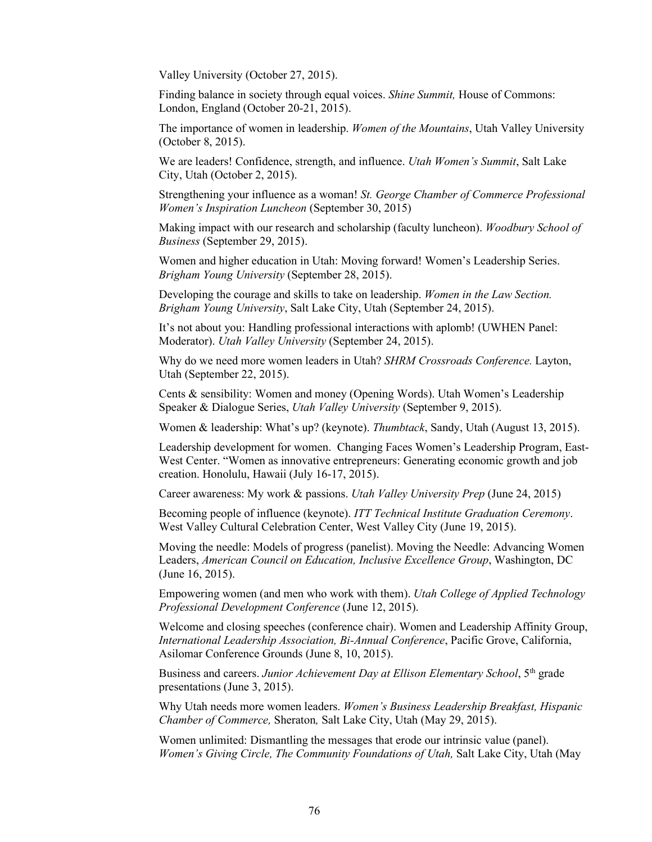Valley University (October 27, 2015).

Finding balance in society through equal voices. *Shine Summit,* House of Commons: London, England (October 20-21, 2015).

The importance of women in leadership. *Women of the Mountains*, Utah Valley University (October 8, 2015).

We are leaders! Confidence, strength, and influence. *Utah Women's Summit*, Salt Lake City, Utah (October 2, 2015).

Strengthening your influence as a woman! *St. George Chamber of Commerce Professional Women's Inspiration Luncheon* (September 30, 2015)

Making impact with our research and scholarship (faculty luncheon). *Woodbury School of Business* (September 29, 2015).

Women and higher education in Utah: Moving forward! Women's Leadership Series. *Brigham Young University* (September 28, 2015).

Developing the courage and skills to take on leadership. *Women in the Law Section. Brigham Young University*, Salt Lake City, Utah (September 24, 2015).

It's not about you: Handling professional interactions with aplomb! (UWHEN Panel: Moderator). *Utah Valley University* (September 24, 2015).

Why do we need more women leaders in Utah? *SHRM Crossroads Conference.* Layton, Utah (September 22, 2015).

Cents & sensibility: Women and money (Opening Words). Utah Women's Leadership Speaker & Dialogue Series, *Utah Valley University* (September 9, 2015).

Women & leadership: What's up? (keynote). *Thumbtack*, Sandy, Utah (August 13, 2015).

Leadership development for women. Changing Faces Women's Leadership Program, East-West Center. "Women as innovative entrepreneurs: Generating economic growth and job creation. Honolulu, Hawaii (July 16-17, 2015).

Career awareness: My work & passions. *Utah Valley University Prep* (June 24, 2015)

Becoming people of influence (keynote). *ITT Technical Institute Graduation Ceremony*. West Valley Cultural Celebration Center, West Valley City (June 19, 2015).

Moving the needle: Models of progress (panelist). Moving the Needle: Advancing Women Leaders, *American Council on Education, Inclusive Excellence Group*, Washington, DC (June 16, 2015).

Empowering women (and men who work with them). *Utah College of Applied Technology Professional Development Conference* (June 12, 2015).

Welcome and closing speeches (conference chair). Women and Leadership Affinity Group, *International Leadership Association, Bi-Annual Conference*, Pacific Grove, California, Asilomar Conference Grounds (June 8, 10, 2015).

Business and careers. *Junior Achievement Day at Ellison Elementary School*, 5th grade presentations (June 3, 2015).

Why Utah needs more women leaders. *Women's Business Leadership Breakfast, Hispanic Chamber of Commerce,* Sheraton*,* Salt Lake City, Utah (May 29, 2015).

Women unlimited: Dismantling the messages that erode our intrinsic value (panel). *Women's Giving Circle, The Community Foundations of Utah,* Salt Lake City, Utah (May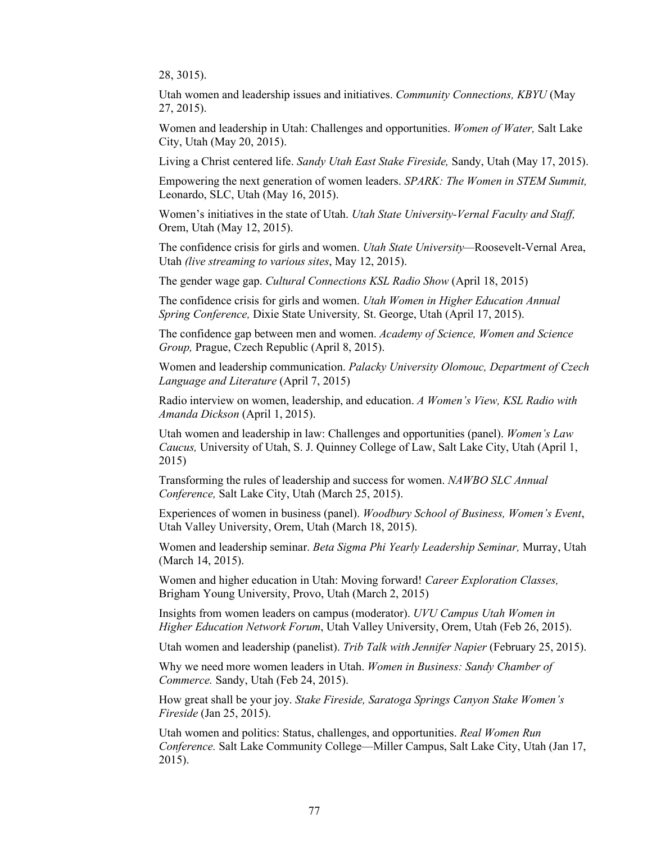28, 3015).

Utah women and leadership issues and initiatives. *Community Connections, KBYU* (May 27, 2015).

Women and leadership in Utah: Challenges and opportunities. *Women of Water,* Salt Lake City, Utah (May 20, 2015).

Living a Christ centered life. *Sandy Utah East Stake Fireside,* Sandy, Utah (May 17, 2015).

Empowering the next generation of women leaders. *SPARK: The Women in STEM Summit,*  Leonardo, SLC, Utah (May 16, 2015).

Women's initiatives in the state of Utah. *Utah State University-Vernal Faculty and Staff,*  Orem, Utah (May 12, 2015).

The confidence crisis for girls and women. *Utah State University—*Roosevelt-Vernal Area, Utah *(live streaming to various sites*, May 12, 2015).

The gender wage gap. *Cultural Connections KSL Radio Show* (April 18, 2015)

The confidence crisis for girls and women. *Utah Women in Higher Education Annual Spring Conference,* Dixie State University*,* St. George, Utah (April 17, 2015).

The confidence gap between men and women. *Academy of Science, Women and Science Group,* Prague, Czech Republic (April 8, 2015).

Women and leadership communication. *Palacky University Olomouc, Department of Czech Language and Literature* (April 7, 2015)

Radio interview on women, leadership, and education. *A Women's View, KSL Radio with Amanda Dickson* (April 1, 2015).

Utah women and leadership in law: Challenges and opportunities (panel). *Women's Law Caucus,* University of Utah, S. J. Quinney College of Law, Salt Lake City, Utah (April 1, 2015)

Transforming the rules of leadership and success for women. *NAWBO SLC Annual Conference,* Salt Lake City, Utah (March 25, 2015).

Experiences of women in business (panel). *Woodbury School of Business, Women's Event*, Utah Valley University, Orem, Utah (March 18, 2015).

Women and leadership seminar. *Beta Sigma Phi Yearly Leadership Seminar,* Murray, Utah (March 14, 2015).

Women and higher education in Utah: Moving forward! *Career Exploration Classes,*  Brigham Young University, Provo, Utah (March 2, 2015)

Insights from women leaders on campus (moderator). *UVU Campus Utah Women in Higher Education Network Forum*, Utah Valley University, Orem, Utah (Feb 26, 2015).

Utah women and leadership (panelist). *Trib Talk with Jennifer Napier* (February 25, 2015).

Why we need more women leaders in Utah. *Women in Business: Sandy Chamber of Commerce.* Sandy, Utah (Feb 24, 2015).

How great shall be your joy. *Stake Fireside, Saratoga Springs Canyon Stake Women's Fireside* (Jan 25, 2015).

Utah women and politics: Status, challenges, and opportunities. *Real Women Run Conference.* Salt Lake Community College—Miller Campus, Salt Lake City, Utah (Jan 17, 2015).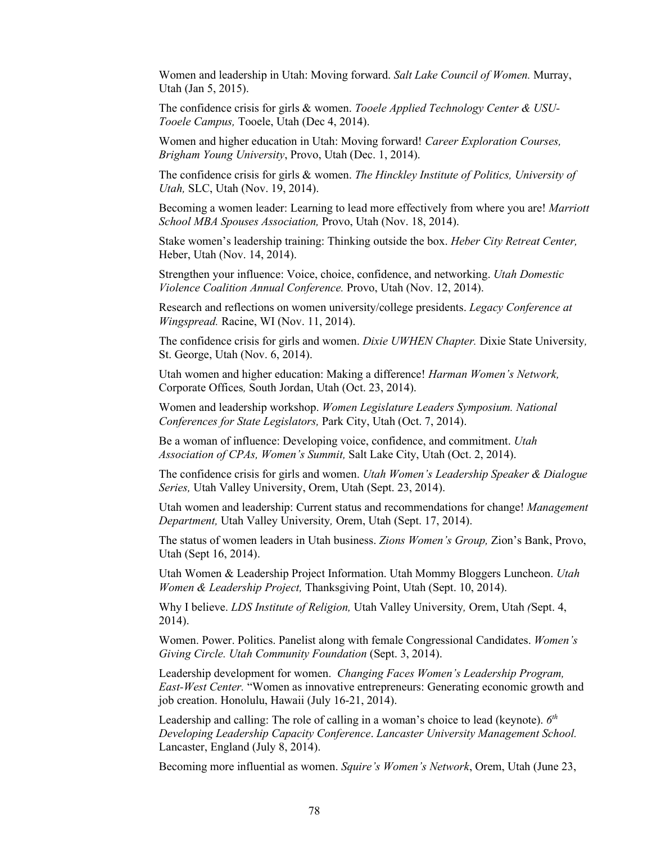Women and leadership in Utah: Moving forward. *Salt Lake Council of Women.* Murray, Utah (Jan 5, 2015).

The confidence crisis for girls & women. *Tooele Applied Technology Center & USU-Tooele Campus,* Tooele, Utah (Dec 4, 2014).

Women and higher education in Utah: Moving forward! *Career Exploration Courses, Brigham Young University*, Provo, Utah (Dec. 1, 2014).

The confidence crisis for girls & women. *The Hinckley Institute of Politics, University of Utah,* SLC, Utah (Nov. 19, 2014).

Becoming a women leader: Learning to lead more effectively from where you are! *Marriott School MBA Spouses Association,* Provo, Utah (Nov. 18, 2014).

Stake women's leadership training: Thinking outside the box. *Heber City Retreat Center,*  Heber, Utah (Nov. 14, 2014).

Strengthen your influence: Voice, choice, confidence, and networking. *Utah Domestic Violence Coalition Annual Conference.* Provo, Utah (Nov. 12, 2014).

Research and reflections on women university/college presidents. *Legacy Conference at Wingspread.* Racine, WI (Nov. 11, 2014).

The confidence crisis for girls and women. *Dixie UWHEN Chapter.* Dixie State University*,*  St. George, Utah (Nov. 6, 2014).

Utah women and higher education: Making a difference! *Harman Women's Network,*  Corporate Offices*,* South Jordan, Utah (Oct. 23, 2014).

Women and leadership workshop. *Women Legislature Leaders Symposium. National Conferences for State Legislators,* Park City, Utah (Oct. 7, 2014).

Be a woman of influence: Developing voice, confidence, and commitment. *Utah Association of CPAs, Women's Summit,* Salt Lake City, Utah (Oct. 2, 2014).

The confidence crisis for girls and women. *Utah Women's Leadership Speaker & Dialogue Series,* Utah Valley University, Orem, Utah (Sept. 23, 2014).

Utah women and leadership: Current status and recommendations for change! *Management Department,* Utah Valley University*,* Orem, Utah (Sept. 17, 2014).

The status of women leaders in Utah business. *Zions Women's Group,* Zion's Bank, Provo, Utah (Sept 16, 2014).

Utah Women & Leadership Project Information. Utah Mommy Bloggers Luncheon. *Utah Women & Leadership Project,* Thanksgiving Point, Utah (Sept. 10, 2014).

Why I believe. *LDS Institute of Religion,* Utah Valley University*,* Orem, Utah *(*Sept. 4, 2014).

Women. Power. Politics. Panelist along with female Congressional Candidates. *Women's Giving Circle. Utah Community Foundation* (Sept. 3, 2014).

Leadership development for women. *Changing Faces Women's Leadership Program, East-West Center.* "Women as innovative entrepreneurs: Generating economic growth and job creation. Honolulu, Hawaii (July 16-21, 2014).

Leadership and calling: The role of calling in a woman's choice to lead (keynote). *6th Developing Leadership Capacity Conference*. *Lancaster University Management School.*  Lancaster, England (July 8, 2014).

Becoming more influential as women. *Squire's Women's Network*, Orem, Utah (June 23,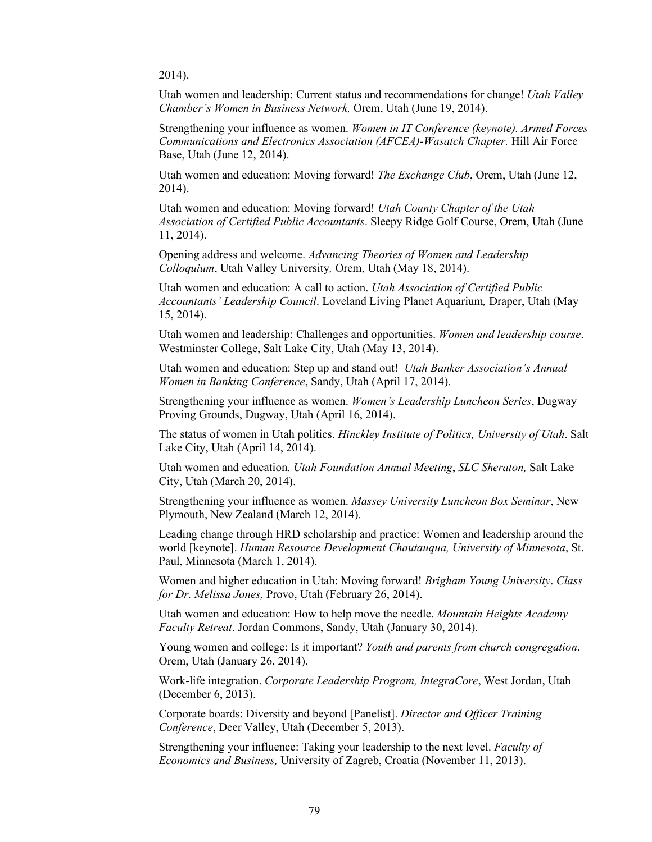2014).

Utah women and leadership: Current status and recommendations for change! *Utah Valley Chamber's Women in Business Network,* Orem, Utah (June 19, 2014).

Strengthening your influence as women. *Women in IT Conference (keynote). Armed Forces Communications and Electronics Association (AFCEA)-Wasatch Chapter.* Hill Air Force Base, Utah (June 12, 2014).

Utah women and education: Moving forward! *The Exchange Club*, Orem, Utah (June 12, 2014).

Utah women and education: Moving forward! *Utah County Chapter of the Utah Association of Certified Public Accountants*. Sleepy Ridge Golf Course, Orem, Utah (June 11, 2014).

Opening address and welcome. *Advancing Theories of Women and Leadership Colloquium*, Utah Valley University*,* Orem, Utah (May 18, 2014).

Utah women and education: A call to action. *Utah Association of Certified Public Accountants' Leadership Council*. Loveland Living Planet Aquarium*,* Draper, Utah (May 15, 2014).

Utah women and leadership: Challenges and opportunities. *Women and leadership course*. Westminster College, Salt Lake City, Utah (May 13, 2014).

Utah women and education: Step up and stand out! *Utah Banker Association's Annual Women in Banking Conference*, Sandy, Utah (April 17, 2014).

Strengthening your influence as women. *Women's Leadership Luncheon Series*, Dugway Proving Grounds, Dugway, Utah (April 16, 2014).

The status of women in Utah politics. *Hinckley Institute of Politics, University of Utah*. Salt Lake City, Utah (April 14, 2014).

Utah women and education. *Utah Foundation Annual Meeting*, *SLC Sheraton,* Salt Lake City, Utah (March 20, 2014).

Strengthening your influence as women. *Massey University Luncheon Box Seminar*, New Plymouth, New Zealand (March 12, 2014).

Leading change through HRD scholarship and practice: Women and leadership around the world [keynote]. *Human Resource Development Chautauqua, University of Minnesota*, St. Paul, Minnesota (March 1, 2014).

Women and higher education in Utah: Moving forward! *Brigham Young University*. *Class for Dr. Melissa Jones,* Provo, Utah (February 26, 2014).

Utah women and education: How to help move the needle. *Mountain Heights Academy Faculty Retreat*. Jordan Commons, Sandy, Utah (January 30, 2014).

Young women and college: Is it important? *Youth and parents from church congregation*. Orem, Utah (January 26, 2014).

Work-life integration. *Corporate Leadership Program, IntegraCore*, West Jordan, Utah (December 6, 2013).

Corporate boards: Diversity and beyond [Panelist]. *Director and Officer Training Conference*, Deer Valley, Utah (December 5, 2013).

Strengthening your influence: Taking your leadership to the next level. *Faculty of Economics and Business,* University of Zagreb, Croatia (November 11, 2013).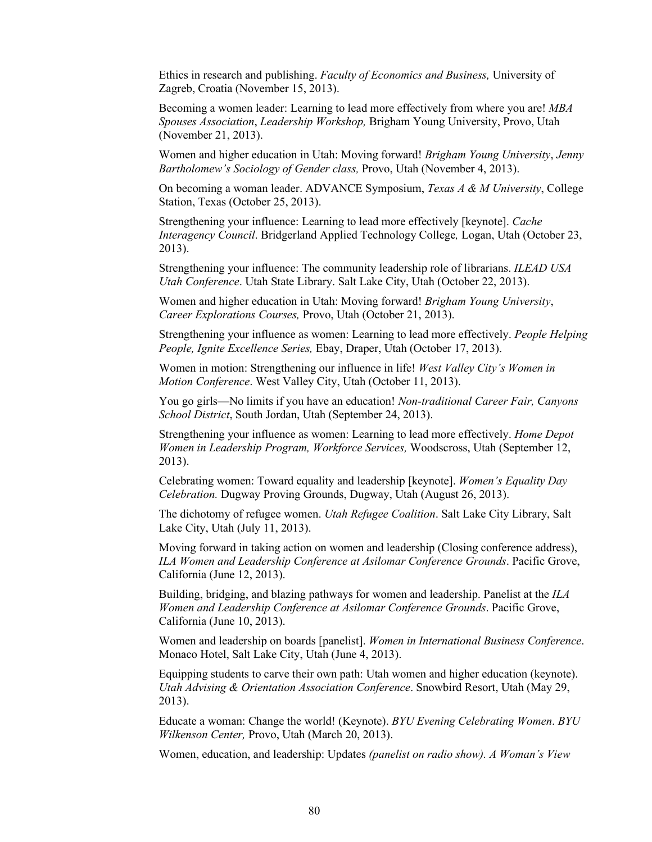Ethics in research and publishing. *Faculty of Economics and Business,* University of Zagreb, Croatia (November 15, 2013).

Becoming a women leader: Learning to lead more effectively from where you are! *MBA Spouses Association*, *Leadership Workshop,* Brigham Young University, Provo, Utah (November 21, 2013).

Women and higher education in Utah: Moving forward! *Brigham Young University*, *Jenny Bartholomew's Sociology of Gender class,* Provo, Utah (November 4, 2013).

On becoming a woman leader. ADVANCE Symposium, *Texas A & M University*, College Station, Texas (October 25, 2013).

Strengthening your influence: Learning to lead more effectively [keynote]. *Cache Interagency Council*. Bridgerland Applied Technology College*,* Logan, Utah (October 23, 2013).

Strengthening your influence: The community leadership role of librarians. *ILEAD USA Utah Conference*. Utah State Library. Salt Lake City, Utah (October 22, 2013).

Women and higher education in Utah: Moving forward! *Brigham Young University*, *Career Explorations Courses,* Provo, Utah (October 21, 2013).

Strengthening your influence as women: Learning to lead more effectively. *People Helping People, Ignite Excellence Series,* Ebay, Draper, Utah (October 17, 2013).

Women in motion: Strengthening our influence in life! *West Valley City's Women in Motion Conference*. West Valley City, Utah (October 11, 2013).

You go girls—No limits if you have an education! *Non-traditional Career Fair, Canyons School District*, South Jordan, Utah (September 24, 2013).

Strengthening your influence as women: Learning to lead more effectively. *Home Depot Women in Leadership Program, Workforce Services,* Woodscross, Utah (September 12, 2013).

Celebrating women: Toward equality and leadership [keynote]. *Women's Equality Day Celebration.* Dugway Proving Grounds, Dugway, Utah (August 26, 2013).

The dichotomy of refugee women. *Utah Refugee Coalition*. Salt Lake City Library, Salt Lake City, Utah (July 11, 2013).

Moving forward in taking action on women and leadership (Closing conference address), *ILA Women and Leadership Conference at Asilomar Conference Grounds*. Pacific Grove, California (June 12, 2013).

Building, bridging, and blazing pathways for women and leadership. Panelist at the *ILA Women and Leadership Conference at Asilomar Conference Grounds*. Pacific Grove, California (June 10, 2013).

Women and leadership on boards [panelist]. *Women in International Business Conference*. Monaco Hotel, Salt Lake City, Utah (June 4, 2013).

Equipping students to carve their own path: Utah women and higher education (keynote). *Utah Advising & Orientation Association Conference*. Snowbird Resort, Utah (May 29, 2013).

Educate a woman: Change the world! (Keynote). *BYU Evening Celebrating Women*. *BYU Wilkenson Center,* Provo, Utah (March 20, 2013).

Women, education, and leadership: Updates *(panelist on radio show). A Woman's View*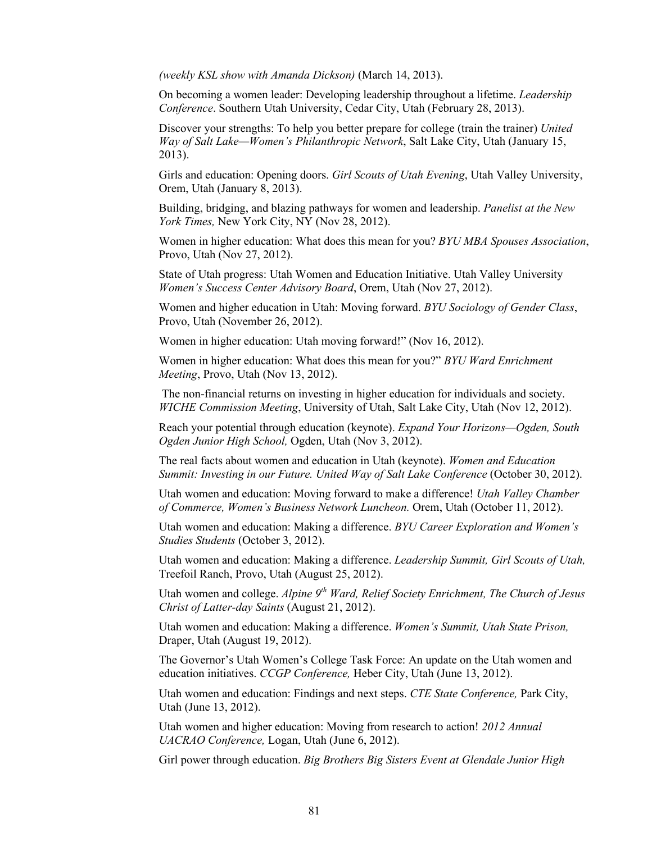*(weekly KSL show with Amanda Dickson)* (March 14, 2013).

On becoming a women leader: Developing leadership throughout a lifetime. *Leadership Conference*. Southern Utah University, Cedar City, Utah (February 28, 2013).

Discover your strengths: To help you better prepare for college (train the trainer) *United Way of Salt Lake—Women's Philanthropic Network*, Salt Lake City, Utah (January 15, 2013).

Girls and education: Opening doors. *Girl Scouts of Utah Evening*, Utah Valley University, Orem, Utah (January 8, 2013).

Building, bridging, and blazing pathways for women and leadership. *Panelist at the New York Times,* New York City, NY (Nov 28, 2012).

Women in higher education: What does this mean for you? *BYU MBA Spouses Association*, Provo, Utah (Nov 27, 2012).

State of Utah progress: Utah Women and Education Initiative. Utah Valley University *Women's Success Center Advisory Board*, Orem, Utah (Nov 27, 2012).

Women and higher education in Utah: Moving forward. *BYU Sociology of Gender Class*, Provo, Utah (November 26, 2012).

Women in higher education: Utah moving forward!" (Nov 16, 2012).

Women in higher education: What does this mean for you?" *BYU Ward Enrichment Meeting*, Provo, Utah (Nov 13, 2012).

The non-financial returns on investing in higher education for individuals and society. *WICHE Commission Meeting*, University of Utah, Salt Lake City, Utah (Nov 12, 2012).

Reach your potential through education (keynote). *Expand Your Horizons—Ogden, South Ogden Junior High School,* Ogden, Utah (Nov 3, 2012).

The real facts about women and education in Utah (keynote). *Women and Education Summit: Investing in our Future. United Way of Salt Lake Conference* (October 30, 2012).

Utah women and education: Moving forward to make a difference! *Utah Valley Chamber of Commerce, Women's Business Network Luncheon.* Orem, Utah (October 11, 2012).

Utah women and education: Making a difference. *BYU Career Exploration and Women's Studies Students* (October 3, 2012).

Utah women and education: Making a difference. *Leadership Summit, Girl Scouts of Utah,*  Treefoil Ranch, Provo, Utah (August 25, 2012).

Utah women and college. *Alpine 9<sup>th</sup> Ward, Relief Society Enrichment, The Church of Jesus Christ of Latter-day Saints* (August 21, 2012).

Utah women and education: Making a difference. *Women's Summit, Utah State Prison,*  Draper, Utah (August 19, 2012).

The Governor's Utah Women's College Task Force: An update on the Utah women and education initiatives. *CCGP Conference,* Heber City, Utah (June 13, 2012).

Utah women and education: Findings and next steps. *CTE State Conference,* Park City, Utah (June 13, 2012).

Utah women and higher education: Moving from research to action! *2012 Annual UACRAO Conference,* Logan, Utah (June 6, 2012).

Girl power through education. *Big Brothers Big Sisters Event at Glendale Junior High*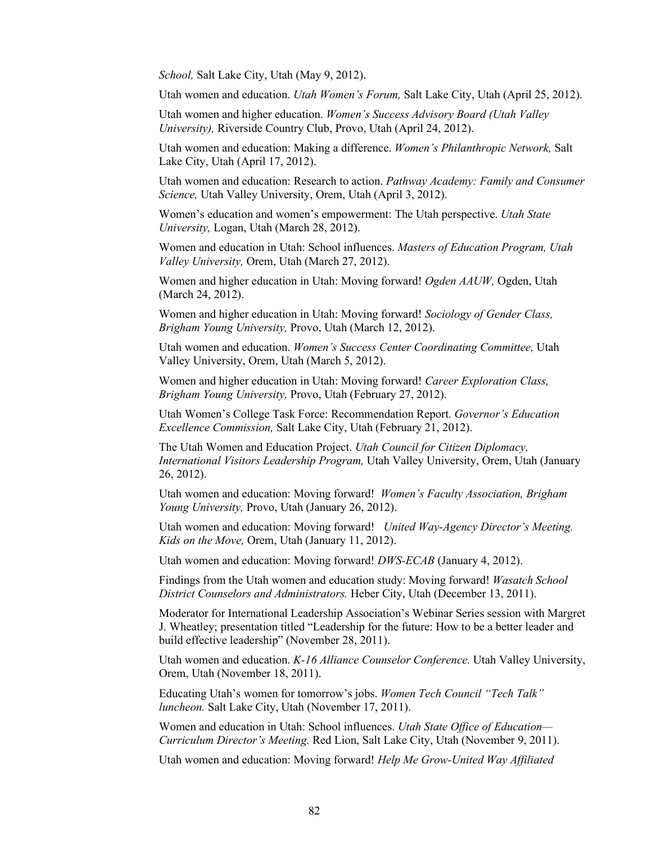*School,* Salt Lake City, Utah (May 9, 2012).

Utah women and education. *Utah Women's Forum,* Salt Lake City, Utah (April 25, 2012).

Utah women and higher education. *Women's Success Advisory Board (Utah Valley University),* Riverside Country Club, Provo, Utah (April 24, 2012).

Utah women and education: Making a difference. *Women's Philanthropic Network,* Salt Lake City, Utah (April 17, 2012).

Utah women and education: Research to action. *Pathway Academy: Family and Consumer Science,* Utah Valley University, Orem, Utah (April 3, 2012).

Women's education and women's empowerment: The Utah perspective. *Utah State University,* Logan, Utah (March 28, 2012).

Women and education in Utah: School influences. *Masters of Education Program, Utah Valley University,* Orem, Utah (March 27, 2012).

Women and higher education in Utah: Moving forward! *Ogden AAUW,* Ogden, Utah (March 24, 2012).

Women and higher education in Utah: Moving forward! *Sociology of Gender Class, Brigham Young University,* Provo, Utah (March 12, 2012).

Utah women and education. *Women's Success Center Coordinating Committee,* Utah Valley University, Orem, Utah (March 5, 2012).

Women and higher education in Utah: Moving forward! *Career Exploration Class, Brigham Young University,* Provo, Utah (February 27, 2012).

Utah Women's College Task Force: Recommendation Report. *Governor's Education Excellence Commission,* Salt Lake City, Utah (February 21, 2012).

The Utah Women and Education Project. *Utah Council for Citizen Diplomacy, International Visitors Leadership Program,* Utah Valley University, Orem, Utah (January 26, 2012).

Utah women and education: Moving forward! *Women's Faculty Association, Brigham Young University,* Provo, Utah (January 26, 2012).

Utah women and education: Moving forward! *United Way-Agency Director's Meeting. Kids on the Move,* Orem, Utah (January 11, 2012).

Utah women and education: Moving forward! *DWS-ECAB* (January 4, 2012).

Findings from the Utah women and education study: Moving forward! *Wasatch School District Counselors and Administrators.* Heber City, Utah (December 13, 2011).

Moderator for International Leadership Association's Webinar Series session with Margret J. Wheatley; presentation titled "Leadership for the future: How to be a better leader and build effective leadership" (November 28, 2011).

Utah women and education. *K-16 Alliance Counselor Conference.* Utah Valley University, Orem, Utah (November 18, 2011).

Educating Utah's women for tomorrow's jobs. *Women Tech Council "Tech Talk" luncheon.* Salt Lake City, Utah (November 17, 2011).

Women and education in Utah: School influences. *Utah State Office of Education— Curriculum Director's Meeting.* Red Lion, Salt Lake City, Utah (November 9, 2011).

Utah women and education: Moving forward! *Help Me Grow-United Way Affiliated*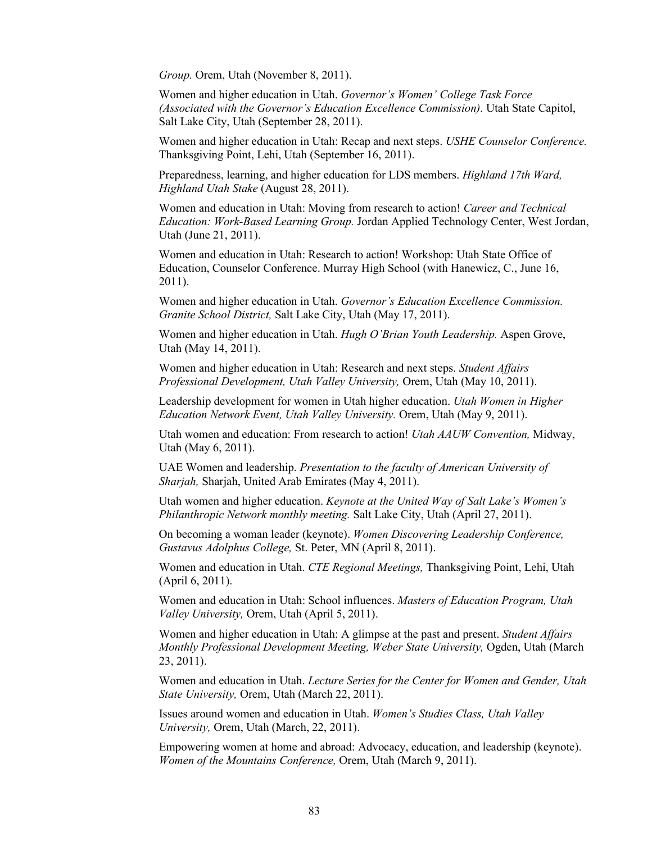*Group.* Orem, Utah (November 8, 2011).

Women and higher education in Utah. *Governor's Women' College Task Force (Associated with the Governor's Education Excellence Commission).* Utah State Capitol, Salt Lake City, Utah (September 28, 2011).

Women and higher education in Utah: Recap and next steps. *USHE Counselor Conference.*  Thanksgiving Point, Lehi, Utah (September 16, 2011).

Preparedness, learning, and higher education for LDS members. *Highland 17th Ward, Highland Utah Stake* (August 28, 2011).

Women and education in Utah: Moving from research to action! *Career and Technical Education: Work-Based Learning Group.* Jordan Applied Technology Center, West Jordan, Utah (June 21, 2011).

Women and education in Utah: Research to action! Workshop: Utah State Office of Education, Counselor Conference. Murray High School (with Hanewicz, C., June 16, 2011).

Women and higher education in Utah. *Governor's Education Excellence Commission. Granite School District,* Salt Lake City, Utah (May 17, 2011).

Women and higher education in Utah. *Hugh O'Brian Youth Leadership.* Aspen Grove, Utah (May 14, 2011).

Women and higher education in Utah: Research and next steps. *Student Affairs Professional Development, Utah Valley University,* Orem, Utah (May 10, 2011).

Leadership development for women in Utah higher education. *Utah Women in Higher Education Network Event, Utah Valley University.* Orem, Utah (May 9, 2011).

Utah women and education: From research to action! *Utah AAUW Convention,* Midway, Utah (May 6, 2011).

UAE Women and leadership. *Presentation to the faculty of American University of Sharjah,* Sharjah, United Arab Emirates (May 4, 2011).

Utah women and higher education. *Keynote at the United Way of Salt Lake's Women's Philanthropic Network monthly meeting.* Salt Lake City, Utah (April 27, 2011).

On becoming a woman leader (keynote). *Women Discovering Leadership Conference, Gustavus Adolphus College,* St. Peter, MN (April 8, 2011).

Women and education in Utah. *CTE Regional Meetings,* Thanksgiving Point, Lehi, Utah (April 6, 2011).

Women and education in Utah: School influences. *Masters of Education Program, Utah Valley University,* Orem, Utah (April 5, 2011).

Women and higher education in Utah: A glimpse at the past and present. *Student Affairs Monthly Professional Development Meeting, Weber State University,* Ogden, Utah (March 23, 2011).

Women and education in Utah. *Lecture Series for the Center for Women and Gender, Utah State University,* Orem, Utah (March 22, 2011).

Issues around women and education in Utah. *Women's Studies Class, Utah Valley University,* Orem, Utah (March, 22, 2011).

Empowering women at home and abroad: Advocacy, education, and leadership (keynote). *Women of the Mountains Conference,* Orem, Utah (March 9, 2011).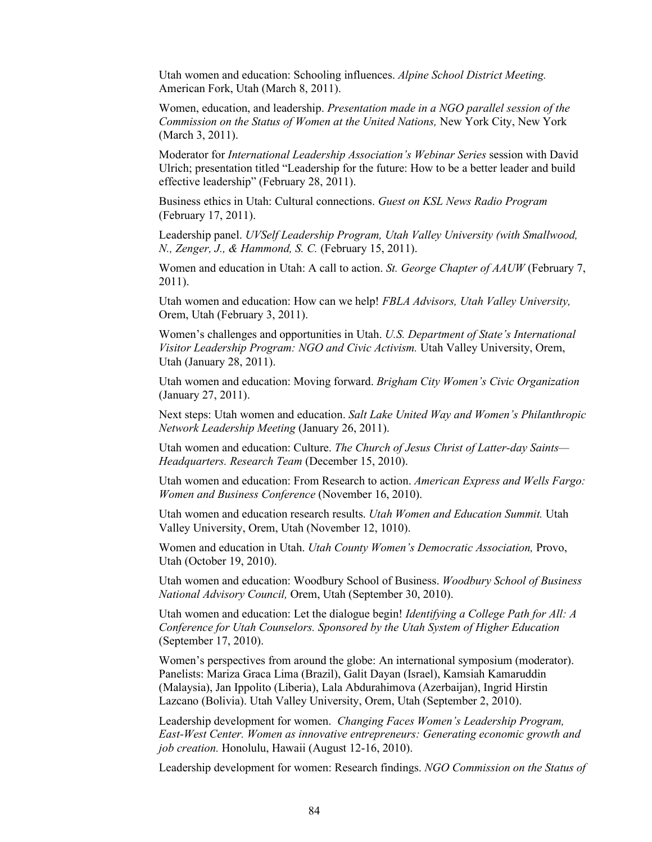Utah women and education: Schooling influences. *Alpine School District Meeting.*  American Fork, Utah (March 8, 2011).

Women, education, and leadership. *Presentation made in a NGO parallel session of the Commission on the Status of Women at the United Nations, New York City, New York* (March 3, 2011).

Moderator for *International Leadership Association's Webinar Series* session with David Ulrich; presentation titled "Leadership for the future: How to be a better leader and build effective leadership" (February 28, 2011).

Business ethics in Utah: Cultural connections. *Guest on KSL News Radio Program* (February 17, 2011).

Leadership panel. *UVSelf Leadership Program, Utah Valley University (with Smallwood, N., Zenger, J., & Hammond, S. C.* (February 15, 2011).

Women and education in Utah: A call to action. *St. George Chapter of AAUW* (February 7, 2011).

Utah women and education: How can we help! *FBLA Advisors, Utah Valley University,*  Orem, Utah (February 3, 2011).

Women's challenges and opportunities in Utah. *U.S. Department of State's International Visitor Leadership Program: NGO and Civic Activism.* Utah Valley University, Orem, Utah (January 28, 2011).

Utah women and education: Moving forward. *Brigham City Women's Civic Organization* (January 27, 2011).

Next steps: Utah women and education. *Salt Lake United Way and Women's Philanthropic Network Leadership Meeting* (January 26, 2011).

Utah women and education: Culture. *The Church of Jesus Christ of Latter-day Saints— Headquarters. Research Team* (December 15, 2010).

Utah women and education: From Research to action. *American Express and Wells Fargo: Women and Business Conference* (November 16, 2010).

Utah women and education research results. *Utah Women and Education Summit.* Utah Valley University, Orem, Utah (November 12, 1010).

Women and education in Utah. *Utah County Women's Democratic Association,* Provo, Utah (October 19, 2010).

Utah women and education: Woodbury School of Business. *Woodbury School of Business National Advisory Council,* Orem, Utah (September 30, 2010).

Utah women and education: Let the dialogue begin! *Identifying a College Path for All: A Conference for Utah Counselors. Sponsored by the Utah System of Higher Education* (September 17, 2010).

Women's perspectives from around the globe: An international symposium (moderator). Panelists: Mariza Graca Lima (Brazil), Galit Dayan (Israel), Kamsiah Kamaruddin (Malaysia), Jan Ippolito (Liberia), Lala Abdurahimova (Azerbaijan), Ingrid Hirstin Lazcano (Bolivia). Utah Valley University, Orem, Utah (September 2, 2010).

Leadership development for women. *Changing Faces Women's Leadership Program, East-West Center. Women as innovative entrepreneurs: Generating economic growth and job creation.* Honolulu, Hawaii (August 12-16, 2010).

Leadership development for women: Research findings. *NGO Commission on the Status of*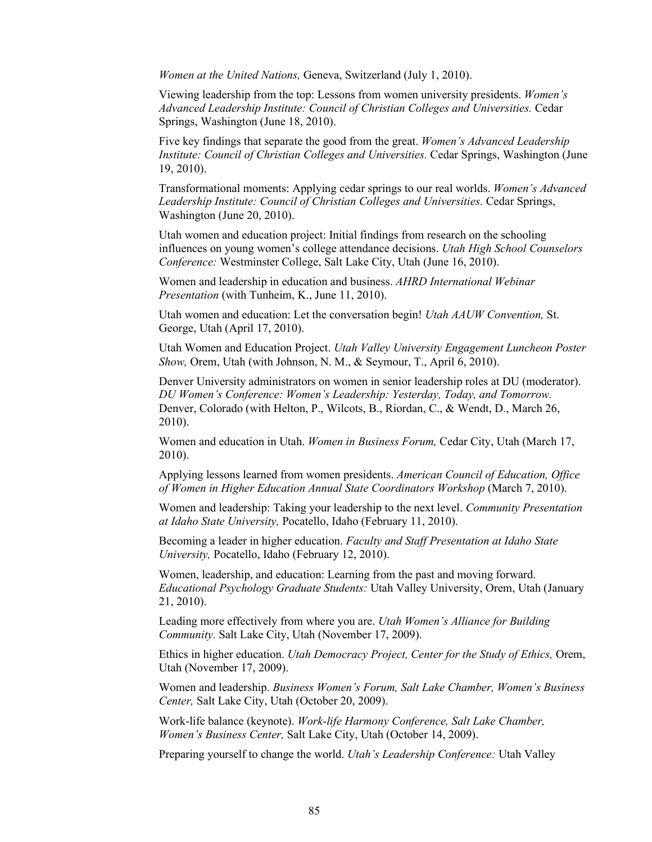*Women at the United Nations,* Geneva, Switzerland (July 1, 2010).

Viewing leadership from the top: Lessons from women university presidents. *Women's Advanced Leadership Institute: Council of Christian Colleges and Universities.* Cedar Springs, Washington (June 18, 2010).

Five key findings that separate the good from the great. *Women's Advanced Leadership Institute: Council of Christian Colleges and Universities.* Cedar Springs, Washington (June 19, 2010).

Transformational moments: Applying cedar springs to our real worlds. *Women's Advanced Leadership Institute: Council of Christian Colleges and Universities.* Cedar Springs, Washington (June 20, 2010).

Utah women and education project: Initial findings from research on the schooling influences on young women's college attendance decisions. *Utah High School Counselors Conference:* Westminster College, Salt Lake City, Utah (June 16, 2010).

Women and leadership in education and business. *AHRD International Webinar Presentation* (with Tunheim, K., June 11, 2010).

Utah women and education: Let the conversation begin! *Utah AAUW Convention,* St. George, Utah (April 17, 2010).

Utah Women and Education Project. *Utah Valley University Engagement Luncheon Poster Show,* Orem, Utah (with Johnson, N. M., & Seymour, T., April 6, 2010).

Denver University administrators on women in senior leadership roles at DU (moderator). *DU Women's Conference: Women's Leadership: Yesterday, Today, and Tomorrow.*  Denver, Colorado (with Helton, P., Wilcots, B., Riordan, C., & Wendt, D., March 26, 2010).

Women and education in Utah. *Women in Business Forum,* Cedar City, Utah (March 17, 2010).

Applying lessons learned from women presidents. *American Council of Education, Office of Women in Higher Education Annual State Coordinators Workshop* (March 7, 2010).

Women and leadership: Taking your leadership to the next level. *Community Presentation at Idaho State University,* Pocatello, Idaho (February 11, 2010).

Becoming a leader in higher education. *Faculty and Staff Presentation at Idaho State University,* Pocatello, Idaho (February 12, 2010).

Women, leadership, and education: Learning from the past and moving forward. *Educational Psychology Graduate Students:* Utah Valley University, Orem, Utah (January 21, 2010).

Leading more effectively from where you are. *Utah Women's Alliance for Building Community.* Salt Lake City, Utah (November 17, 2009).

Ethics in higher education. *Utah Democracy Project, Center for the Study of Ethics,* Orem, Utah (November 17, 2009).

Women and leadership. *Business Women's Forum, Salt Lake Chamber, Women's Business Center,* Salt Lake City, Utah (October 20, 2009).

Work-life balance (keynote). *Work-life Harmony Conference, Salt Lake Chamber, Women's Business Center,* Salt Lake City, Utah (October 14, 2009).

Preparing yourself to change the world. *Utah's Leadership Conference:* Utah Valley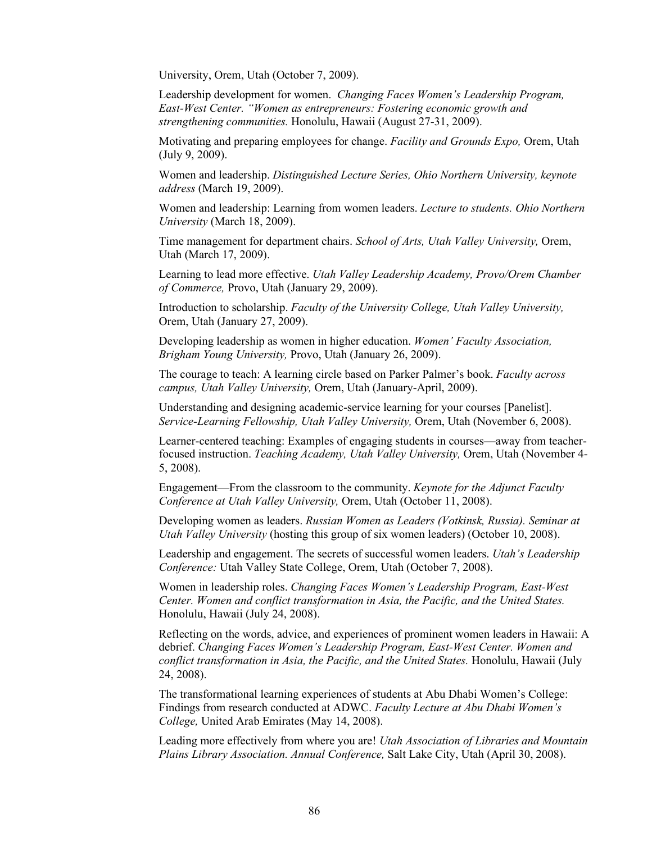University, Orem, Utah (October 7, 2009).

Leadership development for women. *Changing Faces Women's Leadership Program, East-West Center. "Women as entrepreneurs: Fostering economic growth and strengthening communities.* Honolulu, Hawaii (August 27-31, 2009).

Motivating and preparing employees for change. *Facility and Grounds Expo,* Orem, Utah (July 9, 2009).

Women and leadership. *Distinguished Lecture Series, Ohio Northern University, keynote address* (March 19, 2009).

Women and leadership: Learning from women leaders. *Lecture to students. Ohio Northern University* (March 18, 2009).

Time management for department chairs. *School of Arts, Utah Valley University,* Orem, Utah (March 17, 2009).

Learning to lead more effective. *Utah Valley Leadership Academy, Provo/Orem Chamber of Commerce,* Provo, Utah (January 29, 2009).

Introduction to scholarship. *Faculty of the University College, Utah Valley University,*  Orem, Utah (January 27, 2009).

Developing leadership as women in higher education. *Women' Faculty Association, Brigham Young University,* Provo, Utah (January 26, 2009).

The courage to teach: A learning circle based on Parker Palmer's book. *Faculty across campus, Utah Valley University,* Orem, Utah (January-April, 2009).

Understanding and designing academic-service learning for your courses [Panelist]. *Service-Learning Fellowship, Utah Valley University,* Orem, Utah (November 6, 2008).

Learner-centered teaching: Examples of engaging students in courses—away from teacherfocused instruction. *Teaching Academy, Utah Valley University,* Orem, Utah (November 4- 5, 2008).

Engagement—From the classroom to the community. *Keynote for the Adjunct Faculty Conference at Utah Valley University,* Orem, Utah (October 11, 2008).

Developing women as leaders. *Russian Women as Leaders (Votkinsk, Russia). Seminar at Utah Valley University* (hosting this group of six women leaders) (October 10, 2008).

Leadership and engagement. The secrets of successful women leaders. *Utah's Leadership Conference:* Utah Valley State College, Orem, Utah (October 7, 2008).

Women in leadership roles. *Changing Faces Women's Leadership Program, East-West Center. Women and conflict transformation in Asia, the Pacific, and the United States.*  Honolulu, Hawaii (July 24, 2008).

Reflecting on the words, advice, and experiences of prominent women leaders in Hawaii: A debrief. *Changing Faces Women's Leadership Program, East-West Center. Women and conflict transformation in Asia, the Pacific, and the United States.* Honolulu, Hawaii (July 24, 2008).

The transformational learning experiences of students at Abu Dhabi Women's College: Findings from research conducted at ADWC. *Faculty Lecture at Abu Dhabi Women's College,* United Arab Emirates (May 14, 2008).

Leading more effectively from where you are! *Utah Association of Libraries and Mountain Plains Library Association. Annual Conference,* Salt Lake City, Utah (April 30, 2008).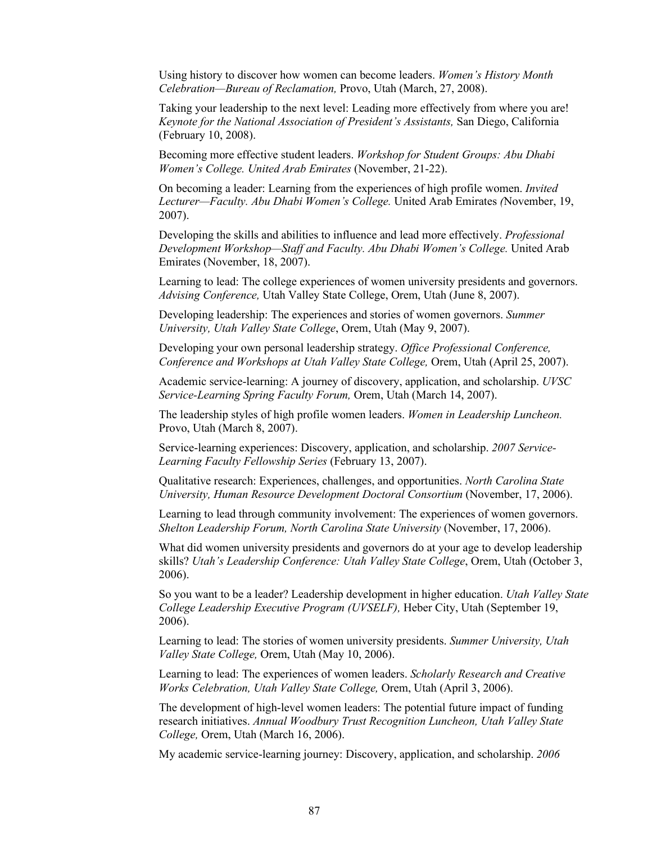Using history to discover how women can become leaders. *Women's History Month Celebration—Bureau of Reclamation,* Provo, Utah (March, 27, 2008).

Taking your leadership to the next level: Leading more effectively from where you are! *Keynote for the National Association of President's Assistants,* San Diego, California (February 10, 2008).

Becoming more effective student leaders. *Workshop for Student Groups: Abu Dhabi Women's College. United Arab Emirates* (November, 21-22).

On becoming a leader: Learning from the experiences of high profile women. *Invited Lecturer—Faculty. Abu Dhabi Women's College.* United Arab Emirates *(*November, 19, 2007).

Developing the skills and abilities to influence and lead more effectively. *Professional Development Workshop—Staff and Faculty. Abu Dhabi Women's College.* United Arab Emirates (November, 18, 2007).

Learning to lead: The college experiences of women university presidents and governors. *Advising Conference,* Utah Valley State College, Orem, Utah (June 8, 2007).

Developing leadership: The experiences and stories of women governors. *Summer University, Utah Valley State College*, Orem, Utah (May 9, 2007).

Developing your own personal leadership strategy. *Office Professional Conference, Conference and Workshops at Utah Valley State College,* Orem, Utah (April 25, 2007).

Academic service-learning: A journey of discovery, application, and scholarship. *UVSC Service-Learning Spring Faculty Forum,* Orem, Utah (March 14, 2007).

The leadership styles of high profile women leaders. *Women in Leadership Luncheon.*  Provo, Utah (March 8, 2007).

Service-learning experiences: Discovery, application, and scholarship. *2007 Service-Learning Faculty Fellowship Series* (February 13, 2007).

Qualitative research: Experiences, challenges, and opportunities. *North Carolina State University, Human Resource Development Doctoral Consortium* (November, 17, 2006).

Learning to lead through community involvement: The experiences of women governors. *Shelton Leadership Forum, North Carolina State University* (November, 17, 2006).

What did women university presidents and governors do at your age to develop leadership skills? *Utah's Leadership Conference: Utah Valley State College*, Orem, Utah (October 3, 2006).

So you want to be a leader? Leadership development in higher education. *Utah Valley State College Leadership Executive Program (UVSELF),* Heber City, Utah (September 19, 2006).

Learning to lead: The stories of women university presidents. *Summer University, Utah Valley State College,* Orem, Utah (May 10, 2006).

Learning to lead: The experiences of women leaders. *Scholarly Research and Creative Works Celebration, Utah Valley State College,* Orem, Utah (April 3, 2006).

The development of high-level women leaders: The potential future impact of funding research initiatives. *Annual Woodbury Trust Recognition Luncheon, Utah Valley State College,* Orem, Utah (March 16, 2006).

My academic service-learning journey: Discovery, application, and scholarship. *2006*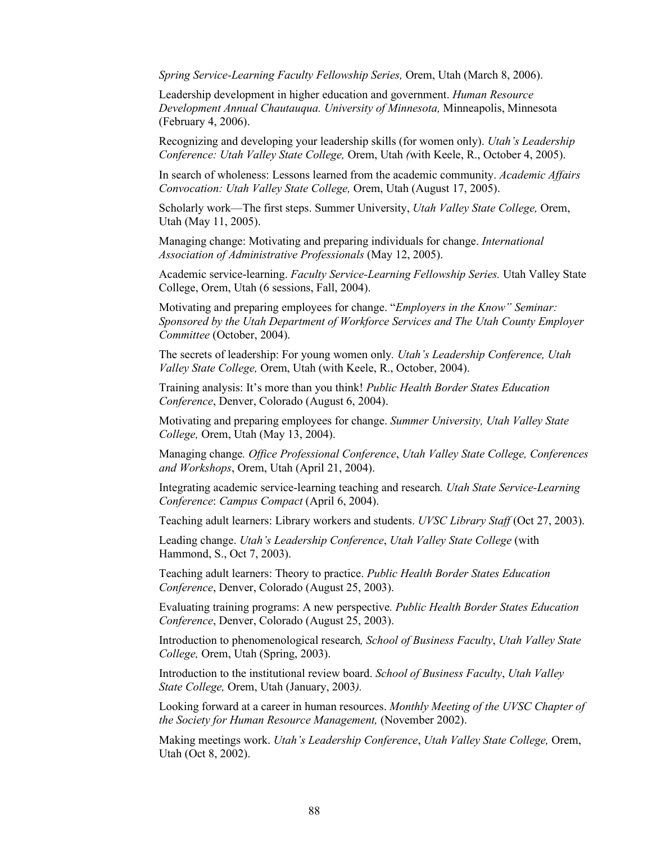*Spring Service-Learning Faculty Fellowship Series,* Orem, Utah (March 8, 2006).

Leadership development in higher education and government. *Human Resource Development Annual Chautauqua. University of Minnesota,* Minneapolis, Minnesota (February 4, 2006).

Recognizing and developing your leadership skills (for women only). *Utah's Leadership Conference: Utah Valley State College,* Orem, Utah *(*with Keele, R., October 4, 2005).

In search of wholeness: Lessons learned from the academic community. *Academic Affairs Convocation: Utah Valley State College,* Orem, Utah (August 17, 2005).

Scholarly work—The first steps. Summer University, *Utah Valley State College,* Orem, Utah (May 11, 2005).

Managing change: Motivating and preparing individuals for change. *International Association of Administrative Professionals* (May 12, 2005).

Academic service-learning. *Faculty Service-Learning Fellowship Series.* Utah Valley State College, Orem, Utah (6 sessions, Fall, 2004).

Motivating and preparing employees for change. "*Employers in the Know" Seminar: Sponsored by the Utah Department of Workforce Services and The Utah County Employer Committee* (October, 2004).

The secrets of leadership: For young women only*. Utah's Leadership Conference, Utah Valley State College,* Orem, Utah (with Keele, R., October, 2004).

Training analysis: It's more than you think! *Public Health Border States Education Conference*, Denver, Colorado (August 6, 2004).

Motivating and preparing employees for change. *Summer University, Utah Valley State College,* Orem, Utah (May 13, 2004).

Managing change*. Office Professional Conference*, *Utah Valley State College, Conferences and Workshops*, Orem, Utah (April 21, 2004).

Integrating academic service-learning teaching and research*. Utah State Service-Learning Conference*: *Campus Compact* (April 6, 2004).

Teaching adult learners: Library workers and students. *UVSC Library Staff* (Oct 27, 2003).

Leading change. *Utah's Leadership Conference*, *Utah Valley State College* (with Hammond, S., Oct 7, 2003).

Teaching adult learners: Theory to practice. *Public Health Border States Education Conference*, Denver, Colorado (August 25, 2003).

Evaluating training programs: A new perspective*. Public Health Border States Education Conference*, Denver, Colorado (August 25, 2003).

Introduction to phenomenological research*, School of Business Faculty*, *Utah Valley State College,* Orem, Utah (Spring, 2003).

Introduction to the institutional review board. *School of Business Faculty*, *Utah Valley State College,* Orem, Utah (January, 2003*).*

Looking forward at a career in human resources. *Monthly Meeting of the UVSC Chapter of the Society for Human Resource Management,* (November 2002).

Making meetings work. *Utah's Leadership Conference*, *Utah Valley State College,* Orem, Utah (Oct 8, 2002).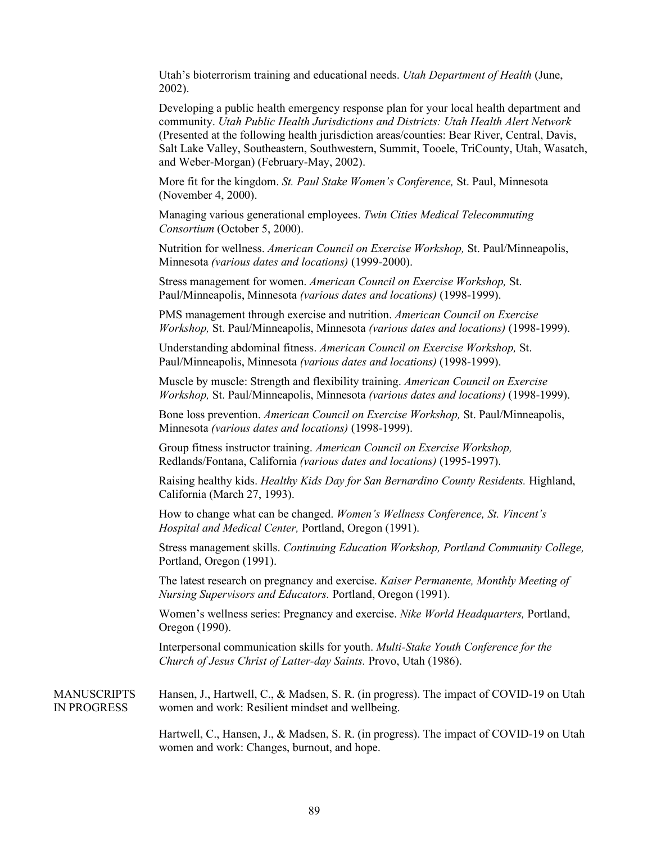Utah's bioterrorism training and educational needs. *Utah Department of Health* (June, 2002).

Developing a public health emergency response plan for your local health department and community. *Utah Public Health Jurisdictions and Districts: Utah Health Alert Network*  (Presented at the following health jurisdiction areas/counties: Bear River, Central, Davis, Salt Lake Valley, Southeastern, Southwestern, Summit, Tooele, TriCounty, Utah, Wasatch, and Weber-Morgan) (February-May, 2002).

More fit for the kingdom. *St. Paul Stake Women's Conference,* St. Paul, Minnesota (November 4, 2000).

Managing various generational employees. *Twin Cities Medical Telecommuting Consortium* (October 5, 2000).

Nutrition for wellness. *American Council on Exercise Workshop,* St. Paul/Minneapolis, Minnesota *(various dates and locations)* (1999-2000).

Stress management for women. *American Council on Exercise Workshop,* St. Paul/Minneapolis, Minnesota *(various dates and locations)* (1998-1999).

PMS management through exercise and nutrition. *American Council on Exercise Workshop,* St. Paul/Minneapolis, Minnesota *(various dates and locations)* (1998-1999).

Understanding abdominal fitness. *American Council on Exercise Workshop,* St. Paul/Minneapolis, Minnesota *(various dates and locations)* (1998-1999).

Muscle by muscle: Strength and flexibility training. *American Council on Exercise Workshop,* St. Paul/Minneapolis, Minnesota *(various dates and locations)* (1998-1999).

Bone loss prevention. *American Council on Exercise Workshop,* St. Paul/Minneapolis, Minnesota *(various dates and locations)* (1998-1999).

Group fitness instructor training. *American Council on Exercise Workshop,*  Redlands/Fontana, California *(various dates and locations)* (1995-1997).

Raising healthy kids. *Healthy Kids Day for San Bernardino County Residents.* Highland, California (March 27, 1993).

How to change what can be changed. *Women's Wellness Conference, St. Vincent's Hospital and Medical Center,* Portland, Oregon (1991).

Stress management skills. *Continuing Education Workshop, Portland Community College,*  Portland, Oregon (1991).

The latest research on pregnancy and exercise. *Kaiser Permanente, Monthly Meeting of Nursing Supervisors and Educators.* Portland, Oregon (1991).

Women's wellness series: Pregnancy and exercise. *Nike World Headquarters,* Portland, Oregon (1990).

Interpersonal communication skills for youth. *Multi-Stake Youth Conference for the Church of Jesus Christ of Latter-day Saints.* Provo, Utah (1986).

**MANUSCRIPTS** IN PROGRESS Hansen, J., Hartwell, C., & Madsen, S. R. (in progress). The impact of COVID-19 on Utah women and work: Resilient mindset and wellbeing.

> Hartwell, C., Hansen, J., & Madsen, S. R. (in progress). The impact of COVID-19 on Utah women and work: Changes, burnout, and hope.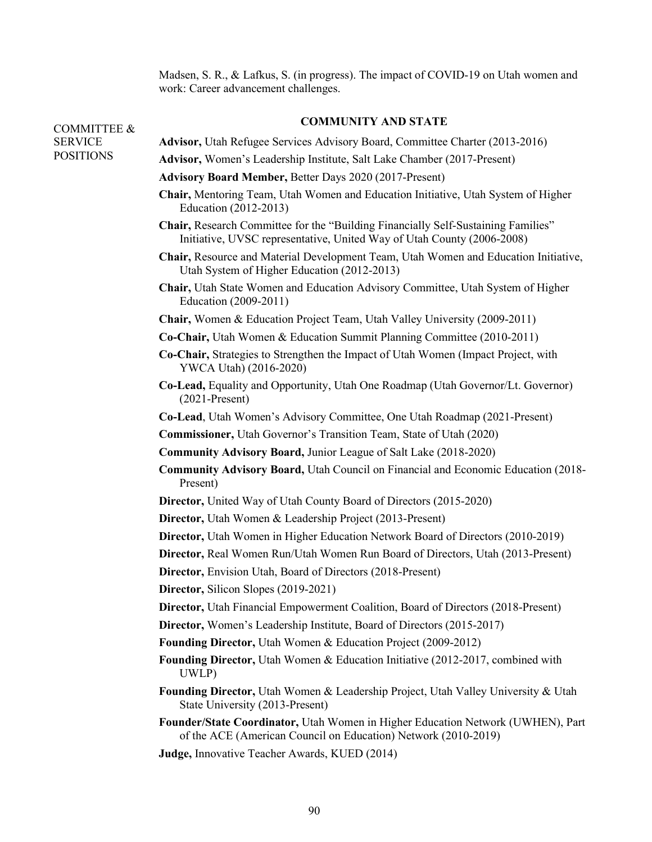Madsen, S. R., & Lafkus, S. (in progress). The impact of COVID-19 on Utah women and work: Career advancement challenges.

## **COMMUNITY AND STATE**

| <b>COMMITTEE &amp;</b> | COMMUNITED AND STATE                                                                                                                                        |
|------------------------|-------------------------------------------------------------------------------------------------------------------------------------------------------------|
| <b>SERVICE</b>         | <b>Advisor, Utah Refugee Services Advisory Board, Committee Charter (2013-2016)</b>                                                                         |
| <b>POSITIONS</b>       | Advisor, Women's Leadership Institute, Salt Lake Chamber (2017-Present)                                                                                     |
|                        | <b>Advisory Board Member, Better Days 2020 (2017-Present)</b>                                                                                               |
|                        | Chair, Mentoring Team, Utah Women and Education Initiative, Utah System of Higher<br>Education (2012-2013)                                                  |
|                        | Chair, Research Committee for the "Building Financially Self-Sustaining Families"<br>Initiative, UVSC representative, United Way of Utah County (2006-2008) |
|                        | Chair, Resource and Material Development Team, Utah Women and Education Initiative,<br>Utah System of Higher Education (2012-2013)                          |
|                        | Chair, Utah State Women and Education Advisory Committee, Utah System of Higher<br>Education (2009-2011)                                                    |
|                        | <b>Chair, Women &amp; Education Project Team, Utah Valley University (2009-2011)</b>                                                                        |
|                        | Co-Chair, Utah Women & Education Summit Planning Committee (2010-2011)                                                                                      |
|                        | Co-Chair, Strategies to Strengthen the Impact of Utah Women (Impact Project, with<br>YWCA Utah) (2016-2020)                                                 |
|                        | Co-Lead, Equality and Opportunity, Utah One Roadmap (Utah Governor/Lt. Governor)<br>$(2021-Present)$                                                        |
|                        | Co-Lead, Utah Women's Advisory Committee, One Utah Roadmap (2021-Present)                                                                                   |
|                        | <b>Commissioner, Utah Governor's Transition Team, State of Utah (2020)</b>                                                                                  |
|                        | <b>Community Advisory Board, Junior League of Salt Lake (2018-2020)</b>                                                                                     |
|                        | <b>Community Advisory Board, Utah Council on Financial and Economic Education (2018-</b><br>Present)                                                        |
|                        | Director, United Way of Utah County Board of Directors (2015-2020)                                                                                          |
|                        | Director, Utah Women & Leadership Project (2013-Present)                                                                                                    |
|                        | Director, Utah Women in Higher Education Network Board of Directors (2010-2019)                                                                             |
|                        | Director, Real Women Run/Utah Women Run Board of Directors, Utah (2013-Present)                                                                             |
|                        | <b>Director, Envision Utah, Board of Directors (2018-Present)</b>                                                                                           |
|                        | Director, Silicon Slopes (2019-2021)                                                                                                                        |
|                        | Director, Utah Financial Empowerment Coalition, Board of Directors (2018-Present)                                                                           |
|                        | Director, Women's Leadership Institute, Board of Directors (2015-2017)                                                                                      |
|                        | Founding Director, Utah Women & Education Project (2009-2012)                                                                                               |
|                        | Founding Director, Utah Women & Education Initiative (2012-2017, combined with<br>UWLP)                                                                     |
|                        | Founding Director, Utah Women & Leadership Project, Utah Valley University & Utah<br>State University (2013-Present)                                        |
|                        | Founder/State Coordinator, Utah Women in Higher Education Network (UWHEN), Part<br>of the ACE (American Council on Education) Network (2010-2019)           |
|                        | Judge, Innovative Teacher Awards, KUED (2014)                                                                                                               |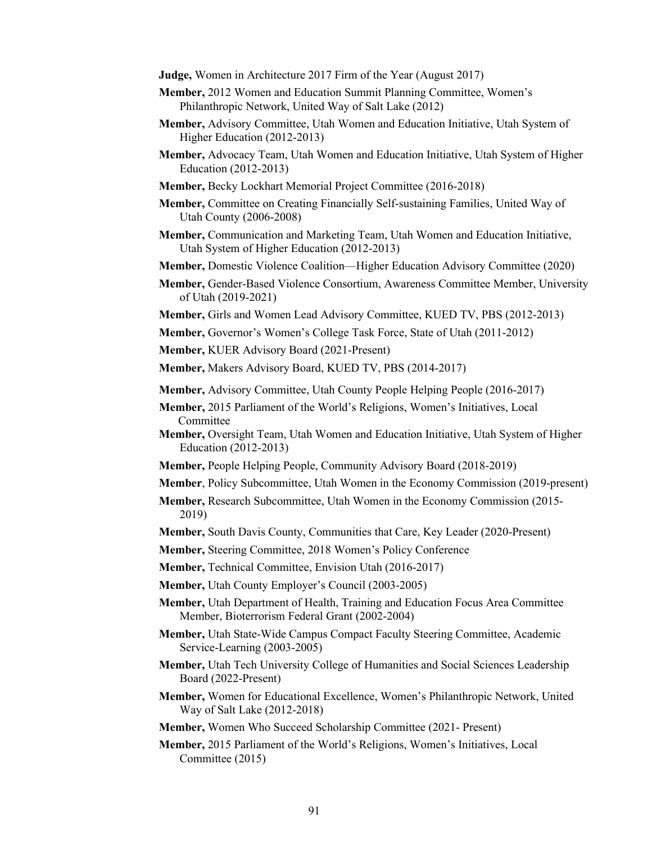- **Judge,** Women in Architecture 2017 Firm of the Year (August 2017)
- **Member,** 2012 Women and Education Summit Planning Committee, Women's Philanthropic Network, United Way of Salt Lake (2012)
- **Member,** Advisory Committee, Utah Women and Education Initiative, Utah System of Higher Education (2012-2013)
- **Member,** Advocacy Team, Utah Women and Education Initiative, Utah System of Higher Education (2012-2013)
- **Member,** Becky Lockhart Memorial Project Committee (2016-2018)
- **Member,** Committee on Creating Financially Self-sustaining Families, United Way of Utah County (2006-2008)
- **Member,** Communication and Marketing Team, Utah Women and Education Initiative, Utah System of Higher Education (2012-2013)
- **Member,** Domestic Violence Coalition—Higher Education Advisory Committee (2020)
- **Member,** Gender-Based Violence Consortium, Awareness Committee Member, University of Utah (2019-2021)
- **Member,** Girls and Women Lead Advisory Committee, KUED TV, PBS (2012-2013)
- **Member,** Governor's Women's College Task Force, State of Utah (2011-2012)
- **Member,** KUER Advisory Board (2021-Present)

**Member,** Makers Advisory Board, KUED TV, PBS (2014-2017)

- **Member,** Advisory Committee, Utah County People Helping People (2016-2017)
- **Member,** 2015 Parliament of the World's Religions, Women's Initiatives, Local Committee
- **Member,** Oversight Team, Utah Women and Education Initiative, Utah System of Higher Education (2012-2013)
- **Member,** People Helping People, Community Advisory Board (2018-2019)
- **Member**, Policy Subcommittee, Utah Women in the Economy Commission (2019-present)
- **Member,** Research Subcommittee, Utah Women in the Economy Commission (2015- 2019)
- **Member,** South Davis County, Communities that Care, Key Leader (2020-Present)
- **Member,** Steering Committee, 2018 Women's Policy Conference
- **Member,** Technical Committee, Envision Utah (2016-2017)
- **Member,** Utah County Employer's Council (2003-2005)
- **Member,** Utah Department of Health, Training and Education Focus Area Committee Member, Bioterrorism Federal Grant (2002-2004)
- **Member,** Utah State-Wide Campus Compact Faculty Steering Committee, Academic Service-Learning (2003-2005)
- **Member,** Utah Tech University College of Humanities and Social Sciences Leadership Board (2022-Present)
- **Member,** Women for Educational Excellence, Women's Philanthropic Network, United Way of Salt Lake (2012-2018)

**Member,** Women Who Succeed Scholarship Committee (2021- Present)

**Member,** 2015 Parliament of the World's Religions, Women's Initiatives, Local Committee (2015)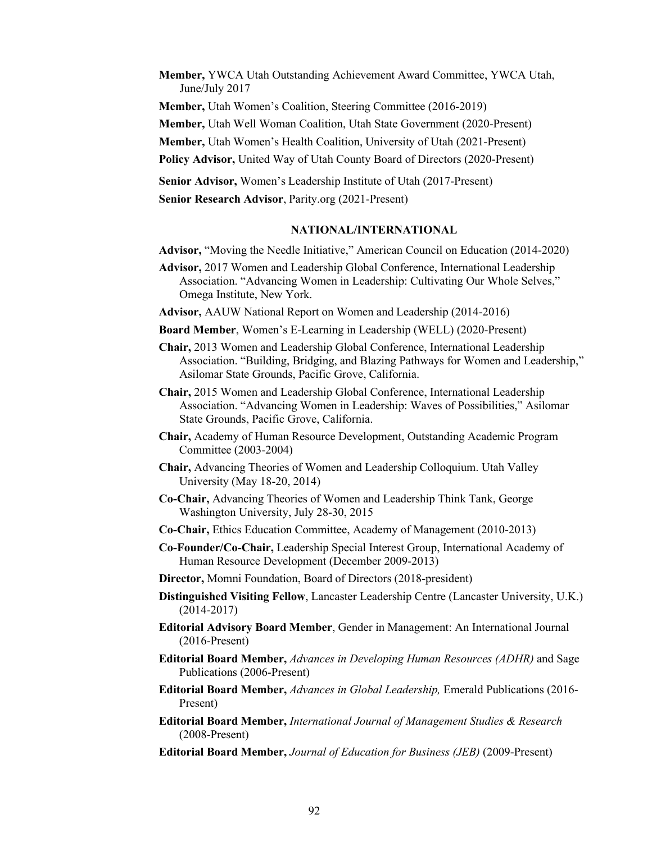**Member,** YWCA Utah Outstanding Achievement Award Committee, YWCA Utah, June/July 2017

**Member,** Utah Women's Coalition, Steering Committee (2016-2019)

**Member,** Utah Well Woman Coalition, Utah State Government (2020-Present)

**Member,** Utah Women's Health Coalition, University of Utah (2021-Present)

**Policy Advisor,** United Way of Utah County Board of Directors (2020-Present)

**Senior Advisor,** Women's Leadership Institute of Utah (2017-Present)

**Senior Research Advisor**, Parity.org (2021-Present)

## **NATIONAL/INTERNATIONAL**

- **Advisor,** "Moving the Needle Initiative," American Council on Education (2014-2020)
- **Advisor,** 2017 Women and Leadership Global Conference, International Leadership Association. "Advancing Women in Leadership: Cultivating Our Whole Selves," Omega Institute, New York.
- **Advisor,** AAUW National Report on Women and Leadership (2014-2016)
- **Board Member**, Women's E-Learning in Leadership (WELL) (2020-Present)
- **Chair,** 2013 Women and Leadership Global Conference, International Leadership Association. "Building, Bridging, and Blazing Pathways for Women and Leadership," Asilomar State Grounds, Pacific Grove, California.
- **Chair,** 2015 Women and Leadership Global Conference, International Leadership Association. "Advancing Women in Leadership: Waves of Possibilities," Asilomar State Grounds, Pacific Grove, California.
- **Chair,** Academy of Human Resource Development, Outstanding Academic Program Committee (2003-2004)
- **Chair,** Advancing Theories of Women and Leadership Colloquium. Utah Valley University (May 18-20, 2014)
- **Co-Chair,** Advancing Theories of Women and Leadership Think Tank, George Washington University, July 28-30, 2015
- **Co-Chair,** Ethics Education Committee, Academy of Management (2010-2013)
- **Co-Founder/Co-Chair,** Leadership Special Interest Group, International Academy of Human Resource Development (December 2009-2013)
- **Director,** Momni Foundation, Board of Directors (2018-president)
- **Distinguished Visiting Fellow**, Lancaster Leadership Centre (Lancaster University, U.K.) (2014-2017)
- **Editorial Advisory Board Member**, Gender in Management: An International Journal (2016-Present)
- **Editorial Board Member,** *Advances in Developing Human Resources (ADHR)* and Sage Publications (2006-Present)
- **Editorial Board Member,** *Advances in Global Leadership,* Emerald Publications (2016- Present)
- **Editorial Board Member,** *International Journal of Management Studies & Research*  (2008-Present)
- **Editorial Board Member,** *Journal of Education for Business (JEB)* (2009-Present)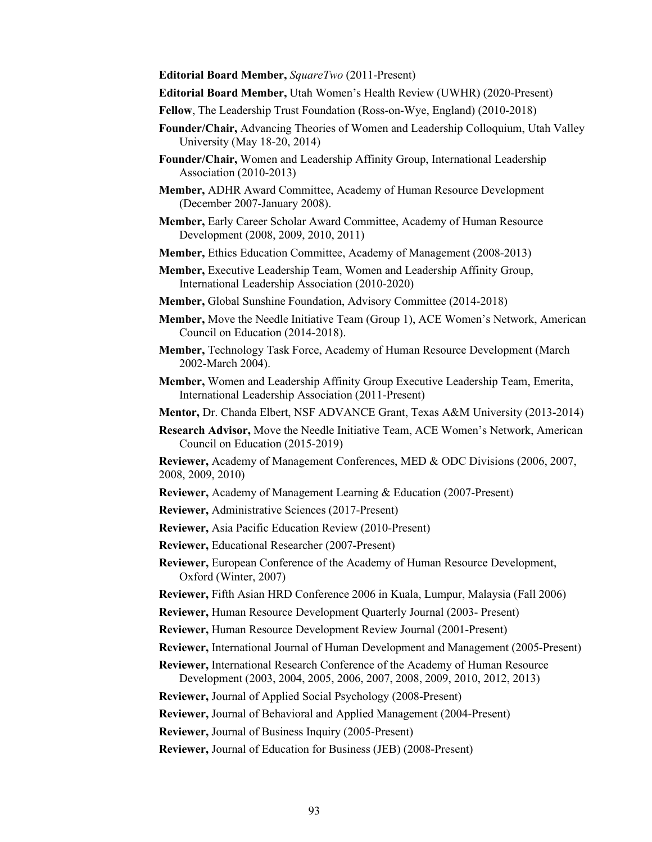**Editorial Board Member,** *SquareTwo* (2011-Present)

- **Editorial Board Member,** Utah Women's Health Review (UWHR) (2020-Present)
- **Fellow**, The Leadership Trust Foundation (Ross-on-Wye, England) (2010-2018)
- **Founder/Chair,** Advancing Theories of Women and Leadership Colloquium, Utah Valley University (May 18-20, 2014)
- **Founder/Chair,** Women and Leadership Affinity Group, International Leadership Association (2010-2013)
- **Member,** ADHR Award Committee, Academy of Human Resource Development (December 2007-January 2008).
- **Member,** Early Career Scholar Award Committee, Academy of Human Resource Development (2008, 2009, 2010, 2011)
- **Member,** Ethics Education Committee, Academy of Management (2008-2013)
- **Member,** Executive Leadership Team, Women and Leadership Affinity Group, International Leadership Association (2010-2020)
- **Member,** Global Sunshine Foundation, Advisory Committee (2014-2018)
- **Member,** Move the Needle Initiative Team (Group 1), ACE Women's Network, American Council on Education (2014-2018).
- **Member,** Technology Task Force, Academy of Human Resource Development (March 2002-March 2004).
- **Member,** Women and Leadership Affinity Group Executive Leadership Team, Emerita, International Leadership Association (2011-Present)
- **Mentor,** Dr. Chanda Elbert, NSF ADVANCE Grant, Texas A&M University (2013-2014)
- **Research Advisor,** Move the Needle Initiative Team, ACE Women's Network, American Council on Education (2015-2019)

**Reviewer,** Academy of Management Conferences, MED & ODC Divisions (2006, 2007, 2008, 2009, 2010)

**Reviewer,** Academy of Management Learning & Education (2007-Present)

- **Reviewer,** Administrative Sciences (2017-Present)
- **Reviewer,** Asia Pacific Education Review (2010-Present)
- **Reviewer,** Educational Researcher (2007-Present)
- **Reviewer,** European Conference of the Academy of Human Resource Development, Oxford (Winter, 2007)
- **Reviewer,** Fifth Asian HRD Conference 2006 in Kuala, Lumpur, Malaysia (Fall 2006)
- **Reviewer,** Human Resource Development Quarterly Journal (2003- Present)
- **Reviewer,** Human Resource Development Review Journal (2001-Present)
- **Reviewer,** International Journal of Human Development and Management (2005-Present)
- **Reviewer,** International Research Conference of the Academy of Human Resource Development (2003, 2004, 2005, 2006, 2007, 2008, 2009, 2010, 2012, 2013)

**Reviewer,** Journal of Applied Social Psychology (2008-Present)

**Reviewer,** Journal of Behavioral and Applied Management (2004-Present)

**Reviewer,** Journal of Business Inquiry (2005-Present)

**Reviewer,** Journal of Education for Business (JEB) (2008-Present)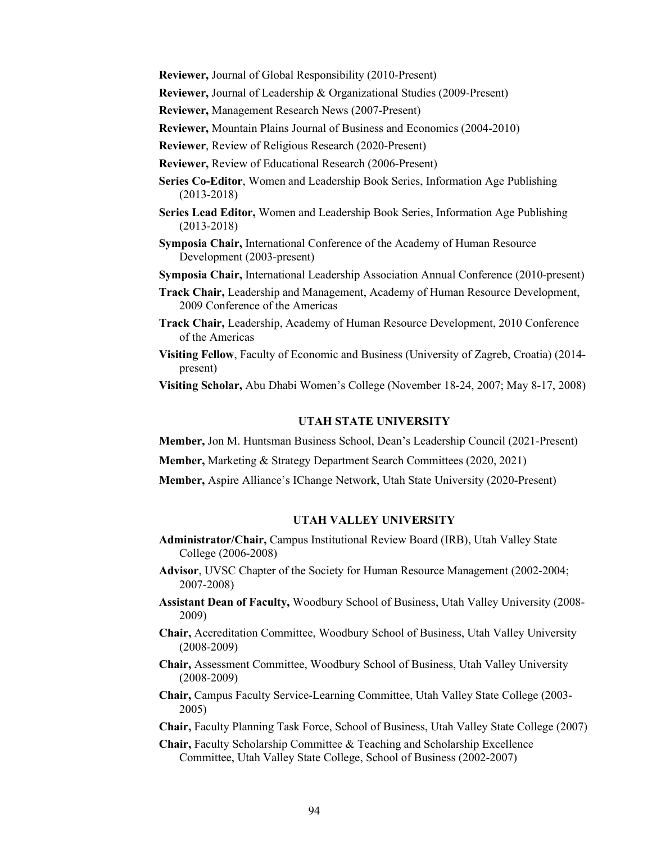**Reviewer,** Journal of Global Responsibility (2010-Present)

**Reviewer,** Journal of Leadership & Organizational Studies (2009-Present)

**Reviewer,** Management Research News (2007-Present)

**Reviewer,** Mountain Plains Journal of Business and Economics (2004-2010)

**Reviewer**, Review of Religious Research (2020-Present)

- **Reviewer,** Review of Educational Research (2006-Present)
- **Series Co-Editor**, Women and Leadership Book Series, Information Age Publishing (2013-2018)
- **Series Lead Editor,** Women and Leadership Book Series, Information Age Publishing (2013-2018)
- **Symposia Chair,** International Conference of the Academy of Human Resource Development (2003-present)

**Symposia Chair,** International Leadership Association Annual Conference (2010-present)

- **Track Chair,** Leadership and Management, Academy of Human Resource Development, 2009 Conference of the Americas
- **Track Chair,** Leadership, Academy of Human Resource Development, 2010 Conference of the Americas
- **Visiting Fellow**, Faculty of Economic and Business (University of Zagreb, Croatia) (2014 present)

**Visiting Scholar,** Abu Dhabi Women's College (November 18-24, 2007; May 8-17, 2008)

## **UTAH STATE UNIVERSITY**

**Member,** Jon M. Huntsman Business School, Dean's Leadership Council (2021-Present)

**Member,** Marketing & Strategy Department Search Committees (2020, 2021)

**Member,** Aspire Alliance's IChange Network, Utah State University (2020-Present)

## **UTAH VALLEY UNIVERSITY**

- **Administrator/Chair,** Campus Institutional Review Board (IRB), Utah Valley State College (2006-2008)
- **Advisor**, UVSC Chapter of the Society for Human Resource Management (2002-2004; 2007-2008)
- **Assistant Dean of Faculty,** Woodbury School of Business, Utah Valley University (2008- 2009)
- **Chair,** Accreditation Committee, Woodbury School of Business, Utah Valley University (2008-2009)
- **Chair,** Assessment Committee, Woodbury School of Business, Utah Valley University (2008-2009)
- **Chair,** Campus Faculty Service-Learning Committee, Utah Valley State College (2003- 2005)

**Chair,** Faculty Planning Task Force, School of Business, Utah Valley State College (2007)

**Chair,** Faculty Scholarship Committee & Teaching and Scholarship Excellence Committee, Utah Valley State College, School of Business (2002-2007)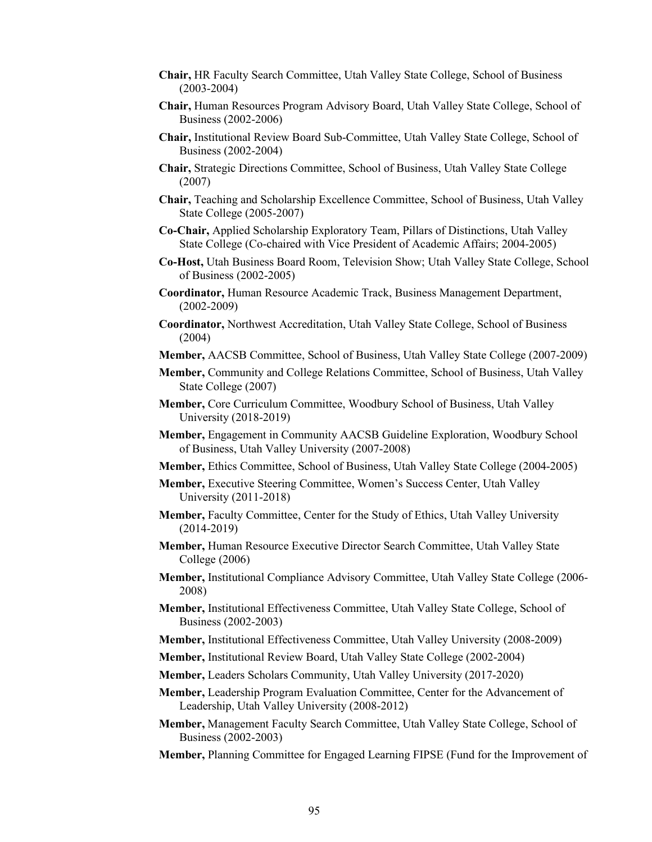- **Chair,** HR Faculty Search Committee, Utah Valley State College, School of Business (2003-2004)
- **Chair,** Human Resources Program Advisory Board, Utah Valley State College, School of Business (2002-2006)
- **Chair,** Institutional Review Board Sub-Committee, Utah Valley State College, School of Business (2002-2004)
- **Chair,** Strategic Directions Committee, School of Business, Utah Valley State College (2007)
- **Chair,** Teaching and Scholarship Excellence Committee, School of Business, Utah Valley State College (2005-2007)
- **Co-Chair,** Applied Scholarship Exploratory Team, Pillars of Distinctions, Utah Valley State College (Co-chaired with Vice President of Academic Affairs; 2004-2005)
- **Co-Host,** Utah Business Board Room, Television Show; Utah Valley State College, School of Business (2002-2005)
- **Coordinator,** Human Resource Academic Track, Business Management Department, (2002-2009)
- **Coordinator,** Northwest Accreditation, Utah Valley State College, School of Business (2004)
- **Member,** AACSB Committee, School of Business, Utah Valley State College (2007-2009)
- **Member,** Community and College Relations Committee, School of Business, Utah Valley State College (2007)
- **Member,** Core Curriculum Committee, Woodbury School of Business, Utah Valley University (2018-2019)
- **Member,** Engagement in Community AACSB Guideline Exploration, Woodbury School of Business, Utah Valley University (2007-2008)
- **Member,** Ethics Committee, School of Business, Utah Valley State College (2004-2005)
- **Member,** Executive Steering Committee, Women's Success Center, Utah Valley University (2011-2018)
- **Member,** Faculty Committee, Center for the Study of Ethics, Utah Valley University (2014-2019)
- **Member,** Human Resource Executive Director Search Committee, Utah Valley State College (2006)
- **Member,** Institutional Compliance Advisory Committee, Utah Valley State College (2006- 2008)
- **Member,** Institutional Effectiveness Committee, Utah Valley State College, School of Business (2002-2003)
- **Member,** Institutional Effectiveness Committee, Utah Valley University (2008-2009)
- **Member,** Institutional Review Board, Utah Valley State College (2002-2004)
- **Member,** Leaders Scholars Community, Utah Valley University (2017-2020)
- **Member,** Leadership Program Evaluation Committee, Center for the Advancement of Leadership, Utah Valley University (2008-2012)
- **Member,** Management Faculty Search Committee, Utah Valley State College, School of Business (2002-2003)
- **Member,** Planning Committee for Engaged Learning FIPSE (Fund for the Improvement of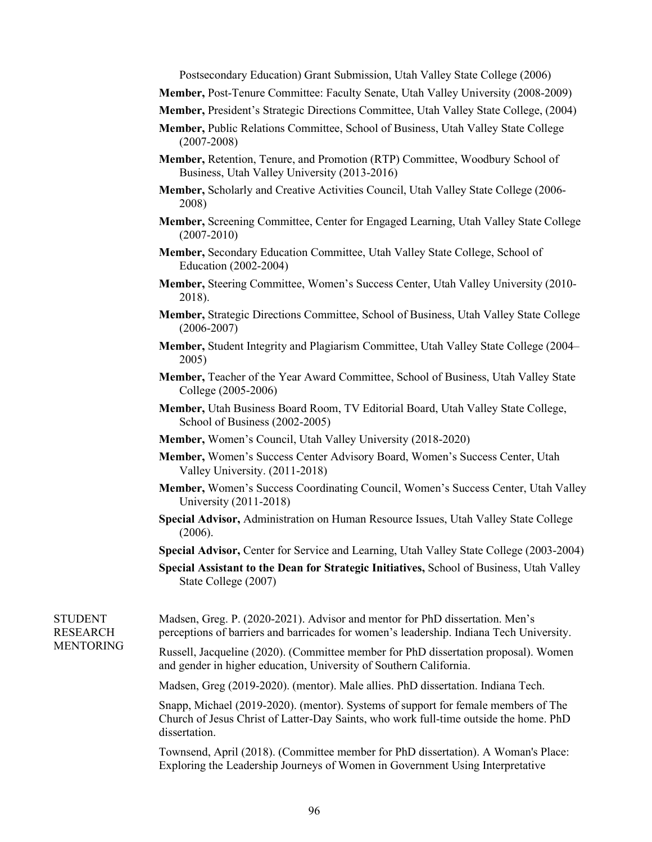Postsecondary Education) Grant Submission, Utah Valley State College (2006)

- **Member,** Post-Tenure Committee: Faculty Senate, Utah Valley University (2008-2009)
- **Member,** President's Strategic Directions Committee, Utah Valley State College, (2004)
- **Member,** Public Relations Committee, School of Business, Utah Valley State College (2007-2008)
- **Member,** Retention, Tenure, and Promotion (RTP) Committee, Woodbury School of Business, Utah Valley University (2013-2016)
- **Member,** Scholarly and Creative Activities Council, Utah Valley State College (2006- 2008)
- **Member,** Screening Committee, Center for Engaged Learning, Utah Valley State College (2007-2010)
- **Member,** Secondary Education Committee, Utah Valley State College, School of Education (2002-2004)
- **Member,** Steering Committee, Women's Success Center, Utah Valley University (2010- 2018).
- **Member,** Strategic Directions Committee, School of Business, Utah Valley State College (2006-2007)
- **Member,** Student Integrity and Plagiarism Committee, Utah Valley State College (2004– 2005)
- **Member,** Teacher of the Year Award Committee, School of Business, Utah Valley State College (2005-2006)
- **Member,** Utah Business Board Room, TV Editorial Board, Utah Valley State College, School of Business (2002-2005)
- **Member,** Women's Council, Utah Valley University (2018-2020)
- **Member,** Women's Success Center Advisory Board, Women's Success Center, Utah Valley University. (2011-2018)
- **Member,** Women's Success Coordinating Council, Women's Success Center, Utah Valley University (2011-2018)
- **Special Advisor,** Administration on Human Resource Issues, Utah Valley State College (2006).
- **Special Advisor,** Center for Service and Learning, Utah Valley State College (2003-2004)
- **Special Assistant to the Dean for Strategic Initiatives,** School of Business, Utah Valley State College (2007)

Madsen, Greg. P. (2020-2021). Advisor and mentor for PhD dissertation. Men's perceptions of barriers and barricades for women's leadership. Indiana Tech University.

> Russell, Jacqueline (2020). (Committee member for PhD dissertation proposal). Women and gender in higher education, University of Southern California.

Madsen, Greg (2019-2020). (mentor). Male allies. PhD dissertation. Indiana Tech.

Snapp, Michael (2019-2020). (mentor). Systems of support for female members of The Church of Jesus Christ of Latter-Day Saints, who work full-time outside the home. PhD dissertation.

Townsend, April (2018). (Committee member for PhD dissertation). A Woman's Place: Exploring the Leadership Journeys of Women in Government Using Interpretative

STUDENT RESEARCH MENTORING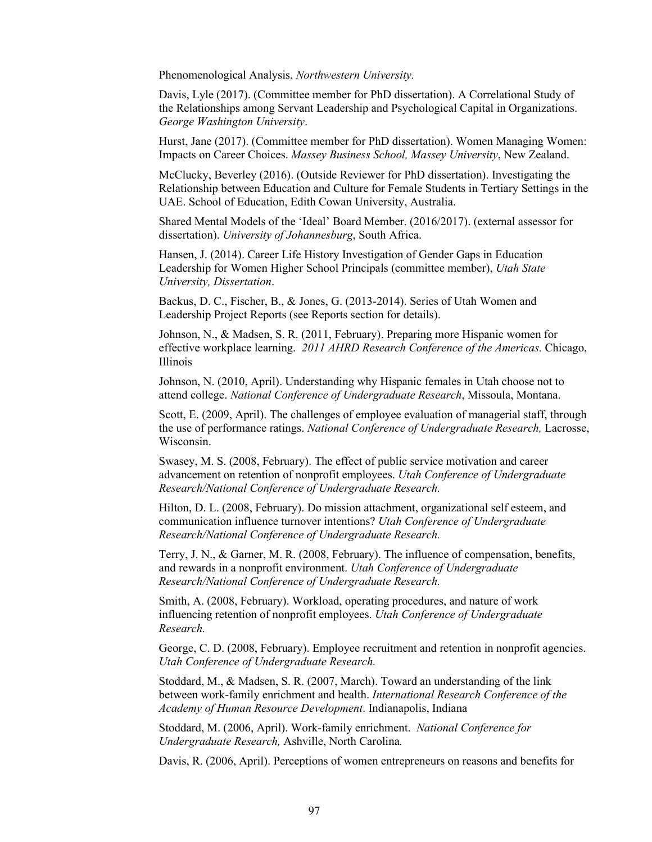Phenomenological Analysis, *Northwestern University.*

Davis, Lyle (2017). (Committee member for PhD dissertation). A Correlational Study of the Relationships among Servant Leadership and Psychological Capital in Organizations. *George Washington University*.

Hurst, Jane (2017). (Committee member for PhD dissertation). Women Managing Women: Impacts on Career Choices. *Massey Business School, Massey University*, New Zealand.

McClucky, Beverley (2016). (Outside Reviewer for PhD dissertation). Investigating the Relationship between Education and Culture for Female Students in Tertiary Settings in the UAE. School of Education, Edith Cowan University, Australia.

Shared Mental Models of the 'Ideal' Board Member. (2016/2017). (external assessor for dissertation). *University of Johannesburg*, South Africa.

Hansen, J. (2014). Career Life History Investigation of Gender Gaps in Education Leadership for Women Higher School Principals (committee member), *Utah State University, Dissertation*.

Backus, D. C., Fischer, B., & Jones, G. (2013-2014). Series of Utah Women and Leadership Project Reports (see Reports section for details).

Johnson, N., & Madsen, S. R. (2011, February). Preparing more Hispanic women for effective workplace learning. *2011 AHRD Research Conference of the Americas.* Chicago, Illinois

Johnson, N. (2010, April). Understanding why Hispanic females in Utah choose not to attend college. *National Conference of Undergraduate Research*, Missoula, Montana.

Scott, E. (2009, April). The challenges of employee evaluation of managerial staff, through the use of performance ratings. *National Conference of Undergraduate Research,* Lacrosse, Wisconsin.

Swasey, M. S. (2008, February). The effect of public service motivation and career advancement on retention of nonprofit employees. *Utah Conference of Undergraduate Research/National Conference of Undergraduate Research.*

Hilton, D. L. (2008, February). Do mission attachment, organizational self esteem, and communication influence turnover intentions? *Utah Conference of Undergraduate Research/National Conference of Undergraduate Research.*

Terry, J. N., & Garner, M. R. (2008, February). The influence of compensation, benefits, and rewards in a nonprofit environment. *Utah Conference of Undergraduate Research/National Conference of Undergraduate Research.* 

Smith, A. (2008, February). Workload, operating procedures, and nature of work influencing retention of nonprofit employees. *Utah Conference of Undergraduate Research.*

George, C. D. (2008, February). Employee recruitment and retention in nonprofit agencies. *Utah Conference of Undergraduate Research.*

Stoddard, M., & Madsen, S. R. (2007, March). Toward an understanding of the link between work-family enrichment and health. *International Research Conference of the Academy of Human Resource Development*. Indianapolis, Indiana

Stoddard, M. (2006, April). Work-family enrichment. *National Conference for Undergraduate Research,* Ashville, North Carolina*.*

Davis, R. (2006, April). Perceptions of women entrepreneurs on reasons and benefits for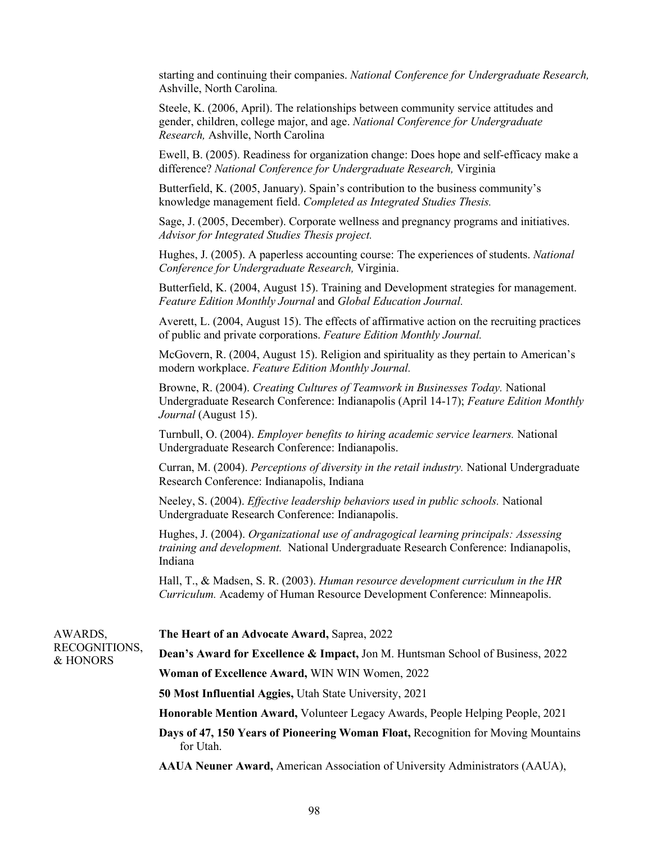starting and continuing their companies. *National Conference for Undergraduate Research,*  Ashville, North Carolina*.*

Steele, K. (2006, April). The relationships between community service attitudes and gender, children, college major, and age. *National Conference for Undergraduate Research,* Ashville, North Carolina

Ewell, B. (2005). Readiness for organization change: Does hope and self-efficacy make a difference? *National Conference for Undergraduate Research,* Virginia

Butterfield, K. (2005, January). Spain's contribution to the business community's knowledge management field. *Completed as Integrated Studies Thesis.*

Sage, J. (2005, December). Corporate wellness and pregnancy programs and initiatives. *Advisor for Integrated Studies Thesis project.*

Hughes, J. (2005). A paperless accounting course: The experiences of students. *National Conference for Undergraduate Research,* Virginia.

Butterfield, K. (2004, August 15). Training and Development strategies for management. *Feature Edition Monthly Journal* and *Global Education Journal.*

Averett, L. (2004, August 15). The effects of affirmative action on the recruiting practices of public and private corporations. *Feature Edition Monthly Journal.*

McGovern, R. (2004, August 15). Religion and spirituality as they pertain to American's modern workplace. *Feature Edition Monthly Journal.*

Browne, R. (2004). *Creating Cultures of Teamwork in Businesses Today.* National Undergraduate Research Conference: Indianapolis (April 14-17); *Feature Edition Monthly Journal* (August 15).

Turnbull, O. (2004). *Employer benefits to hiring academic service learners.* National Undergraduate Research Conference: Indianapolis.

Curran, M. (2004). *Perceptions of diversity in the retail industry.* National Undergraduate Research Conference: Indianapolis, Indiana

Neeley, S. (2004). *Effective leadership behaviors used in public schools.* National Undergraduate Research Conference: Indianapolis.

Hughes, J. (2004). *Organizational use of andragogical learning principals: Assessing training and development.* National Undergraduate Research Conference: Indianapolis, Indiana

Hall, T., & Madsen, S. R. (2003). *Human resource development curriculum in the HR Curriculum.* Academy of Human Resource Development Conference: Minneapolis.

| AWARDS,<br>RECOGNITIONS,<br>& HONORS | The Heart of an Advocate Award, Saprea, 2022                                                   |
|--------------------------------------|------------------------------------------------------------------------------------------------|
|                                      | <b>Dean's Award for Excellence &amp; Impact, Jon M. Huntsman School of Business, 2022</b>      |
|                                      | Woman of Excellence Award, WIN WIN Women, 2022                                                 |
|                                      | <b>50 Most Influential Aggies, Utah State University, 2021</b>                                 |
|                                      | <b>Honorable Mention Award, Volunteer Legacy Awards, People Helping People, 2021</b>           |
|                                      | Days of 47, 150 Years of Pioneering Woman Float, Recognition for Moving Mountains<br>for Utah. |
|                                      | <b>AAUA Neuner Award, American Association of University Administrators (AAUA),</b>            |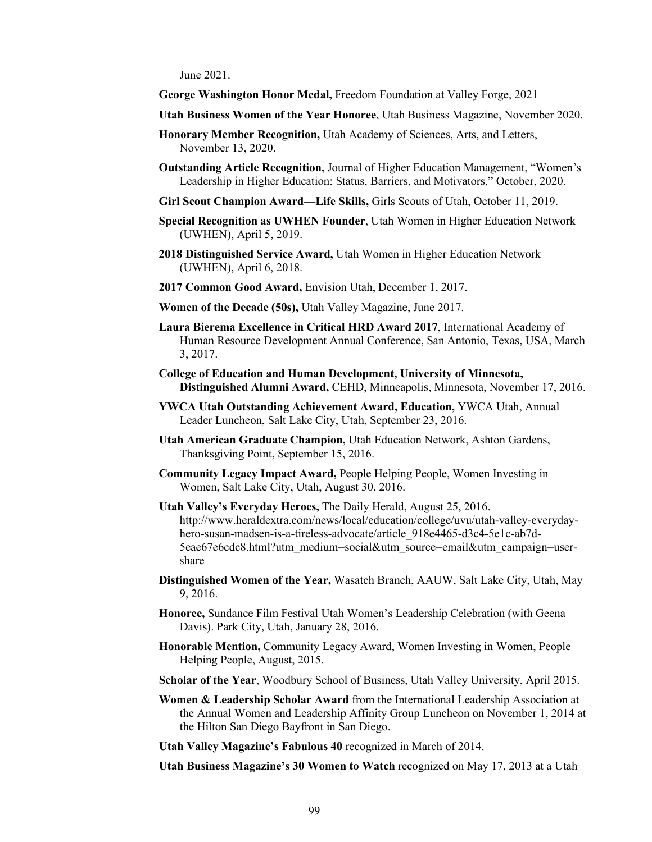June 2021.

**George Washington Honor Medal,** Freedom Foundation at Valley Forge, 2021

- **Utah Business Women of the Year Honoree**, Utah Business Magazine, November 2020.
- **Honorary Member Recognition,** Utah Academy of Sciences, Arts, and Letters, November 13, 2020.
- **Outstanding Article Recognition,** Journal of Higher Education Management, "Women's Leadership in Higher Education: Status, Barriers, and Motivators," October, 2020.
- **Girl Scout Champion Award—Life Skills,** Girls Scouts of Utah, October 11, 2019.
- **Special Recognition as UWHEN Founder**, Utah Women in Higher Education Network (UWHEN), April 5, 2019.
- **2018 Distinguished Service Award,** Utah Women in Higher Education Network (UWHEN), April 6, 2018.
- **2017 Common Good Award,** Envision Utah, December 1, 2017.
- **Women of the Decade (50s),** Utah Valley Magazine, June 2017.
- **Laura Bierema Excellence in Critical HRD Award 2017**, International Academy of Human Resource Development Annual Conference, San Antonio, Texas, USA, March 3, 2017.
- **College of Education and Human Development, University of Minnesota, Distinguished Alumni Award,** CEHD, Minneapolis, Minnesota, November 17, 2016.
- **YWCA Utah Outstanding Achievement Award, Education,** YWCA Utah, Annual Leader Luncheon, Salt Lake City, Utah, September 23, 2016.
- **Utah American Graduate Champion,** Utah Education Network, Ashton Gardens, Thanksgiving Point, September 15, 2016.
- **Community Legacy Impact Award,** People Helping People, Women Investing in Women, Salt Lake City, Utah, August 30, 2016.
- **Utah Valley's Everyday Heroes,** The Daily Herald, August 25, 2016. http://www.heraldextra.com/news/local/education/college/uvu/utah-valley-everydayhero-susan-madsen-is-a-tireless-advocate/article\_918e4465-d3c4-5e1c-ab7d-5eae67e6cdc8.html?utm\_medium=social&utm\_source=email&utm\_campaign=usershare
- **Distinguished Women of the Year,** Wasatch Branch, AAUW, Salt Lake City, Utah, May 9, 2016.
- **Honoree,** Sundance Film Festival Utah Women's Leadership Celebration (with Geena Davis). Park City, Utah, January 28, 2016.
- **Honorable Mention,** Community Legacy Award, Women Investing in Women, People Helping People, August, 2015.
- **Scholar of the Year**, Woodbury School of Business, Utah Valley University, April 2015.
- **Women & Leadership Scholar Award** from the International Leadership Association at the Annual Women and Leadership Affinity Group Luncheon on November 1, 2014 at the Hilton San Diego Bayfront in San Diego.
- **Utah Valley Magazine's Fabulous 40** recognized in March of 2014.

**Utah Business Magazine's 30 Women to Watch** recognized on May 17, 2013 at a Utah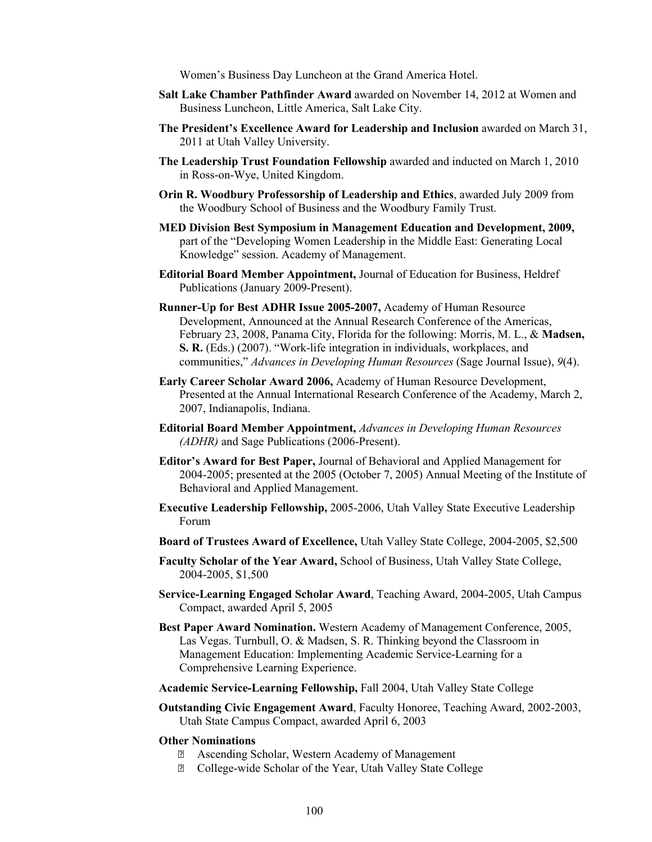Women's Business Day Luncheon at the Grand America Hotel.

- **Salt Lake Chamber Pathfinder Award** awarded on November 14, 2012 at Women and Business Luncheon, Little America, Salt Lake City.
- **The President's Excellence Award for Leadership and Inclusion** awarded on March 31, 2011 at Utah Valley University.
- **The Leadership Trust Foundation Fellowship** awarded and inducted on March 1, 2010 in Ross-on-Wye, United Kingdom.
- **Orin R. Woodbury Professorship of Leadership and Ethics**, awarded July 2009 from the Woodbury School of Business and the Woodbury Family Trust.
- **MED Division Best Symposium in Management Education and Development, 2009,**  part of the "Developing Women Leadership in the Middle East: Generating Local Knowledge" session. Academy of Management.
- **Editorial Board Member Appointment,** Journal of Education for Business, Heldref Publications (January 2009-Present).
- **Runner-Up for Best ADHR Issue 2005-2007,** Academy of Human Resource Development, Announced at the Annual Research Conference of the Americas, February 23, 2008, Panama City, Florida for the following: Morris, M. L., & **Madsen, S. R.** (Eds.) (2007). "Work-life integration in individuals, workplaces, and communities," *Advances in Developing Human Resources* (Sage Journal Issue), *9*(4).
- **Early Career Scholar Award 2006,** Academy of Human Resource Development, Presented at the Annual International Research Conference of the Academy, March 2, 2007, Indianapolis, Indiana.
- **Editorial Board Member Appointment,** *Advances in Developing Human Resources (ADHR)* and Sage Publications (2006-Present).
- **Editor's Award for Best Paper,** Journal of Behavioral and Applied Management for 2004-2005; presented at the 2005 (October 7, 2005) Annual Meeting of the Institute of Behavioral and Applied Management.
- **Executive Leadership Fellowship,** 2005-2006, Utah Valley State Executive Leadership Forum
- **Board of Trustees Award of Excellence,** Utah Valley State College, 2004-2005, \$2,500
- **Faculty Scholar of the Year Award,** School of Business, Utah Valley State College, 2004-2005, \$1,500
- **Service-Learning Engaged Scholar Award**, Teaching Award, 2004-2005, Utah Campus Compact, awarded April 5, 2005
- **Best Paper Award Nomination.** Western Academy of Management Conference, 2005, Las Vegas. Turnbull, O. & Madsen, S. R. Thinking beyond the Classroom in Management Education: Implementing Academic Service-Learning for a Comprehensive Learning Experience.
- **Academic Service-Learning Fellowship,** Fall 2004, Utah Valley State College
- **Outstanding Civic Engagement Award**, Faculty Honoree, Teaching Award, 2002-2003, Utah State Campus Compact, awarded April 6, 2003
- **Other Nominations**
	- Ascending Scholar, Western Academy of Management
	- College-wide Scholar of the Year, Utah Valley State College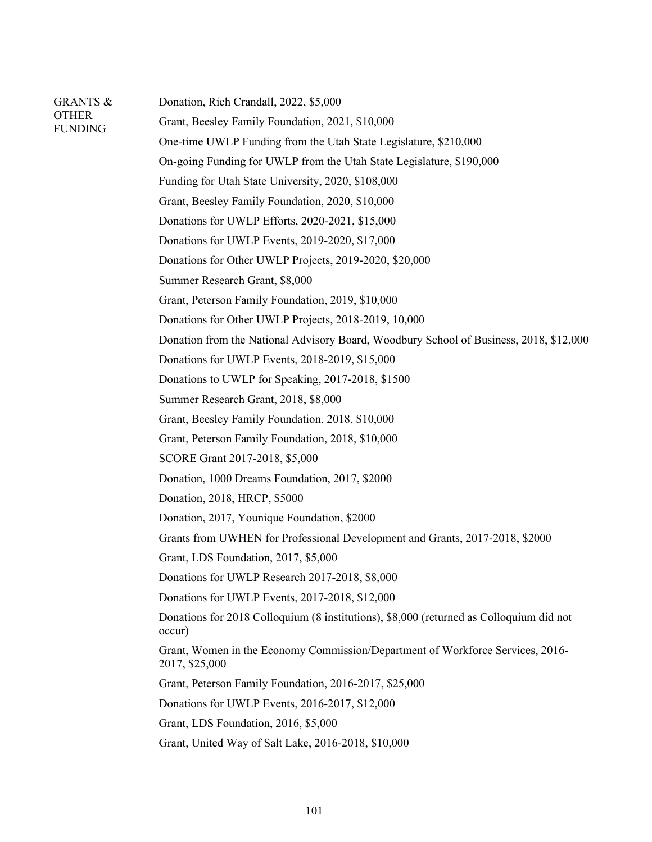| <b>GRANTS &amp;</b><br><b>OTHER</b><br><b>FUNDING</b> | Donation, Rich Crandall, 2022, \$5,000                                                            |
|-------------------------------------------------------|---------------------------------------------------------------------------------------------------|
|                                                       | Grant, Beesley Family Foundation, 2021, \$10,000                                                  |
|                                                       | One-time UWLP Funding from the Utah State Legislature, \$210,000                                  |
|                                                       | On-going Funding for UWLP from the Utah State Legislature, \$190,000                              |
|                                                       | Funding for Utah State University, 2020, \$108,000                                                |
|                                                       | Grant, Beesley Family Foundation, 2020, \$10,000                                                  |
|                                                       | Donations for UWLP Efforts, 2020-2021, \$15,000                                                   |
|                                                       | Donations for UWLP Events, 2019-2020, \$17,000                                                    |
|                                                       | Donations for Other UWLP Projects, 2019-2020, \$20,000                                            |
|                                                       | Summer Research Grant, \$8,000                                                                    |
|                                                       | Grant, Peterson Family Foundation, 2019, \$10,000                                                 |
|                                                       | Donations for Other UWLP Projects, 2018-2019, 10,000                                              |
|                                                       | Donation from the National Advisory Board, Woodbury School of Business, 2018, \$12,000            |
|                                                       | Donations for UWLP Events, 2018-2019, \$15,000                                                    |
|                                                       | Donations to UWLP for Speaking, 2017-2018, \$1500                                                 |
|                                                       | Summer Research Grant, 2018, \$8,000                                                              |
|                                                       | Grant, Beesley Family Foundation, 2018, \$10,000                                                  |
|                                                       | Grant, Peterson Family Foundation, 2018, \$10,000                                                 |
|                                                       | SCORE Grant 2017-2018, \$5,000                                                                    |
|                                                       | Donation, 1000 Dreams Foundation, 2017, \$2000                                                    |
|                                                       | Donation, 2018, HRCP, \$5000                                                                      |
|                                                       | Donation, 2017, Younique Foundation, \$2000                                                       |
|                                                       | Grants from UWHEN for Professional Development and Grants, 2017-2018, \$2000                      |
|                                                       | Grant, LDS Foundation, 2017, \$5,000                                                              |
|                                                       | Donations for UWLP Research 2017-2018, \$8,000                                                    |
|                                                       | Donations for UWLP Events, 2017-2018, \$12,000                                                    |
|                                                       | Donations for 2018 Colloquium (8 institutions), \$8,000 (returned as Colloquium did not<br>occur) |
|                                                       | Grant, Women in the Economy Commission/Department of Workforce Services, 2016-<br>2017, \$25,000  |
|                                                       | Grant, Peterson Family Foundation, 2016-2017, \$25,000                                            |
|                                                       | Donations for UWLP Events, 2016-2017, \$12,000                                                    |
|                                                       | Grant, LDS Foundation, 2016, \$5,000                                                              |
|                                                       | Grant, United Way of Salt Lake, 2016-2018, \$10,000                                               |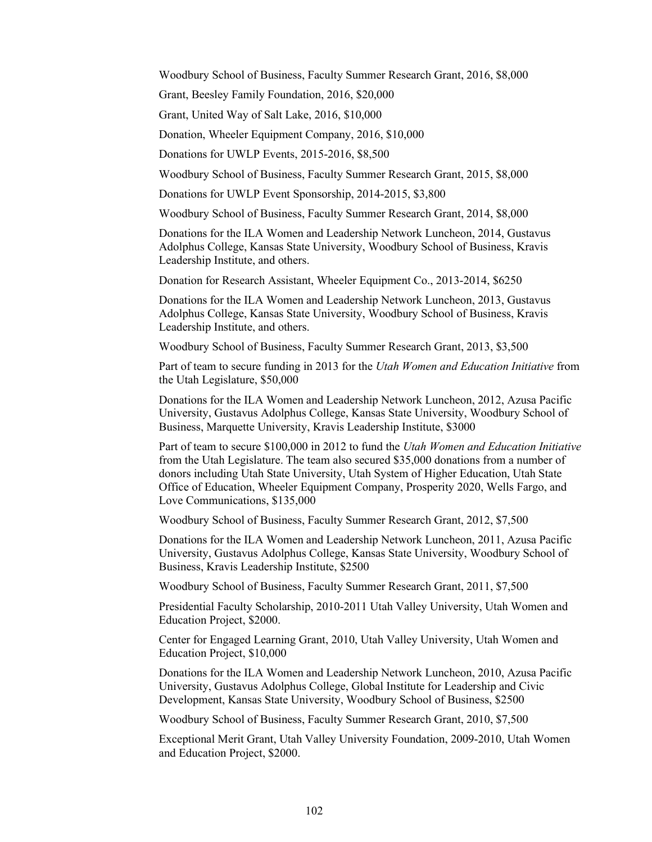Woodbury School of Business, Faculty Summer Research Grant, 2016, \$8,000

Grant, Beesley Family Foundation, 2016, \$20,000

Grant, United Way of Salt Lake, 2016, \$10,000

Donation, Wheeler Equipment Company, 2016, \$10,000

Donations for UWLP Events, 2015-2016, \$8,500

Woodbury School of Business, Faculty Summer Research Grant, 2015, \$8,000

Donations for UWLP Event Sponsorship, 2014-2015, \$3,800

Woodbury School of Business, Faculty Summer Research Grant, 2014, \$8,000

Donations for the ILA Women and Leadership Network Luncheon, 2014, Gustavus Adolphus College, Kansas State University, Woodbury School of Business, Kravis Leadership Institute, and others.

Donation for Research Assistant, Wheeler Equipment Co., 2013-2014, \$6250

Donations for the ILA Women and Leadership Network Luncheon, 2013, Gustavus Adolphus College, Kansas State University, Woodbury School of Business, Kravis Leadership Institute, and others.

Woodbury School of Business, Faculty Summer Research Grant, 2013, \$3,500

Part of team to secure funding in 2013 for the *Utah Women and Education Initiative* from the Utah Legislature, \$50,000

Donations for the ILA Women and Leadership Network Luncheon, 2012, Azusa Pacific University, Gustavus Adolphus College, Kansas State University, Woodbury School of Business, Marquette University, Kravis Leadership Institute, \$3000

Part of team to secure \$100,000 in 2012 to fund the *Utah Women and Education Initiative* from the Utah Legislature. The team also secured \$35,000 donations from a number of donors including Utah State University, Utah System of Higher Education, Utah State Office of Education, Wheeler Equipment Company, Prosperity 2020, Wells Fargo, and Love Communications, \$135,000

Woodbury School of Business, Faculty Summer Research Grant, 2012, \$7,500

Donations for the ILA Women and Leadership Network Luncheon, 2011, Azusa Pacific University, Gustavus Adolphus College, Kansas State University, Woodbury School of Business, Kravis Leadership Institute, \$2500

Woodbury School of Business, Faculty Summer Research Grant, 2011, \$7,500

Presidential Faculty Scholarship, 2010-2011 Utah Valley University, Utah Women and Education Project, \$2000.

Center for Engaged Learning Grant, 2010, Utah Valley University, Utah Women and Education Project, \$10,000

Donations for the ILA Women and Leadership Network Luncheon, 2010, Azusa Pacific University, Gustavus Adolphus College, Global Institute for Leadership and Civic Development, Kansas State University, Woodbury School of Business, \$2500

Woodbury School of Business, Faculty Summer Research Grant, 2010, \$7,500

Exceptional Merit Grant, Utah Valley University Foundation, 2009-2010, Utah Women and Education Project, \$2000.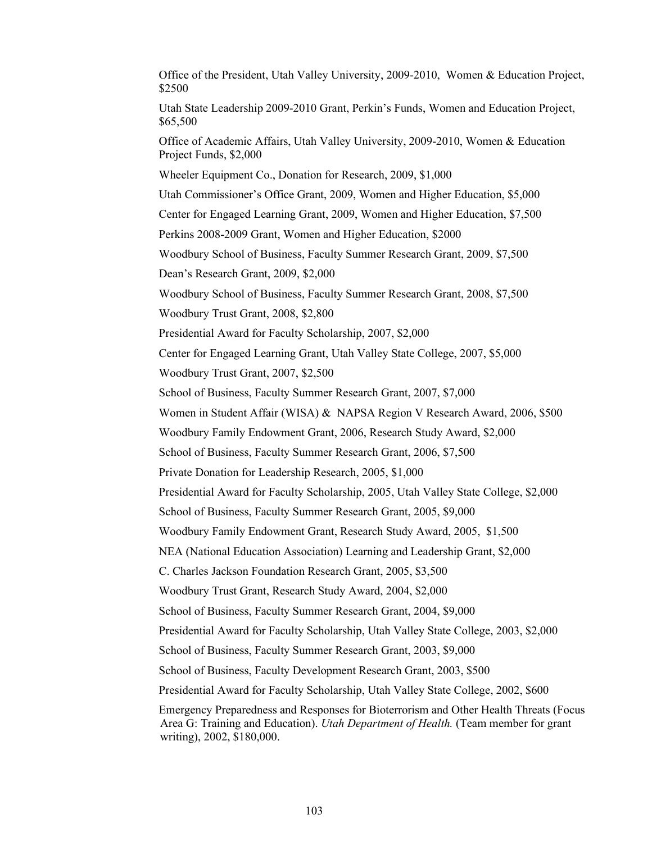Office of the President, Utah Valley University, 2009-2010, Women & Education Project, \$2500 Utah State Leadership 2009-2010 Grant, Perkin's Funds, Women and Education Project, \$65,500 Office of Academic Affairs, Utah Valley University, 2009-2010, Women & Education Project Funds, \$2,000 Wheeler Equipment Co., Donation for Research, 2009, \$1,000 Utah Commissioner's Office Grant, 2009, Women and Higher Education, \$5,000 Center for Engaged Learning Grant, 2009, Women and Higher Education, \$7,500 Perkins 2008-2009 Grant, Women and Higher Education, \$2000 Woodbury School of Business, Faculty Summer Research Grant, 2009, \$7,500 Dean's Research Grant, 2009, \$2,000 Woodbury School of Business, Faculty Summer Research Grant, 2008, \$7,500 Woodbury Trust Grant, 2008, \$2,800 Presidential Award for Faculty Scholarship, 2007, \$2,000 Center for Engaged Learning Grant, Utah Valley State College, 2007, \$5,000 Woodbury Trust Grant, 2007, \$2,500 School of Business, Faculty Summer Research Grant, 2007, \$7,000 Women in Student Affair (WISA) & NAPSA Region V Research Award, 2006, \$500 Woodbury Family Endowment Grant, 2006, Research Study Award, \$2,000 School of Business, Faculty Summer Research Grant, 2006, \$7,500 Private Donation for Leadership Research, 2005, \$1,000 Presidential Award for Faculty Scholarship, 2005, Utah Valley State College, \$2,000 School of Business, Faculty Summer Research Grant, 2005, \$9,000 Woodbury Family Endowment Grant, Research Study Award, 2005, \$1,500 NEA (National Education Association) Learning and Leadership Grant, \$2,000 C. Charles Jackson Foundation Research Grant, 2005, \$3,500 Woodbury Trust Grant, Research Study Award, 2004, \$2,000 School of Business, Faculty Summer Research Grant, 2004, \$9,000 Presidential Award for Faculty Scholarship, Utah Valley State College, 2003, \$2,000 School of Business, Faculty Summer Research Grant, 2003, \$9,000 School of Business, Faculty Development Research Grant, 2003, \$500 Presidential Award for Faculty Scholarship, Utah Valley State College, 2002, \$600 Emergency Preparedness and Responses for Bioterrorism and Other Health Threats (Focus Area G: Training and Education). *Utah Department of Health.* (Team member for grant writing), 2002, \$180,000.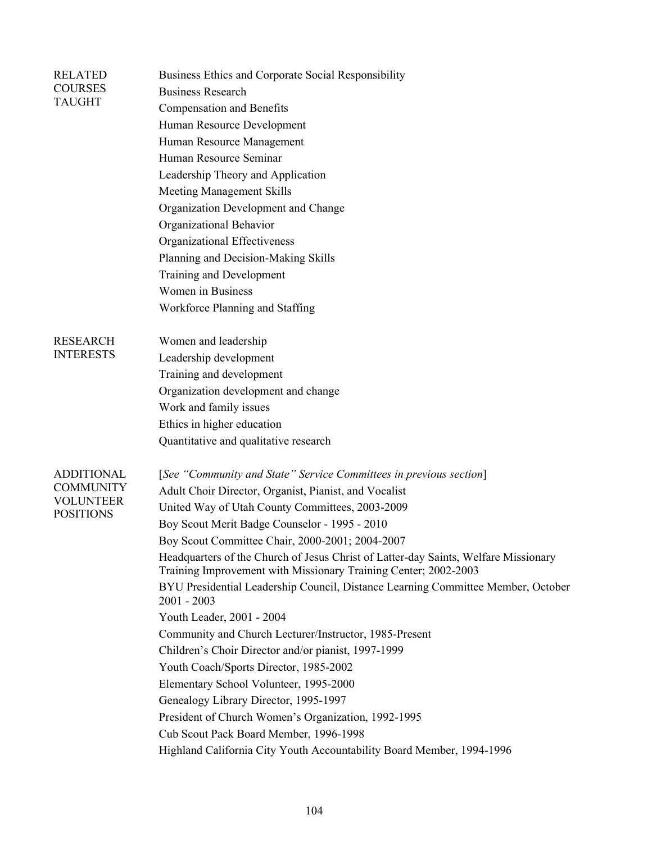| <b>RELATED</b><br><b>COURSES</b><br>TAUGHT | Business Ethics and Corporate Social Responsibility                                                                                                    |
|--------------------------------------------|--------------------------------------------------------------------------------------------------------------------------------------------------------|
|                                            | <b>Business Research</b>                                                                                                                               |
|                                            | <b>Compensation and Benefits</b>                                                                                                                       |
|                                            | Human Resource Development                                                                                                                             |
|                                            | Human Resource Management                                                                                                                              |
|                                            | Human Resource Seminar                                                                                                                                 |
|                                            | Leadership Theory and Application                                                                                                                      |
|                                            | <b>Meeting Management Skills</b>                                                                                                                       |
|                                            | Organization Development and Change                                                                                                                    |
|                                            | Organizational Behavior                                                                                                                                |
|                                            | Organizational Effectiveness                                                                                                                           |
|                                            | Planning and Decision-Making Skills                                                                                                                    |
|                                            | <b>Training and Development</b>                                                                                                                        |
|                                            | Women in Business                                                                                                                                      |
|                                            | Workforce Planning and Staffing                                                                                                                        |
| <b>RESEARCH</b>                            | Women and leadership                                                                                                                                   |
| <b>INTERESTS</b>                           | Leadership development                                                                                                                                 |
|                                            | Training and development                                                                                                                               |
|                                            | Organization development and change                                                                                                                    |
|                                            | Work and family issues                                                                                                                                 |
|                                            | Ethics in higher education                                                                                                                             |
|                                            | Quantitative and qualitative research                                                                                                                  |
| <b>ADDITIONAL</b>                          | [See "Community and State" Service Committees in previous section]                                                                                     |
| <b>COMMUNITY</b>                           | Adult Choir Director, Organist, Pianist, and Vocalist                                                                                                  |
| <b>VOLUNTEER</b>                           | United Way of Utah County Committees, 2003-2009                                                                                                        |
| <b>POSITIONS</b>                           | Boy Scout Merit Badge Counselor - 1995 - 2010                                                                                                          |
|                                            | Boy Scout Committee Chair, 2000-2001; 2004-2007                                                                                                        |
|                                            | Headquarters of the Church of Jesus Christ of Latter-day Saints, Welfare Missionary<br>Training Improvement with Missionary Training Center; 2002-2003 |
|                                            | BYU Presidential Leadership Council, Distance Learning Committee Member, October<br>$2001 - 2003$                                                      |
|                                            | Youth Leader, 2001 - 2004                                                                                                                              |
|                                            | Community and Church Lecturer/Instructor, 1985-Present                                                                                                 |
|                                            | Children's Choir Director and/or pianist, 1997-1999                                                                                                    |
|                                            | Youth Coach/Sports Director, 1985-2002                                                                                                                 |
|                                            | Elementary School Volunteer, 1995-2000                                                                                                                 |
|                                            | Genealogy Library Director, 1995-1997                                                                                                                  |
|                                            | President of Church Women's Organization, 1992-1995                                                                                                    |
|                                            | Cub Scout Pack Board Member, 1996-1998                                                                                                                 |
|                                            | Highland California City Youth Accountability Board Member, 1994-1996                                                                                  |